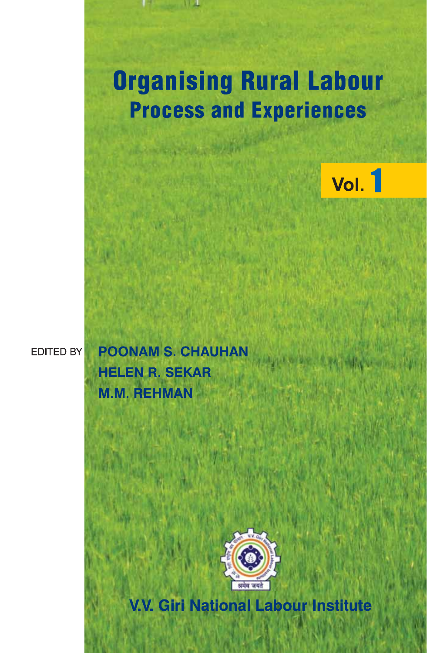

# **EDITED BY**

**POONAM S. CHAUHAN HELEN R. SEKAR M.M. REHMAN** 



**V.V. Giri National Labour Institute**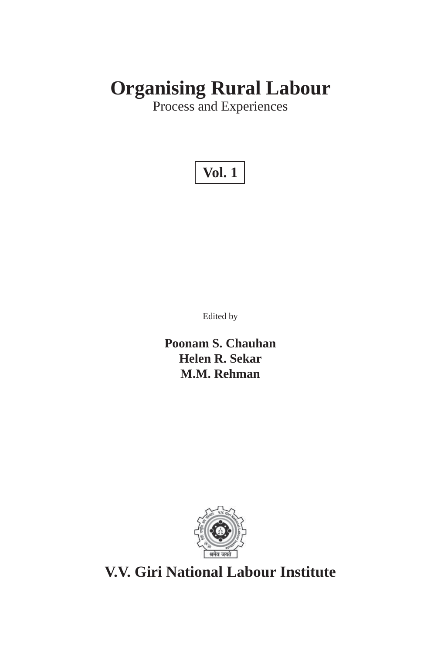# **Organising Rural Labour**

Process and Experiences

# **Vol. 1**

Edited by

**Poonam S. Chauhan Helen R. Sekar M.M. Rehman**



**V.V. Giri National Labour Institute**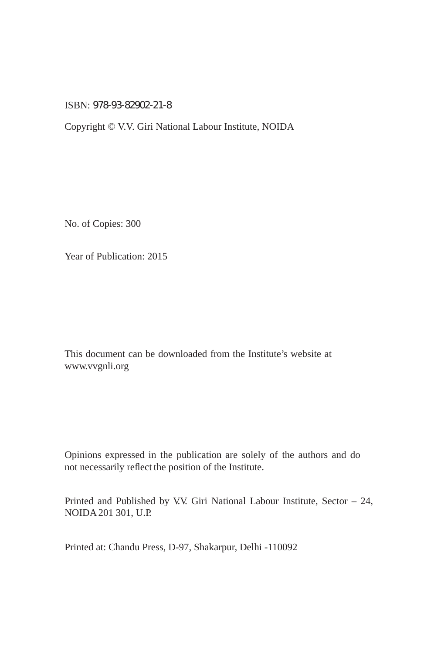## ISBN: 978-93-82902-21-8

Copyright © V.V. Giri National Labour Institute, NOIDA

No. of Copies: 300

Year of Publication: 2015

This document can be downloaded from the Institute's website at www.vvgnli.org

Opinions expressed in the publication are solely of the authors and do not necessarily reflect the position of the Institute.

Printed and Published by V.V. Giri National Labour Institute, Sector – 24, NOIDA 201 301, U.P.

Printed at: Chandu Press, D-97, Shakarpur, Delhi -110092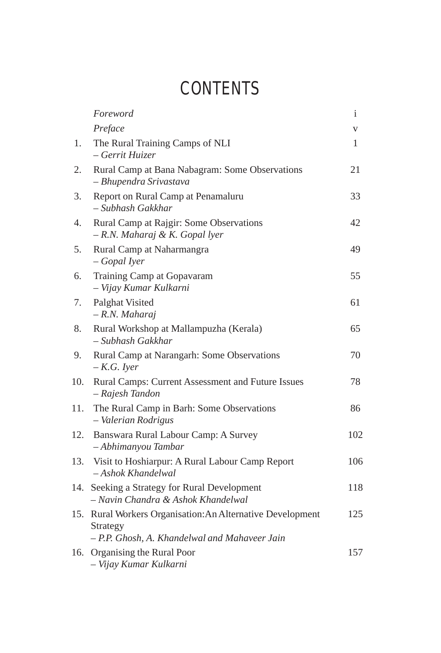# **CONTENTS**

|     | Foreword                                                                                                                | $\mathbf{i}$ |
|-----|-------------------------------------------------------------------------------------------------------------------------|--------------|
|     | Preface                                                                                                                 | V            |
| 1.  | The Rural Training Camps of NLI<br>- Gerrit Huizer                                                                      | 1            |
| 2.  | Rural Camp at Bana Nabagram: Some Observations<br>- Bhupendra Srivastava                                                | 21           |
| 3.  | Report on Rural Camp at Penamaluru<br>- Subhash Gakkhar                                                                 | 33           |
| 4.  | Rural Camp at Rajgir: Some Observations<br>- R.N. Maharaj & K. Gopal lyer                                               | 42           |
| 5.  | Rural Camp at Naharmangra<br>- Gopal Iyer                                                                               | 49           |
| 6.  | Training Camp at Gopavaram<br>- Vijay Kumar Kulkarni                                                                    | 55           |
| 7.  | Palghat Visited<br>- R.N. Maharaj                                                                                       | 61           |
| 8.  | Rural Workshop at Mallampuzha (Kerala)<br>- Subhash Gakkhar                                                             | 65           |
| 9.  | Rural Camp at Narangarh: Some Observations<br>$-K.G.$ Iyer                                                              | 70           |
| 10. | Rural Camps: Current Assessment and Future Issues<br>- Rajesh Tandon                                                    | 78           |
| 11. | The Rural Camp in Barh: Some Observations<br>- Valerian Rodrigus                                                        | 86           |
| 12. | Banswara Rural Labour Camp: A Survey<br>- Abhimanyou Tambar                                                             | 102          |
| 13. | Visit to Hoshiarpur: A Rural Labour Camp Report<br>- Ashok Khandelwal                                                   | 106          |
| 14. | Seeking a Strategy for Rural Development<br>- Navin Chandra & Ashok Khandelwal                                          | 118          |
|     | 15. Rural Workers Organisation: An Alternative Development<br>Strategy<br>- P.P. Ghosh, A. Khandelwal and Mahaveer Jain | 125          |
| 16. | Organising the Rural Poor<br>- Vijay Kumar Kulkarni                                                                     | 157          |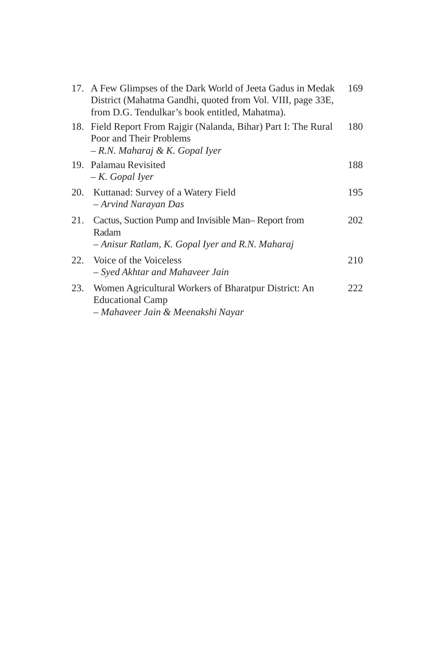| 17. A Few Glimpses of the Dark World of Jeeta Gadus in Medak<br>District (Mahatma Gandhi, quoted from Vol. VIII, page 33E,<br>from D.G. Tendulkar's book entitled, Mahatma). | 169 |
|------------------------------------------------------------------------------------------------------------------------------------------------------------------------------|-----|
| 18. Field Report From Rajgir (Nalanda, Bihar) Part I: The Rural<br>Poor and Their Problems<br>- R.N. Maharaj & K. Gopal Iyer                                                 | 180 |
| 19. Palamau Revisited<br>$-K. Gopal Iyer$                                                                                                                                    | 188 |
| 20. Kuttanad: Survey of a Watery Field<br>- Arvind Narayan Das                                                                                                               | 195 |
| 21. Cactus, Suction Pump and Invisible Man–Report from<br>Radam<br>- Anisur Ratlam, K. Gopal Iyer and R.N. Maharaj                                                           | 202 |
| 22. Voice of the Voiceless<br>– Syed Akhtar and Mahaveer Jain                                                                                                                | 210 |
| 23. Women Agricultural Workers of Bharatpur District: An<br><b>Educational Camp</b><br>– Mahaveer Jain & Meenakshi Nayar                                                     | 222 |
|                                                                                                                                                                              |     |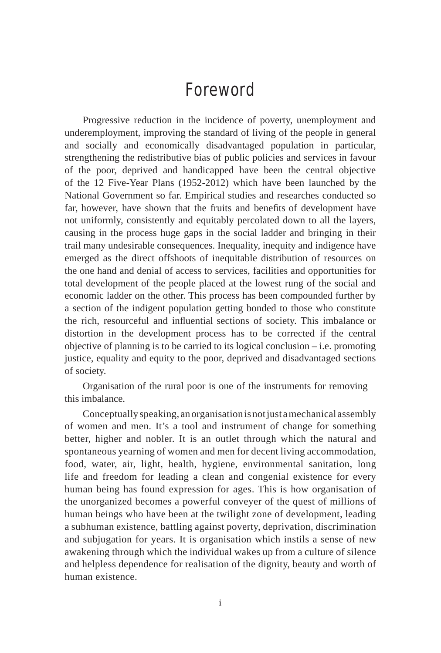# Foreword

Progressive reduction in the incidence of poverty, unemployment and underemployment, improving the standard of living of the people in general and socially and economically disadvantaged population in particular, strengthening the redistributive bias of public policies and services in favour of the poor, deprived and handicapped have been the central objective of the 12 Five-Year Plans (1952-2012) which have been launched by the National Government so far. Empirical studies and researches conducted so far, however, have shown that the fruits and benefits of development have not uniformly, consistently and equitably percolated down to all the layers, causing in the process huge gaps in the social ladder and bringing in their trail many undesirable consequences. Inequality, inequity and indigence have emerged as the direct offshoots of inequitable distribution of resources on the one hand and denial of access to services, facilities and opportunities for total development of the people placed at the lowest rung of the social and economic ladder on the other. This process has been compounded further by a section of the indigent population getting bonded to those who constitute the rich, resourceful and influential sections of society. This imbalance or distortion in the development process has to be corrected if the central objective of planning is to be carried to its logical conclusion – i.e. promoting justice, equality and equity to the poor, deprived and disadvantaged sections of society.

Organisation of the rural poor is one of the instruments for removing this imbalance.

Conceptually speaking, an organisation is not just a mechanical assembly of women and men. It's a tool and instrument of change for something better, higher and nobler. It is an outlet through which the natural and spontaneous yearning of women and men for decent living accommodation, food, water, air, light, health, hygiene, environmental sanitation, long life and freedom for leading a clean and congenial existence for every human being has found expression for ages. This is how organisation of the unorganized becomes a powerful conveyer of the quest of millions of human beings who have been at the twilight zone of development, leading a subhuman existence, battling against poverty, deprivation, discrimination and subjugation for years. It is organisation which instils a sense of new awakening through which the individual wakes up from a culture of silence and helpless dependence for realisation of the dignity, beauty and worth of human existence.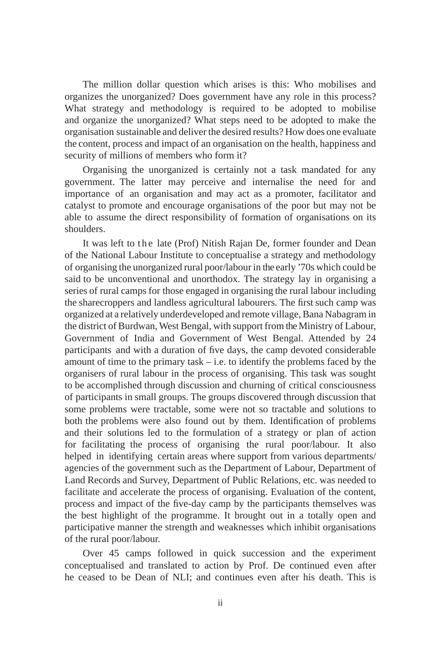The million dollar question which arises is this: Who mobilises and organizes the unorganized? Does government have any role in this process? What strategy and methodology is required to be adopted to mobilise and organize the unorganized? What steps need to be adopted to make the organisation sustainable and deliver the desired results? How does one evaluate the content, process and impact of an organisation on the health, happiness and security of millions of members who form it?

Organising the unorganized is certainly not a task mandated for any government. The latter may perceive and internalise the need for and importance of an organisation and may act as a promoter, facilitator and catalyst to promote and encourage organisations of the poor but may not be able to assume the direct responsibility of formation of organisations on its shoulders.

It was left to the late (Prof) Nitish Rajan De, former founder and Dean of the National Labour Institute to conceptualise a strategy and methodology of organising the unorganized rural poor/labour in the early '70s which could be said to be unconventional and unorthodox. The strategy lay in organising a series of rural camps for those engaged in organising the rural labour including the sharecroppers and landless agricultural labourers. The first such camp was organized at a relatively underdeveloped and remote village, Bana Nabagram in the district of Burdwan, West Bengal, with support from the Ministry of Labour, Government of India and Government of West Bengal. Attended by 24 participants and with a duration of five days, the camp devoted considerable amount of time to the primary task  $-$  i.e. to identify the problems faced by the organisers of rural labour in the process of organising. This task was sought to be accomplished through discussion and churning of critical consciousness of participants in small groups. The groups discovered through discussion that some problems were tractable, some were not so tractable and solutions to both the problems were also found out by them. Identification of problems and their solutions led to the formulation of a strategy or plan of action for facilitating the process of organising the rural poor/labour. It also helped in identifying certain areas where support from various departments/ agencies of the government such as the Department of Labour, Department of Land Records and Survey, Department of Public Relations, etc. was needed to facilitate and accelerate the process of organising. Evaluation of the content, process and impact of the five-day camp by the participants themselves was the best highlight of the programme. It brought out in a totally open and participative manner the strength and weaknesses which inhibit organisations of the rural poor/labour.

Over 45 camps followed in quick succession and the experiment conceptualised and translated to action by Prof. De continued even after he ceased to be Dean of NLI; and continues even after his death. This is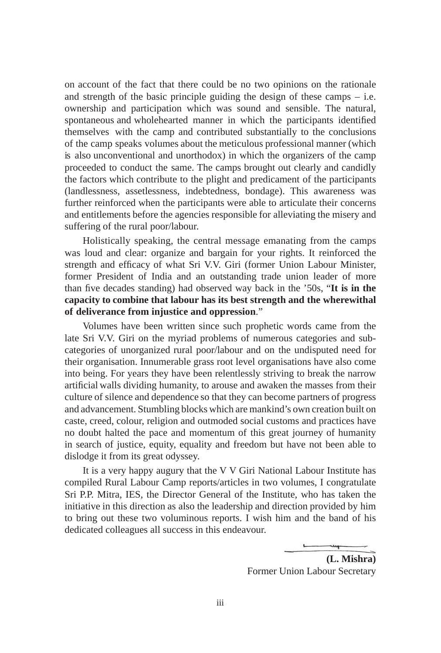on account of the fact that there could be no two opinions on the rationale and strength of the basic principle guiding the design of these camps – i.e. ownership and participation which was sound and sensible. The natural, spontaneous and wholehearted manner in which the participants identified themselves with the camp and contributed substantially to the conclusions of the camp speaks volumes about the meticulous professional manner (which is also unconventional and unorthodox) in which the organizers of the camp proceeded to conduct the same. The camps brought out clearly and candidly the factors which contribute to the plight and predicament of the participants (landlessness, assetlessness, indebtedness, bondage). This awareness was further reinforced when the participants were able to articulate their concerns and entitlements before the agencies responsible for alleviating the misery and suffering of the rural poor/labour.

Holistically speaking, the central message emanating from the camps was loud and clear: organize and bargain for your rights. It reinforced the strength and efficacy of what Sri V.V. Giri (former Union Labour Minister, former President of India and an outstanding trade union leader of more than five decades standing) had observed way back in the '50s, "**It is in the capacity to combine that labour has its best strength and the wherewithal of deliverance from injustice and oppression**."

Volumes have been written since such prophetic words came from the late Sri V.V. Giri on the myriad problems of numerous categories and subcategories of unorganized rural poor/labour and on the undisputed need for their organisation. Innumerable grass root level organisations have also come into being. For years they have been relentlessly striving to break the narrow artificial walls dividing humanity, to arouse and awaken the masses from their culture of silence and dependence so that they can become partners of progress and advancement. Stumbling blocks which are mankind's own creation built on caste, creed, colour, religion and outmoded social customs and practices have no doubt halted the pace and momentum of this great journey of humanity in search of justice, equity, equality and freedom but have not been able to dislodge it from its great odyssey.

It is a very happy augury that the V V Giri National Labour Institute has compiled Rural Labour Camp reports/articles in two volumes, I congratulate Sri P.P. Mitra, IES, the Director General of the Institute, who has taken the initiative in this direction as also the leadership and direction provided by him to bring out these two voluminous reports. I wish him and the band of his dedicated colleagues all success in this endeavour.

> **(L. Mishra)** Former Union Labour Secretary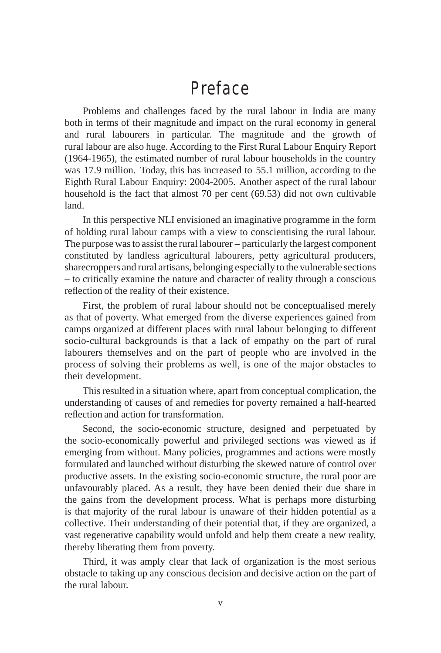# Preface

Problems and challenges faced by the rural labour in India are many both in terms of their magnitude and impact on the rural economy in general and rural labourers in particular. The magnitude and the growth of rural labour are also huge. According to the First Rural Labour Enquiry Report (1964-1965), the estimated number of rural labour households in the country was 17.9 million. Today, this has increased to 55.1 million, according to the Eighth Rural Labour Enquiry: 2004-2005. Another aspect of the rural labour household is the fact that almost 70 per cent (69.53) did not own cultivable land.

In this perspective NLI envisioned an imaginative programme in the form of holding rural labour camps with a view to conscientising the rural labour. The purpose was to assist the rural labourer – particularly the largest component constituted by landless agricultural labourers, petty agricultural producers, sharecroppers and rural artisans, belonging especially to the vulnerable sections – to critically examine the nature and character of reality through a conscious reflection of the reality of their existence.

First, the problem of rural labour should not be conceptualised merely as that of poverty. What emerged from the diverse experiences gained from camps organized at different places with rural labour belonging to different socio-cultural backgrounds is that a lack of empathy on the part of rural labourers themselves and on the part of people who are involved in the process of solving their problems as well, is one of the major obstacles to their development.

This resulted in a situation where, apart from conceptual complication, the understanding of causes of and remedies for poverty remained a half-hearted reflection and action for transformation.

Second, the socio-economic structure, designed and perpetuated by the socio-economically powerful and privileged sections was viewed as if emerging from without. Many policies, programmes and actions were mostly formulated and launched without disturbing the skewed nature of control over productive assets. In the existing socio-economic structure, the rural poor are unfavourably placed. As a result, they have been denied their due share in the gains from the development process. What is perhaps more disturbing is that majority of the rural labour is unaware of their hidden potential as a collective. Their understanding of their potential that, if they are organized, a vast regenerative capability would unfold and help them create a new reality, thereby liberating them from poverty.

Third, it was amply clear that lack of organization is the most serious obstacle to taking up any conscious decision and decisive action on the part of the rural labour.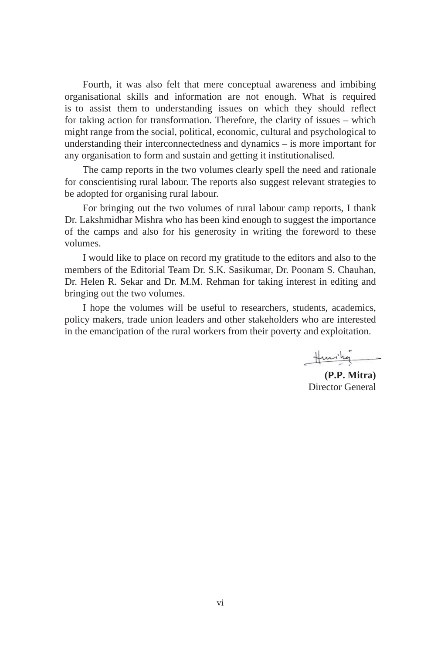Fourth, it was also felt that mere conceptual awareness and imbibing organisational skills and information are not enough. What is required is to assist them to understanding issues on which they should reflect for taking action for transformation. Therefore, the clarity of issues – which might range from the social, political, economic, cultural and psychological to understanding their interconnectedness and dynamics – is more important for any organisation to form and sustain and getting it institutionalised.

The camp reports in the two volumes clearly spell the need and rationale for conscientising rural labour. The reports also suggest relevant strategies to be adopted for organising rural labour.

For bringing out the two volumes of rural labour camp reports, I thank Dr. Lakshmidhar Mishra who has been kind enough to suggest the importance of the camps and also for his generosity in writing the foreword to these volumes.

I would like to place on record my gratitude to the editors and also to the members of the Editorial Team Dr. S.K. Sasikumar, Dr. Poonam S. Chauhan, Dr. Helen R. Sekar and Dr. M.M. Rehman for taking interest in editing and bringing out the two volumes.

I hope the volumes will be useful to researchers, students, academics, policy makers, trade union leaders and other stakeholders who are interested in the emancipation of the rural workers from their poverty and exploitation.

Huring

**(P.P. Mitra)** Director General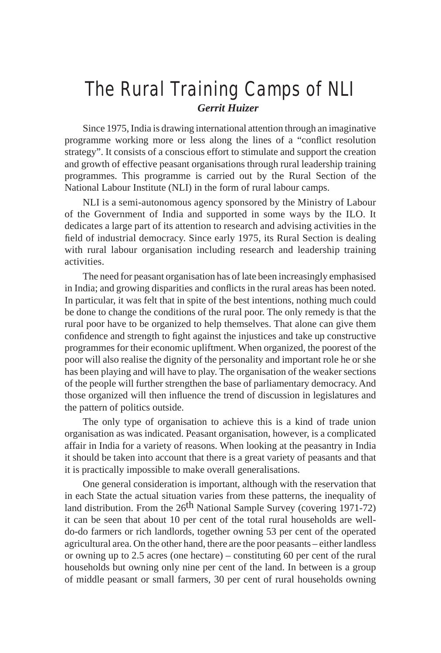# The Rural Training Camps of NLI *Gerrit Huizer*

Since 1975, India is drawing international attention through an imaginative programme working more or less along the lines of a "conflict resolution strategy". It consists of a conscious effort to stimulate and support the creation and growth of effective peasant organisations through rural leadership training programmes. This programme is carried out by the Rural Section of the National Labour Institute (NLI) in the form of rural labour camps.

NLI is a semi-autonomous agency sponsored by the Ministry of Labour of the Government of India and supported in some ways by the ILO. It dedicates a large part of its attention to research and advising activities in the field of industrial democracy. Since early 1975, its Rural Section is dealing with rural labour organisation including research and leadership training activities.

The need for peasant organisation has of late been increasingly emphasised in India; and growing disparities and conflicts in the rural areas has been noted. In particular, it was felt that in spite of the best intentions, nothing much could be done to change the conditions of the rural poor. The only remedy is that the rural poor have to be organized to help themselves. That alone can give them confidence and strength to fight against the injustices and take up constructive programmes for their economic upliftment. When organized, the poorest of the poor will also realise the dignity of the personality and important role he or she has been playing and will have to play. The organisation of the weaker sections of the people will further strengthen the base of parliamentary democracy. And those organized will then influence the trend of discussion in legislatures and the pattern of politics outside.

The only type of organisation to achieve this is a kind of trade union organisation as was indicated. Peasant organisation, however, is a complicated affair in India for a variety of reasons. When looking at the peasantry in India it should be taken into account that there is a great variety of peasants and that it is practically impossible to make overall generalisations.

One general consideration is important, although with the reservation that in each State the actual situation varies from these patterns, the inequality of land distribution. From the  $26<sup>th</sup>$  National Sample Survey (covering 1971-72) it can be seen that about 10 per cent of the total rural households are welldo-do farmers or rich landlords, together owning 53 per cent of the operated agricultural area. On the other hand, there are the poor peasants – either landless or owning up to 2.5 acres (one hectare) – constituting 60 per cent of the rural households but owning only nine per cent of the land. In between is a group of middle peasant or small farmers, 30 per cent of rural households owning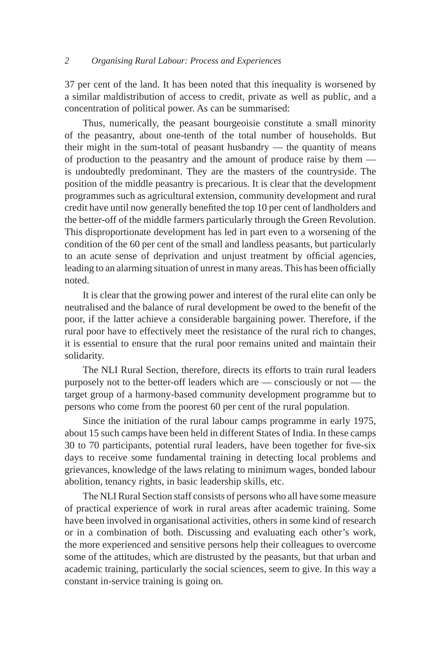37 per cent of the land. It has been noted that this inequality is worsened by a similar maldistribution of access to credit, private as well as public, and a concentration of political power. As can be summarised:

Thus, numerically, the peasant bourgeoisie constitute a small minority of the peasantry, about one-tenth of the total number of households. But their might in the sum-total of peasant husbandry — the quantity of means of production to the peasantry and the amount of produce raise by them is undoubtedly predominant. They are the masters of the countryside. The position of the middle peasantry is precarious. It is clear that the development programmes such as agricultural extension, community development and rural credit have until now generally benefited the top 10 per cent of landholders and the better-off of the middle farmers particularly through the Green Revolution. This disproportionate development has led in part even to a worsening of the condition of the 60 per cent of the small and landless peasants, but particularly to an acute sense of deprivation and unjust treatment by official agencies, leading to an alarming situation of unrest in many areas. This has been officially noted.

It is clear that the growing power and interest of the rural elite can only be neutralised and the balance of rural development be owed to the benefit of the poor, if the latter achieve a considerable bargaining power. Therefore, if the rural poor have to effectively meet the resistance of the rural rich to changes, it is essential to ensure that the rural poor remains united and maintain their solidarity.

The NLI Rural Section, therefore, directs its efforts to train rural leaders purposely not to the better-off leaders which are — consciously or not — the target group of a harmony-based community development programme but to persons who come from the poorest 60 per cent of the rural population.

Since the initiation of the rural labour camps programme in early 1975, about 15 such camps have been held in different States of India. In these camps 30 to 70 participants, potential rural leaders, have been together for five-six days to receive some fundamental training in detecting local problems and grievances, knowledge of the laws relating to minimum wages, bonded labour abolition, tenancy rights, in basic leadership skills, etc.

The NLI Rural Section staff consists of persons who all have some measure of practical experience of work in rural areas after academic training. Some have been involved in organisational activities, others in some kind of research or in a combination of both. Discussing and evaluating each other's work, the more experienced and sensitive persons help their colleagues to overcome some of the attitudes, which are distrusted by the peasants, but that urban and academic training, particularly the social sciences, seem to give. In this way a constant in-service training is going on.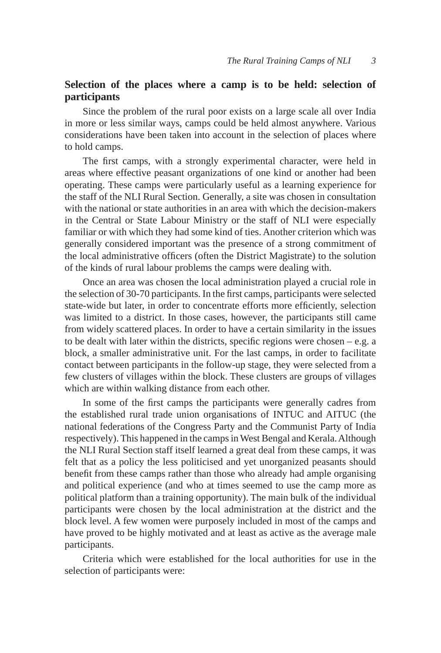# **Selection of the places where a camp is to be held: selection of participants**

Since the problem of the rural poor exists on a large scale all over India in more or less similar ways, camps could be held almost anywhere. Various considerations have been taken into account in the selection of places where to hold camps.

The first camps, with a strongly experimental character, were held in areas where effective peasant organizations of one kind or another had been operating. These camps were particularly useful as a learning experience for the staff of the NLI Rural Section. Generally, a site was chosen in consultation with the national or state authorities in an area with which the decision-makers in the Central or State Labour Ministry or the staff of NLI were especially familiar or with which they had some kind of ties. Another criterion which was generally considered important was the presence of a strong commitment of the local administrative officers (often the District Magistrate) to the solution of the kinds of rural labour problems the camps were dealing with.

Once an area was chosen the local administration played a crucial role in the selection of 30-70 participants. In the first camps, participants were selected state-wide but later, in order to concentrate efforts more efficiently, selection was limited to a district. In those cases, however, the participants still came from widely scattered places. In order to have a certain similarity in the issues to be dealt with later within the districts, specific regions were chosen – e.g. a block, a smaller administrative unit. For the last camps, in order to facilitate contact between participants in the follow-up stage, they were selected from a few clusters of villages within the block. These clusters are groups of villages which are within walking distance from each other.

In some of the first camps the participants were generally cadres from the established rural trade union organisations of INTUC and AITUC (the national federations of the Congress Party and the Communist Party of India respectively). This happened in the camps in West Bengal and Kerala. Although the NLI Rural Section staff itself learned a great deal from these camps, it was felt that as a policy the less politicised and yet unorganized peasants should benefit from these camps rather than those who already had ample organising and political experience (and who at times seemed to use the camp more as political platform than a training opportunity). The main bulk of the individual participants were chosen by the local administration at the district and the block level. A few women were purposely included in most of the camps and have proved to be highly motivated and at least as active as the average male participants.

Criteria which were established for the local authorities for use in the selection of participants were: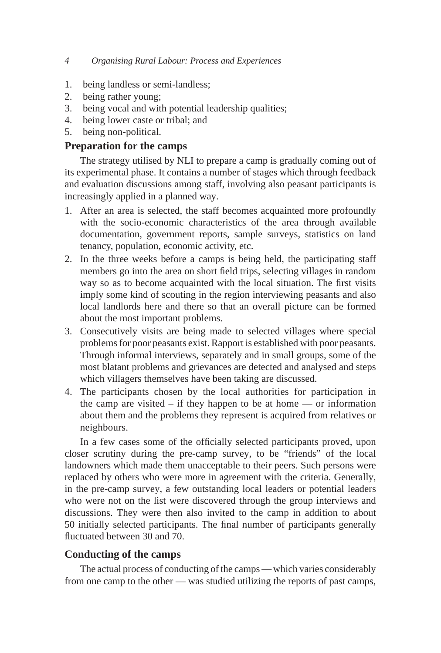- 1. being landless or semi-landless;
- 2. being rather young;
- 3. being vocal and with potential leadership qualities;
- 4. being lower caste or tribal; and
- 5. being non-political.

# **Preparation for the camps**

The strategy utilised by NLI to prepare a camp is gradually coming out of its experimental phase. It contains a number of stages which through feedback and evaluation discussions among staff, involving also peasant participants is increasingly applied in a planned way.

- 1. After an area is selected, the staff becomes acquainted more profoundly with the socio-economic characteristics of the area through available documentation, government reports, sample surveys, statistics on land tenancy, population, economic activity, etc.
- 2. In the three weeks before a camps is being held, the participating staff members go into the area on short field trips, selecting villages in random way so as to become acquainted with the local situation. The first visits imply some kind of scouting in the region interviewing peasants and also local landlords here and there so that an overall picture can be formed about the most important problems.
- 3. Consecutively visits are being made to selected villages where special problems for poor peasants exist. Rapport is established with poor peasants. Through informal interviews, separately and in small groups, some of the most blatant problems and grievances are detected and analysed and steps which villagers themselves have been taking are discussed.
- 4. The participants chosen by the local authorities for participation in the camp are visited  $-$  if they happen to be at home  $-$  or information about them and the problems they represent is acquired from relatives or neighbours.

In a few cases some of the officially selected participants proved, upon closer scrutiny during the pre-camp survey, to be "friends" of the local landowners which made them unacceptable to their peers. Such persons were replaced by others who were more in agreement with the criteria. Generally, in the pre-camp survey, a few outstanding local leaders or potential leaders who were not on the list were discovered through the group interviews and discussions. They were then also invited to the camp in addition to about 50 initially selected participants. The final number of participants generally fluctuated between 30 and 70.

# **Conducting of the camps**

The actual process of conducting of the camps — which varies considerably from one camp to the other — was studied utilizing the reports of past camps,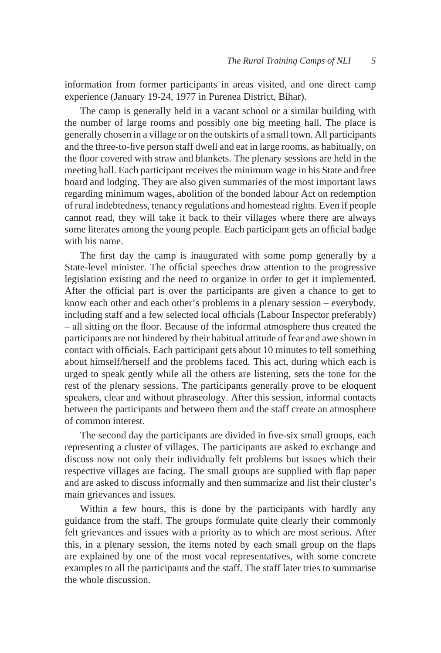information from former participants in areas visited, and one direct camp experience (January 19-24, 1977 in Purenea District, Bihar).

The camp is generally held in a vacant school or a similar building with the number of large rooms and possibly one big meeting hall. The place is generally chosen in a village or on the outskirts of a small town. All participants and the three-to-five person staff dwell and eat in large rooms, as habitually, on the floor covered with straw and blankets. The plenary sessions are held in the meeting hall. Each participant receives the minimum wage in his State and free board and lodging. They are also given summaries of the most important laws regarding minimum wages, abolition of the bonded labour Act on redemption of rural indebtedness, tenancy regulations and homestead rights. Even if people cannot read, they will take it back to their villages where there are always some literates among the young people. Each participant gets an official badge with his name.

The first day the camp is inaugurated with some pomp generally by a State-level minister. The official speeches draw attention to the progressive legislation existing and the need to organize in order to get it implemented. After the official part is over the participants are given a chance to get to know each other and each other's problems in a plenary session – everybody, including staff and a few selected local officials (Labour Inspector preferably) – all sitting on the floor. Because of the informal atmosphere thus created the participants are not hindered by their habitual attitude of fear and awe shown in contact with officials. Each participant gets about 10 minutes to tell something about himself/herself and the problems faced. This act, during which each is urged to speak gently while all the others are listening, sets the tone for the rest of the plenary sessions. The participants generally prove to be eloquent speakers, clear and without phraseology. After this session, informal contacts between the participants and between them and the staff create an atmosphere of common interest.

The second day the participants are divided in five-six small groups, each representing a cluster of villages. The participants are asked to exchange and discuss now not only their individually felt problems but issues which their respective villages are facing. The small groups are supplied with flap paper and are asked to discuss informally and then summarize and list their cluster's main grievances and issues.

Within a few hours, this is done by the participants with hardly any guidance from the staff. The groups formulate quite clearly their commonly felt grievances and issues with a priority as to which are most serious. After this, in a plenary session, the items noted by each small group on the flaps are explained by one of the most vocal representatives, with some concrete examples to all the participants and the staff. The staff later tries to summarise the whole discussion.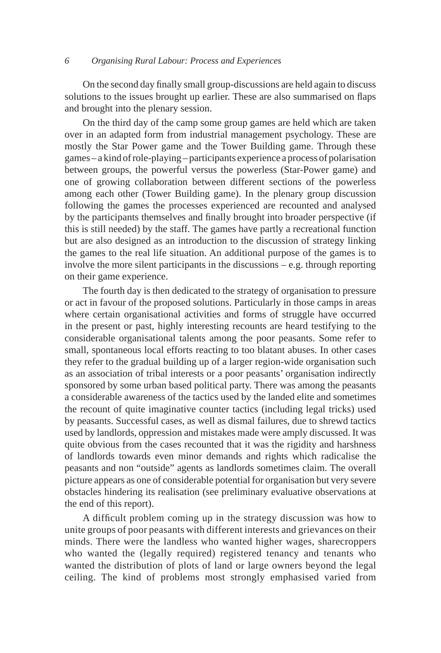On the second day finally small group-discussions are held again to discuss solutions to the issues brought up earlier. These are also summarised on flaps and brought into the plenary session.

On the third day of the camp some group games are held which are taken over in an adapted form from industrial management psychology. These are mostly the Star Power game and the Tower Building game. Through these games – a kind of role-playing – participants experience a process of polarisation between groups, the powerful versus the powerless (Star-Power game) and one of growing collaboration between different sections of the powerless among each other (Tower Building game). In the plenary group discussion following the games the processes experienced are recounted and analysed by the participants themselves and finally brought into broader perspective (if this is still needed) by the staff. The games have partly a recreational function but are also designed as an introduction to the discussion of strategy linking the games to the real life situation. An additional purpose of the games is to involve the more silent participants in the discussions – e.g. through reporting on their game experience.

The fourth day is then dedicated to the strategy of organisation to pressure or act in favour of the proposed solutions. Particularly in those camps in areas where certain organisational activities and forms of struggle have occurred in the present or past, highly interesting recounts are heard testifying to the considerable organisational talents among the poor peasants. Some refer to small, spontaneous local efforts reacting to too blatant abuses. In other cases they refer to the gradual building up of a larger region-wide organisation such as an association of tribal interests or a poor peasants' organisation indirectly sponsored by some urban based political party. There was among the peasants a considerable awareness of the tactics used by the landed elite and sometimes the recount of quite imaginative counter tactics (including legal tricks) used by peasants. Successful cases, as well as dismal failures, due to shrewd tactics used by landlords, oppression and mistakes made were amply discussed. It was quite obvious from the cases recounted that it was the rigidity and harshness of landlords towards even minor demands and rights which radicalise the peasants and non "outside" agents as landlords sometimes claim. The overall picture appears as one of considerable potential for organisation but very severe obstacles hindering its realisation (see preliminary evaluative observations at the end of this report).

A difficult problem coming up in the strategy discussion was how to unite groups of poor peasants with different interests and grievances on their minds. There were the landless who wanted higher wages, sharecroppers who wanted the (legally required) registered tenancy and tenants who wanted the distribution of plots of land or large owners beyond the legal ceiling. The kind of problems most strongly emphasised varied from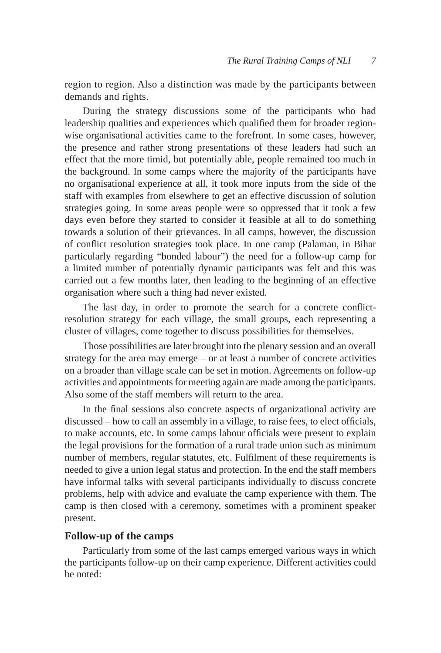region to region. Also a distinction was made by the participants between demands and rights.

During the strategy discussions some of the participants who had leadership qualities and experiences which qualified them for broader regionwise organisational activities came to the forefront. In some cases, however, the presence and rather strong presentations of these leaders had such an effect that the more timid, but potentially able, people remained too much in the background. In some camps where the majority of the participants have no organisational experience at all, it took more inputs from the side of the staff with examples from elsewhere to get an effective discussion of solution strategies going. In some areas people were so oppressed that it took a few days even before they started to consider it feasible at all to do something towards a solution of their grievances. In all camps, however, the discussion of conflict resolution strategies took place. In one camp (Palamau, in Bihar particularly regarding "bonded labour") the need for a follow-up camp for a limited number of potentially dynamic participants was felt and this was carried out a few months later, then leading to the beginning of an effective organisation where such a thing had never existed.

The last day, in order to promote the search for a concrete conflictresolution strategy for each village, the small groups, each representing a cluster of villages, come together to discuss possibilities for themselves.

Those possibilities are later brought into the plenary session and an overall strategy for the area may emerge – or at least a number of concrete activities on a broader than village scale can be set in motion. Agreements on follow-up activities and appointments for meeting again are made among the participants. Also some of the staff members will return to the area.

In the final sessions also concrete aspects of organizational activity are discussed – how to call an assembly in a village, to raise fees, to elect officials, to make accounts, etc. In some camps labour officials were present to explain the legal provisions for the formation of a rural trade union such as minimum number of members, regular statutes, etc. Fulfilment of these requirements is needed to give a union legal status and protection. In the end the staff members have informal talks with several participants individually to discuss concrete problems, help with advice and evaluate the camp experience with them. The camp is then closed with a ceremony, sometimes with a prominent speaker present.

#### **Follow-up of the camps**

Particularly from some of the last camps emerged various ways in which the participants follow-up on their camp experience. Different activities could be noted: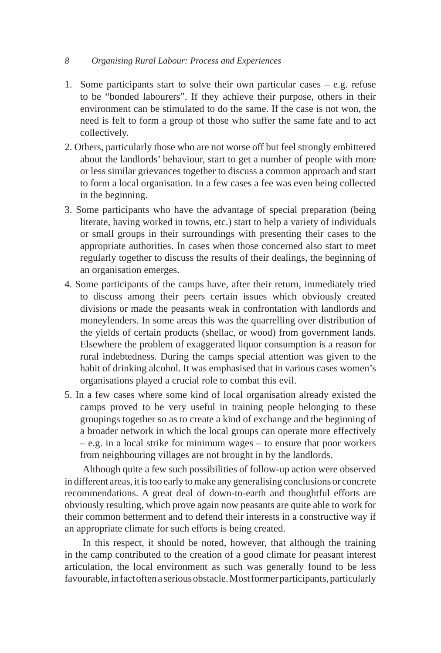- 1. Some participants start to solve their own particular cases e.g. refuse to be "bonded labourers". If they achieve their purpose, others in their environment can be stimulated to do the same. If the case is not won, the need is felt to form a group of those who suffer the same fate and to act collectively.
- 2. Others, particularly those who are not worse off but feel strongly embittered about the landlords' behaviour, start to get a number of people with more or less similar grievances together to discuss a common approach and start to form a local organisation. In a few cases a fee was even being collected in the beginning.
- 3. Some participants who have the advantage of special preparation (being literate, having worked in towns, etc.) start to help a variety of individuals or small groups in their surroundings with presenting their cases to the appropriate authorities. In cases when those concerned also start to meet regularly together to discuss the results of their dealings, the beginning of an organisation emerges.
- 4. Some participants of the camps have, after their return, immediately tried to discuss among their peers certain issues which obviously created divisions or made the peasants weak in confrontation with landlords and moneylenders. In some areas this was the quarrelling over distribution of the yields of certain products (shellac, or wood) from government lands. Elsewhere the problem of exaggerated liquor consumption is a reason for rural indebtedness. During the camps special attention was given to the habit of drinking alcohol. It was emphasised that in various cases women's organisations played a crucial role to combat this evil.
- 5. In a few cases where some kind of local organisation already existed the camps proved to be very useful in training people belonging to these groupings together so as to create a kind of exchange and the beginning of a broader network in which the local groups can operate more effectively – e.g. in a local strike for minimum wages – to ensure that poor workers from neighbouring villages are not brought in by the landlords.

Although quite a few such possibilities of follow-up action were observed in different areas, it is too early to make any generalising conclusions or concrete recommendations. A great deal of down-to-earth and thoughtful efforts are obviously resulting, which prove again now peasants are quite able to work for their common betterment and to defend their interests in a constructive way if an appropriate climate for such efforts is being created.

In this respect, it should be noted, however, that although the training in the camp contributed to the creation of a good climate for peasant interest articulation, the local environment as such was generally found to be less favourable, in fact often a serious obstacle. Most former participants, particularly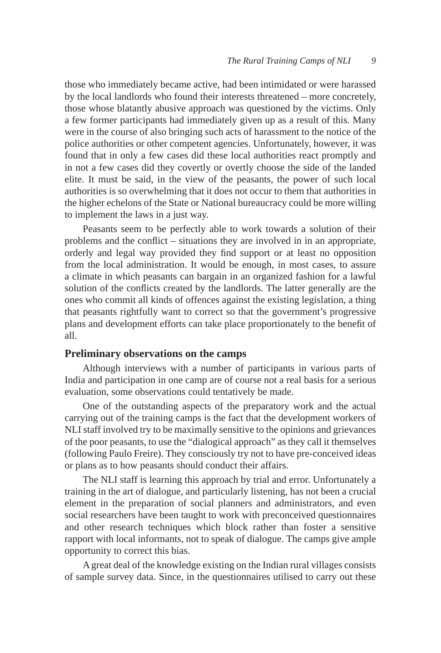those who immediately became active, had been intimidated or were harassed by the local landlords who found their interests threatened – more concretely, those whose blatantly abusive approach was questioned by the victims. Only a few former participants had immediately given up as a result of this. Many were in the course of also bringing such acts of harassment to the notice of the police authorities or other competent agencies. Unfortunately, however, it was found that in only a few cases did these local authorities react promptly and in not a few cases did they covertly or overtly choose the side of the landed elite. It must be said, in the view of the peasants, the power of such local authorities is so overwhelming that it does not occur to them that authorities in the higher echelons of the State or National bureaucracy could be more willing to implement the laws in a just way.

Peasants seem to be perfectly able to work towards a solution of their problems and the conflict – situations they are involved in in an appropriate, orderly and legal way provided they find support or at least no opposition from the local administration. It would be enough, in most cases, to assure a climate in which peasants can bargain in an organized fashion for a lawful solution of the conflicts created by the landlords. The latter generally are the ones who commit all kinds of offences against the existing legislation, a thing that peasants rightfully want to correct so that the government's progressive plans and development efforts can take place proportionately to the benefit of all.

#### **Preliminary observations on the camps**

Although interviews with a number of participants in various parts of India and participation in one camp are of course not a real basis for a serious evaluation, some observations could tentatively be made.

One of the outstanding aspects of the preparatory work and the actual carrying out of the training camps is the fact that the development workers of NLI staff involved try to be maximally sensitive to the opinions and grievances of the poor peasants, to use the "dialogical approach" as they call it themselves (following Paulo Freire). They consciously try not to have pre-conceived ideas or plans as to how peasants should conduct their affairs.

The NLI staff is learning this approach by trial and error. Unfortunately a training in the art of dialogue, and particularly listening, has not been a crucial element in the preparation of social planners and administrators, and even social researchers have been taught to work with preconceived questionnaires and other research techniques which block rather than foster a sensitive rapport with local informants, not to speak of dialogue. The camps give ample opportunity to correct this bias.

A great deal of the knowledge existing on the Indian rural villages consists of sample survey data. Since, in the questionnaires utilised to carry out these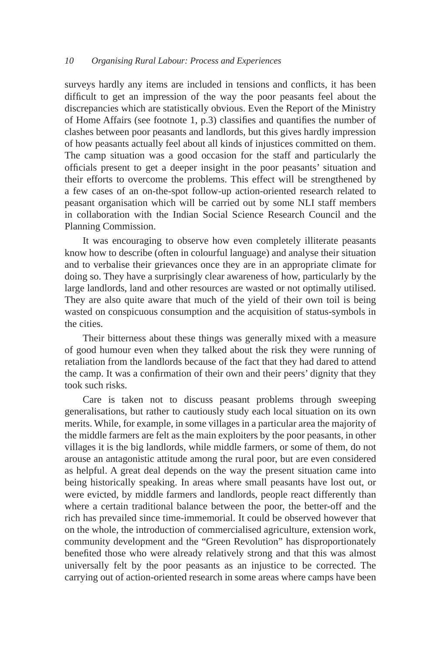surveys hardly any items are included in tensions and conflicts, it has been difficult to get an impression of the way the poor peasants feel about the discrepancies which are statistically obvious. Even the Report of the Ministry of Home Affairs (see footnote 1, p.3) classifies and quantifies the number of clashes between poor peasants and landlords, but this gives hardly impression of how peasants actually feel about all kinds of injustices committed on them. The camp situation was a good occasion for the staff and particularly the officials present to get a deeper insight in the poor peasants' situation and their efforts to overcome the problems. This effect will be strengthened by a few cases of an on-the-spot follow-up action-oriented research related to peasant organisation which will be carried out by some NLI staff members in collaboration with the Indian Social Science Research Council and the Planning Commission.

It was encouraging to observe how even completely illiterate peasants know how to describe (often in colourful language) and analyse their situation and to verbalise their grievances once they are in an appropriate climate for doing so. They have a surprisingly clear awareness of how, particularly by the large landlords, land and other resources are wasted or not optimally utilised. They are also quite aware that much of the yield of their own toil is being wasted on conspicuous consumption and the acquisition of status-symbols in the cities.

Their bitterness about these things was generally mixed with a measure of good humour even when they talked about the risk they were running of retaliation from the landlords because of the fact that they had dared to attend the camp. It was a confirmation of their own and their peers' dignity that they took such risks.

Care is taken not to discuss peasant problems through sweeping generalisations, but rather to cautiously study each local situation on its own merits. While, for example, in some villages in a particular area the majority of the middle farmers are felt as the main exploiters by the poor peasants, in other villages it is the big landlords, while middle farmers, or some of them, do not arouse an antagonistic attitude among the rural poor, but are even considered as helpful. A great deal depends on the way the present situation came into being historically speaking. In areas where small peasants have lost out, or were evicted, by middle farmers and landlords, people react differently than where a certain traditional balance between the poor, the better-off and the rich has prevailed since time-immemorial. It could be observed however that on the whole, the introduction of commercialised agriculture, extension work, community development and the "Green Revolution" has disproportionately benefited those who were already relatively strong and that this was almost universally felt by the poor peasants as an injustice to be corrected. The carrying out of action-oriented research in some areas where camps have been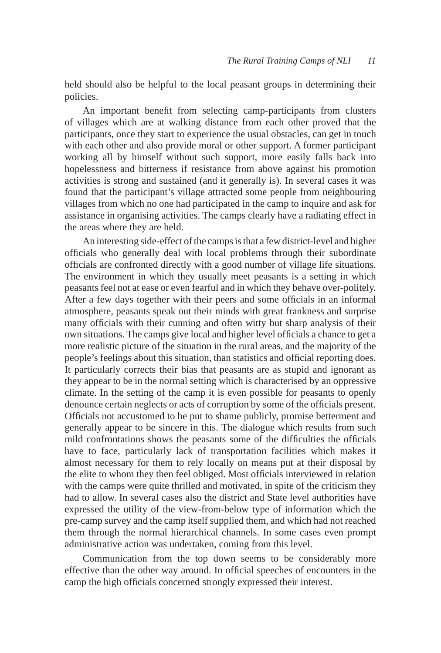held should also be helpful to the local peasant groups in determining their policies.

An important benefit from selecting camp-participants from clusters of villages which are at walking distance from each other proved that the participants, once they start to experience the usual obstacles, can get in touch with each other and also provide moral or other support. A former participant working all by himself without such support, more easily falls back into hopelessness and bitterness if resistance from above against his promotion activities is strong and sustained (and it generally is). In several cases it was found that the participant's village attracted some people from neighbouring villages from which no one had participated in the camp to inquire and ask for assistance in organising activities. The camps clearly have a radiating effect in the areas where they are held.

An interesting side-effect of the camps is that a few district-level and higher officials who generally deal with local problems through their subordinate officials are confronted directly with a good number of village life situations. The environment in which they usually meet peasants is a setting in which peasants feel not at ease or even fearful and in which they behave over-politely. After a few days together with their peers and some officials in an informal atmosphere, peasants speak out their minds with great frankness and surprise many officials with their cunning and often witty but sharp analysis of their own situations. The camps give local and higher level officials a chance to get a more realistic picture of the situation in the rural areas, and the majority of the people's feelings about this situation, than statistics and official reporting does. It particularly corrects their bias that peasants are as stupid and ignorant as they appear to be in the normal setting which is characterised by an oppressive climate. In the setting of the camp it is even possible for peasants to openly denounce certain neglects or acts of corruption by some of the officials present. Officials not accustomed to be put to shame publicly, promise betterment and generally appear to be sincere in this. The dialogue which results from such mild confrontations shows the peasants some of the difficulties the officials have to face, particularly lack of transportation facilities which makes it almost necessary for them to rely locally on means put at their disposal by the elite to whom they then feel obliged. Most officials interviewed in relation with the camps were quite thrilled and motivated, in spite of the criticism they had to allow. In several cases also the district and State level authorities have expressed the utility of the view-from-below type of information which the pre-camp survey and the camp itself supplied them, and which had not reached them through the normal hierarchical channels. In some cases even prompt administrative action was undertaken, coming from this level.

Communication from the top down seems to be considerably more effective than the other way around. In official speeches of encounters in the camp the high officials concerned strongly expressed their interest.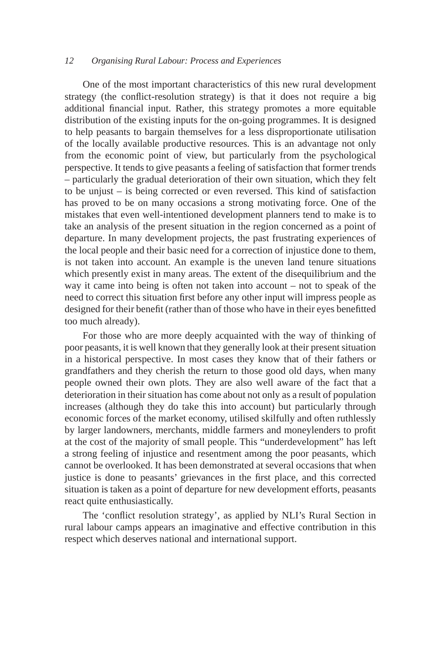One of the most important characteristics of this new rural development strategy (the conflict-resolution strategy) is that it does not require a big additional financial input. Rather, this strategy promotes a more equitable distribution of the existing inputs for the on-going programmes. It is designed to help peasants to bargain themselves for a less disproportionate utilisation of the locally available productive resources. This is an advantage not only from the economic point of view, but particularly from the psychological perspective. It tends to give peasants a feeling of satisfaction that former trends – particularly the gradual deterioration of their own situation, which they felt to be unjust – is being corrected or even reversed. This kind of satisfaction has proved to be on many occasions a strong motivating force. One of the mistakes that even well-intentioned development planners tend to make is to take an analysis of the present situation in the region concerned as a point of departure. In many development projects, the past frustrating experiences of the local people and their basic need for a correction of injustice done to them, is not taken into account. An example is the uneven land tenure situations which presently exist in many areas. The extent of the disequilibrium and the way it came into being is often not taken into account – not to speak of the need to correct this situation first before any other input will impress people as designed for their benefit (rather than of those who have in their eyes benefitted too much already).

For those who are more deeply acquainted with the way of thinking of poor peasants, it is well known that they generally look at their present situation in a historical perspective. In most cases they know that of their fathers or grandfathers and they cherish the return to those good old days, when many people owned their own plots. They are also well aware of the fact that a deterioration in their situation has come about not only as a result of population increases (although they do take this into account) but particularly through economic forces of the market economy, utilised skilfully and often ruthlessly by larger landowners, merchants, middle farmers and moneylenders to profit at the cost of the majority of small people. This "underdevelopment" has left a strong feeling of injustice and resentment among the poor peasants, which cannot be overlooked. It has been demonstrated at several occasions that when justice is done to peasants' grievances in the first place, and this corrected situation is taken as a point of departure for new development efforts, peasants react quite enthusiastically.

The 'conflict resolution strategy', as applied by NLI's Rural Section in rural labour camps appears an imaginative and effective contribution in this respect which deserves national and international support.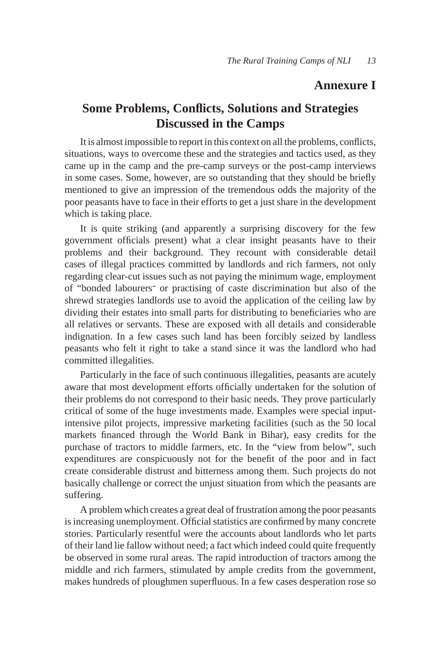# **Annexure I**

# **Some Problems, Conflicts, Solutions and Strategies Discussed in the Camps**

It is almost impossible to report in this context on all the problems, conflicts, situations, ways to overcome these and the strategies and tactics used, as they came up in the camp and the pre-camp surveys or the post-camp interviews in some cases. Some, however, are so outstanding that they should be briefly mentioned to give an impression of the tremendous odds the majority of the poor peasants have to face in their efforts to get a just share in the development which is taking place.

It is quite striking (and apparently a surprising discovery for the few government officials present) what a clear insight peasants have to their problems and their background. They recount with considerable detail cases of illegal practices committed by landlords and rich farmers, not only regarding clear-cut issues such as not paying the minimum wage, employment of "bonded labourers- or practising of caste discrimination but also of the shrewd strategies landlords use to avoid the application of the ceiling law by dividing their estates into small parts for distributing to beneficiaries who are all relatives or servants. These are exposed with all details and considerable indignation. In a few cases such land has been forcibly seized by landless peasants who felt it right to take a stand since it was the landlord who had committed illegalities.

Particularly in the face of such continuous illegalities, peasants are acutely aware that most development efforts officially undertaken for the solution of their problems do not correspond to their basic needs. They prove particularly critical of some of the huge investments made. Examples were special inputintensive pilot projects, impressive marketing facilities (such as the 50 local markets financed through the World Bank in Bihar), easy credits for the purchase of tractors to middle farmers, etc. In the "view from below", such expenditures are conspicuously not for the benefit of the poor and in fact create considerable distrust and bitterness among them. Such projects do not basically challenge or correct the unjust situation from which the peasants are suffering.

A problem which creates a great deal of frustration among the poor peasants is increasing unemployment. Official statistics are confirmed by many concrete stories. Particularly resentful were the accounts about landlords who let parts of their land lie fallow without need; a fact which indeed could quite frequently be observed in some rural areas. The rapid introduction of tractors among the middle and rich farmers, stimulated by ample credits from the government, makes hundreds of ploughmen superfluous. In a few cases desperation rose so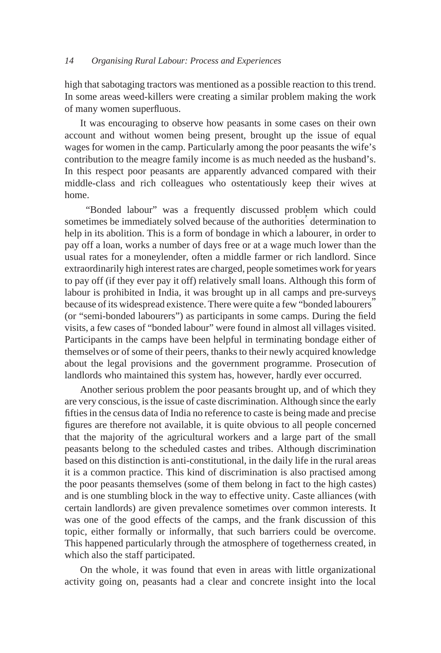high that sabotaging tractors was mentioned as a possible reaction to this trend. In some areas weed-killers were creating a similar problem making the work of many women superfluous.

It was encouraging to observe how peasants in some cases on their own account and without women being present, brought up the issue of equal wages for women in the camp. Particularly among the poor peasants the wife's contribution to the meagre family income is as much needed as the husband's. In this respect poor peasants are apparently advanced compared with their middle-class and rich colleagues who ostentatiously keep their wives at home.

 "Bonded labour" was a frequently discussed problem which could sometimes be immediately solved because of the authorities' determination to help in its abolition. This is a form of bondage in which a labourer, in order to pay off a loan, works a number of days free or at a wage much lower than the usual rates for a moneylender, often a middle farmer or rich landlord. Since extraordinarily high interest rates are charged, people sometimes work for years to pay off (if they ever pay it off) relatively small loans. Although this form of labour is prohibited in India, it was brought up in all camps and pre-surveys because of its widespread existence. There were quite a few "bonded labourers" (or "semi-bonded labourers") as participants in some camps. During the field visits, a few cases of "bonded labour" were found in almost all villages visited. Participants in the camps have been helpful in terminating bondage either of themselves or of some of their peers, thanks to their newly acquired knowledge about the legal provisions and the government programme. Prosecution of landlords who maintained this system has, however, hardly ever occurred.

Another serious problem the poor peasants brought up, and of which they are very conscious, is the issue of caste discrimination. Although since the early fifties in the census data of India no reference to caste is being made and precise figures are therefore not available, it is quite obvious to all people concerned that the majority of the agricultural workers and a large part of the small peasants belong to the scheduled castes and tribes. Although discrimination based on this distinction is anti-constitutional, in the daily life in the rural areas it is a common practice. This kind of discrimination is also practised among the poor peasants themselves (some of them belong in fact to the high castes) and is one stumbling block in the way to effective unity. Caste alliances (with certain landlords) are given prevalence sometimes over common interests. It was one of the good effects of the camps, and the frank discussion of this topic, either formally or informally, that such barriers could be overcome. This happened particularly through the atmosphere of togetherness created, in which also the staff participated.

On the whole, it was found that even in areas with little organizational activity going on, peasants had a clear and concrete insight into the local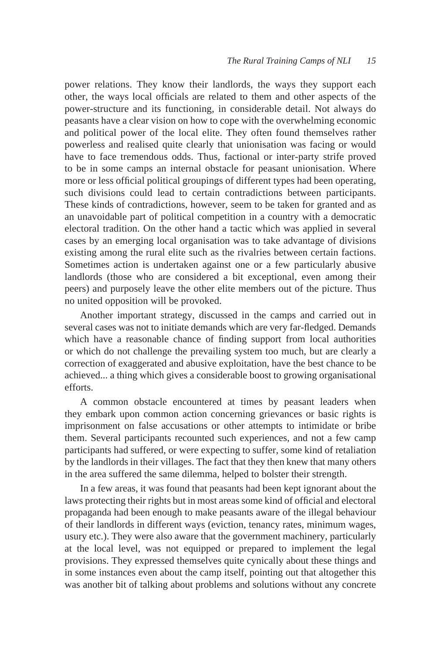power relations. They know their landlords, the ways they support each other, the ways local officials are related to them and other aspects of the power-structure and its functioning, in considerable detail. Not always do peasants have a clear vision on how to cope with the overwhelming economic and political power of the local elite. They often found themselves rather powerless and realised quite clearly that unionisation was facing or would have to face tremendous odds. Thus, factional or inter-party strife proved to be in some camps an internal obstacle for peasant unionisation. Where more or less official political groupings of different types had been operating, such divisions could lead to certain contradictions between participants. These kinds of contradictions, however, seem to be taken for granted and as an unavoidable part of political competition in a country with a democratic electoral tradition. On the other hand a tactic which was applied in several cases by an emerging local organisation was to take advantage of divisions existing among the rural elite such as the rivalries between certain factions. Sometimes action is undertaken against one or a few particularly abusive landlords (those who are considered a bit exceptional, even among their peers) and purposely leave the other elite members out of the picture. Thus no united opposition will be provoked.

Another important strategy, discussed in the camps and carried out in several cases was not to initiate demands which are very far-fledged. Demands which have a reasonable chance of finding support from local authorities or which do not challenge the prevailing system too much, but are clearly a correction of exaggerated and abusive exploitation, have the best chance to be achieved... a thing which gives a considerable boost to growing organisational efforts.

A common obstacle encountered at times by peasant leaders when they embark upon common action concerning grievances or basic rights is imprisonment on false accusations or other attempts to intimidate or bribe them. Several participants recounted such experiences, and not a few camp participants had suffered, or were expecting to suffer, some kind of retaliation by the landlords in their villages. The fact that they then knew that many others in the area suffered the same dilemma, helped to bolster their strength.

In a few areas, it was found that peasants had been kept ignorant about the laws protecting their rights but in most areas some kind of official and electoral propaganda had been enough to make peasants aware of the illegal behaviour of their landlords in different ways (eviction, tenancy rates, minimum wages, usury etc.). They were also aware that the government machinery, particularly at the local level, was not equipped or prepared to implement the legal provisions. They expressed themselves quite cynically about these things and in some instances even about the camp itself, pointing out that altogether this was another bit of talking about problems and solutions without any concrete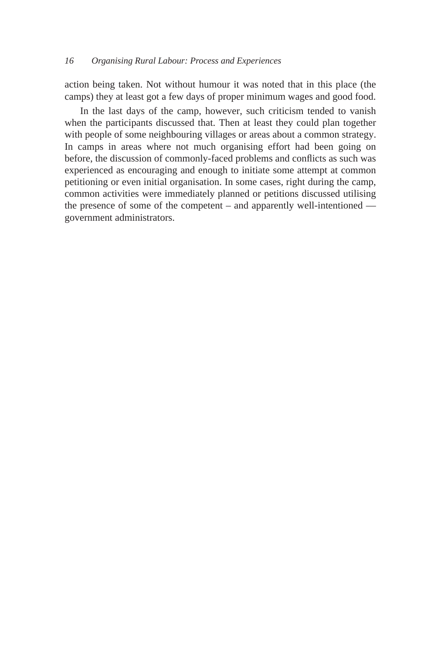action being taken. Not without humour it was noted that in this place (the camps) they at least got a few days of proper minimum wages and good food.

In the last days of the camp, however, such criticism tended to vanish when the participants discussed that. Then at least they could plan together with people of some neighbouring villages or areas about a common strategy. In camps in areas where not much organising effort had been going on before, the discussion of commonly-faced problems and conflicts as such was experienced as encouraging and enough to initiate some attempt at common petitioning or even initial organisation. In some cases, right during the camp, common activities were immediately planned or petitions discussed utilising the presence of some of the competent – and apparently well-intentioned government administrators.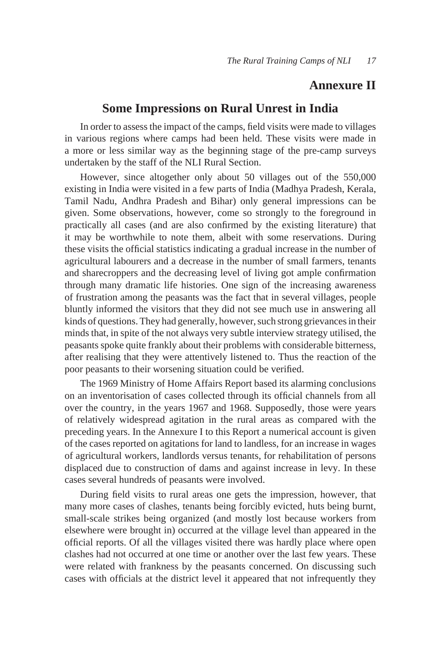# **Annexure II**

# **Some Impressions on Rural Unrest in India**

In order to assess the impact of the camps, field visits were made to villages in various regions where camps had been held. These visits were made in a more or less similar way as the beginning stage of the pre-camp surveys undertaken by the staff of the NLI Rural Section.

However, since altogether only about 50 villages out of the 550,000 existing in India were visited in a few parts of India (Madhya Pradesh, Kerala, Tamil Nadu, Andhra Pradesh and Bihar) only general impressions can be given. Some observations, however, come so strongly to the foreground in practically all cases (and are also confirmed by the existing literature) that it may be worthwhile to note them, albeit with some reservations. During these visits the official statistics indicating a gradual increase in the number of agricultural labourers and a decrease in the number of small farmers, tenants and sharecroppers and the decreasing level of living got ample confirmation through many dramatic life histories. One sign of the increasing awareness of frustration among the peasants was the fact that in several villages, people bluntly informed the visitors that they did not see much use in answering all kinds of questions. They had generally, however, such strong grievances in their minds that, in spite of the not always very subtle interview strategy utilised, the peasants spoke quite frankly about their problems with considerable bitterness, after realising that they were attentively listened to. Thus the reaction of the poor peasants to their worsening situation could be verified.

The 1969 Ministry of Home Affairs Report based its alarming conclusions on an inventorisation of cases collected through its official channels from all over the country, in the years 1967 and 1968. Supposedly, those were years of relatively widespread agitation in the rural areas as compared with the preceding years. In the Annexure I to this Report a numerical account is given of the cases reported on agitations for land to landless, for an increase in wages of agricultural workers, landlords versus tenants, for rehabilitation of persons displaced due to construction of dams and against increase in levy. In these cases several hundreds of peasants were involved.

During field visits to rural areas one gets the impression, however, that many more cases of clashes, tenants being forcibly evicted, huts being burnt, small-scale strikes being organized (and mostly lost because workers from elsewhere were brought in) occurred at the village level than appeared in the official reports. Of all the villages visited there was hardly place where open clashes had not occurred at one time or another over the last few years. These were related with frankness by the peasants concerned. On discussing such cases with officials at the district level it appeared that not infrequently they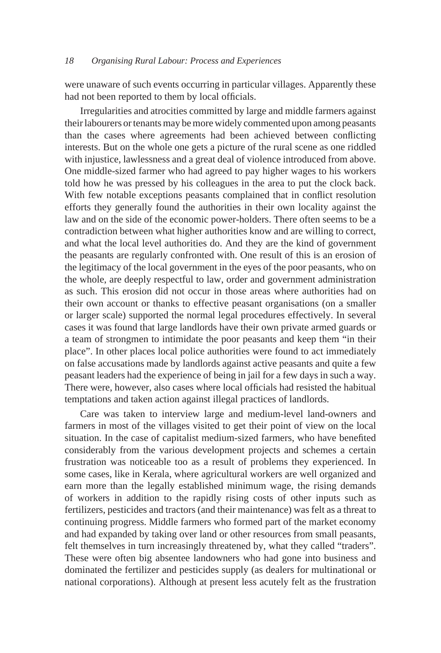were unaware of such events occurring in particular villages. Apparently these had not been reported to them by local officials.

Irregularities and atrocities committed by large and middle farmers against their labourers or tenants may be more widely commented upon among peasants than the cases where agreements had been achieved between conflicting interests. But on the whole one gets a picture of the rural scene as one riddled with injustice, lawlessness and a great deal of violence introduced from above. One middle-sized farmer who had agreed to pay higher wages to his workers told how he was pressed by his colleagues in the area to put the clock back. With few notable exceptions peasants complained that in conflict resolution efforts they generally found the authorities in their own locality against the law and on the side of the economic power-holders. There often seems to be a contradiction between what higher authorities know and are willing to correct, and what the local level authorities do. And they are the kind of government the peasants are regularly confronted with. One result of this is an erosion of the legitimacy of the local government in the eyes of the poor peasants, who on the whole, are deeply respectful to law, order and government administration as such. This erosion did not occur in those areas where authorities had on their own account or thanks to effective peasant organisations (on a smaller or larger scale) supported the normal legal procedures effectively. In several cases it was found that large landlords have their own private armed guards or a team of strongmen to intimidate the poor peasants and keep them "in their place". In other places local police authorities were found to act immediately on false accusations made by landlords against active peasants and quite a few peasant leaders had the experience of being in jail for a few days in such a way. There were, however, also cases where local officials had resisted the habitual temptations and taken action against illegal practices of landlords.

Care was taken to interview large and medium-level land-owners and farmers in most of the villages visited to get their point of view on the local situation. In the case of capitalist medium-sized farmers, who have benefited considerably from the various development projects and schemes a certain frustration was noticeable too as a result of problems they experienced. In some cases, like in Kerala, where agricultural workers are well organized and earn more than the legally established minimum wage, the rising demands of workers in addition to the rapidly rising costs of other inputs such as fertilizers, pesticides and tractors (and their maintenance) was felt as a threat to continuing progress. Middle farmers who formed part of the market economy and had expanded by taking over land or other resources from small peasants, felt themselves in turn increasingly threatened by, what they called "traders". These were often big absentee landowners who had gone into business and dominated the fertilizer and pesticides supply (as dealers for multinational or national corporations). Although at present less acutely felt as the frustration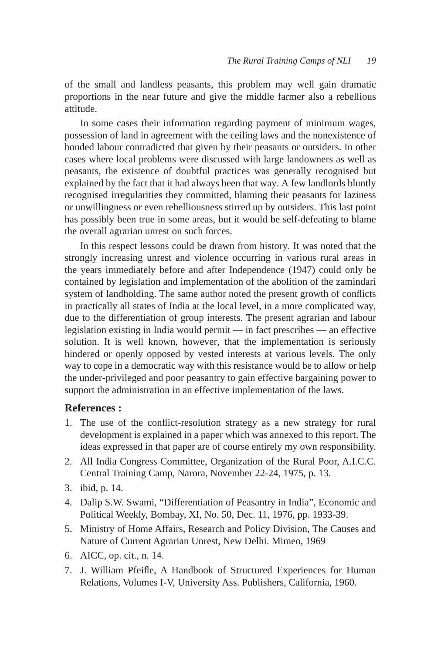of the small and landless peasants, this problem may well gain dramatic proportions in the near future and give the middle farmer also a rebellious attitude.

In some cases their information regarding payment of minimum wages, possession of land in agreement with the ceiling laws and the nonexistence of bonded labour contradicted that given by their peasants or outsiders. In other cases where local problems were discussed with large landowners as well as peasants, the existence of doubtful practices was generally recognised but explained by the fact that it had always been that way. A few landlords bluntly recognised irregularities they committed, blaming their peasants for laziness or unwillingness or even rebelliousness stirred up by outsiders. This last point has possibly been true in some areas, but it would be self-defeating to blame the overall agrarian unrest on such forces.

In this respect lessons could be drawn from history. It was noted that the strongly increasing unrest and violence occurring in various rural areas in the years immediately before and after Independence (1947) could only be contained by legislation and implementation of the abolition of the zamindari system of landholding. The same author noted the present growth of conflicts in practically all states of India at the local level, in a more complicated way, due to the differentiation of group interests. The present agrarian and labour legislation existing in India would permit — in fact prescribes — an effective solution. It is well known, however, that the implementation is seriously hindered or openly opposed by vested interests at various levels. The only way to cope in a democratic way with this resistance would be to allow or help the under-privileged and poor peasantry to gain effective bargaining power to support the administration in an effective implementation of the laws.

### **References :**

- 1. The use of the conflict-resolution strategy as a new strategy for rural development is explained in a paper which was annexed to this report. The ideas expressed in that paper are of course entirely my own responsibility.
- 2. All India Congress Committee, Organization of the Rural Poor, A.I.C.C. Central Training Camp, Narora, November 22-24, 1975, p. 13.
- 3. ibid, p. 14.
- 4. Dalip S.W. Swami, "Differentiation of Peasantry in India", Economic and Political Weekly, Bombay, XI, No. 50, Dec. 11, 1976, pp. 1933-39.
- 5. Ministry of Home Affairs, Research and Policy Division, The Causes and Nature of Current Agrarian Unrest, New Delhi. Mimeo, 1969
- 6. AICC, op. cit., n. 14.
- 7. J. William Pfeifle, A Handbook of Structured Experiences for Human Relations, Volumes I-V, University Ass. Publishers, California, 1960.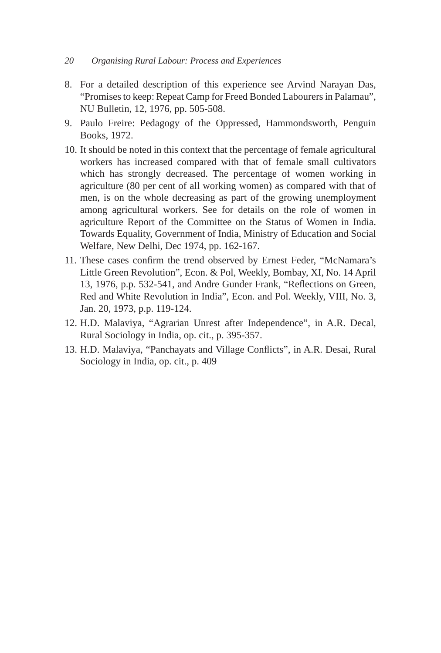- 8. For a detailed description of this experience see Arvind Narayan Das, "Promises to keep: Repeat Camp for Freed Bonded Labourers in Palamau", NU Bulletin, 12, 1976, pp. 505-508.
- 9. Paulo Freire: Pedagogy of the Oppressed, Hammondsworth, Penguin Books, 1972.
- 10. It should be noted in this context that the percentage of female agricultural workers has increased compared with that of female small cultivators which has strongly decreased. The percentage of women working in agriculture (80 per cent of all working women) as compared with that of men, is on the whole decreasing as part of the growing unemployment among agricultural workers. See for details on the role of women in agriculture Report of the Committee on the Status of Women in India. Towards Equality, Government of India, Ministry of Education and Social Welfare, New Delhi, Dec 1974, pp. 162-167.
- 11. These cases confirm the trend observed by Ernest Feder, "McNamara's Little Green Revolution", Econ. & Pol, Weekly, Bombay, XI, No. 14 April 13, 1976, p.p. 532-541, and Andre Gunder Frank, "Reflections on Green, Red and White Revolution in India", Econ. and Pol. Weekly, VIII, No. 3, Jan. 20, 1973, p.p. 119-124.
- 12. H.D. Malaviya, "Agrarian Unrest after Independence", in A.R. Decal, Rural Sociology in India, op. cit., p. 395-357.
- 13. H.D. Malaviya, "Panchayats and Village Conflicts", in A.R. Desai, Rural Sociology in India, op. cit., p. 409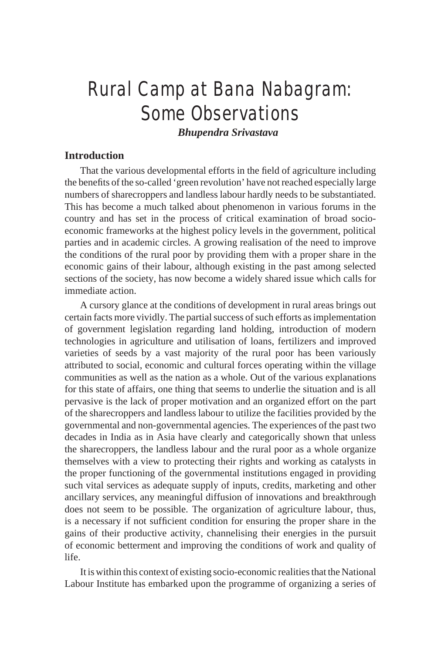# Rural Camp at Bana Nabagram: Some Observations

*Bhupendra Srivastava*

# **Introduction**

That the various developmental efforts in the field of agriculture including the benefits of the so-called 'green revolution' have not reached especially large numbers of sharecroppers and landless labour hardly needs to be substantiated. This has become a much talked about phenomenon in various forums in the country and has set in the process of critical examination of broad socioeconomic frameworks at the highest policy levels in the government, political parties and in academic circles. A growing realisation of the need to improve the conditions of the rural poor by providing them with a proper share in the economic gains of their labour, although existing in the past among selected sections of the society, has now become a widely shared issue which calls for immediate action.

A cursory glance at the conditions of development in rural areas brings out certain facts more vividly. The partial success of such efforts as implementation of government legislation regarding land holding, introduction of modern technologies in agriculture and utilisation of loans, fertilizers and improved varieties of seeds by a vast majority of the rural poor has been variously attributed to social, economic and cultural forces operating within the village communities as well as the nation as a whole. Out of the various explanations for this state of affairs, one thing that seems to underlie the situation and is all pervasive is the lack of proper motivation and an organized effort on the part of the sharecroppers and landless labour to utilize the facilities provided by the governmental and non-governmental agencies. The experiences of the past two decades in India as in Asia have clearly and categorically shown that unless the sharecroppers, the landless labour and the rural poor as a whole organize themselves with a view to protecting their rights and working as catalysts in the proper functioning of the governmental institutions engaged in providing such vital services as adequate supply of inputs, credits, marketing and other ancillary services, any meaningful diffusion of innovations and breakthrough does not seem to be possible. The organization of agriculture labour, thus, is a necessary if not sufficient condition for ensuring the proper share in the gains of their productive activity, channelising their energies in the pursuit of economic betterment and improving the conditions of work and quality of life.

It is within this context of existing socio-economic realities that the National Labour Institute has embarked upon the programme of organizing a series of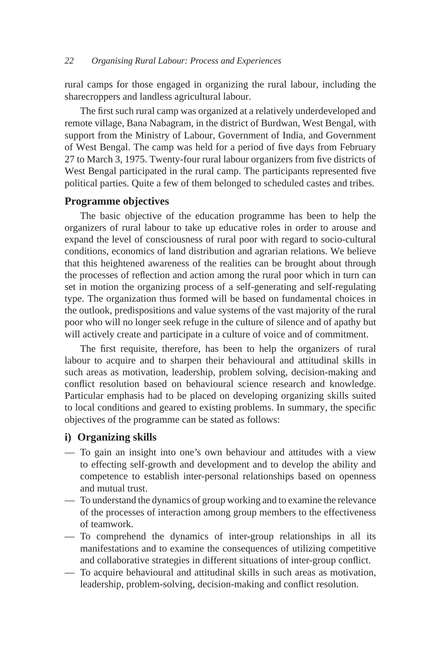rural camps for those engaged in organizing the rural labour, including the sharecroppers and landless agricultural labour.

The first such rural camp was organized at a relatively underdeveloped and remote village, Bana Nabagram, in the district of Burdwan, West Bengal, with support from the Ministry of Labour, Government of India, and Government of West Bengal. The camp was held for a period of five days from February 27 to March 3, 1975. Twenty-four rural labour organizers from five districts of West Bengal participated in the rural camp. The participants represented five political parties. Quite a few of them belonged to scheduled castes and tribes.

## **Programme objectives**

The basic objective of the education programme has been to help the organizers of rural labour to take up educative roles in order to arouse and expand the level of consciousness of rural poor with regard to socio-cultural conditions, economics of land distribution and agrarian relations. We believe that this heightened awareness of the realities can be brought about through the processes of reflection and action among the rural poor which in turn can set in motion the organizing process of a self-generating and self-regulating type. The organization thus formed will be based on fundamental choices in the outlook, predispositions and value systems of the vast majority of the rural poor who will no longer seek refuge in the culture of silence and of apathy but will actively create and participate in a culture of voice and of commitment.

The first requisite, therefore, has been to help the organizers of rural labour to acquire and to sharpen their behavioural and attitudinal skills in such areas as motivation, leadership, problem solving, decision-making and conflict resolution based on behavioural science research and knowledge. Particular emphasis had to be placed on developing organizing skills suited to local conditions and geared to existing problems. In summary, the specific objectives of the programme can be stated as follows:

## **i) Organizing skills**

- To gain an insight into one's own behaviour and attitudes with a view to effecting self-growth and development and to develop the ability and competence to establish inter-personal relationships based on openness and mutual trust.
- To understand the dynamics of group working and to examine the relevance of the processes of interaction among group members to the effectiveness of teamwork.
- To comprehend the dynamics of inter-group relationships in all its manifestations and to examine the consequences of utilizing competitive and collaborative strategies in different situations of inter-group conflict.
- To acquire behavioural and attitudinal skills in such areas as motivation, leadership, problem-solving, decision-making and conflict resolution.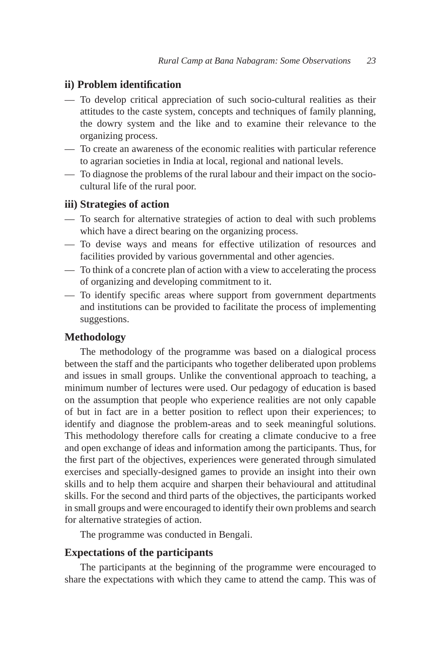# **ii) Problem identification**

- To develop critical appreciation of such socio-cultural realities as their attitudes to the caste system, concepts and techniques of family planning, the dowry system and the like and to examine their relevance to the organizing process.
- To create an awareness of the economic realities with particular reference to agrarian societies in India at local, regional and national levels.
- To diagnose the problems of the rural labour and their impact on the sociocultural life of the rural poor.

## **iii) Strategies of action**

- To search for alternative strategies of action to deal with such problems which have a direct bearing on the organizing process.
- To devise ways and means for effective utilization of resources and facilities provided by various governmental and other agencies.
- To think of a concrete plan of action with a view to accelerating the process of organizing and developing commitment to it.
- To identify specific areas where support from government departments and institutions can be provided to facilitate the process of implementing suggestions.

#### **Methodology**

The methodology of the programme was based on a dialogical process between the staff and the participants who together deliberated upon problems and issues in small groups. Unlike the conventional approach to teaching, a minimum number of lectures were used. Our pedagogy of education is based on the assumption that people who experience realities are not only capable of but in fact are in a better position to reflect upon their experiences; to identify and diagnose the problem-areas and to seek meaningful solutions. This methodology therefore calls for creating a climate conducive to a free and open exchange of ideas and information among the participants. Thus, for the first part of the objectives, experiences were generated through simulated exercises and specially-designed games to provide an insight into their own skills and to help them acquire and sharpen their behavioural and attitudinal skills. For the second and third parts of the objectives, the participants worked in small groups and were encouraged to identify their own problems and search for alternative strategies of action.

The programme was conducted in Bengali.

## **Expectations of the participants**

The participants at the beginning of the programme were encouraged to share the expectations with which they came to attend the camp. This was of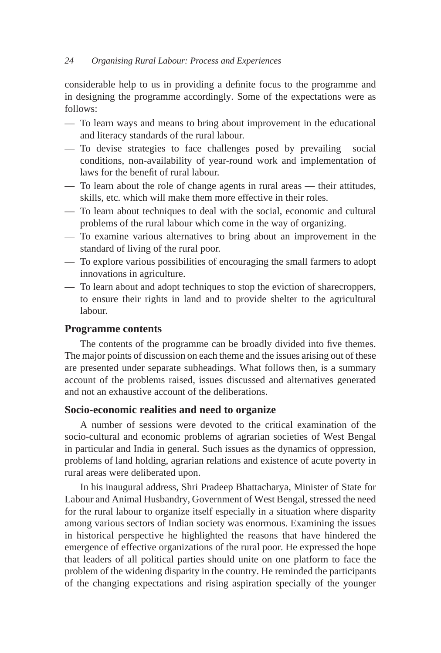considerable help to us in providing a definite focus to the programme and in designing the programme accordingly. Some of the expectations were as follows:

- To learn ways and means to bring about improvement in the educational and literacy standards of the rural labour.
- To devise strategies to face challenges posed by prevailing social conditions, non-availability of year-round work and implementation of laws for the benefit of rural labour.
- To learn about the role of change agents in rural areas their attitudes, skills, etc. which will make them more effective in their roles.
- To learn about techniques to deal with the social, economic and cultural problems of the rural labour which come in the way of organizing.
- To examine various alternatives to bring about an improvement in the standard of living of the rural poor.
- To explore various possibilities of encouraging the small farmers to adopt innovations in agriculture.
- To learn about and adopt techniques to stop the eviction of sharecroppers, to ensure their rights in land and to provide shelter to the agricultural labour.

### **Programme contents**

The contents of the programme can be broadly divided into five themes. The major points of discussion on each theme and the issues arising out of these are presented under separate subheadings. What follows then, is a summary account of the problems raised, issues discussed and alternatives generated and not an exhaustive account of the deliberations.

# **Socio-economic realities and need to organize**

A number of sessions were devoted to the critical examination of the socio-cultural and economic problems of agrarian societies of West Bengal in particular and India in general. Such issues as the dynamics of oppression, problems of land holding, agrarian relations and existence of acute poverty in rural areas were deliberated upon.

In his inaugural address, Shri Pradeep Bhattacharya, Minister of State for Labour and Animal Husbandry, Government of West Bengal, stressed the need for the rural labour to organize itself especially in a situation where disparity among various sectors of Indian society was enormous. Examining the issues in historical perspective he highlighted the reasons that have hindered the emergence of effective organizations of the rural poor. He expressed the hope that leaders of all political parties should unite on one platform to face the problem of the widening disparity in the country. He reminded the participants of the changing expectations and rising aspiration specially of the younger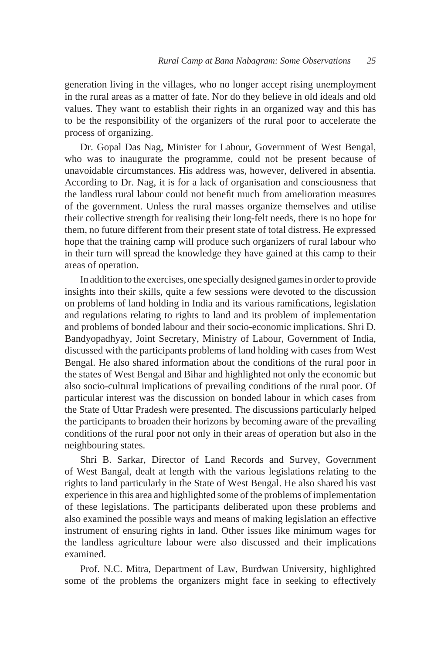generation living in the villages, who no longer accept rising unemployment in the rural areas as a matter of fate. Nor do they believe in old ideals and old values. They want to establish their rights in an organized way and this has to be the responsibility of the organizers of the rural poor to accelerate the process of organizing.

Dr. Gopal Das Nag, Minister for Labour, Government of West Bengal, who was to inaugurate the programme, could not be present because of unavoidable circumstances. His address was, however, delivered in absentia. According to Dr. Nag, it is for a lack of organisation and consciousness that the landless rural labour could not benefit much from amelioration measures of the government. Unless the rural masses organize themselves and utilise their collective strength for realising their long-felt needs, there is no hope for them, no future different from their present state of total distress. He expressed hope that the training camp will produce such organizers of rural labour who in their turn will spread the knowledge they have gained at this camp to their areas of operation.

In addition to the exercises, one specially designed games in order to provide insights into their skills, quite a few sessions were devoted to the discussion on problems of land holding in India and its various ramifications, legislation and regulations relating to rights to land and its problem of implementation and problems of bonded labour and their socio-economic implications. Shri D. Bandyopadhyay, Joint Secretary, Ministry of Labour, Government of India, discussed with the participants problems of land holding with cases from West Bengal. He also shared information about the conditions of the rural poor in the states of West Bengal and Bihar and highlighted not only the economic but also socio-cultural implications of prevailing conditions of the rural poor. Of particular interest was the discussion on bonded labour in which cases from the State of Uttar Pradesh were presented. The discussions particularly helped the participants to broaden their horizons by becoming aware of the prevailing conditions of the rural poor not only in their areas of operation but also in the neighbouring states.

Shri B. Sarkar, Director of Land Records and Survey, Government of West Bangal, dealt at length with the various legislations relating to the rights to land particularly in the State of West Bengal. He also shared his vast experience in this area and highlighted some of the problems of implementation of these legislations. The participants deliberated upon these problems and also examined the possible ways and means of making legislation an effective instrument of ensuring rights in land. Other issues like minimum wages for the landless agriculture labour were also discussed and their implications examined.

Prof. N.C. Mitra, Department of Law, Burdwan University, highlighted some of the problems the organizers might face in seeking to effectively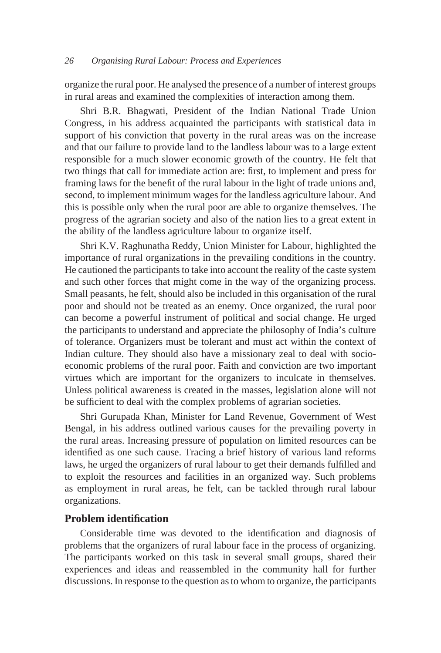organize the rural poor. He analysed the presence of a number of interest groups in rural areas and examined the complexities of interaction among them.

Shri B.R. Bhagwati, President of the Indian National Trade Union Congress, in his address acquainted the participants with statistical data in support of his conviction that poverty in the rural areas was on the increase and that our failure to provide land to the landless labour was to a large extent responsible for a much slower economic growth of the country. He felt that two things that call for immediate action are: first, to implement and press for framing laws for the benefit of the rural labour in the light of trade unions and, second, to implement minimum wages for the landless agriculture labour. And this is possible only when the rural poor are able to organize themselves. The progress of the agrarian society and also of the nation lies to a great extent in the ability of the landless agriculture labour to organize itself.

Shri K.V. Raghunatha Reddy, Union Minister for Labour, highlighted the importance of rural organizations in the prevailing conditions in the country. He cautioned the participants to take into account the reality of the caste system and such other forces that might come in the way of the organizing process. Small peasants, he felt, should also be included in this organisation of the rural poor and should not be treated as an enemy. Once organized, the rural poor can become a powerful instrument of political and social change. He urged the participants to understand and appreciate the philosophy of India's culture of tolerance. Organizers must be tolerant and must act within the context of Indian culture. They should also have a missionary zeal to deal with socioeconomic problems of the rural poor. Faith and conviction are two important virtues which are important for the organizers to inculcate in themselves. Unless political awareness is created in the masses, legislation alone will not be sufficient to deal with the complex problems of agrarian societies.

Shri Gurupada Khan, Minister for Land Revenue, Government of West Bengal, in his address outlined various causes for the prevailing poverty in the rural areas. Increasing pressure of population on limited resources can be identified as one such cause. Tracing a brief history of various land reforms laws, he urged the organizers of rural labour to get their demands fulfilled and to exploit the resources and facilities in an organized way. Such problems as employment in rural areas, he felt, can be tackled through rural labour organizations.

#### **Problem identification**

Considerable time was devoted to the identification and diagnosis of problems that the organizers of rural labour face in the process of organizing. The participants worked on this task in several small groups, shared their experiences and ideas and reassembled in the community hall for further discussions. In response to the question as to whom to organize, the participants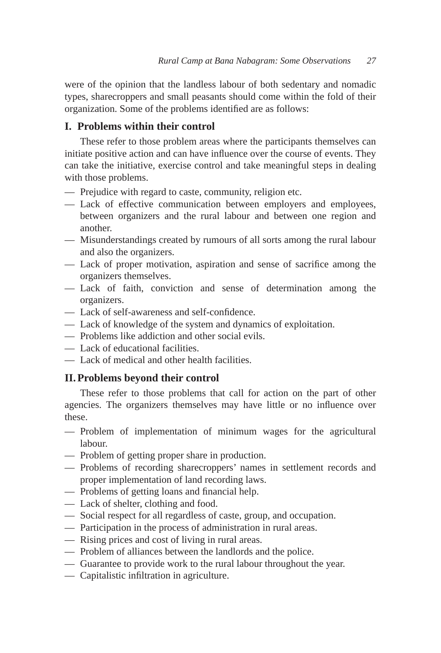were of the opinion that the landless labour of both sedentary and nomadic types, sharecroppers and small peasants should come within the fold of their organization. Some of the problems identified are as follows:

# **I. Problems within their control**

These refer to those problem areas where the participants themselves can initiate positive action and can have influence over the course of events. They can take the initiative, exercise control and take meaningful steps in dealing with those problems.

- Prejudice with regard to caste, community, religion etc.
- Lack of effective communication between employers and employees, between organizers and the rural labour and between one region and another.
- Misunderstandings created by rumours of all sorts among the rural labour and also the organizers.
- Lack of proper motivation, aspiration and sense of sacrifice among the organizers themselves.
- Lack of faith, conviction and sense of determination among the organizers.
- Lack of self-awareness and self-confidence.
- Lack of knowledge of the system and dynamics of exploitation.
- Problems like addiction and other social evils.
- Lack of educational facilities.
- Lack of medical and other health facilities.

# **II. Problems beyond their control**

These refer to those problems that call for action on the part of other agencies. The organizers themselves may have little or no influence over these.

- Problem of implementation of minimum wages for the agricultural labour.
- Problem of getting proper share in production.
- Problems of recording sharecroppers' names in settlement records and proper implementation of land recording laws.
- Problems of getting loans and financial help.
- Lack of shelter, clothing and food.
- Social respect for all regardless of caste, group, and occupation.
- Participation in the process of administration in rural areas.
- Rising prices and cost of living in rural areas.
- Problem of alliances between the landlords and the police.
- Guarantee to provide work to the rural labour throughout the year.
- Capitalistic infiltration in agriculture.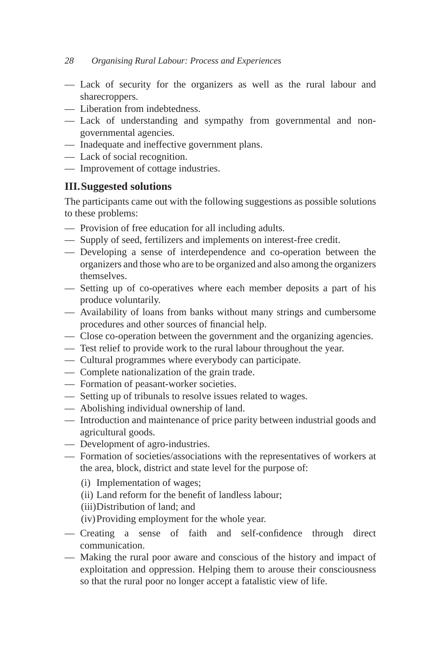- Lack of security for the organizers as well as the rural labour and sharecroppers.
- Liberation from indebtedness.
- Lack of understanding and sympathy from governmental and nongovernmental agencies.
- Inadequate and ineffective government plans.
- Lack of social recognition.
- Improvement of cottage industries.

# **III. Suggested solutions**

The participants came out with the following suggestions as possible solutions to these problems:

- Provision of free education for all including adults.
- Supply of seed, fertilizers and implements on interest-free credit.
- Developing a sense of interdependence and co-operation between the organizers and those who are to be organized and also among the organizers themselves.
- Setting up of co-operatives where each member deposits a part of his produce voluntarily.
- Availability of loans from banks without many strings and cumbersome procedures and other sources of financial help.
- Close co-operation between the government and the organizing agencies.
- Test relief to provide work to the rural labour throughout the year.
- Cultural programmes where everybody can participate.
- Complete nationalization of the grain trade.
- Formation of peasant-worker societies.
- Setting up of tribunals to resolve issues related to wages.
- Abolishing individual ownership of land.
- Introduction and maintenance of price parity between industrial goods and agricultural goods.
- Development of agro-industries.
- Formation of societies/associations with the representatives of workers at the area, block, district and state level for the purpose of:
	- (i) Implementation of wages;
	- (ii) Land reform for the benefit of landless labour;

(iii) Distribution of land; and

(iv) Providing employment for the whole year.

- Creating a sense of faith and self-confidence through direct communication.
- Making the rural poor aware and conscious of the history and impact of exploitation and oppression. Helping them to arouse their consciousness so that the rural poor no longer accept a fatalistic view of life.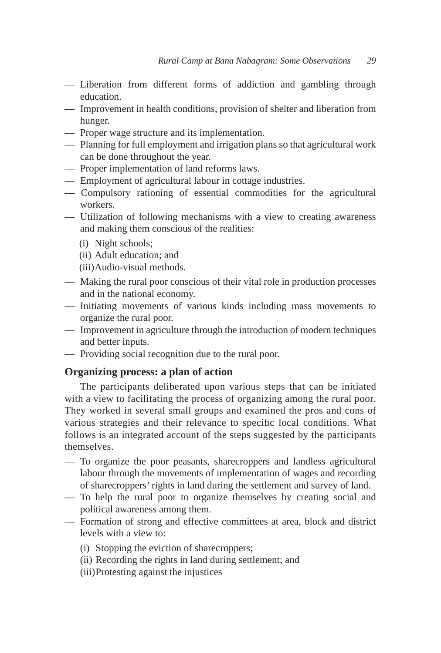- Liberation from different forms of addiction and gambling through education.
- Improvement in health conditions, provision of shelter and liberation from hunger.
- Proper wage structure and its implementation.
- Planning for full employment and irrigation plans so that agricultural work can be done throughout the year.
- Proper implementation of land reforms laws.
- Employment of agricultural labour in cottage industries.
- Compulsory rationing of essential commodities for the agricultural workers.
- Utilization of following mechanisms with a view to creating awareness and making them conscious of the realities:
	- (i) Night schools;
	- (ii) Adult education; and

(iii) Audio-visual methods.

- Making the rural poor conscious of their vital role in production processes and in the national economy.
- Initiating movements of various kinds including mass movements to organize the rural poor.
- Improvement in agriculture through the introduction of modern techniques and better inputs.
- Providing social recognition due to the rural poor.

# **Organizing process: a plan of action**

The participants deliberated upon various steps that can be initiated with a view to facilitating the process of organizing among the rural poor. They worked in several small groups and examined the pros and cons of various strategies and their relevance to specific local conditions. What follows is an integrated account of the steps suggested by the participants themselves.

- To organize the poor peasants, sharecroppers and landless agricultural labour through the movements of implementation of wages and recording of sharecroppers' rights in land during the settlement and survey of land.
- To help the rural poor to organize themselves by creating social and political awareness among them.
- Formation of strong and effective committees at area, block and district levels with a view to:
	- (i) Stopping the eviction of sharecroppers;
	- (ii) Recording the rights in land during settlement; and
	- (iii) Protesting against the injustices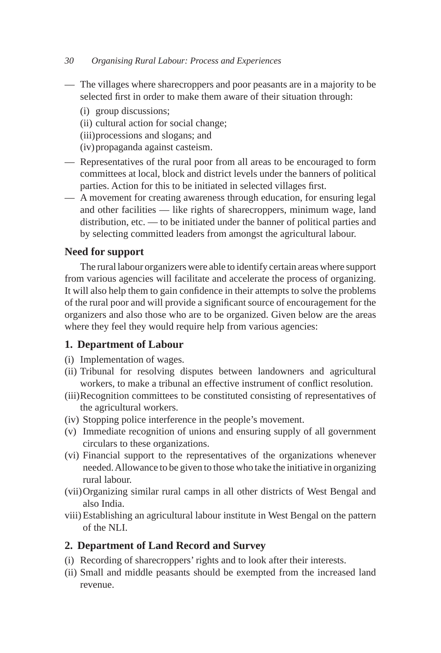- The villages where sharecroppers and poor peasants are in a majority to be selected first in order to make them aware of their situation through:
	- (i) group discussions;
	- (ii) cultural action for social change;
	- (iii) processions and slogans; and
	- (iv) propaganda against casteism.
- Representatives of the rural poor from all areas to be encouraged to form committees at local, block and district levels under the banners of political parties. Action for this to be initiated in selected villages first.
- A movement for creating awareness through education, for ensuring legal and other facilities — like rights of sharecroppers, minimum wage, land distribution, etc. — to be initiated under the banner of political parties and by selecting committed leaders from amongst the agricultural labour.

# **Need for support**

The rural labour organizers were able to identify certain areas where support from various agencies will facilitate and accelerate the process of organizing. It will also help them to gain confidence in their attempts to solve the problems of the rural poor and will provide a significant source of encouragement for the organizers and also those who are to be organized. Given below are the areas where they feel they would require help from various agencies:

# **1. Department of Labour**

- (i) Implementation of wages.
- (ii) Tribunal for resolving disputes between landowners and agricultural workers, to make a tribunal an effective instrument of conflict resolution.
- (iii) Recognition committees to be constituted consisting of representatives of the agricultural workers.
- (iv) Stopping police interference in the people's movement.
- (v) Immediate recognition of unions and ensuring supply of all government circulars to these organizations.
- (vi) Financial support to the representatives of the organizations whenever needed. Allowance to be given to those who take the initiative in organizing rural labour.
- (vii) Organizing similar rural camps in all other districts of West Bengal and also India.
- viii) Establishing an agricultural labour institute in West Bengal on the pattern of the NLI.

#### **2. Department of Land Record and Survey**

- (i) Recording of sharecroppers' rights and to look after their interests.
- (ii) Small and middle peasants should be exempted from the increased land revenue.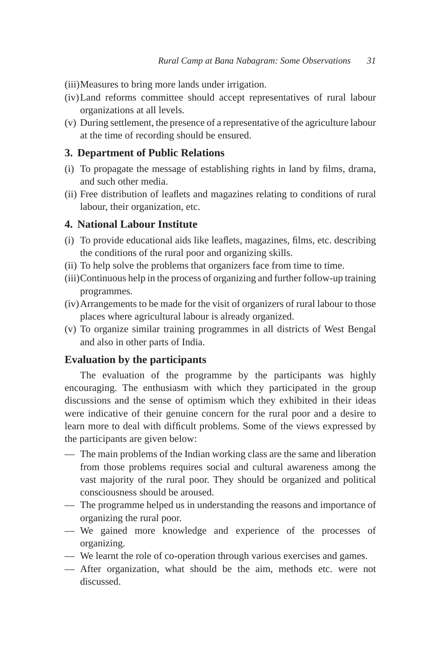(iii) Measures to bring more lands under irrigation.

- (iv) Land reforms committee should accept representatives of rural labour organizations at all levels.
- (v) During settlement, the presence of a representative of the agriculture labour at the time of recording should be ensured.

# **3. Department of Public Relations**

- (i) To propagate the message of establishing rights in land by films, drama, and such other media.
- (ii) Free distribution of leaflets and magazines relating to conditions of rural labour, their organization, etc.

# **4. National Labour Institute**

- (i) To provide educational aids like leaflets, magazines, films, etc. describing the conditions of the rural poor and organizing skills.
- (ii) To help solve the problems that organizers face from time to time.
- (iii) Continuous help in the process of organizing and further follow-up training programmes.
- (iv) Arrangements to be made for the visit of organizers of rural labour to those places where agricultural labour is already organized.
- (v) To organize similar training programmes in all districts of West Bengal and also in other parts of India.

# **Evaluation by the participants**

The evaluation of the programme by the participants was highly encouraging. The enthusiasm with which they participated in the group discussions and the sense of optimism which they exhibited in their ideas were indicative of their genuine concern for the rural poor and a desire to learn more to deal with difficult problems. Some of the views expressed by the participants are given below:

- The main problems of the Indian working class are the same and liberation from those problems requires social and cultural awareness among the vast majority of the rural poor. They should be organized and political consciousness should be aroused.
- The programme helped us in understanding the reasons and importance of organizing the rural poor.
- We gained more knowledge and experience of the processes of organizing.
- We learnt the role of co-operation through various exercises and games.
- After organization, what should be the aim, methods etc. were not discussed.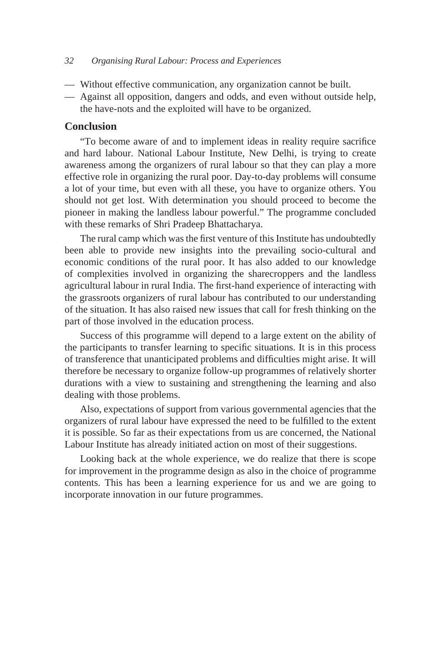- Without effective communication, any organization cannot be built.
- Against all opposition, dangers and odds, and even without outside help, the have-nots and the exploited will have to be organized.

# **Conclusion**

"To become aware of and to implement ideas in reality require sacrifice and hard labour. National Labour Institute, New Delhi, is trying to create awareness among the organizers of rural labour so that they can play a more effective role in organizing the rural poor. Day-to-day problems will consume a lot of your time, but even with all these, you have to organize others. You should not get lost. With determination you should proceed to become the pioneer in making the landless labour powerful." The programme concluded with these remarks of Shri Pradeep Bhattacharya.

The rural camp which was the first venture of this Institute has undoubtedly been able to provide new insights into the prevailing socio-cultural and economic conditions of the rural poor. It has also added to our knowledge of complexities involved in organizing the sharecroppers and the landless agricultural labour in rural India. The first-hand experience of interacting with the grassroots organizers of rural labour has contributed to our understanding of the situation. It has also raised new issues that call for fresh thinking on the part of those involved in the education process.

Success of this programme will depend to a large extent on the ability of the participants to transfer learning to specific situations. It is in this process of transference that unanticipated problems and difficulties might arise. It will therefore be necessary to organize follow-up programmes of relatively shorter durations with a view to sustaining and strengthening the learning and also dealing with those problems.

Also, expectations of support from various governmental agencies that the organizers of rural labour have expressed the need to be fulfilled to the extent it is possible. So far as their expectations from us are concerned, the National Labour Institute has already initiated action on most of their suggestions.

Looking back at the whole experience, we do realize that there is scope for improvement in the programme design as also in the choice of programme contents. This has been a learning experience for us and we are going to incorporate innovation in our future programmes.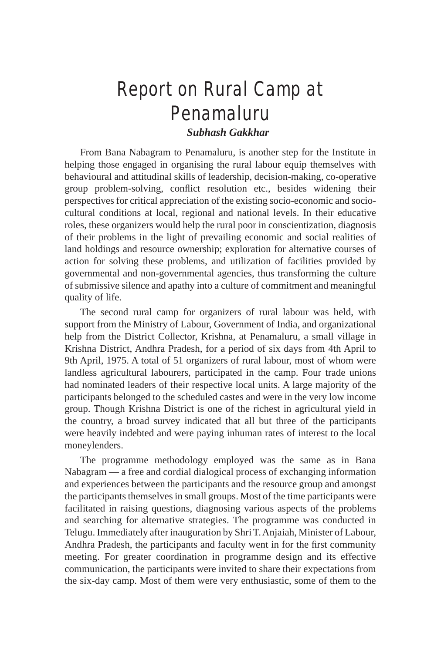# Report on Rural Camp at Penamaluru

# *Subhash Gakkhar*

From Bana Nabagram to Penamaluru, is another step for the Institute in helping those engaged in organising the rural labour equip themselves with behavioural and attitudinal skills of leadership, decision-making, co-operative group problem-solving, conflict resolution etc., besides widening their perspectives for critical appreciation of the existing socio-economic and sociocultural conditions at local, regional and national levels. In their educative roles, these organizers would help the rural poor in conscientization, diagnosis of their problems in the light of prevailing economic and social realities of land holdings and resource ownership; exploration for alternative courses of action for solving these problems, and utilization of facilities provided by governmental and non-governmental agencies, thus transforming the culture of submissive silence and apathy into a culture of commitment and meaningful quality of life.

The second rural camp for organizers of rural labour was held, with support from the Ministry of Labour, Government of India, and organizational help from the District Collector, Krishna, at Penamaluru, a small village in Krishna District, Andhra Pradesh, for a period of six days from 4th April to 9th April, 1975. A total of 51 organizers of rural labour, most of whom were landless agricultural labourers, participated in the camp. Four trade unions had nominated leaders of their respective local units. A large majority of the participants belonged to the scheduled castes and were in the very low income group. Though Krishna District is one of the richest in agricultural yield in the country, a broad survey indicated that all but three of the participants were heavily indebted and were paying inhuman rates of interest to the local moneylenders.

The programme methodology employed was the same as in Bana Nabagram — a free and cordial dialogical process of exchanging information and experiences between the participants and the resource group and amongst the participants themselves in small groups. Most of the time participants were facilitated in raising questions, diagnosing various aspects of the problems and searching for alternative strategies. The programme was conducted in Telugu. Immediately after inauguration by Shri T. Anjaiah, Minister of Labour, Andhra Pradesh, the participants and faculty went in for the first community meeting. For greater coordination in programme design and its effective communication, the participants were invited to share their expectations from the six-day camp. Most of them were very enthusiastic, some of them to the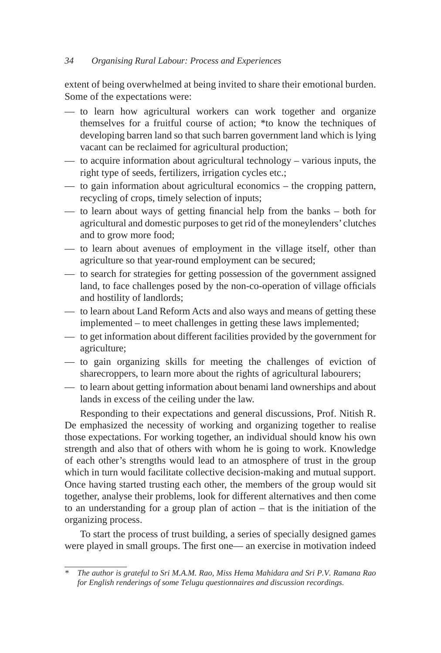extent of being overwhelmed at being invited to share their emotional burden. Some of the expectations were:

- to learn how agricultural workers can work together and organize themselves for a fruitful course of action; \*to know the techniques of developing barren land so that such barren government land which is lying vacant can be reclaimed for agricultural production;
- to acquire information about agricultural technology various inputs, the right type of seeds, fertilizers, irrigation cycles etc.;
- to gain information about agricultural economics the cropping pattern, recycling of crops, timely selection of inputs;
- to learn about ways of getting financial help from the banks both for agricultural and domestic purposes to get rid of the moneylenders' clutches and to grow more food;
- to learn about avenues of employment in the village itself, other than agriculture so that year-round employment can be secured;
- to search for strategies for getting possession of the government assigned land, to face challenges posed by the non-co-operation of village officials and hostility of landlords;
- to learn about Land Reform Acts and also ways and means of getting these implemented – to meet challenges in getting these laws implemented;
- to get information about different facilities provided by the government for agriculture;
- to gain organizing skills for meeting the challenges of eviction of sharecroppers, to learn more about the rights of agricultural labourers;
- to learn about getting information about benami land ownerships and about lands in excess of the ceiling under the law.

Responding to their expectations and general discussions, Prof. Nitish R. De emphasized the necessity of working and organizing together to realise those expectations. For working together, an individual should know his own strength and also that of others with whom he is going to work. Knowledge of each other's strengths would lead to an atmosphere of trust in the group which in turn would facilitate collective decision-making and mutual support. Once having started trusting each other, the members of the group would sit together, analyse their problems, look for different alternatives and then come to an understanding for a group plan of action – that is the initiation of the organizing process.

To start the process of trust building, a series of specially designed games were played in small groups. The first one— an exercise in motivation indeed

*<sup>\*</sup> The author is grateful to Sri M.A.M. Rao, Miss Hema Mahidara and Sri P.V. Ramana Rao for English renderings of some Telugu questionnaires and discussion recordings.*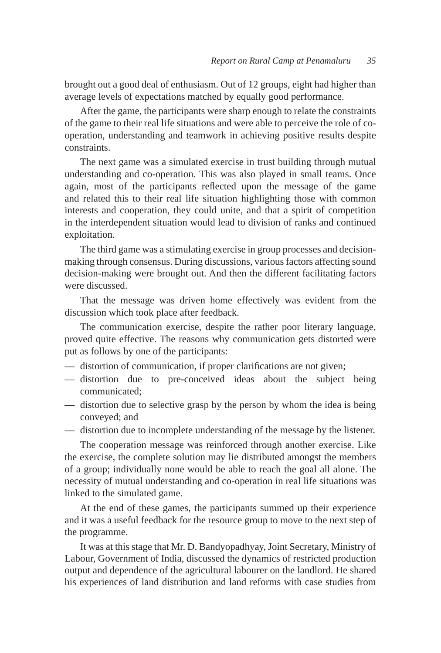brought out a good deal of enthusiasm. Out of 12 groups, eight had higher than average levels of expectations matched by equally good performance.

After the game, the participants were sharp enough to relate the constraints of the game to their real life situations and were able to perceive the role of cooperation, understanding and teamwork in achieving positive results despite constraints.

The next game was a simulated exercise in trust building through mutual understanding and co-operation. This was also played in small teams. Once again, most of the participants reflected upon the message of the game and related this to their real life situation highlighting those with common interests and cooperation, they could unite, and that a spirit of competition in the interdependent situation would lead to division of ranks and continued exploitation.

The third game was a stimulating exercise in group processes and decisionmaking through consensus. During discussions, various factors affecting sound decision-making were brought out. And then the different facilitating factors were discussed.

That the message was driven home effectively was evident from the discussion which took place after feedback.

The communication exercise, despite the rather poor literary language, proved quite effective. The reasons why communication gets distorted were put as follows by one of the participants:

- distortion of communication, if proper clarifications are not given;
- distortion due to pre-conceived ideas about the subject being communicated;
- distortion due to selective grasp by the person by whom the idea is being conveyed; and
- distortion due to incomplete understanding of the message by the listener.

The cooperation message was reinforced through another exercise. Like the exercise, the complete solution may lie distributed amongst the members of a group; individually none would be able to reach the goal all alone. The necessity of mutual understanding and co-operation in real life situations was linked to the simulated game.

At the end of these games, the participants summed up their experience and it was a useful feedback for the resource group to move to the next step of the programme.

It was at this stage that Mr. D. Bandyopadhyay, Joint Secretary, Ministry of Labour, Government of India, discussed the dynamics of restricted production output and dependence of the agricultural labourer on the landlord. He shared his experiences of land distribution and land reforms with case studies from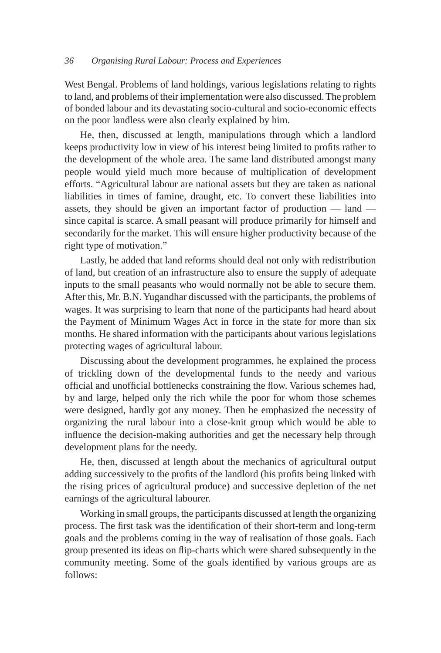West Bengal. Problems of land holdings, various legislations relating to rights to land, and problems of their implementation were also discussed. The problem of bonded labour and its devastating socio-cultural and socio-economic effects on the poor landless were also clearly explained by him.

He, then, discussed at length, manipulations through which a landlord keeps productivity low in view of his interest being limited to profits rather to the development of the whole area. The same land distributed amongst many people would yield much more because of multiplication of development efforts. "Agricultural labour are national assets but they are taken as national liabilities in times of famine, draught, etc. To convert these liabilities into assets, they should be given an important factor of production — land since capital is scarce. A small peasant will produce primarily for himself and secondarily for the market. This will ensure higher productivity because of the right type of motivation."

Lastly, he added that land reforms should deal not only with redistribution of land, but creation of an infrastructure also to ensure the supply of adequate inputs to the small peasants who would normally not be able to secure them. After this, Mr. B.N. Yugandhar discussed with the participants, the problems of wages. It was surprising to learn that none of the participants had heard about the Payment of Minimum Wages Act in force in the state for more than six months. He shared information with the participants about various legislations protecting wages of agricultural labour.

Discussing about the development programmes, he explained the process of trickling down of the developmental funds to the needy and various official and unofficial bottlenecks constraining the flow. Various schemes had, by and large, helped only the rich while the poor for whom those schemes were designed, hardly got any money. Then he emphasized the necessity of organizing the rural labour into a close-knit group which would be able to influence the decision-making authorities and get the necessary help through development plans for the needy.

He, then, discussed at length about the mechanics of agricultural output adding successively to the profits of the landlord (his profits being linked with the rising prices of agricultural produce) and successive depletion of the net earnings of the agricultural labourer.

Working in small groups, the participants discussed at length the organizing process. The first task was the identification of their short-term and long-term goals and the problems coming in the way of realisation of those goals. Each group presented its ideas on flip-charts which were shared subsequently in the community meeting. Some of the goals identified by various groups are as follows: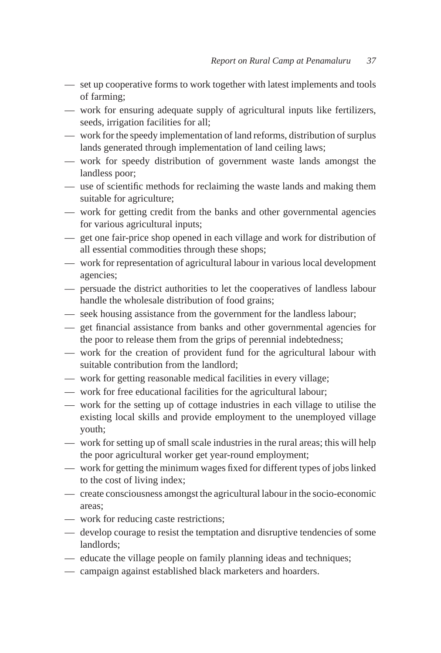- set up cooperative forms to work together with latest implements and tools of farming;
- work for ensuring adequate supply of agricultural inputs like fertilizers, seeds, irrigation facilities for all;
- work for the speedy implementation of land reforms, distribution of surplus lands generated through implementation of land ceiling laws;
- work for speedy distribution of government waste lands amongst the landless poor;
- use of scientific methods for reclaiming the waste lands and making them suitable for agriculture;
- work for getting credit from the banks and other governmental agencies for various agricultural inputs;
- get one fair-price shop opened in each village and work for distribution of all essential commodities through these shops;
- work for representation of agricultural labour in various local development agencies;
- persuade the district authorities to let the cooperatives of landless labour handle the wholesale distribution of food grains;
- seek housing assistance from the government for the landless labour;
- get financial assistance from banks and other governmental agencies for the poor to release them from the grips of perennial indebtedness;
- work for the creation of provident fund for the agricultural labour with suitable contribution from the landlord;
- work for getting reasonable medical facilities in every village;
- work for free educational facilities for the agricultural labour;
- work for the setting up of cottage industries in each village to utilise the existing local skills and provide employment to the unemployed village youth;
- work for setting up of small scale industries in the rural areas; this will help the poor agricultural worker get year-round employment;
- work for getting the minimum wages fixed for different types of jobs linked to the cost of living index;
- create consciousness amongst the agricultural labour in the socio-economic areas;
- work for reducing caste restrictions;
- develop courage to resist the temptation and disruptive tendencies of some landlords;
- educate the village people on family planning ideas and techniques;
- campaign against established black marketers and hoarders.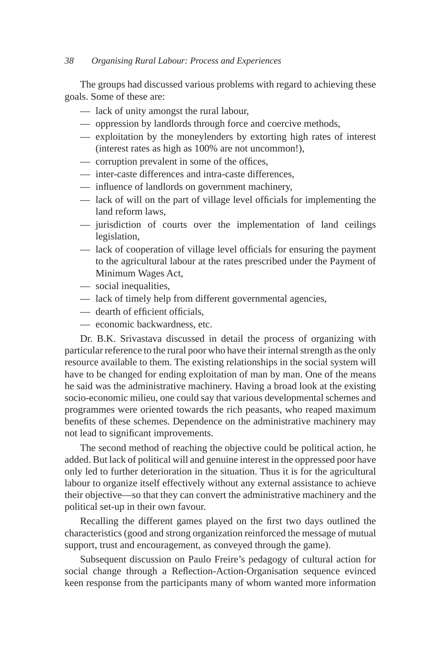The groups had discussed various problems with regard to achieving these goals. Some of these are:

- lack of unity amongst the rural labour,
- oppression by landlords through force and coercive methods,
- exploitation by the moneylenders by extorting high rates of interest (interest rates as high as 100% are not uncommon!),
- corruption prevalent in some of the offices,
- inter-caste differences and intra-caste differences,
- influence of landlords on government machinery,
- lack of will on the part of village level officials for implementing the land reform laws,
- jurisdiction of courts over the implementation of land ceilings legislation,
- lack of cooperation of village level officials for ensuring the payment to the agricultural labour at the rates prescribed under the Payment of Minimum Wages Act,
- social inequalities,
- lack of timely help from different governmental agencies,
- dearth of efficient officials,
- economic backwardness, etc.

Dr. B.K. Srivastava discussed in detail the process of organizing with particular reference to the rural poor who have their internal strength as the only resource available to them. The existing relationships in the social system will have to be changed for ending exploitation of man by man. One of the means he said was the administrative machinery. Having a broad look at the existing socio-economic milieu, one could say that various developmental schemes and programmes were oriented towards the rich peasants, who reaped maximum benefits of these schemes. Dependence on the administrative machinery may not lead to significant improvements.

The second method of reaching the objective could be political action, he added. But lack of political will and genuine interest in the oppressed poor have only led to further deterioration in the situation. Thus it is for the agricultural labour to organize itself effectively without any external assistance to achieve their objective—so that they can convert the administrative machinery and the political set-up in their own favour.

Recalling the different games played on the first two days outlined the characteristics (good and strong organization reinforced the message of mutual support, trust and encouragement, as conveyed through the game).

Subsequent discussion on Paulo Freire's pedagogy of cultural action for social change through a Reflection-Action-Organisation sequence evinced keen response from the participants many of whom wanted more information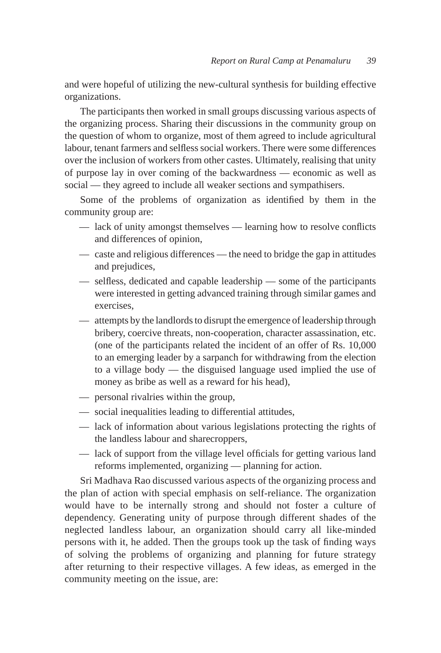and were hopeful of utilizing the new-cultural synthesis for building effective organizations.

The participants then worked in small groups discussing various aspects of the organizing process. Sharing their discussions in the community group on the question of whom to organize, most of them agreed to include agricultural labour, tenant farmers and selfless social workers. There were some differences over the inclusion of workers from other castes. Ultimately, realising that unity of purpose lay in over coming of the backwardness — economic as well as social — they agreed to include all weaker sections and sympathisers.

Some of the problems of organization as identified by them in the community group are:

- lack of unity amongst themselves learning how to resolve conflicts and differences of opinion,
- caste and religious differences the need to bridge the gap in attitudes and prejudices,
- selfless, dedicated and capable leadership some of the participants were interested in getting advanced training through similar games and exercises,
- attempts by the landlords to disrupt the emergence of leadership through bribery, coercive threats, non-cooperation, character assassination, etc. (one of the participants related the incident of an offer of Rs. 10,000 to an emerging leader by a sarpanch for withdrawing from the election to a village body — the disguised language used implied the use of money as bribe as well as a reward for his head),
- personal rivalries within the group,
- social inequalities leading to differential attitudes,
- lack of information about various legislations protecting the rights of the landless labour and sharecroppers,
- lack of support from the village level officials for getting various land reforms implemented, organizing — planning for action.

Sri Madhava Rao discussed various aspects of the organizing process and the plan of action with special emphasis on self-reliance. The organization would have to be internally strong and should not foster a culture of dependency. Generating unity of purpose through different shades of the neglected landless labour, an organization should carry all like-minded persons with it, he added. Then the groups took up the task of finding ways of solving the problems of organizing and planning for future strategy after returning to their respective villages. A few ideas, as emerged in the community meeting on the issue, are: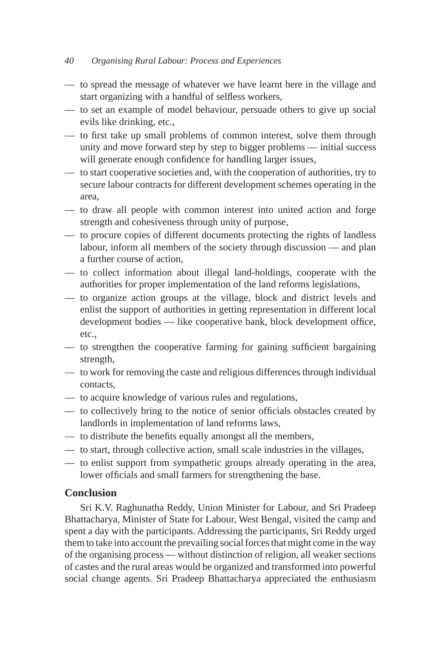- to spread the message of whatever we have learnt here in the village and start organizing with a handful of selfless workers,
- to set an example of model behaviour, persuade others to give up social evils like drinking, etc.,
- to first take up small problems of common interest, solve them through unity and move forward step by step to bigger problems — initial success will generate enough confidence for handling larger issues,
- to start cooperative societies and, with the cooperation of authorities, try to secure labour contracts for different development schemes operating in the area,
- to draw all people with common interest into united action and forge strength and cohesiveness through unity of purpose,
- to procure copies of different documents protecting the rights of landless labour, inform all members of the society through discussion — and plan a further course of action,
- to collect information about illegal land-holdings, cooperate with the authorities for proper implementation of the land reforms legislations,
- to organize action groups at the village, block and district levels and enlist the support of authorities in getting representation in different local development bodies — like cooperative bank, block development office, etc.,
- to strengthen the cooperative farming for gaining sufficient bargaining strength,
- to work for removing the caste and religious differences through individual contacts,
- to acquire knowledge of various rules and regulations,
- to collectively bring to the notice of senior officials obstacles created by landlords in implementation of land reforms laws,
- to distribute the benefits equally amongst all the members,
- to start, through collective action, small scale industries in the villages,
- to enlist support from sympathetic groups already operating in the area, lower officials and small farmers for strengthening the base.

# **Conclusion**

Sri K.V. Raghunatha Reddy, Union Minister for Labour, and Sri Pradeep Bhattacharya, Minister of State for Labour, West Bengal, visited the camp and spent a day with the participants. Addressing the participants, Sri Reddy urged them to take into account the prevailing social forces that might come in the way of the organising process — without distinction of religion, all weaker sections of castes and the rural areas would be organized and transformed into powerful social change agents. Sri Pradeep Bhattacharya appreciated the enthusiasm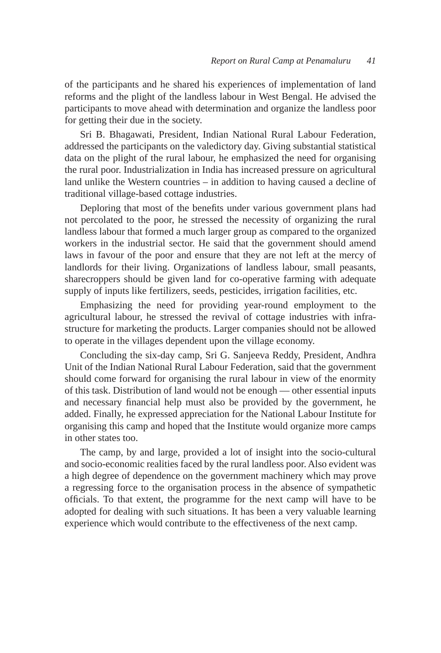of the participants and he shared his experiences of implementation of land reforms and the plight of the landless labour in West Bengal. He advised the participants to move ahead with determination and organize the landless poor for getting their due in the society.

Sri B. Bhagawati, President, Indian National Rural Labour Federation, addressed the participants on the valedictory day. Giving substantial statistical data on the plight of the rural labour, he emphasized the need for organising the rural poor. Industrialization in India has increased pressure on agricultural land unlike the Western countries – in addition to having caused a decline of traditional village-based cottage industries.

Deploring that most of the benefits under various government plans had not percolated to the poor, he stressed the necessity of organizing the rural landless labour that formed a much larger group as compared to the organized workers in the industrial sector. He said that the government should amend laws in favour of the poor and ensure that they are not left at the mercy of landlords for their living. Organizations of landless labour, small peasants, sharecroppers should be given land for co-operative farming with adequate supply of inputs like fertilizers, seeds, pesticides, irrigation facilities, etc.

Emphasizing the need for providing year-round employment to the agricultural labour, he stressed the revival of cottage industries with infrastructure for marketing the products. Larger companies should not be allowed to operate in the villages dependent upon the village economy.

Concluding the six-day camp, Sri G. Sanjeeva Reddy, President, Andhra Unit of the Indian National Rural Labour Federation, said that the government should come forward for organising the rural labour in view of the enormity of this task. Distribution of land would not be enough — other essential inputs and necessary financial help must also be provided by the government, he added. Finally, he expressed appreciation for the National Labour Institute for organising this camp and hoped that the Institute would organize more camps in other states too.

The camp, by and large, provided a lot of insight into the socio-cultural and socio-economic realities faced by the rural landless poor. Also evident was a high degree of dependence on the government machinery which may prove a regressing force to the organisation process in the absence of sympathetic officials. To that extent, the programme for the next camp will have to be adopted for dealing with such situations. It has been a very valuable learning experience which would contribute to the effectiveness of the next camp.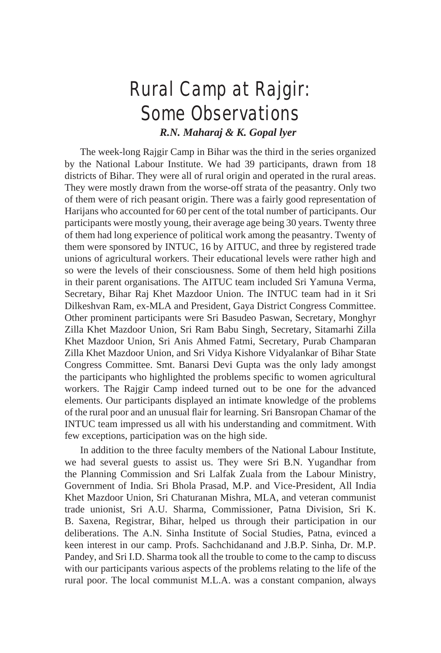# Rural Camp at Rajgir: Some Observations

*R.N. Maharaj & K. Gopal lyer*

The week-long Rajgir Camp in Bihar was the third in the series organized by the National Labour Institute. We had 39 participants, drawn from 18 districts of Bihar. They were all of rural origin and operated in the rural areas. They were mostly drawn from the worse-off strata of the peasantry. Only two of them were of rich peasant origin. There was a fairly good representation of Harijans who accounted for 60 per cent of the total number of participants. Our participants were mostly young, their average age being 30 years. Twenty three of them had long experience of political work among the peasantry. Twenty of them were sponsored by INTUC, 16 by AITUC, and three by registered trade unions of agricultural workers. Their educational levels were rather high and so were the levels of their consciousness. Some of them held high positions in their parent organisations. The AITUC team included Sri Yamuna Verma, Secretary, Bihar Raj Khet Mazdoor Union. The INTUC team had in it Sri Dilkeshvan Ram, ex-MLA and President, Gaya District Congress Committee. Other prominent participants were Sri Basudeo Paswan, Secretary, Monghyr Zilla Khet Mazdoor Union, Sri Ram Babu Singh, Secretary, Sitamarhi Zilla Khet Mazdoor Union, Sri Anis Ahmed Fatmi, Secretary, Purab Champaran Zilla Khet Mazdoor Union, and Sri Vidya Kishore Vidyalankar of Bihar State Congress Committee. Smt. Banarsi Devi Gupta was the only lady amongst the participants who highlighted the problems specific to women agricultural workers. The Rajgir Camp indeed turned out to be one for the advanced elements. Our participants displayed an intimate knowledge of the problems of the rural poor and an unusual flair for learning. Sri Bansropan Chamar of the INTUC team impressed us all with his understanding and commitment. With few exceptions, participation was on the high side.

In addition to the three faculty members of the National Labour Institute, we had several guests to assist us. They were Sri B.N. Yugandhar from the Planning Commission and Sri Lalfak Zuala from the Labour Ministry, Government of India. Sri Bhola Prasad, M.P. and Vice-President, All India Khet Mazdoor Union, Sri Chaturanan Mishra, MLA, and veteran communist trade unionist, Sri A.U. Sharma, Commissioner, Patna Division, Sri K. B. Saxena, Registrar, Bihar, helped us through their participation in our deliberations. The A.N. Sinha Institute of Social Studies, Patna, evinced a keen interest in our camp. Profs. Sachchidanand and J.B.P. Sinha, Dr. M.P. Pandey, and Sri I.D. Sharma took all the trouble to come to the camp to discuss with our participants various aspects of the problems relating to the life of the rural poor. The local communist M.L.A. was a constant companion, always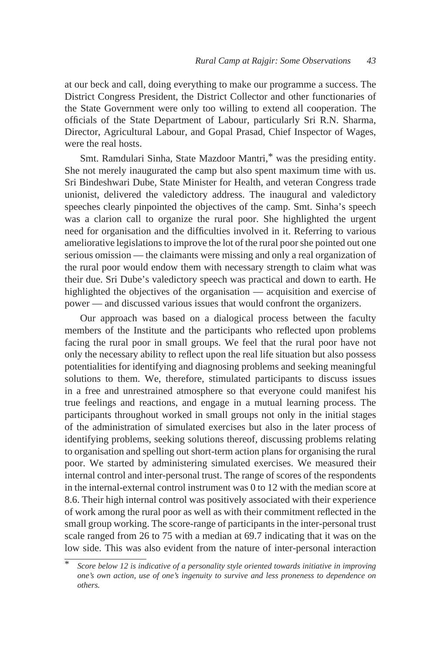at our beck and call, doing everything to make our programme a success. The District Congress President, the District Collector and other functionaries of the State Government were only too willing to extend all cooperation. The officials of the State Department of Labour, particularly Sri R.N. Sharma, Director, Agricultural Labour, and Gopal Prasad, Chief Inspector of Wages, were the real hosts.

Smt. Ramdulari Sinha, State Mazdoor Mantri,\* was the presiding entity. She not merely inaugurated the camp but also spent maximum time with us. Sri Bindeshwari Dube, State Minister for Health, and veteran Congress trade unionist, delivered the valedictory address. The inaugural and valedictory speeches clearly pinpointed the objectives of the camp. Smt. Sinha's speech was a clarion call to organize the rural poor. She highlighted the urgent need for organisation and the difficulties involved in it. Referring to various ameliorative legislations to improve the lot of the rural poor she pointed out one serious omission — the claimants were missing and only a real organization of the rural poor would endow them with necessary strength to claim what was their due. Sri Dube's valedictory speech was practical and down to earth. He highlighted the objectives of the organisation — acquisition and exercise of power — and discussed various issues that would confront the organizers.

Our approach was based on a dialogical process between the faculty members of the Institute and the participants who reflected upon problems facing the rural poor in small groups. We feel that the rural poor have not only the necessary ability to reflect upon the real life situation but also possess potentialities for identifying and diagnosing problems and seeking meaningful solutions to them. We, therefore, stimulated participants to discuss issues in a free and unrestrained atmosphere so that everyone could manifest his true feelings and reactions, and engage in a mutual learning process. The participants throughout worked in small groups not only in the initial stages of the administration of simulated exercises but also in the later process of identifying problems, seeking solutions thereof, discussing problems relating to organisation and spelling out short-term action plans for organising the rural poor. We started by administering simulated exercises. We measured their internal control and inter-personal trust. The range of scores of the respondents in the internal-external control instrument was 0 to 12 with the median score at 8.6. Their high internal control was positively associated with their experience of work among the rural poor as well as with their commitment reflected in the small group working. The score-range of participants in the inter-personal trust scale ranged from 26 to 75 with a median at 69.7 indicating that it was on the low side. This was also evident from the nature of inter-personal interaction

<sup>\*</sup> *Score below 12 is indicative of a personality style oriented towards initiative in improving one's own action, use of one's ingenuity to survive and less proneness to dependence on others.*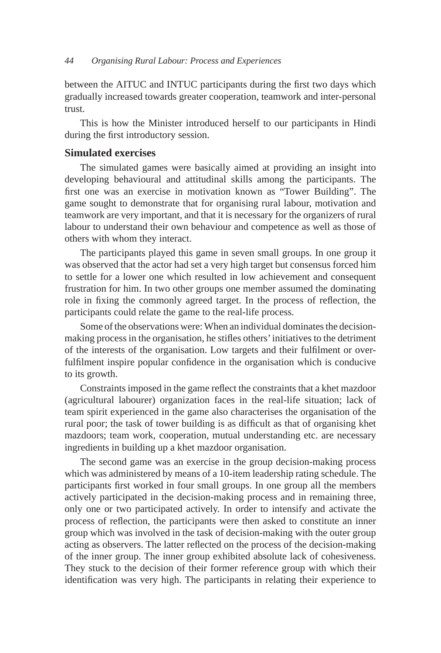between the AITUC and INTUC participants during the first two days which gradually increased towards greater cooperation, teamwork and inter-personal trust.

This is how the Minister introduced herself to our participants in Hindi during the first introductory session.

# **Simulated exercises**

The simulated games were basically aimed at providing an insight into developing behavioural and attitudinal skills among the participants. The first one was an exercise in motivation known as "Tower Building". The game sought to demonstrate that for organising rural labour, motivation and teamwork are very important, and that it is necessary for the organizers of rural labour to understand their own behaviour and competence as well as those of others with whom they interact.

The participants played this game in seven small groups. In one group it was observed that the actor had set a very high target but consensus forced him to settle for a lower one which resulted in low achievement and consequent frustration for him. In two other groups one member assumed the dominating role in fixing the commonly agreed target. In the process of reflection, the participants could relate the game to the real-life process.

Some of the observations were: When an individual dominates the decisionmaking process in the organisation, he stifles others' initiatives to the detriment of the interests of the organisation. Low targets and their fulfilment or overfulfilment inspire popular confidence in the organisation which is conducive to its growth.

Constraints imposed in the game reflect the constraints that a khet mazdoor (agricultural labourer) organization faces in the real-life situation; lack of team spirit experienced in the game also characterises the organisation of the rural poor; the task of tower building is as difficult as that of organising khet mazdoors; team work, cooperation, mutual understanding etc. are necessary ingredients in building up a khet mazdoor organisation.

The second game was an exercise in the group decision-making process which was administered by means of a 10-item leadership rating schedule. The participants first worked in four small groups. In one group all the members actively participated in the decision-making process and in remaining three, only one or two participated actively. In order to intensify and activate the process of reflection, the participants were then asked to constitute an inner group which was involved in the task of decision-making with the outer group acting as observers. The latter reflected on the process of the decision-making of the inner group. The inner group exhibited absolute lack of cohesiveness. They stuck to the decision of their former reference group with which their identification was very high. The participants in relating their experience to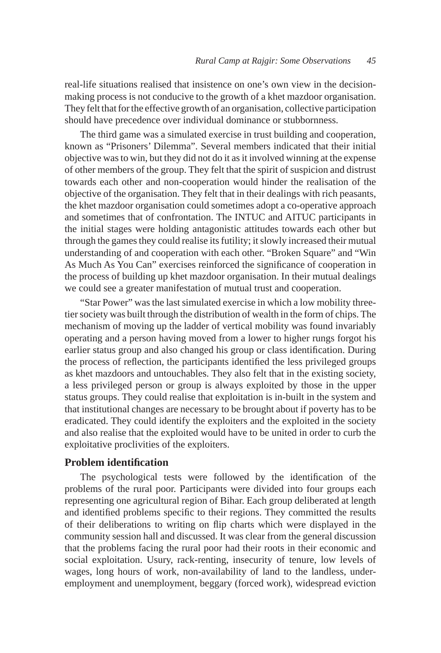real-life situations realised that insistence on one's own view in the decisionmaking process is not conducive to the growth of a khet mazdoor organisation. They felt that for the effective growth of an organisation, collective participation should have precedence over individual dominance or stubbornness.

The third game was a simulated exercise in trust building and cooperation, known as "Prisoners' Dilemma". Several members indicated that their initial objective was to win, but they did not do it as it involved winning at the expense of other members of the group. They felt that the spirit of suspicion and distrust towards each other and non-cooperation would hinder the realisation of the objective of the organisation. They felt that in their dealings with rich peasants, the khet mazdoor organisation could sometimes adopt a co-operative approach and sometimes that of confrontation. The INTUC and AITUC participants in the initial stages were holding antagonistic attitudes towards each other but through the games they could realise its futility; it slowly increased their mutual understanding of and cooperation with each other. "Broken Square" and "Win As Much As You Can" exercises reinforced the significance of cooperation in the process of building up khet mazdoor organisation. In their mutual dealings we could see a greater manifestation of mutual trust and cooperation.

"Star Power" was the last simulated exercise in which a low mobility threetier society was built through the distribution of wealth in the form of chips. The mechanism of moving up the ladder of vertical mobility was found invariably operating and a person having moved from a lower to higher rungs forgot his earlier status group and also changed his group or class identification. During the process of reflection, the participants identified the less privileged groups as khet mazdoors and untouchables. They also felt that in the existing society, a less privileged person or group is always exploited by those in the upper status groups. They could realise that exploitation is in-built in the system and that institutional changes are necessary to be brought about if poverty has to be eradicated. They could identify the exploiters and the exploited in the society and also realise that the exploited would have to be united in order to curb the exploitative proclivities of the exploiters.

# **Problem identification**

The psychological tests were followed by the identification of the problems of the rural poor. Participants were divided into four groups each representing one agricultural region of Bihar. Each group deliberated at length and identified problems specific to their regions. They committed the results of their deliberations to writing on flip charts which were displayed in the community session hall and discussed. It was clear from the general discussion that the problems facing the rural poor had their roots in their economic and social exploitation. Usury, rack-renting, insecurity of tenure, low levels of wages, long hours of work, non-availability of land to the landless, underemployment and unemployment, beggary (forced work), widespread eviction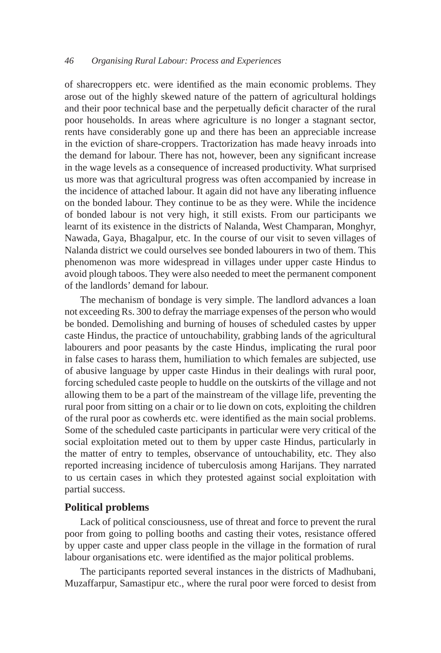of sharecroppers etc. were identified as the main economic problems. They arose out of the highly skewed nature of the pattern of agricultural holdings and their poor technical base and the perpetually deficit character of the rural poor households. In areas where agriculture is no longer a stagnant sector, rents have considerably gone up and there has been an appreciable increase in the eviction of share-croppers. Tractorization has made heavy inroads into the demand for labour. There has not, however, been any significant increase in the wage levels as a consequence of increased productivity. What surprised us more was that agricultural progress was often accompanied by increase in the incidence of attached labour. It again did not have any liberating influence on the bonded labour. They continue to be as they were. While the incidence of bonded labour is not very high, it still exists. From our participants we learnt of its existence in the districts of Nalanda, West Champaran, Monghyr, Nawada, Gaya, Bhagalpur, etc. In the course of our visit to seven villages of Nalanda district we could ourselves see bonded labourers in two of them. This phenomenon was more widespread in villages under upper caste Hindus to avoid plough taboos. They were also needed to meet the permanent component of the landlords' demand for labour.

The mechanism of bondage is very simple. The landlord advances a loan not exceeding Rs. 300 to defray the marriage expenses of the person who would be bonded. Demolishing and burning of houses of scheduled castes by upper caste Hindus, the practice of untouchability, grabbing lands of the agricultural labourers and poor peasants by the caste Hindus, implicating the rural poor in false cases to harass them, humiliation to which females are subjected, use of abusive language by upper caste Hindus in their dealings with rural poor, forcing scheduled caste people to huddle on the outskirts of the village and not allowing them to be a part of the mainstream of the village life, preventing the rural poor from sitting on a chair or to lie down on cots, exploiting the children of the rural poor as cowherds etc. were identified as the main social problems. Some of the scheduled caste participants in particular were very critical of the social exploitation meted out to them by upper caste Hindus, particularly in the matter of entry to temples, observance of untouchability, etc. They also reported increasing incidence of tuberculosis among Harijans. They narrated to us certain cases in which they protested against social exploitation with partial success.

#### **Political problems**

Lack of political consciousness, use of threat and force to prevent the rural poor from going to polling booths and casting their votes, resistance offered by upper caste and upper class people in the village in the formation of rural labour organisations etc. were identified as the major political problems.

The participants reported several instances in the districts of Madhubani, Muzaffarpur, Samastipur etc., where the rural poor were forced to desist from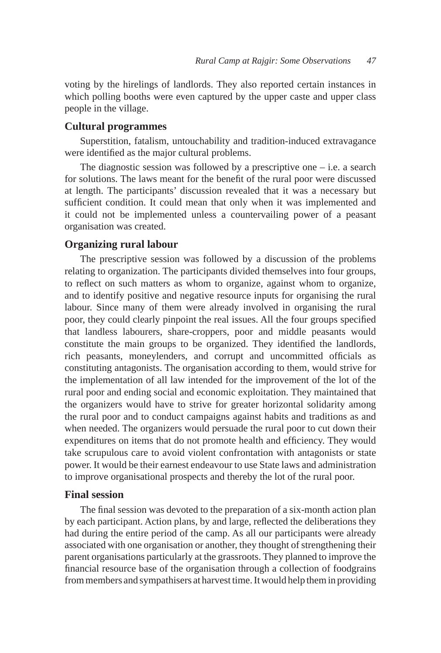voting by the hirelings of landlords. They also reported certain instances in which polling booths were even captured by the upper caste and upper class people in the village.

# **Cultural programmes**

Superstition, fatalism, untouchability and tradition-induced extravagance were identified as the major cultural problems.

The diagnostic session was followed by a prescriptive one  $-$  i.e. a search for solutions. The laws meant for the benefit of the rural poor were discussed at length. The participants' discussion revealed that it was a necessary but sufficient condition. It could mean that only when it was implemented and it could not be implemented unless a countervailing power of a peasant organisation was created.

# **Organizing rural labour**

The prescriptive session was followed by a discussion of the problems relating to organization. The participants divided themselves into four groups, to reflect on such matters as whom to organize, against whom to organize, and to identify positive and negative resource inputs for organising the rural labour. Since many of them were already involved in organising the rural poor, they could clearly pinpoint the real issues. All the four groups specified that landless labourers, share-croppers, poor and middle peasants would constitute the main groups to be organized. They identified the landlords, rich peasants, moneylenders, and corrupt and uncommitted officials as constituting antagonists. The organisation according to them, would strive for the implementation of all law intended for the improvement of the lot of the rural poor and ending social and economic exploitation. They maintained that the organizers would have to strive for greater horizontal solidarity among the rural poor and to conduct campaigns against habits and traditions as and when needed. The organizers would persuade the rural poor to cut down their expenditures on items that do not promote health and efficiency. They would take scrupulous care to avoid violent confrontation with antagonists or state power. It would be their earnest endeavour to use State laws and administration to improve organisational prospects and thereby the lot of the rural poor.

# **Final session**

The final session was devoted to the preparation of a six-month action plan by each participant. Action plans, by and large, reflected the deliberations they had during the entire period of the camp. As all our participants were already associated with one organisation or another, they thought of strengthening their parent organisations particularly at the grassroots. They planned to improve the financial resource base of the organisation through a collection of foodgrains from members and sympathisers at harvest time. It would help them in providing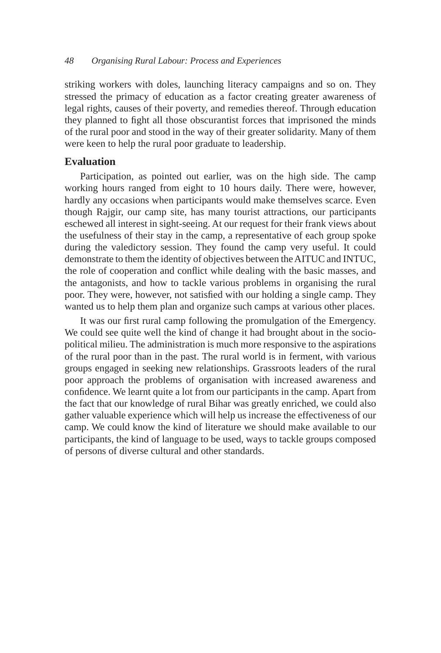striking workers with doles, launching literacy campaigns and so on. They stressed the primacy of education as a factor creating greater awareness of legal rights, causes of their poverty, and remedies thereof. Through education they planned to fight all those obscurantist forces that imprisoned the minds of the rural poor and stood in the way of their greater solidarity. Many of them were keen to help the rural poor graduate to leadership.

# **Evaluation**

Participation, as pointed out earlier, was on the high side. The camp working hours ranged from eight to 10 hours daily. There were, however, hardly any occasions when participants would make themselves scarce. Even though Rajgir, our camp site, has many tourist attractions, our participants eschewed all interest in sight-seeing. At our request for their frank views about the usefulness of their stay in the camp, a representative of each group spoke during the valedictory session. They found the camp very useful. It could demonstrate to them the identity of objectives between the AITUC and INTUC, the role of cooperation and conflict while dealing with the basic masses, and the antagonists, and how to tackle various problems in organising the rural poor. They were, however, not satisfied with our holding a single camp. They wanted us to help them plan and organize such camps at various other places.

It was our first rural camp following the promulgation of the Emergency. We could see quite well the kind of change it had brought about in the sociopolitical milieu. The administration is much more responsive to the aspirations of the rural poor than in the past. The rural world is in ferment, with various groups engaged in seeking new relationships. Grassroots leaders of the rural poor approach the problems of organisation with increased awareness and confidence. We learnt quite a lot from our participants in the camp. Apart from the fact that our knowledge of rural Bihar was greatly enriched, we could also gather valuable experience which will help us increase the effectiveness of our camp. We could know the kind of literature we should make available to our participants, the kind of language to be used, ways to tackle groups composed of persons of diverse cultural and other standards.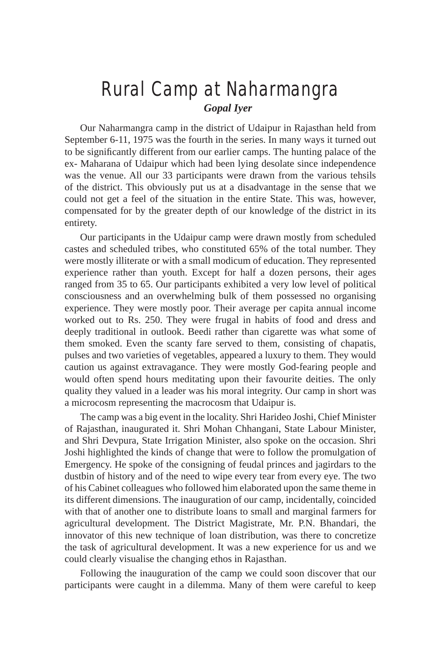# Rural Camp at Naharmangra *Gopal Iyer*

Our Naharmangra camp in the district of Udaipur in Rajasthan held from September 6-11, 1975 was the fourth in the series. In many ways it turned out to be significantly different from our earlier camps. The hunting palace of the ex- Maharana of Udaipur which had been lying desolate since independence was the venue. All our 33 participants were drawn from the various tehsils of the district. This obviously put us at a disadvantage in the sense that we could not get a feel of the situation in the entire State. This was, however, compensated for by the greater depth of our knowledge of the district in its entirety.

Our participants in the Udaipur camp were drawn mostly from scheduled castes and scheduled tribes, who constituted 65% of the total number. They were mostly illiterate or with a small modicum of education. They represented experience rather than youth. Except for half a dozen persons, their ages ranged from 35 to 65. Our participants exhibited a very low level of political consciousness and an overwhelming bulk of them possessed no organising experience. They were mostly poor. Their average per capita annual income worked out to Rs. 250. They were frugal in habits of food and dress and deeply traditional in outlook. Beedi rather than cigarette was what some of them smoked. Even the scanty fare served to them, consisting of chapatis, pulses and two varieties of vegetables, appeared a luxury to them. They would caution us against extravagance. They were mostly God-fearing people and would often spend hours meditating upon their favourite deities. The only quality they valued in a leader was his moral integrity. Our camp in short was a microcosm representing the macrocosm that Udaipur is.

The camp was a big event in the locality. Shri Harideo Joshi, Chief Minister of Rajasthan, inaugurated it. Shri Mohan Chhangani, State Labour Minister, and Shri Devpura, State Irrigation Minister, also spoke on the occasion. Shri Joshi highlighted the kinds of change that were to follow the promulgation of Emergency. He spoke of the consigning of feudal princes and jagirdars to the dustbin of history and of the need to wipe every tear from every eye. The two of his Cabinet colleagues who followed him elaborated upon the same theme in its different dimensions. The inauguration of our camp, incidentally, coincided with that of another one to distribute loans to small and marginal farmers for agricultural development. The District Magistrate, Mr. P.N. Bhandari, the innovator of this new technique of loan distribution, was there to concretize the task of agricultural development. It was a new experience for us and we could clearly visualise the changing ethos in Rajasthan.

Following the inauguration of the camp we could soon discover that our participants were caught in a dilemma. Many of them were careful to keep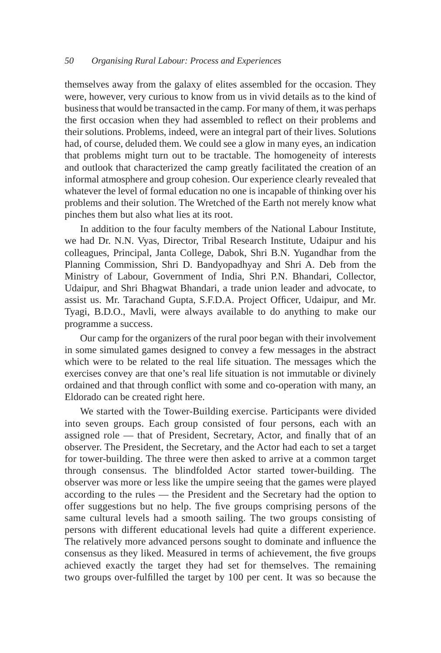themselves away from the galaxy of elites assembled for the occasion. They were, however, very curious to know from us in vivid details as to the kind of business that would be transacted in the camp. For many of them, it was perhaps the first occasion when they had assembled to reflect on their problems and their solutions. Problems, indeed, were an integral part of their lives. Solutions had, of course, deluded them. We could see a glow in many eyes, an indication that problems might turn out to be tractable. The homogeneity of interests and outlook that characterized the camp greatly facilitated the creation of an informal atmosphere and group cohesion. Our experience clearly revealed that whatever the level of formal education no one is incapable of thinking over his problems and their solution. The Wretched of the Earth not merely know what pinches them but also what lies at its root.

In addition to the four faculty members of the National Labour Institute, we had Dr. N.N. Vyas, Director, Tribal Research Institute, Udaipur and his colleagues, Principal, Janta College, Dabok, Shri B.N. Yugandhar from the Planning Commission, Shri D. Bandyopadhyay and Shri A. Deb from the Ministry of Labour, Government of India, Shri P.N. Bhandari, Collector, Udaipur, and Shri Bhagwat Bhandari, a trade union leader and advocate, to assist us. Mr. Tarachand Gupta, S.F.D.A. Project Officer, Udaipur, and Mr. Tyagi, B.D.O., Mavli, were always available to do anything to make our programme a success.

Our camp for the organizers of the rural poor began with their involvement in some simulated games designed to convey a few messages in the abstract which were to be related to the real life situation. The messages which the exercises convey are that one's real life situation is not immutable or divinely ordained and that through conflict with some and co-operation with many, an Eldorado can be created right here.

We started with the Tower-Building exercise. Participants were divided into seven groups. Each group consisted of four persons, each with an assigned role — that of President, Secretary, Actor, and finally that of an observer. The President, the Secretary, and the Actor had each to set a target for tower-building. The three were then asked to arrive at a common target through consensus. The blindfolded Actor started tower-building. The observer was more or less like the umpire seeing that the games were played according to the rules — the President and the Secretary had the option to offer suggestions but no help. The five groups comprising persons of the same cultural levels had a smooth sailing. The two groups consisting of persons with different educational levels had quite a different experience. The relatively more advanced persons sought to dominate and influence the consensus as they liked. Measured in terms of achievement, the five groups achieved exactly the target they had set for themselves. The remaining two groups over-fulfilled the target by 100 per cent. It was so because the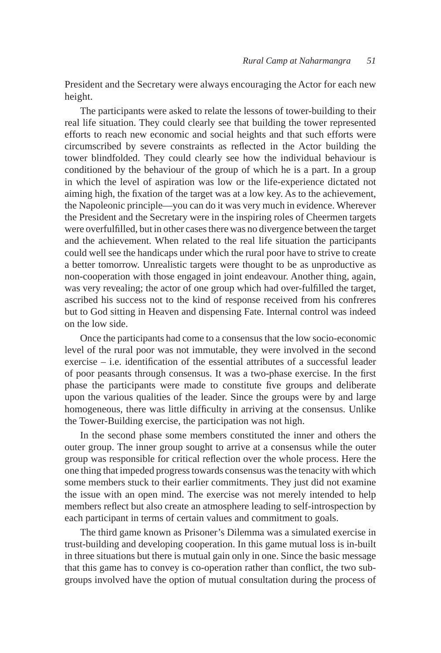President and the Secretary were always encouraging the Actor for each new height.

The participants were asked to relate the lessons of tower-building to their real life situation. They could clearly see that building the tower represented efforts to reach new economic and social heights and that such efforts were circumscribed by severe constraints as reflected in the Actor building the tower blindfolded. They could clearly see how the individual behaviour is conditioned by the behaviour of the group of which he is a part. In a group in which the level of aspiration was low or the life-experience dictated not aiming high, the fixation of the target was at a low key. As to the achievement, the Napoleonic principle—you can do it was very much in evidence. Wherever the President and the Secretary were in the inspiring roles of Cheermen targets were overfulfilled, but in other cases there was no divergence between the target and the achievement. When related to the real life situation the participants could well see the handicaps under which the rural poor have to strive to create a better tomorrow. Unrealistic targets were thought to be as unproductive as non-cooperation with those engaged in joint endeavour. Another thing, again, was very revealing; the actor of one group which had over-fulfilled the target, ascribed his success not to the kind of response received from his confreres but to God sitting in Heaven and dispensing Fate. Internal control was indeed on the low side.

Once the participants had come to a consensus that the low socio-economic level of the rural poor was not immutable, they were involved in the second exercise – i.e. identification of the essential attributes of a successful leader of poor peasants through consensus. It was a two-phase exercise. In the first phase the participants were made to constitute five groups and deliberate upon the various qualities of the leader. Since the groups were by and large homogeneous, there was little difficulty in arriving at the consensus. Unlike the Tower-Building exercise, the participation was not high.

In the second phase some members constituted the inner and others the outer group. The inner group sought to arrive at a consensus while the outer group was responsible for critical reflection over the whole process. Here the one thing that impeded progress towards consensus was the tenacity with which some members stuck to their earlier commitments. They just did not examine the issue with an open mind. The exercise was not merely intended to help members reflect but also create an atmosphere leading to self-introspection by each participant in terms of certain values and commitment to goals.

The third game known as Prisoner's Dilemma was a simulated exercise in trust-building and developing cooperation. In this game mutual loss is in-built in three situations but there is mutual gain only in one. Since the basic message that this game has to convey is co-operation rather than conflict, the two subgroups involved have the option of mutual consultation during the process of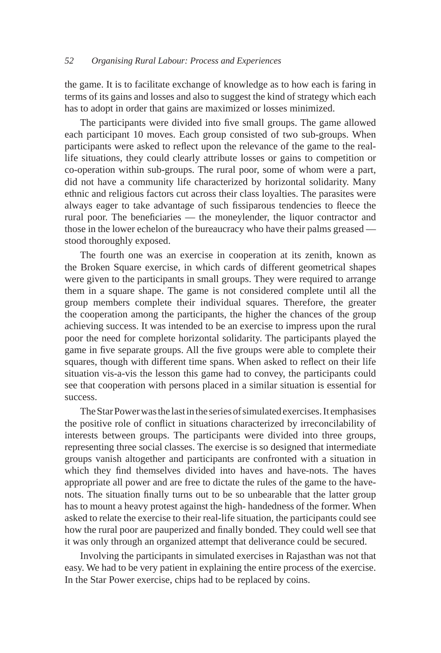the game. It is to facilitate exchange of knowledge as to how each is faring in terms of its gains and losses and also to suggest the kind of strategy which each has to adopt in order that gains are maximized or losses minimized.

The participants were divided into five small groups. The game allowed each participant 10 moves. Each group consisted of two sub-groups. When participants were asked to reflect upon the relevance of the game to the reallife situations, they could clearly attribute losses or gains to competition or co-operation within sub-groups. The rural poor, some of whom were a part, did not have a community life characterized by horizontal solidarity. Many ethnic and religious factors cut across their class loyalties. The parasites were always eager to take advantage of such fissiparous tendencies to fleece the rural poor. The beneficiaries — the moneylender, the liquor contractor and those in the lower echelon of the bureaucracy who have their palms greased stood thoroughly exposed.

The fourth one was an exercise in cooperation at its zenith, known as the Broken Square exercise, in which cards of different geometrical shapes were given to the participants in small groups. They were required to arrange them in a square shape. The game is not considered complete until all the group members complete their individual squares. Therefore, the greater the cooperation among the participants, the higher the chances of the group achieving success. It was intended to be an exercise to impress upon the rural poor the need for complete horizontal solidarity. The participants played the game in five separate groups. All the five groups were able to complete their squares, though with different time spans. When asked to reflect on their life situation vis-a-vis the lesson this game had to convey, the participants could see that cooperation with persons placed in a similar situation is essential for success.

The Star Power was the last in the series of simulated exercises. It emphasises the positive role of conflict in situations characterized by irreconcilability of interests between groups. The participants were divided into three groups, representing three social classes. The exercise is so designed that intermediate groups vanish altogether and participants are confronted with a situation in which they find themselves divided into haves and have-nots. The haves appropriate all power and are free to dictate the rules of the game to the havenots. The situation finally turns out to be so unbearable that the latter group has to mount a heavy protest against the high- handedness of the former. When asked to relate the exercise to their real-life situation, the participants could see how the rural poor are pauperized and finally bonded. They could well see that it was only through an organized attempt that deliverance could be secured.

Involving the participants in simulated exercises in Rajasthan was not that easy. We had to be very patient in explaining the entire process of the exercise. In the Star Power exercise, chips had to be replaced by coins.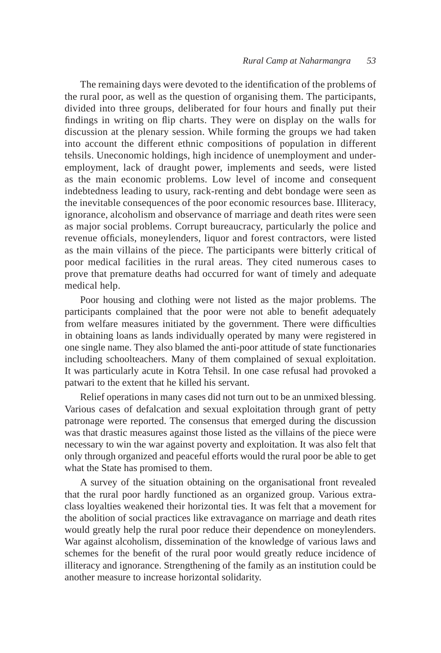The remaining days were devoted to the identification of the problems of the rural poor, as well as the question of organising them. The participants, divided into three groups, deliberated for four hours and finally put their findings in writing on flip charts. They were on display on the walls for discussion at the plenary session. While forming the groups we had taken into account the different ethnic compositions of population in different tehsils. Uneconomic holdings, high incidence of unemployment and underemployment, lack of draught power, implements and seeds, were listed as the main economic problems. Low level of income and consequent indebtedness leading to usury, rack-renting and debt bondage were seen as the inevitable consequences of the poor economic resources base. Illiteracy, ignorance, alcoholism and observance of marriage and death rites were seen as major social problems. Corrupt bureaucracy, particularly the police and revenue officials, moneylenders, liquor and forest contractors, were listed as the main villains of the piece. The participants were bitterly critical of poor medical facilities in the rural areas. They cited numerous cases to prove that premature deaths had occurred for want of timely and adequate medical help.

Poor housing and clothing were not listed as the major problems. The participants complained that the poor were not able to benefit adequately from welfare measures initiated by the government. There were difficulties in obtaining loans as lands individually operated by many were registered in one single name. They also blamed the anti-poor attitude of state functionaries including schoolteachers. Many of them complained of sexual exploitation. It was particularly acute in Kotra Tehsil. In one case refusal had provoked a patwari to the extent that he killed his servant.

Relief operations in many cases did not turn out to be an unmixed blessing. Various cases of defalcation and sexual exploitation through grant of petty patronage were reported. The consensus that emerged during the discussion was that drastic measures against those listed as the villains of the piece were necessary to win the war against poverty and exploitation. It was also felt that only through organized and peaceful efforts would the rural poor be able to get what the State has promised to them.

A survey of the situation obtaining on the organisational front revealed that the rural poor hardly functioned as an organized group. Various extraclass loyalties weakened their horizontal ties. It was felt that a movement for the abolition of social practices like extravagance on marriage and death rites would greatly help the rural poor reduce their dependence on moneylenders. War against alcoholism, dissemination of the knowledge of various laws and schemes for the benefit of the rural poor would greatly reduce incidence of illiteracy and ignorance. Strengthening of the family as an institution could be another measure to increase horizontal solidarity.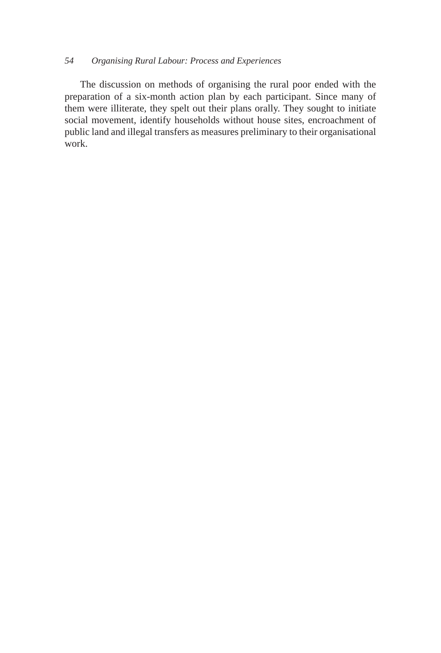The discussion on methods of organising the rural poor ended with the preparation of a six-month action plan by each participant. Since many of them were illiterate, they spelt out their plans orally. They sought to initiate social movement, identify households without house sites, encroachment of public land and illegal transfers as measures preliminary to their organisational work.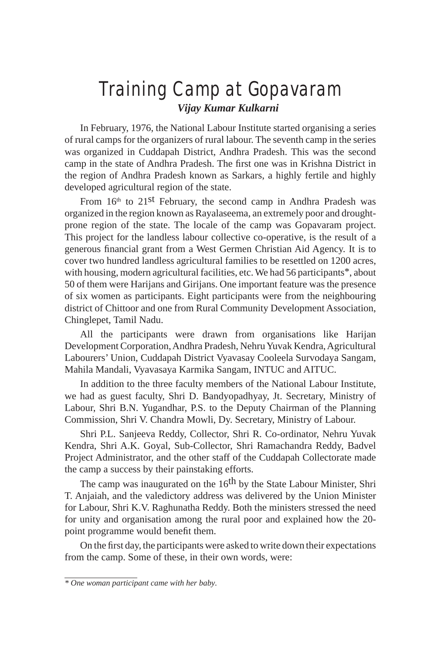# Training Camp at Gopavaram *Vijay Kumar Kulkarni*

In February, 1976, the National Labour Institute started organising a series of rural camps for the organizers of rural labour. The seventh camp in the series was organized in Cuddapah District, Andhra Pradesh. This was the second camp in the state of Andhra Pradesh. The first one was in Krishna District in the region of Andhra Pradesh known as Sarkars, a highly fertile and highly developed agricultural region of the state.

From  $16<sup>th</sup>$  to  $21<sup>st</sup>$  February, the second camp in Andhra Pradesh was organized in the region known as Rayalaseema, an extremely poor and droughtprone region of the state. The locale of the camp was Gopavaram project. This project for the landless labour collective co-operative, is the result of a generous financial grant from a West Germen Christian Aid Agency. It is to cover two hundred landless agricultural families to be resettled on 1200 acres, with housing, modern agricultural facilities, etc. We had 56 participants<sup>\*</sup>, about 50 of them were Harijans and Girijans. One important feature was the presence of six women as participants. Eight participants were from the neighbouring district of Chittoor and one from Rural Community Development Association, Chinglepet, Tamil Nadu.

All the participants were drawn from organisations like Harijan Development Corporation, Andhra Pradesh, Nehru Yuvak Kendra, Agricultural Labourers' Union, Cuddapah District Vyavasay Cooleela Survodaya Sangam, Mahila Mandali, Vyavasaya Karmika Sangam, INTUC and AITUC.

In addition to the three faculty members of the National Labour Institute, we had as guest faculty, Shri D. Bandyopadhyay, Jt. Secretary, Ministry of Labour, Shri B.N. Yugandhar, P.S. to the Deputy Chairman of the Planning Commission, Shri V. Chandra Mowli, Dy. Secretary, Ministry of Labour.

Shri P.L. Sanjeeva Reddy, Collector, Shri R. Co-ordinator, Nehru Yuvak Kendra, Shri A.K. Goyal, Sub-Collector, Shri Ramachandra Reddy, Badvel Project Administrator, and the other staff of the Cuddapah Collectorate made the camp a success by their painstaking efforts.

The camp was inaugurated on the 16<sup>th</sup> by the State Labour Minister, Shri T. Anjaiah, and the valedictory address was delivered by the Union Minister for Labour, Shri K.V. Raghunatha Reddy. Both the ministers stressed the need for unity and organisation among the rural poor and explained how the 20 point programme would benefit them.

On the first day, the participants were asked to write down their expectations from the camp. Some of these, in their own words, were:

*<sup>\*</sup> One woman participant came with her baby.*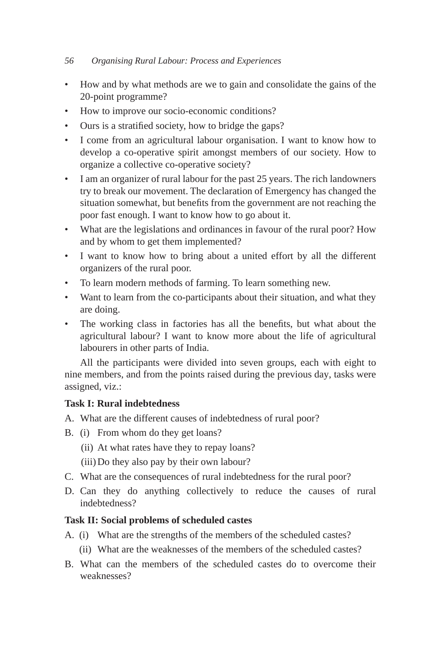- How and by what methods are we to gain and consolidate the gains of the 20-point programme?
- How to improve our socio-economic conditions?
- Ours is a stratified society, how to bridge the gaps?
- I come from an agricultural labour organisation. I want to know how to develop a co-operative spirit amongst members of our society. How to organize a collective co-operative society?
- I am an organizer of rural labour for the past 25 years. The rich landowners try to break our movement. The declaration of Emergency has changed the situation somewhat, but benefits from the government are not reaching the poor fast enough. I want to know how to go about it.
- What are the legislations and ordinances in favour of the rural poor? How and by whom to get them implemented?
- I want to know how to bring about a united effort by all the different organizers of the rural poor.
- To learn modern methods of farming. To learn something new.
- Want to learn from the co-participants about their situation, and what they are doing.
- The working class in factories has all the benefits, but what about the agricultural labour? I want to know more about the life of agricultural labourers in other parts of India.

All the participants were divided into seven groups, each with eight to nine members, and from the points raised during the previous day, tasks were assigned, viz.:

# **Task I: Rural indebtedness**

- A. What are the different causes of indebtedness of rural poor?
- B. (i) From whom do they get loans?
	- (ii) At what rates have they to repay loans?
	- (iii) Do they also pay by their own labour?
- C. What are the consequences of rural indebtedness for the rural poor?
- D. Can they do anything collectively to reduce the causes of rural indebtedness?

# **Task II: Social problems of scheduled castes**

- A. (i) What are the strengths of the members of the scheduled castes?
	- (ii) What are the weaknesses of the members of the scheduled castes?
- B. What can the members of the scheduled castes do to overcome their weaknesses?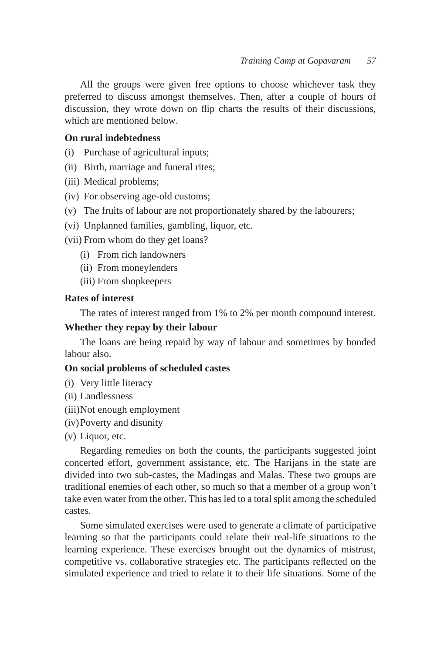All the groups were given free options to choose whichever task they preferred to discuss amongst themselves. Then, after a couple of hours of discussion, they wrote down on flip charts the results of their discussions, which are mentioned below.

#### **On rural indebtedness**

(i) Purchase of agricultural inputs;

- (ii) Birth, marriage and funeral rites;
- (iii) Medical problems;
- (iv) For observing age-old customs;
- (v) The fruits of labour are not proportionately shared by the labourers;
- (vi) Unplanned families, gambling, liquor, etc.

(vii) From whom do they get loans?

- (i) From rich landowners
- (ii) From moneylenders
- (iii) From shopkeepers

# **Rates of interest**

The rates of interest ranged from 1% to 2% per month compound interest.

## **Whether they repay by their labour**

The loans are being repaid by way of labour and sometimes by bonded labour also.

#### **On social problems of scheduled castes**

- (i) Very little literacy
- (ii) Landlessness
- (iii) Not enough employment
- (iv) Poverty and disunity
- (v) Liquor, etc.

Regarding remedies on both the counts, the participants suggested joint concerted effort, government assistance, etc. The Harijans in the state are divided into two sub-castes, the Madingas and Malas. These two groups are traditional enemies of each other, so much so that a member of a group won't take even water from the other. This has led to a total split among the scheduled castes.

Some simulated exercises were used to generate a climate of participative learning so that the participants could relate their real-life situations to the learning experience. These exercises brought out the dynamics of mistrust, competitive vs. collaborative strategies etc. The participants reflected on the simulated experience and tried to relate it to their life situations. Some of the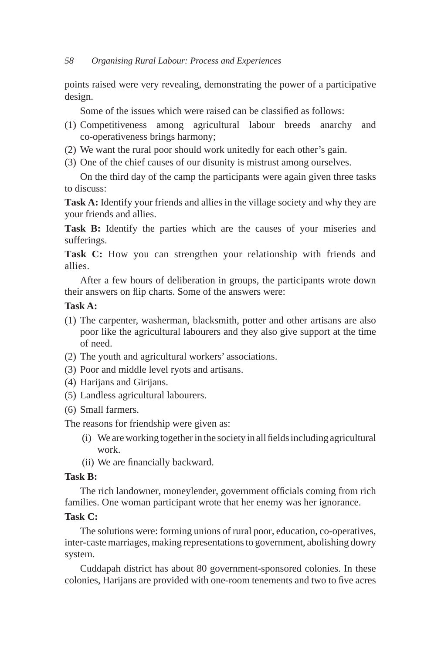points raised were very revealing, demonstrating the power of a participative design.

Some of the issues which were raised can be classified as follows:

- (1) Competitiveness among agricultural labour breeds anarchy and co-operativeness brings harmony;
- (2) We want the rural poor should work unitedly for each other's gain.
- (3) One of the chief causes of our disunity is mistrust among ourselves.

On the third day of the camp the participants were again given three tasks to discuss:

**Task A:** Identify your friends and allies in the village society and why they are your friends and allies.

Task B: Identify the parties which are the causes of your miseries and sufferings.

Task C: How you can strengthen your relationship with friends and allies.

After a few hours of deliberation in groups, the participants wrote down their answers on flip charts. Some of the answers were:

# **Task A:**

- (1) The carpenter, washerman, blacksmith, potter and other artisans are also poor like the agricultural labourers and they also give support at the time of need.
- (2) The youth and agricultural workers' associations.
- (3) Poor and middle level ryots and artisans.
- (4) Harijans and Girijans.
- (5) Landless agricultural labourers.
- (6) Small farmers.

The reasons for friendship were given as:

- (i) We are working together in the society in all fields including agricultural work.
- (ii) We are financially backward.

# **Task B:**

The rich landowner, moneylender, government officials coming from rich families. One woman participant wrote that her enemy was her ignorance.

# **Task C:**

The solutions were: forming unions of rural poor, education, co-operatives, inter-caste marriages, making representations to government, abolishing dowry system.

Cuddapah district has about 80 government-sponsored colonies. In these colonies, Harijans are provided with one-room tenements and two to five acres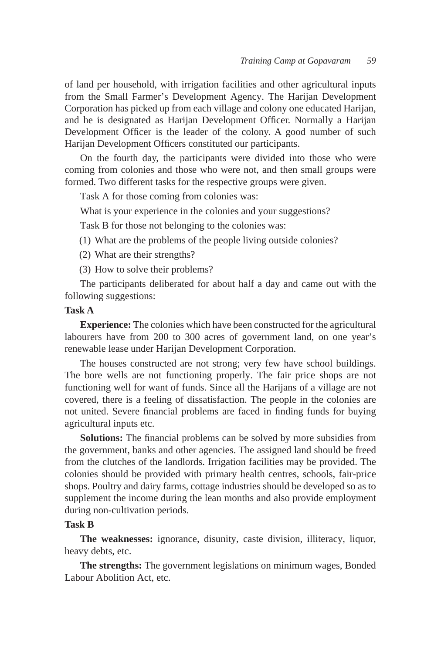of land per household, with irrigation facilities and other agricultural inputs from the Small Farmer's Development Agency. The Harijan Development Corporation has picked up from each village and colony one educated Harijan, and he is designated as Harijan Development Officer. Normally a Harijan Development Officer is the leader of the colony. A good number of such Harijan Development Officers constituted our participants.

On the fourth day, the participants were divided into those who were coming from colonies and those who were not, and then small groups were formed. Two different tasks for the respective groups were given.

Task A for those coming from colonies was:

What is your experience in the colonies and your suggestions?

Task B for those not belonging to the colonies was:

(1) What are the problems of the people living outside colonies?

(2) What are their strengths?

(3) How to solve their problems?

The participants deliberated for about half a day and came out with the following suggestions:

#### **Task A**

**Experience:** The colonies which have been constructed for the agricultural labourers have from 200 to 300 acres of government land, on one year's renewable lease under Harijan Development Corporation.

The houses constructed are not strong; very few have school buildings. The bore wells are not functioning properly. The fair price shops are not functioning well for want of funds. Since all the Harijans of a village are not covered, there is a feeling of dissatisfaction. The people in the colonies are not united. Severe financial problems are faced in finding funds for buying agricultural inputs etc.

**Solutions:** The financial problems can be solved by more subsidies from the government, banks and other agencies. The assigned land should be freed from the clutches of the landlords. Irrigation facilities may be provided. The colonies should be provided with primary health centres, schools, fair-price shops. Poultry and dairy farms, cottage industries should be developed so as to supplement the income during the lean months and also provide employment during non-cultivation periods.

# **Task B**

**The weaknesses:** ignorance, disunity, caste division, illiteracy, liquor, heavy debts, etc.

**The strengths:** The government legislations on minimum wages, Bonded Labour Abolition Act, etc.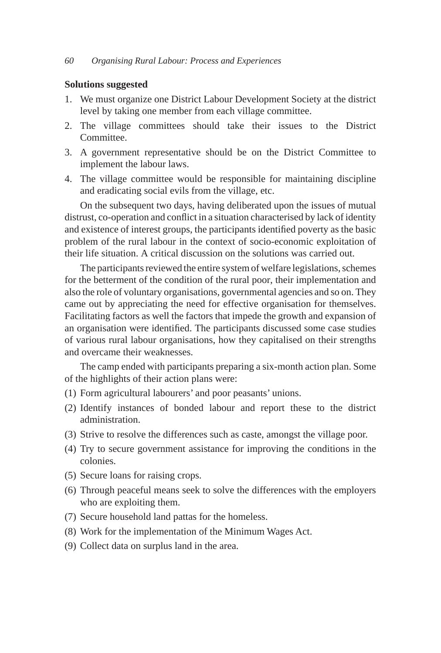#### **Solutions suggested**

- 1. We must organize one District Labour Development Society at the district level by taking one member from each village committee.
- 2. The village committees should take their issues to the District Committee.
- 3. A government representative should be on the District Committee to implement the labour laws.
- 4. The village committee would be responsible for maintaining discipline and eradicating social evils from the village, etc.

On the subsequent two days, having deliberated upon the issues of mutual distrust, co-operation and conflict in a situation characterised by lack of identity and existence of interest groups, the participants identified poverty as the basic problem of the rural labour in the context of socio-economic exploitation of their life situation. A critical discussion on the solutions was carried out.

The participants reviewed the entire system of welfare legislations, schemes for the betterment of the condition of the rural poor, their implementation and also the role of voluntary organisations, governmental agencies and so on. They came out by appreciating the need for effective organisation for themselves. Facilitating factors as well the factors that impede the growth and expansion of an organisation were identified. The participants discussed some case studies of various rural labour organisations, how they capitalised on their strengths and overcame their weaknesses.

The camp ended with participants preparing a six-month action plan. Some of the highlights of their action plans were:

- (1) Form agricultural labourers' and poor peasants' unions.
- (2) Identify instances of bonded labour and report these to the district administration.
- (3) Strive to resolve the differences such as caste, amongst the village poor.
- (4) Try to secure government assistance for improving the conditions in the colonies.
- (5) Secure loans for raising crops.
- (6) Through peaceful means seek to solve the differences with the employers who are exploiting them.
- (7) Secure household land pattas for the homeless.
- (8) Work for the implementation of the Minimum Wages Act.
- (9) Collect data on surplus land in the area.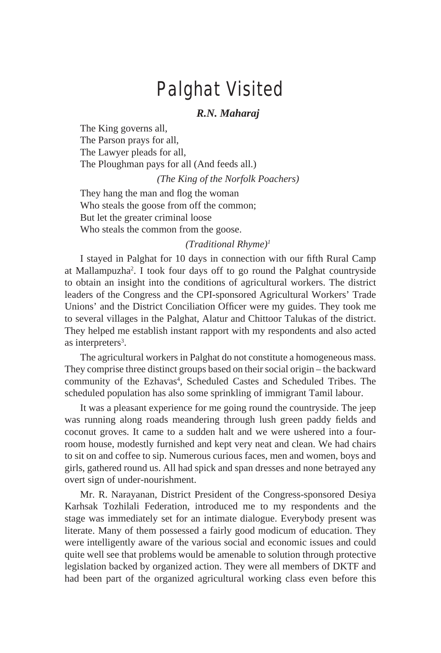# Palghat Visited

# *R.N. Maharaj*

The King governs all, The Parson prays for all, The Lawyer pleads for all, The Ploughman pays for all (And feeds all.)

*(The King of the Norfolk Poachers)*

They hang the man and flog the woman Who steals the goose from off the common; But let the greater criminal loose Who steals the common from the goose.

#### *(Traditional Rhyme)1*

I stayed in Palghat for 10 days in connection with our fifth Rural Camp at Mallampuzha2 . I took four days off to go round the Palghat countryside to obtain an insight into the conditions of agricultural workers. The district leaders of the Congress and the CPI-sponsored Agricultural Workers' Trade Unions' and the District Conciliation Officer were my guides. They took me to several villages in the Palghat, Alatur and Chittoor Talukas of the district. They helped me establish instant rapport with my respondents and also acted as interpreters<sup>3</sup>.

The agricultural workers in Palghat do not constitute a homogeneous mass. They comprise three distinct groups based on their social origin – the backward community of the Ezhavas<sup>4</sup>, Scheduled Castes and Scheduled Tribes. The scheduled population has also some sprinkling of immigrant Tamil labour.

It was a pleasant experience for me going round the countryside. The jeep was running along roads meandering through lush green paddy fields and coconut groves. It came to a sudden halt and we were ushered into a fourroom house, modestly furnished and kept very neat and clean. We had chairs to sit on and coffee to sip. Numerous curious faces, men and women, boys and girls, gathered round us. All had spick and span dresses and none betrayed any overt sign of under-nourishment.

Mr. R. Narayanan, District President of the Congress-sponsored Desiya Karhsak Tozhilali Federation, introduced me to my respondents and the stage was immediately set for an intimate dialogue. Everybody present was literate. Many of them possessed a fairly good modicum of education. They were intelligently aware of the various social and economic issues and could quite well see that problems would be amenable to solution through protective legislation backed by organized action. They were all members of DKTF and had been part of the organized agricultural working class even before this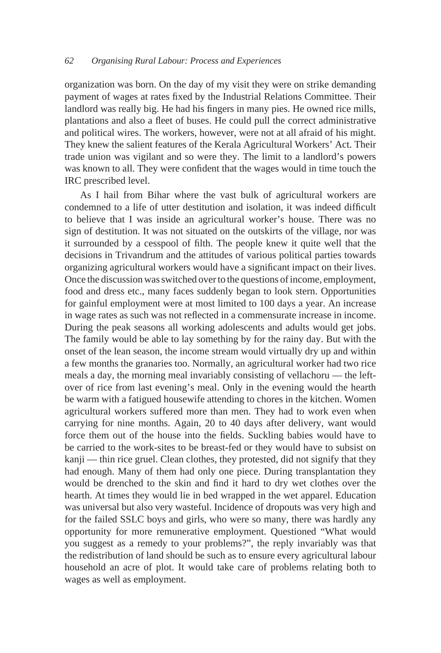organization was born. On the day of my visit they were on strike demanding payment of wages at rates fixed by the Industrial Relations Committee. Their landlord was really big. He had his fingers in many pies. He owned rice mills, plantations and also a fleet of buses. He could pull the correct administrative and political wires. The workers, however, were not at all afraid of his might. They knew the salient features of the Kerala Agricultural Workers' Act. Their trade union was vigilant and so were they. The limit to a landlord's powers was known to all. They were confident that the wages would in time touch the IRC prescribed level.

As I hail from Bihar where the vast bulk of agricultural workers are condemned to a life of utter destitution and isolation, it was indeed difficult to believe that I was inside an agricultural worker's house. There was no sign of destitution. It was not situated on the outskirts of the village, nor was it surrounded by a cesspool of filth. The people knew it quite well that the decisions in Trivandrum and the attitudes of various political parties towards organizing agricultural workers would have a significant impact on their lives. Once the discussion was switched over to the questions of income, employment, food and dress etc., many faces suddenly began to look stern. Opportunities for gainful employment were at most limited to 100 days a year. An increase in wage rates as such was not reflected in a commensurate increase in income. During the peak seasons all working adolescents and adults would get jobs. The family would be able to lay something by for the rainy day. But with the onset of the lean season, the income stream would virtually dry up and within a few months the granaries too. Normally, an agricultural worker had two rice meals a day, the morning meal invariably consisting of vellachoru — the leftover of rice from last evening's meal. Only in the evening would the hearth be warm with a fatigued housewife attending to chores in the kitchen. Women agricultural workers suffered more than men. They had to work even when carrying for nine months. Again, 20 to 40 days after delivery, want would force them out of the house into the fields. Suckling babies would have to be carried to the work-sites to be breast-fed or they would have to subsist on kanji — thin rice gruel. Clean clothes, they protested, did not signify that they had enough. Many of them had only one piece. During transplantation they would be drenched to the skin and find it hard to dry wet clothes over the hearth. At times they would lie in bed wrapped in the wet apparel. Education was universal but also very wasteful. Incidence of dropouts was very high and for the failed SSLC boys and girls, who were so many, there was hardly any opportunity for more remunerative employment. Questioned "What would you suggest as a remedy to your problems?", the reply invariably was that the redistribution of land should be such as to ensure every agricultural labour household an acre of plot. It would take care of problems relating both to wages as well as employment.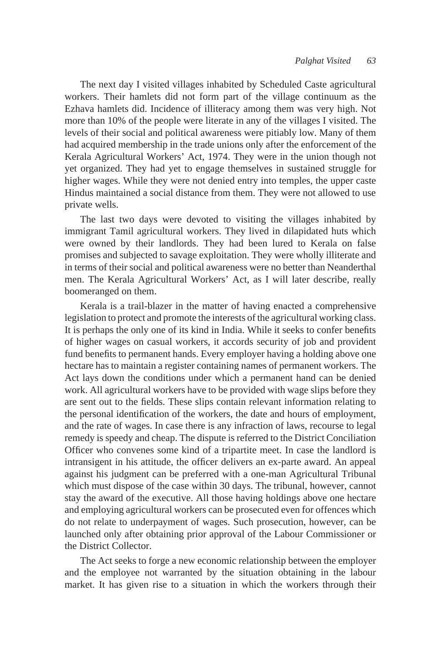The next day I visited villages inhabited by Scheduled Caste agricultural workers. Their hamlets did not form part of the village continuum as the Ezhava hamlets did. Incidence of illiteracy among them was very high. Not more than 10% of the people were literate in any of the villages I visited. The levels of their social and political awareness were pitiably low. Many of them had acquired membership in the trade unions only after the enforcement of the Kerala Agricultural Workers' Act, 1974. They were in the union though not yet organized. They had yet to engage themselves in sustained struggle for higher wages. While they were not denied entry into temples, the upper caste Hindus maintained a social distance from them. They were not allowed to use private wells.

The last two days were devoted to visiting the villages inhabited by immigrant Tamil agricultural workers. They lived in dilapidated huts which were owned by their landlords. They had been lured to Kerala on false promises and subjected to savage exploitation. They were wholly illiterate and in terms of their social and political awareness were no better than Neanderthal men. The Kerala Agricultural Workers' Act, as I will later describe, really boomeranged on them.

Kerala is a trail-blazer in the matter of having enacted a comprehensive legislation to protect and promote the interests of the agricultural working class. It is perhaps the only one of its kind in India. While it seeks to confer benefits of higher wages on casual workers, it accords security of job and provident fund benefits to permanent hands. Every employer having a holding above one hectare has to maintain a register containing names of permanent workers. The Act lays down the conditions under which a permanent hand can be denied work. All agricultural workers have to be provided with wage slips before they are sent out to the fields. These slips contain relevant information relating to the personal identification of the workers, the date and hours of employment, and the rate of wages. In case there is any infraction of laws, recourse to legal remedy is speedy and cheap. The dispute is referred to the District Conciliation Officer who convenes some kind of a tripartite meet. In case the landlord is intransigent in his attitude, the officer delivers an ex-parte award. An appeal against his judgment can be preferred with a one-man Agricultural Tribunal which must dispose of the case within 30 days. The tribunal, however, cannot stay the award of the executive. All those having holdings above one hectare and employing agricultural workers can be prosecuted even for offences which do not relate to underpayment of wages. Such prosecution, however, can be launched only after obtaining prior approval of the Labour Commissioner or the District Collector.

The Act seeks to forge a new economic relationship between the employer and the employee not warranted by the situation obtaining in the labour market. It has given rise to a situation in which the workers through their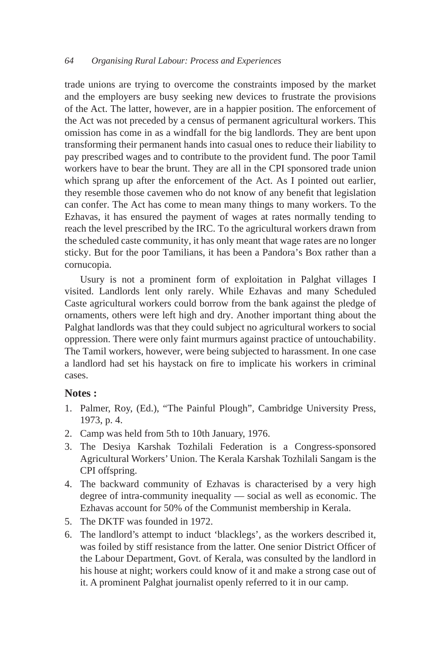#### *64 Organising Rural Labour: Process and Experiences*

trade unions are trying to overcome the constraints imposed by the market and the employers are busy seeking new devices to frustrate the provisions of the Act. The latter, however, are in a happier position. The enforcement of the Act was not preceded by a census of permanent agricultural workers. This omission has come in as a windfall for the big landlords. They are bent upon transforming their permanent hands into casual ones to reduce their liability to pay prescribed wages and to contribute to the provident fund. The poor Tamil workers have to bear the brunt. They are all in the CPI sponsored trade union which sprang up after the enforcement of the Act. As I pointed out earlier, they resemble those cavemen who do not know of any benefit that legislation can confer. The Act has come to mean many things to many workers. To the Ezhavas, it has ensured the payment of wages at rates normally tending to reach the level prescribed by the IRC. To the agricultural workers drawn from the scheduled caste community, it has only meant that wage rates are no longer sticky. But for the poor Tamilians, it has been a Pandora's Box rather than a cornucopia.

Usury is not a prominent form of exploitation in Palghat villages I visited. Landlords lent only rarely. While Ezhavas and many Scheduled Caste agricultural workers could borrow from the bank against the pledge of ornaments, others were left high and dry. Another important thing about the Palghat landlords was that they could subject no agricultural workers to social oppression. There were only faint murmurs against practice of untouchability. The Tamil workers, however, were being subjected to harassment. In one case a landlord had set his haystack on fire to implicate his workers in criminal cases.

#### **Notes :**

- 1. Palmer, Roy, (Ed.), "The Painful Plough", Cambridge University Press, 1973, p. 4.
- 2. Camp was held from 5th to 10th January, 1976.
- 3. The Desiya Karshak Tozhilali Federation is a Congress-sponsored Agricultural Workers' Union. The Kerala Karshak Tozhilali Sangam is the CPI offspring.
- 4. The backward community of Ezhavas is characterised by a very high degree of intra-community inequality — social as well as economic. The Ezhavas account for 50% of the Communist membership in Kerala.
- 5. The DKTF was founded in 1972.
- 6. The landlord's attempt to induct 'blacklegs', as the workers described it, was foiled by stiff resistance from the latter. One senior District Officer of the Labour Department, Govt. of Kerala, was consulted by the landlord in his house at night; workers could know of it and make a strong case out of it. A prominent Palghat journalist openly referred to it in our camp.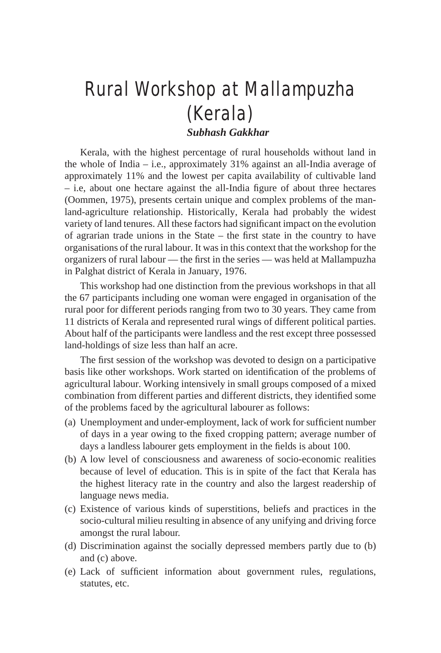# Rural Workshop at Mallampuzha (Kerala)

*Subhash Gakkhar*

Kerala, with the highest percentage of rural households without land in the whole of India – i.e., approximately 31% against an all-India average of approximately 11% and the lowest per capita availability of cultivable land – i.e, about one hectare against the all-India figure of about three hectares (Oommen, 1975), presents certain unique and complex problems of the manland-agriculture relationship. Historically, Kerala had probably the widest variety of land tenures. All these factors had significant impact on the evolution of agrarian trade unions in the State – the first state in the country to have organisations of the rural labour. It was in this context that the workshop for the organizers of rural labour — the first in the series — was held at Mallampuzha in Palghat district of Kerala in January, 1976.

This workshop had one distinction from the previous workshops in that all the 67 participants including one woman were engaged in organisation of the rural poor for different periods ranging from two to 30 years. They came from 11 districts of Kerala and represented rural wings of different political parties. About half of the participants were landless and the rest except three possessed land-holdings of size less than half an acre.

The first session of the workshop was devoted to design on a participative basis like other workshops. Work started on identification of the problems of agricultural labour. Working intensively in small groups composed of a mixed combination from different parties and different districts, they identified some of the problems faced by the agricultural labourer as follows:

- (a) Unemployment and under-employment, lack of work for sufficient number of days in a year owing to the fixed cropping pattern; average number of days a landless labourer gets employment in the fields is about 100.
- (b) A low level of consciousness and awareness of socio-economic realities because of level of education. This is in spite of the fact that Kerala has the highest literacy rate in the country and also the largest readership of language news media.
- (c) Existence of various kinds of superstitions, beliefs and practices in the socio-cultural milieu resulting in absence of any unifying and driving force amongst the rural labour.
- (d) Discrimination against the socially depressed members partly due to (b) and (c) above.
- (e) Lack of sufficient information about government rules, regulations, statutes, etc.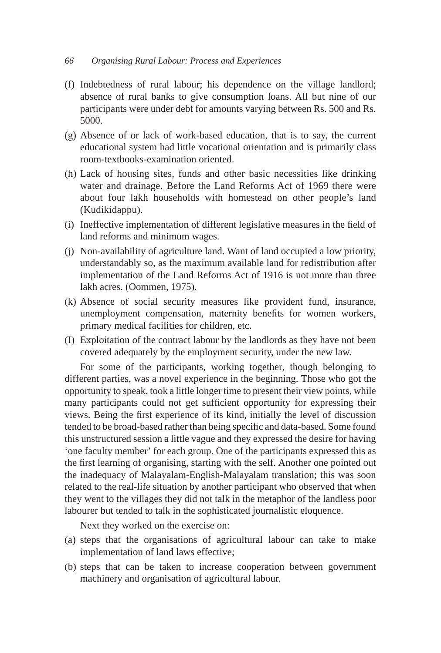#### *66 Organising Rural Labour: Process and Experiences*

- (f) Indebtedness of rural labour; his dependence on the village landlord; absence of rural banks to give consumption loans. All but nine of our participants were under debt for amounts varying between Rs. 500 and Rs. 5000.
- (g) Absence of or lack of work-based education, that is to say, the current educational system had little vocational orientation and is primarily class room-textbooks-examination oriented.
- (h) Lack of housing sites, funds and other basic necessities like drinking water and drainage. Before the Land Reforms Act of 1969 there were about four lakh households with homestead on other people's land (Kudikidappu).
- (i) Ineffective implementation of different legislative measures in the field of land reforms and minimum wages.
- (j) Non-availability of agriculture land. Want of land occupied a low priority, understandably so, as the maximum available land for redistribution after implementation of the Land Reforms Act of 1916 is not more than three lakh acres. (Oommen, 1975).
- (k) Absence of social security measures like provident fund, insurance, unemployment compensation, maternity benefits for women workers, primary medical facilities for children, etc.
- (I) Exploitation of the contract labour by the landlords as they have not been covered adequately by the employment security, under the new law.

For some of the participants, working together, though belonging to different parties, was a novel experience in the beginning. Those who got the opportunity to speak, took a little longer time to present their view points, while many participants could not get sufficient opportunity for expressing their views. Being the first experience of its kind, initially the level of discussion tended to be broad-based rather than being specific and data-based. Some found this unstructured session a little vague and they expressed the desire for having 'one faculty member' for each group. One of the participants expressed this as the first learning of organising, starting with the self. Another one pointed out the inadequacy of Malayalam-English-Malayalam translation; this was soon related to the real-life situation by another participant who observed that when they went to the villages they did not talk in the metaphor of the landless poor labourer but tended to talk in the sophisticated journalistic eloquence.

Next they worked on the exercise on:

- (a) steps that the organisations of agricultural labour can take to make implementation of land laws effective;
- (b) steps that can be taken to increase cooperation between government machinery and organisation of agricultural labour.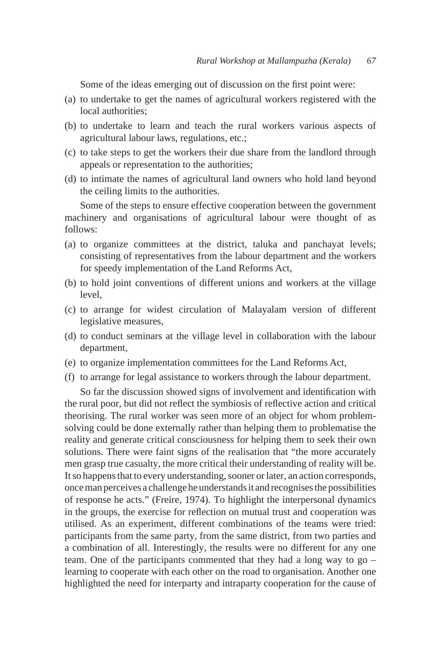Some of the ideas emerging out of discussion on the first point were:

- (a) to undertake to get the names of agricultural workers registered with the local authorities:
- (b) to undertake to learn and teach the rural workers various aspects of agricultural labour laws, regulations, etc.;
- (c) to take steps to get the workers their due share from the landlord through appeals or representation to the authorities;
- (d) to intimate the names of agricultural land owners who hold land beyond the ceiling limits to the authorities.

Some of the steps to ensure effective cooperation between the government machinery and organisations of agricultural labour were thought of as follows:

- (a) to organize committees at the district, taluka and panchayat levels; consisting of representatives from the labour department and the workers for speedy implementation of the Land Reforms Act,
- (b) to hold joint conventions of different unions and workers at the village level.
- (c) to arrange for widest circulation of Malayalam version of different legislative measures,
- (d) to conduct seminars at the village level in collaboration with the labour department,
- (e) to organize implementation committees for the Land Reforms Act,
- (f) to arrange for legal assistance to workers through the labour department.

So far the discussion showed signs of involvement and identification with the rural poor, but did not reflect the symbiosis of reflective action and critical theorising. The rural worker was seen more of an object for whom problemsolving could be done externally rather than helping them to problematise the reality and generate critical consciousness for helping them to seek their own solutions. There were faint signs of the realisation that "the more accurately men grasp true casualty, the more critical their understanding of reality will be. It so happens that to every understanding, sooner or later, an action corresponds, once man perceives a challenge he understands it and recognises the possibilities of response he acts." (Freire, 1974). To highlight the interpersonal dynamics in the groups, the exercise for reflection on mutual trust and cooperation was utilised. As an experiment, different combinations of the teams were tried: participants from the same party, from the same district, from two parties and a combination of all. Interestingly, the results were no different for any one team. One of the participants commented that they had a long way to go – learning to cooperate with each other on the road to organisation. Another one highlighted the need for interparty and intraparty cooperation for the cause of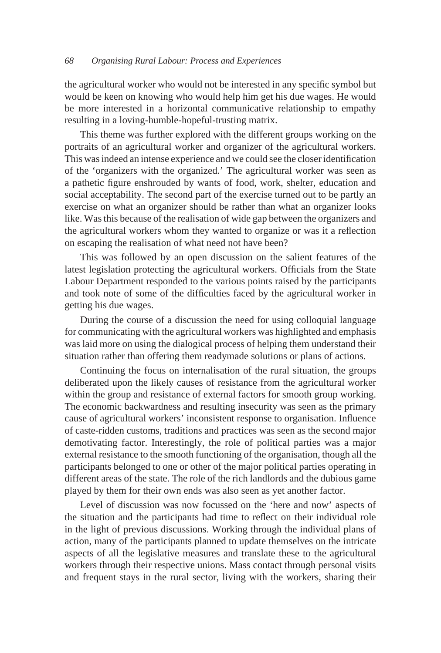the agricultural worker who would not be interested in any specific symbol but would be keen on knowing who would help him get his due wages. He would be more interested in a horizontal communicative relationship to empathy resulting in a loving-humble-hopeful-trusting matrix.

This theme was further explored with the different groups working on the portraits of an agricultural worker and organizer of the agricultural workers. This was indeed an intense experience and we could see the closer identification of the 'organizers with the organized.' The agricultural worker was seen as a pathetic figure enshrouded by wants of food, work, shelter, education and social acceptability. The second part of the exercise turned out to be partly an exercise on what an organizer should be rather than what an organizer looks like. Was this because of the realisation of wide gap between the organizers and the agricultural workers whom they wanted to organize or was it a reflection on escaping the realisation of what need not have been?

This was followed by an open discussion on the salient features of the latest legislation protecting the agricultural workers. Officials from the State Labour Department responded to the various points raised by the participants and took note of some of the difficulties faced by the agricultural worker in getting his due wages.

During the course of a discussion the need for using colloquial language for communicating with the agricultural workers was highlighted and emphasis was laid more on using the dialogical process of helping them understand their situation rather than offering them readymade solutions or plans of actions.

Continuing the focus on internalisation of the rural situation, the groups deliberated upon the likely causes of resistance from the agricultural worker within the group and resistance of external factors for smooth group working. The economic backwardness and resulting insecurity was seen as the primary cause of agricultural workers' inconsistent response to organisation. Influence of caste-ridden customs, traditions and practices was seen as the second major demotivating factor. Interestingly, the role of political parties was a major external resistance to the smooth functioning of the organisation, though all the participants belonged to one or other of the major political parties operating in different areas of the state. The role of the rich landlords and the dubious game played by them for their own ends was also seen as yet another factor.

Level of discussion was now focussed on the 'here and now' aspects of the situation and the participants had time to reflect on their individual role in the light of previous discussions. Working through the individual plans of action, many of the participants planned to update themselves on the intricate aspects of all the legislative measures and translate these to the agricultural workers through their respective unions. Mass contact through personal visits and frequent stays in the rural sector, living with the workers, sharing their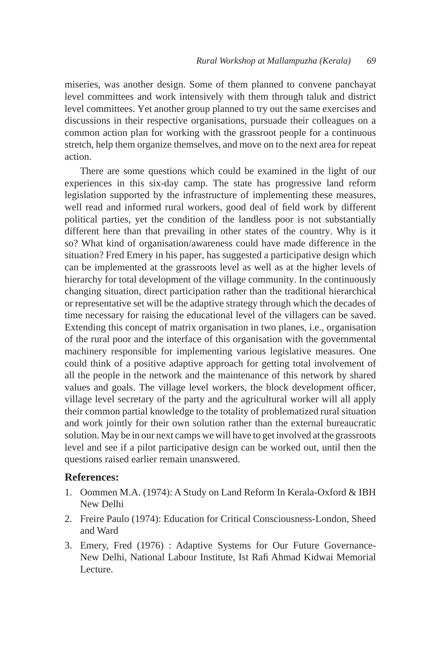miseries, was another design. Some of them planned to convene panchayat level committees and work intensively with them through taluk and district level committees. Yet another group planned to try out the same exercises and discussions in their respective organisations, pursuade their colleagues on a common action plan for working with the grassroot people for a continuous stretch, help them organize themselves, and move on to the next area for repeat action.

There are some questions which could be examined in the light of our experiences in this six-day camp. The state has progressive land reform legislation supported by the infrastructure of implementing these measures, well read and informed rural workers, good deal of field work by different political parties, yet the condition of the landless poor is not substantially different here than that prevailing in other states of the country. Why is it so? What kind of organisation/awareness could have made difference in the situation? Fred Emery in his paper, has suggested a participative design which can be implemented at the grassroots level as well as at the higher levels of hierarchy for total development of the village community. In the continuously changing situation, direct participation rather than the traditional hierarchical or representative set will be the adaptive strategy through which the decades of time necessary for raising the educational level of the villagers can be saved. Extending this concept of matrix organisation in two planes, i.e., organisation of the rural poor and the interface of this organisation with the governmental machinery responsible for implementing various legislative measures. One could think of a positive adaptive approach for getting total involvement of all the people in the network and the maintenance of this network by shared values and goals. The village level workers, the block development officer, village level secretary of the party and the agricultural worker will all apply their common partial knowledge to the totality of problematized rural situation and work jointly for their own solution rather than the external bureaucratic solution. May be in our next camps we will have to get involved at the grassroots level and see if a pilot participative design can be worked out, until then the questions raised earlier remain unanswered.

#### **References:**

- 1. Oommen M.A. (1974): A Study on Land Reform In Kerala-Oxford & IBH New Delhi
- 2. Freire Paulo (1974): Education for Critical Consciousness-London, Sheed and Ward
- 3. Emery, Fred (1976) : Adaptive Systems for Our Future Governance-New Delhi, National Labour Institute, Ist Rafi Ahmad Kidwai Memorial Lecture.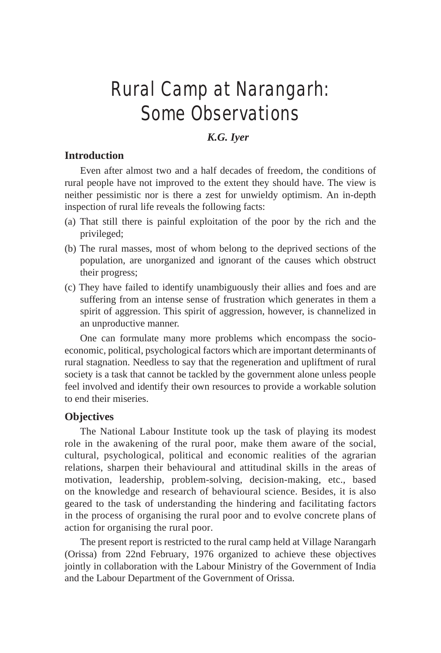## Rural Camp at Narangarh: Some Observations

## *K.G. Iyer*

## **Introduction**

Even after almost two and a half decades of freedom, the conditions of rural people have not improved to the extent they should have. The view is neither pessimistic nor is there a zest for unwieldy optimism. An in-depth inspection of rural life reveals the following facts:

- (a) That still there is painful exploitation of the poor by the rich and the privileged;
- (b) The rural masses, most of whom belong to the deprived sections of the population, are unorganized and ignorant of the causes which obstruct their progress;
- (c) They have failed to identify unambiguously their allies and foes and are suffering from an intense sense of frustration which generates in them a spirit of aggression. This spirit of aggression, however, is channelized in an unproductive manner.

One can formulate many more problems which encompass the socioeconomic, political, psychological factors which are important determinants of rural stagnation. Needless to say that the regeneration and upliftment of rural society is a task that cannot be tackled by the government alone unless people feel involved and identify their own resources to provide a workable solution to end their miseries.

#### **Objectives**

The National Labour Institute took up the task of playing its modest role in the awakening of the rural poor, make them aware of the social, cultural, psychological, political and economic realities of the agrarian relations, sharpen their behavioural and attitudinal skills in the areas of motivation, leadership, problem-solving, decision-making, etc., based on the knowledge and research of behavioural science. Besides, it is also geared to the task of understanding the hindering and facilitating factors in the process of organising the rural poor and to evolve concrete plans of action for organising the rural poor.

The present report is restricted to the rural camp held at Village Narangarh (Orissa) from 22nd February, 1976 organized to achieve these objectives jointly in collaboration with the Labour Ministry of the Government of India and the Labour Department of the Government of Orissa.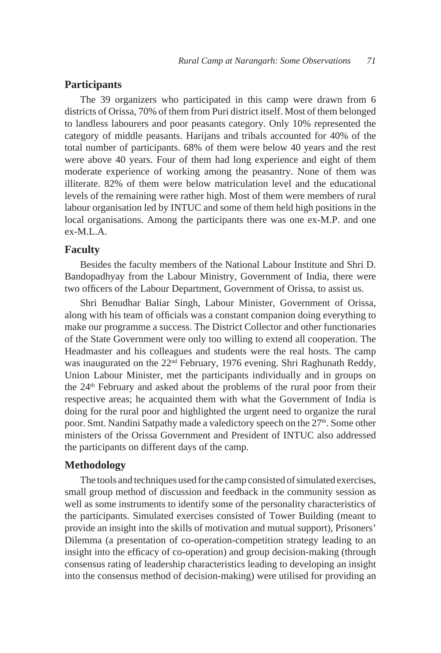#### **Participants**

The 39 organizers who participated in this camp were drawn from 6 districts of Orissa, 70% of them from Puri district itself. Most of them belonged to landless labourers and poor peasants category. Only 10% represented the category of middle peasants. Harijans and tribals accounted for 40% of the total number of participants. 68% of them were below 40 years and the rest were above 40 years. Four of them had long experience and eight of them moderate experience of working among the peasantry. None of them was illiterate. 82% of them were below matriculation level and the educational levels of the remaining were rather high. Most of them were members of rural labour organisation led by INTUC and some of them held high positions in the local organisations. Among the participants there was one ex-M.P. and one ex-M.L.A.

### **Faculty**

Besides the faculty members of the National Labour Institute and Shri D. Bandopadhyay from the Labour Ministry, Government of India, there were two officers of the Labour Department, Government of Orissa, to assist us.

Shri Benudhar Baliar Singh, Labour Minister, Government of Orissa, along with his team of officials was a constant companion doing everything to make our programme a success. The District Collector and other functionaries of the State Government were only too willing to extend all cooperation. The Headmaster and his colleagues and students were the real hosts. The camp was inaugurated on the 22<sup>nd</sup> February, 1976 evening. Shri Raghunath Reddy, Union Labour Minister, met the participants individually and in groups on the 24th February and asked about the problems of the rural poor from their respective areas; he acquainted them with what the Government of India is doing for the rural poor and highlighted the urgent need to organize the rural poor. Smt. Nandini Satpathy made a valedictory speech on the 27<sup>th</sup>. Some other ministers of the Orissa Government and President of INTUC also addressed the participants on different days of the camp.

## **Methodology**

The tools and techniques used for the camp consisted of simulated exercises, small group method of discussion and feedback in the community session as well as some instruments to identify some of the personality characteristics of the participants. Simulated exercises consisted of Tower Building (meant to provide an insight into the skills of motivation and mutual support), Prisoners' Dilemma (a presentation of co-operation-competition strategy leading to an insight into the efficacy of co-operation) and group decision-making (through consensus rating of leadership characteristics leading to developing an insight into the consensus method of decision-making) were utilised for providing an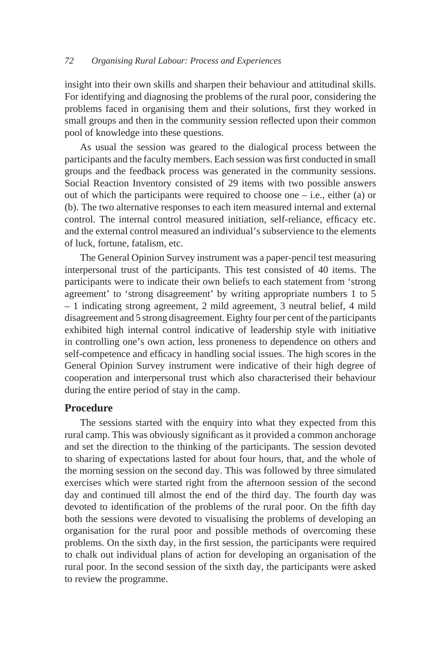insight into their own skills and sharpen their behaviour and attitudinal skills. For identifying and diagnosing the problems of the rural poor, considering the problems faced in organising them and their solutions, first they worked in small groups and then in the community session reflected upon their common pool of knowledge into these questions.

As usual the session was geared to the dialogical process between the participants and the faculty members. Each session was first conducted in small groups and the feedback process was generated in the community sessions. Social Reaction Inventory consisted of 29 items with two possible answers out of which the participants were required to choose one  $-$  i.e., either (a) or (b). The two alternative responses to each item measured internal and external control. The internal control measured initiation, self-reliance, efficacy etc. and the external control measured an individual's subservience to the elements of luck, fortune, fatalism, etc.

The General Opinion Survey instrument was a paper-pencil test measuring interpersonal trust of the participants. This test consisted of 40 items. The participants were to indicate their own beliefs to each statement from 'strong agreement' to 'strong disagreement' by writing appropriate numbers 1 to 5 – 1 indicating strong agreement, 2 mild agreement, 3 neutral belief, 4 mild disagreement and 5 strong disagreement. Eighty four per cent of the participants exhibited high internal control indicative of leadership style with initiative in controlling one's own action, less proneness to dependence on others and self-competence and efficacy in handling social issues. The high scores in the General Opinion Survey instrument were indicative of their high degree of cooperation and interpersonal trust which also characterised their behaviour during the entire period of stay in the camp.

#### **Procedure**

The sessions started with the enquiry into what they expected from this rural camp. This was obviously significant as it provided a common anchorage and set the direction to the thinking of the participants. The session devoted to sharing of expectations lasted for about four hours, that, and the whole of the morning session on the second day. This was followed by three simulated exercises which were started right from the afternoon session of the second day and continued till almost the end of the third day. The fourth day was devoted to identification of the problems of the rural poor. On the fifth day both the sessions were devoted to visualising the problems of developing an organisation for the rural poor and possible methods of overcoming these problems. On the sixth day, in the first session, the participants were required to chalk out individual plans of action for developing an organisation of the rural poor. In the second session of the sixth day, the participants were asked to review the programme.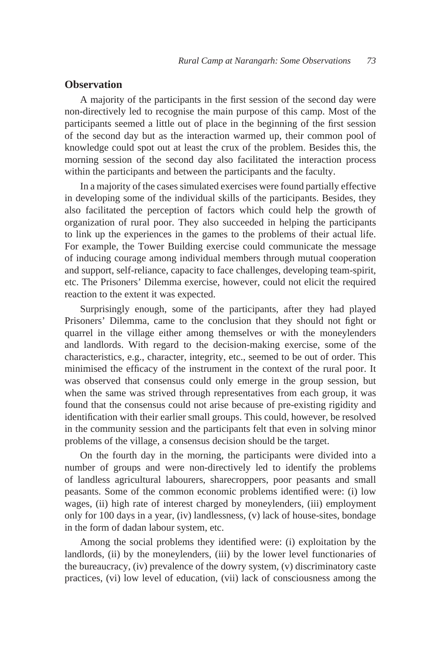### **Observation**

A majority of the participants in the first session of the second day were non-directively led to recognise the main purpose of this camp. Most of the participants seemed a little out of place in the beginning of the first session of the second day but as the interaction warmed up, their common pool of knowledge could spot out at least the crux of the problem. Besides this, the morning session of the second day also facilitated the interaction process within the participants and between the participants and the faculty.

In a majority of the cases simulated exercises were found partially effective in developing some of the individual skills of the participants. Besides, they also facilitated the perception of factors which could help the growth of organization of rural poor. They also succeeded in helping the participants to link up the experiences in the games to the problems of their actual life. For example, the Tower Building exercise could communicate the message of inducing courage among individual members through mutual cooperation and support, self-reliance, capacity to face challenges, developing team-spirit, etc. The Prisoners' Dilemma exercise, however, could not elicit the required reaction to the extent it was expected.

Surprisingly enough, some of the participants, after they had played Prisoners' Dilemma, came to the conclusion that they should not fight or quarrel in the village either among themselves or with the moneylenders and landlords. With regard to the decision-making exercise, some of the characteristics, e.g., character, integrity, etc., seemed to be out of order. This minimised the efficacy of the instrument in the context of the rural poor. It was observed that consensus could only emerge in the group session, but when the same was strived through representatives from each group, it was found that the consensus could not arise because of pre-existing rigidity and identification with their earlier small groups. This could, however, be resolved in the community session and the participants felt that even in solving minor problems of the village, a consensus decision should be the target.

On the fourth day in the morning, the participants were divided into a number of groups and were non-directively led to identify the problems of landless agricultural labourers, sharecroppers, poor peasants and small peasants. Some of the common economic problems identified were: (i) low wages, (ii) high rate of interest charged by moneylenders, (iii) employment only for 100 days in a year, (iv) landlessness, (v) lack of house-sites, bondage in the form of dadan labour system, etc.

Among the social problems they identified were: (i) exploitation by the landlords, (ii) by the moneylenders, (iii) by the lower level functionaries of the bureaucracy, (iv) prevalence of the dowry system, (v) discriminatory caste practices, (vi) low level of education, (vii) lack of consciousness among the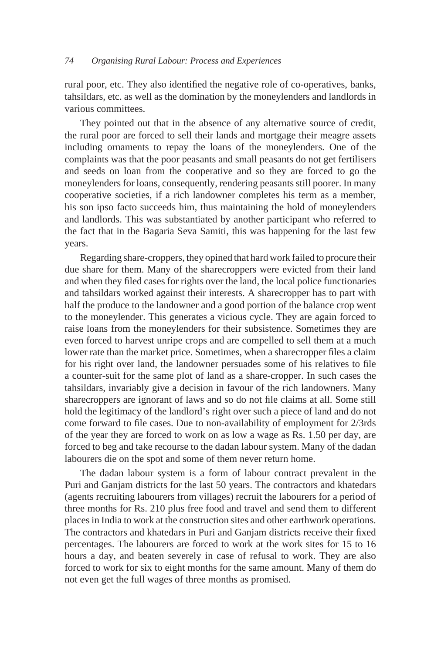rural poor, etc. They also identified the negative role of co-operatives, banks, tahsildars, etc. as well as the domination by the moneylenders and landlords in various committees.

They pointed out that in the absence of any alternative source of credit, the rural poor are forced to sell their lands and mortgage their meagre assets including ornaments to repay the loans of the moneylenders. One of the complaints was that the poor peasants and small peasants do not get fertilisers and seeds on loan from the cooperative and so they are forced to go the moneylenders for loans, consequently, rendering peasants still poorer. In many cooperative societies, if a rich landowner completes his term as a member, his son ipso facto succeeds him, thus maintaining the hold of moneylenders and landlords. This was substantiated by another participant who referred to the fact that in the Bagaria Seva Samiti, this was happening for the last few years.

Regarding share-croppers, they opined that hard work failed to procure their due share for them. Many of the sharecroppers were evicted from their land and when they filed cases for rights over the land, the local police functionaries and tahsildars worked against their interests. A sharecropper has to part with half the produce to the landowner and a good portion of the balance crop went to the moneylender. This generates a vicious cycle. They are again forced to raise loans from the moneylenders for their subsistence. Sometimes they are even forced to harvest unripe crops and are compelled to sell them at a much lower rate than the market price. Sometimes, when a sharecropper files a claim for his right over land, the landowner persuades some of his relatives to file a counter-suit for the same plot of land as a share-cropper. In such cases the tahsildars, invariably give a decision in favour of the rich landowners. Many sharecroppers are ignorant of laws and so do not file claims at all. Some still hold the legitimacy of the landlord's right over such a piece of land and do not come forward to file cases. Due to non-availability of employment for 2/3rds of the year they are forced to work on as low a wage as Rs. 1.50 per day, are forced to beg and take recourse to the dadan labour system. Many of the dadan labourers die on the spot and some of them never return home.

The dadan labour system is a form of labour contract prevalent in the Puri and Ganjam districts for the last 50 years. The contractors and khatedars (agents recruiting labourers from villages) recruit the labourers for a period of three months for Rs. 210 plus free food and travel and send them to different places in India to work at the construction sites and other earthwork operations. The contractors and khatedars in Puri and Ganjam districts receive their fixed percentages. The labourers are forced to work at the work sites for 15 to 16 hours a day, and beaten severely in case of refusal to work. They are also forced to work for six to eight months for the same amount. Many of them do not even get the full wages of three months as promised.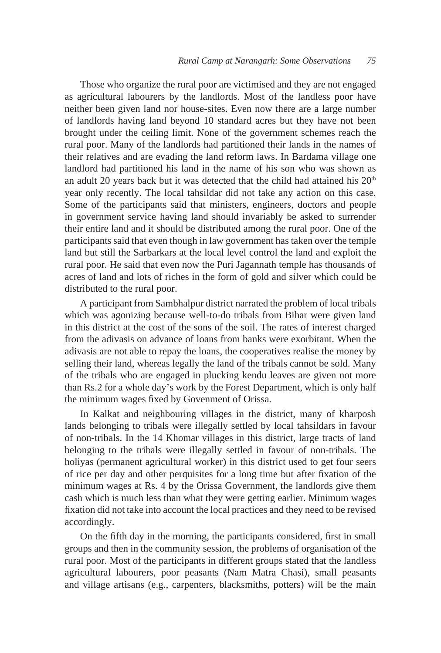Those who organize the rural poor are victimised and they are not engaged as agricultural labourers by the landlords. Most of the landless poor have neither been given land nor house-sites. Even now there are a large number of landlords having land beyond 10 standard acres but they have not been brought under the ceiling limit. None of the government schemes reach the rural poor. Many of the landlords had partitioned their lands in the names of their relatives and are evading the land reform laws. In Bardama village one landlord had partitioned his land in the name of his son who was shown as an adult 20 years back but it was detected that the child had attained his 20<sup>th</sup> year only recently. The local tahsildar did not take any action on this case. Some of the participants said that ministers, engineers, doctors and people in government service having land should invariably be asked to surrender their entire land and it should be distributed among the rural poor. One of the participants said that even though in law government has taken over the temple land but still the Sarbarkars at the local level control the land and exploit the rural poor. He said that even now the Puri Jagannath temple has thousands of acres of land and lots of riches in the form of gold and silver which could be distributed to the rural poor.

A participant from Sambhalpur district narrated the problem of local tribals which was agonizing because well-to-do tribals from Bihar were given land in this district at the cost of the sons of the soil. The rates of interest charged from the adivasis on advance of loans from banks were exorbitant. When the adivasis are not able to repay the loans, the cooperatives realise the money by selling their land, whereas legally the land of the tribals cannot be sold. Many of the tribals who are engaged in plucking kendu leaves are given not more than Rs.2 for a whole day's work by the Forest Department, which is only half the minimum wages fixed by Govenment of Orissa.

In Kalkat and neighbouring villages in the district, many of kharposh lands belonging to tribals were illegally settled by local tahsildars in favour of non-tribals. In the 14 Khomar villages in this district, large tracts of land belonging to the tribals were illegally settled in favour of non-tribals. The holiyas (permanent agricultural worker) in this district used to get four seers of rice per day and other perquisites for a long time but after fixation of the minimum wages at Rs. 4 by the Orissa Government, the landlords give them cash which is much less than what they were getting earlier. Minimum wages fixation did not take into account the local practices and they need to be revised accordingly.

On the fifth day in the morning, the participants considered, first in small groups and then in the community session, the problems of organisation of the rural poor. Most of the participants in different groups stated that the landless agricultural labourers, poor peasants (Nam Matra Chasi), small peasants and village artisans (e.g., carpenters, blacksmiths, potters) will be the main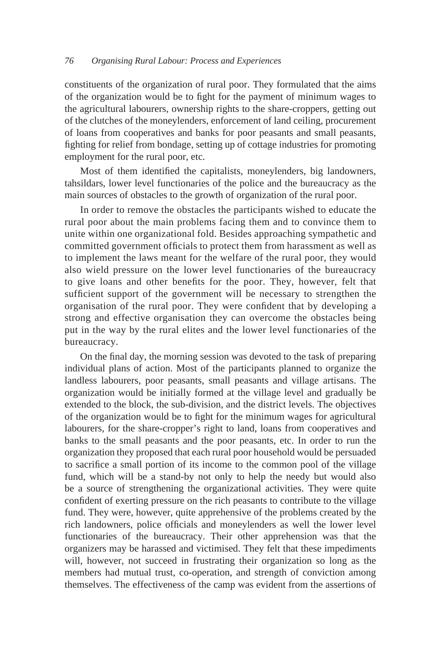constituents of the organization of rural poor. They formulated that the aims of the organization would be to fight for the payment of minimum wages to the agricultural labourers, ownership rights to the share-croppers, getting out of the clutches of the moneylenders, enforcement of land ceiling, procurement of loans from cooperatives and banks for poor peasants and small peasants, fighting for relief from bondage, setting up of cottage industries for promoting employment for the rural poor, etc.

Most of them identified the capitalists, moneylenders, big landowners, tahsildars, lower level functionaries of the police and the bureaucracy as the main sources of obstacles to the growth of organization of the rural poor.

In order to remove the obstacles the participants wished to educate the rural poor about the main problems facing them and to convince them to unite within one organizational fold. Besides approaching sympathetic and committed government officials to protect them from harassment as well as to implement the laws meant for the welfare of the rural poor, they would also wield pressure on the lower level functionaries of the bureaucracy to give loans and other benefits for the poor. They, however, felt that sufficient support of the government will be necessary to strengthen the organisation of the rural poor. They were confident that by developing a strong and effective organisation they can overcome the obstacles being put in the way by the rural elites and the lower level functionaries of the bureaucracy.

On the final day, the morning session was devoted to the task of preparing individual plans of action. Most of the participants planned to organize the landless labourers, poor peasants, small peasants and village artisans. The organization would be initially formed at the village level and gradually be extended to the block, the sub-division, and the district levels. The objectives of the organization would be to fight for the minimum wages for agricultural labourers, for the share-cropper's right to land, loans from cooperatives and banks to the small peasants and the poor peasants, etc. In order to run the organization they proposed that each rural poor household would be persuaded to sacrifice a small portion of its income to the common pool of the village fund, which will be a stand-by not only to help the needy but would also be a source of strengthening the organizational activities. They were quite confident of exerting pressure on the rich peasants to contribute to the village fund. They were, however, quite apprehensive of the problems created by the rich landowners, police officials and moneylenders as well the lower level functionaries of the bureaucracy. Their other apprehension was that the organizers may be harassed and victimised. They felt that these impediments will, however, not succeed in frustrating their organization so long as the members had mutual trust, co-operation, and strength of conviction among themselves. The effectiveness of the camp was evident from the assertions of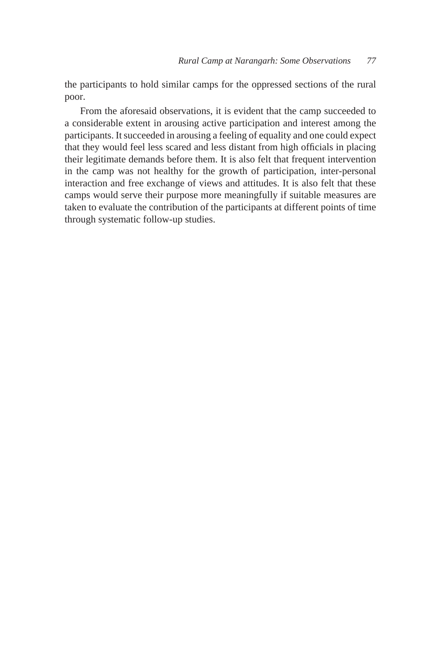the participants to hold similar camps for the oppressed sections of the rural poor.

From the aforesaid observations, it is evident that the camp succeeded to a considerable extent in arousing active participation and interest among the participants. It succeeded in arousing a feeling of equality and one could expect that they would feel less scared and less distant from high officials in placing their legitimate demands before them. It is also felt that frequent intervention in the camp was not healthy for the growth of participation, inter-personal interaction and free exchange of views and attitudes. It is also felt that these camps would serve their purpose more meaningfully if suitable measures are taken to evaluate the contribution of the participants at different points of time through systematic follow-up studies.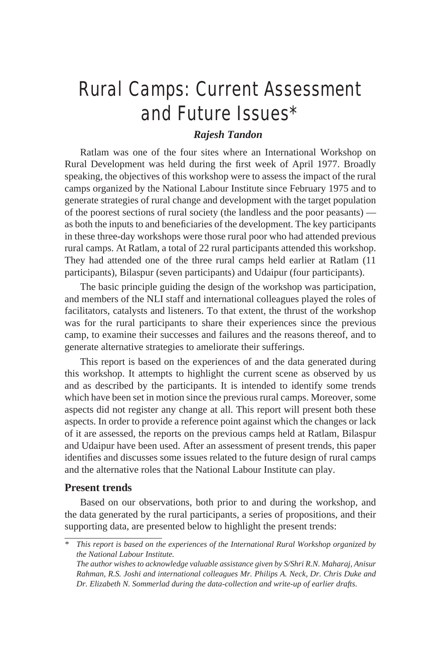## Rural Camps: Current Assessment and Future Issues\*

## *Rajesh Tandon*

Ratlam was one of the four sites where an International Workshop on Rural Development was held during the first week of April 1977. Broadly speaking, the objectives of this workshop were to assess the impact of the rural camps organized by the National Labour Institute since February 1975 and to generate strategies of rural change and development with the target population of the poorest sections of rural society (the landless and the poor peasants) as both the inputs to and beneficiaries of the development. The key participants in these three-day workshops were those rural poor who had attended previous rural camps. At Ratlam, a total of 22 rural participants attended this workshop. They had attended one of the three rural camps held earlier at Ratlam (11 participants), Bilaspur (seven participants) and Udaipur (four participants).

The basic principle guiding the design of the workshop was participation, and members of the NLI staff and international colleagues played the roles of facilitators, catalysts and listeners. To that extent, the thrust of the workshop was for the rural participants to share their experiences since the previous camp, to examine their successes and failures and the reasons thereof, and to generate alternative strategies to ameliorate their sufferings.

This report is based on the experiences of and the data generated during this workshop. It attempts to highlight the current scene as observed by us and as described by the participants. It is intended to identify some trends which have been set in motion since the previous rural camps. Moreover, some aspects did not register any change at all. This report will present both these aspects. In order to provide a reference point against which the changes or lack of it are assessed, the reports on the previous camps held at Ratlam, Bilaspur and Udaipur have been used. After an assessment of present trends, this paper identifies and discusses some issues related to the future design of rural camps and the alternative roles that the National Labour Institute can play.

## **Present trends**

Based on our observations, both prior to and during the workshop, and the data generated by the rural participants, a series of propositions, and their supporting data, are presented below to highlight the present trends:

*<sup>\*</sup> This report is based on the experiences of the International Rural Workshop organized by the National Labour Institute.*

*The author wishes to acknowledge valuable assistance given by S/Shri R.N. Maharaj, Anisur Rahman, R.S. Joshi and international colleagues Mr. Philips A. Neck, Dr. Chris Duke and Dr. Elizabeth N. Sommerlad during the data-collection and write-up of earlier drafts.*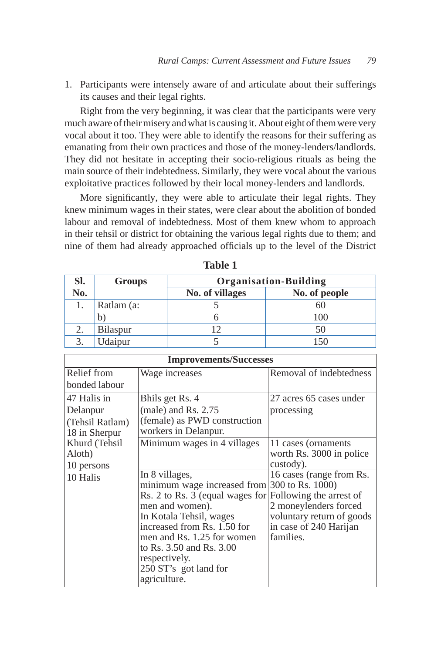1. Participants were intensely aware of and articulate about their sufferings its causes and their legal rights.

Right from the very beginning, it was clear that the participants were very much aware of their misery and what is causing it. About eight of them were very vocal about it too. They were able to identify the reasons for their suffering as emanating from their own practices and those of the money-lenders/landlords. They did not hesitate in accepting their socio-religious rituals as being the main source of their indebtedness. Similarly, they were vocal about the various exploitative practices followed by their local money-lenders and landlords.

More significantly, they were able to articulate their legal rights. They knew minimum wages in their states, were clear about the abolition of bonded labour and removal of indebtedness. Most of them knew whom to approach in their tehsil or district for obtaining the various legal rights due to them; and nine of them had already approached officials up to the level of the District

| SI. | <b>Groups</b> | <b>Organisation-Building</b> |               |
|-----|---------------|------------------------------|---------------|
| No. |               | No. of villages              | No. of people |
|     | Ratlam (a:    |                              |               |
|     | b             |                              | 100           |
|     | Bilaspur      |                              |               |
|     | Jdaipur       |                              |               |

| abie |
|------|
|------|

| <b>Improvements/Successes</b> |                                 |                           |  |  |  |
|-------------------------------|---------------------------------|---------------------------|--|--|--|
| Relief from                   | Wage increases                  | Removal of indebtedness   |  |  |  |
| bonded labour                 |                                 |                           |  |  |  |
| 47 Halis in                   | Bhils get Rs. 4                 | 27 acres 65 cases under   |  |  |  |
| Delanpur                      | (male) and Rs. $2.75$           | processing                |  |  |  |
| (Tehsil Ratlam)               | (female) as PWD construction    |                           |  |  |  |
| 18 in Sherpur                 | workers in Delanpur.            |                           |  |  |  |
| Khurd (Tehsil                 | Minimum wages in 4 villages     | 11 cases (ornaments)      |  |  |  |
| Aloth)                        |                                 | worth Rs. 3000 in police  |  |  |  |
| 10 persons                    |                                 | custody).                 |  |  |  |
| 10 Halis                      | In 8 villages,                  | 16 cases (range from Rs.  |  |  |  |
|                               | minimum wage increased from     | 300 to Rs. 1000)          |  |  |  |
|                               | Rs. 2 to Rs. 3 (equal wages for | Following the arrest of   |  |  |  |
|                               | men and women).                 | 2 moneylenders forced     |  |  |  |
|                               | In Kotala Tehsil, wages         | voluntary return of goods |  |  |  |
|                               | increased from Rs. 1.50 for     | in case of 240 Harijan    |  |  |  |
|                               | men and Rs. 1.25 for women      | families.                 |  |  |  |
|                               | to Rs. 3.50 and Rs. 3.00        |                           |  |  |  |
|                               | respectively.                   |                           |  |  |  |
|                               | 250 ST's got land for           |                           |  |  |  |
|                               | agriculture.                    |                           |  |  |  |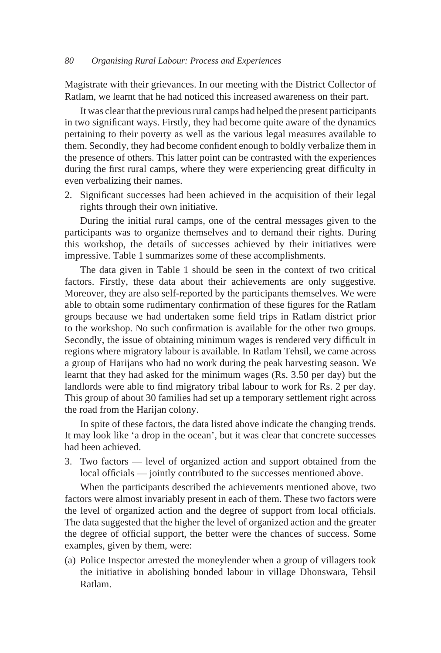Magistrate with their grievances. In our meeting with the District Collector of Ratlam, we learnt that he had noticed this increased awareness on their part.

It was clear that the previous rural camps had helped the present participants in two significant ways. Firstly, they had become quite aware of the dynamics pertaining to their poverty as well as the various legal measures available to them. Secondly, they had become confident enough to boldly verbalize them in the presence of others. This latter point can be contrasted with the experiences during the first rural camps, where they were experiencing great difficulty in even verbalizing their names.

2. Significant successes had been achieved in the acquisition of their legal rights through their own initiative.

During the initial rural camps, one of the central messages given to the participants was to organize themselves and to demand their rights. During this workshop, the details of successes achieved by their initiatives were impressive. Table 1 summarizes some of these accomplishments.

The data given in Table 1 should be seen in the context of two critical factors. Firstly, these data about their achievements are only suggestive. Moreover, they are also self-reported by the participants themselves. We were able to obtain some rudimentary confirmation of these figures for the Ratlam groups because we had undertaken some field trips in Ratlam district prior to the workshop. No such confirmation is available for the other two groups. Secondly, the issue of obtaining minimum wages is rendered very difficult in regions where migratory labour is available. In Ratlam Tehsil, we came across a group of Harijans who had no work during the peak harvesting season. We learnt that they had asked for the minimum wages (Rs. 3.50 per day) but the landlords were able to find migratory tribal labour to work for Rs. 2 per day. This group of about 30 families had set up a temporary settlement right across the road from the Harijan colony.

In spite of these factors, the data listed above indicate the changing trends. It may look like 'a drop in the ocean', but it was clear that concrete successes had been achieved.

3. Two factors — level of organized action and support obtained from the local officials — jointly contributed to the successes mentioned above.

When the participants described the achievements mentioned above, two factors were almost invariably present in each of them. These two factors were the level of organized action and the degree of support from local officials. The data suggested that the higher the level of organized action and the greater the degree of official support, the better were the chances of success. Some examples, given by them, were:

(a) Police Inspector arrested the moneylender when a group of villagers took the initiative in abolishing bonded labour in village Dhonswara, Tehsil Ratlam.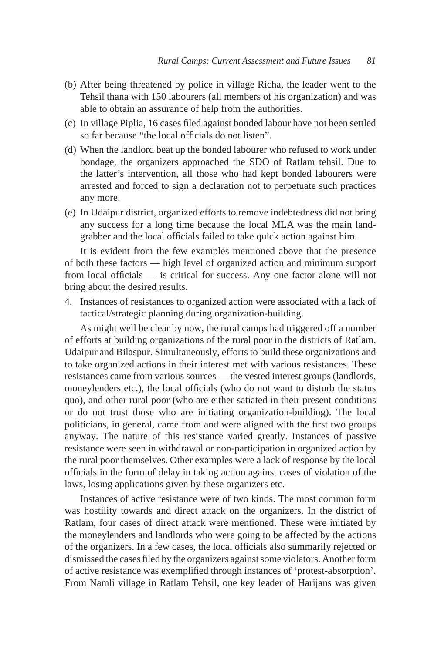- (b) After being threatened by police in village Richa, the leader went to the Tehsil thana with 150 labourers (all members of his organization) and was able to obtain an assurance of help from the authorities.
- (c) In village Piplia, 16 cases filed against bonded labour have not been settled so far because "the local officials do not listen".
- (d) When the landlord beat up the bonded labourer who refused to work under bondage, the organizers approached the SDO of Ratlam tehsil. Due to the latter's intervention, all those who had kept bonded labourers were arrested and forced to sign a declaration not to perpetuate such practices any more.
- (e) In Udaipur district, organized efforts to remove indebtedness did not bring any success for a long time because the local MLA was the main landgrabber and the local officials failed to take quick action against him.

It is evident from the few examples mentioned above that the presence of both these factors — high level of organized action and minimum support from local officials — is critical for success. Any one factor alone will not bring about the desired results.

4. Instances of resistances to organized action were associated with a lack of tactical/strategic planning during organization-building.

As might well be clear by now, the rural camps had triggered off a number of efforts at building organizations of the rural poor in the districts of Ratlam, Udaipur and Bilaspur. Simultaneously, efforts to build these organizations and to take organized actions in their interest met with various resistances. These resistances came from various sources — the vested interest groups (landlords, moneylenders etc.), the local officials (who do not want to disturb the status quo), and other rural poor (who are either satiated in their present conditions or do not trust those who are initiating organization-building). The local politicians, in general, came from and were aligned with the first two groups anyway. The nature of this resistance varied greatly. Instances of passive resistance were seen in withdrawal or non-participation in organized action by the rural poor themselves. Other examples were a lack of response by the local officials in the form of delay in taking action against cases of violation of the laws, losing applications given by these organizers etc.

Instances of active resistance were of two kinds. The most common form was hostility towards and direct attack on the organizers. In the district of Ratlam, four cases of direct attack were mentioned. These were initiated by the moneylenders and landlords who were going to be affected by the actions of the organizers. In a few cases, the local officials also summarily rejected or dismissed the cases filed by the organizers against some violators. Another form of active resistance was exemplified through instances of 'protest-absorption'. From Namli village in Ratlam Tehsil, one key leader of Harijans was given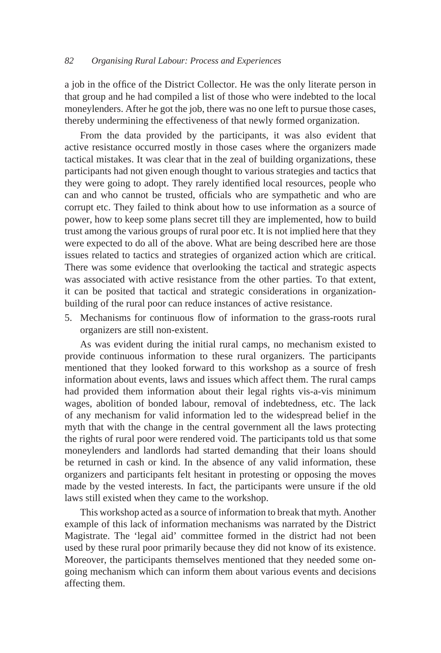a job in the office of the District Collector. He was the only literate person in that group and he had compiled a list of those who were indebted to the local moneylenders. After he got the job, there was no one left to pursue those cases, thereby undermining the effectiveness of that newly formed organization.

From the data provided by the participants, it was also evident that active resistance occurred mostly in those cases where the organizers made tactical mistakes. It was clear that in the zeal of building organizations, these participants had not given enough thought to various strategies and tactics that they were going to adopt. They rarely identified local resources, people who can and who cannot be trusted, officials who are sympathetic and who are corrupt etc. They failed to think about how to use information as a source of power, how to keep some plans secret till they are implemented, how to build trust among the various groups of rural poor etc. It is not implied here that they were expected to do all of the above. What are being described here are those issues related to tactics and strategies of organized action which are critical. There was some evidence that overlooking the tactical and strategic aspects was associated with active resistance from the other parties. To that extent, it can be posited that tactical and strategic considerations in organizationbuilding of the rural poor can reduce instances of active resistance.

5. Mechanisms for continuous flow of information to the grass-roots rural organizers are still non-existent.

As was evident during the initial rural camps, no mechanism existed to provide continuous information to these rural organizers. The participants mentioned that they looked forward to this workshop as a source of fresh information about events, laws and issues which affect them. The rural camps had provided them information about their legal rights vis-a-vis minimum wages, abolition of bonded labour, removal of indebtedness, etc. The lack of any mechanism for valid information led to the widespread belief in the myth that with the change in the central government all the laws protecting the rights of rural poor were rendered void. The participants told us that some moneylenders and landlords had started demanding that their loans should be returned in cash or kind. In the absence of any valid information, these organizers and participants felt hesitant in protesting or opposing the moves made by the vested interests. In fact, the participants were unsure if the old laws still existed when they came to the workshop.

This workshop acted as a source of information to break that myth. Another example of this lack of information mechanisms was narrated by the District Magistrate. The 'legal aid' committee formed in the district had not been used by these rural poor primarily because they did not know of its existence. Moreover, the participants themselves mentioned that they needed some ongoing mechanism which can inform them about various events and decisions affecting them.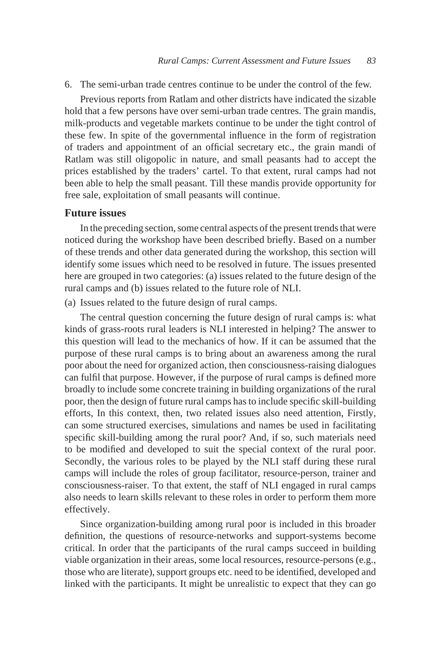6. The semi-urban trade centres continue to be under the control of the few.

Previous reports from Ratlam and other districts have indicated the sizable hold that a few persons have over semi-urban trade centres. The grain mandis, milk-products and vegetable markets continue to be under the tight control of these few. In spite of the governmental influence in the form of registration of traders and appointment of an official secretary etc., the grain mandi of Ratlam was still oligopolic in nature, and small peasants had to accept the prices established by the traders' cartel. To that extent, rural camps had not been able to help the small peasant. Till these mandis provide opportunity for free sale, exploitation of small peasants will continue.

#### **Future issues**

In the preceding section, some central aspects of the present trends that were noticed during the workshop have been described briefly. Based on a number of these trends and other data generated during the workshop, this section will identify some issues which need to be resolved in future. The issues presented here are grouped in two categories: (a) issues related to the future design of the rural camps and (b) issues related to the future role of NLI.

(a) Issues related to the future design of rural camps.

The central question concerning the future design of rural camps is: what kinds of grass-roots rural leaders is NLI interested in helping? The answer to this question will lead to the mechanics of how. If it can be assumed that the purpose of these rural camps is to bring about an awareness among the rural poor about the need for organized action, then consciousness-raising dialogues can fulfil that purpose. However, if the purpose of rural camps is defined more broadly to include some concrete training in building organizations of the rural poor, then the design of future rural camps has to include specific skill-building efforts, In this context, then, two related issues also need attention, Firstly, can some structured exercises, simulations and names be used in facilitating specific skill-building among the rural poor? And, if so, such materials need to be modified and developed to suit the special context of the rural poor. Secondly, the various roles to be played by the NLI staff during these rural camps will include the roles of group facilitator, resource-person, trainer and consciousness-raiser. To that extent, the staff of NLI engaged in rural camps also needs to learn skills relevant to these roles in order to perform them more effectively.

Since organization-building among rural poor is included in this broader definition, the questions of resource-networks and support-systems become critical. In order that the participants of the rural camps succeed in building viable organization in their areas, some local resources, resource-persons (e.g., those who are literate), support groups etc. need to be identified, developed and linked with the participants. It might be unrealistic to expect that they can go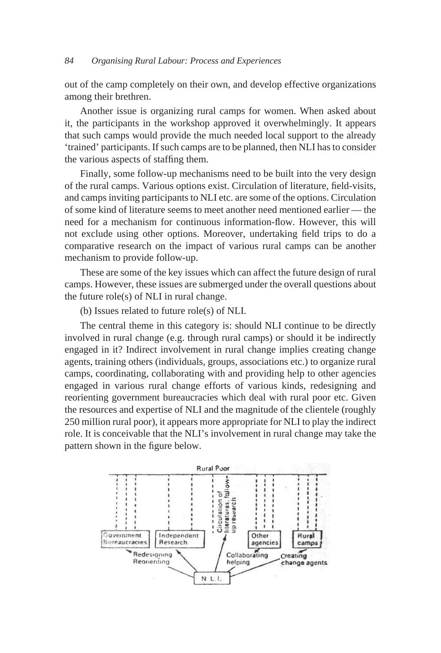#### *84 Organising Rural Labour: Process and Experiences*

out of the camp completely on their own, and develop effective organizations among their brethren.

Another issue is organizing rural camps for women. When asked about it, the participants in the workshop approved it overwhelmingly. It appears that such camps would provide the much needed local support to the already 'trained' participants. If such camps are to be planned, then NLI has to consider the various aspects of staffing them.

Finally, some follow-up mechanisms need to be built into the very design of the rural camps. Various options exist. Circulation of literature, field-visits, and camps inviting participants to NLI etc. are some of the options. Circulation of some kind of literature seems to meet another need mentioned earlier — the need for a mechanism for continuous information-flow. However, this will not exclude using other options. Moreover, undertaking field trips to do a comparative research on the impact of various rural camps can be another mechanism to provide follow-up.

These are some of the key issues which can affect the future design of rural camps. However, these issues are submerged under the overall questions about the future role(s) of NLI in rural change.

(b) Issues related to future role(s) of NLI.

The central theme in this category is: should NLI continue to be directly involved in rural change (e.g. through rural camps) or should it be indirectly engaged in it? Indirect involvement in rural change implies creating change agents, training others (individuals, groups, associations etc.) to organize rural camps, coordinating, collaborating with and providing help to other agencies engaged in various rural change efforts of various kinds, redesigning and reorienting government bureaucracies which deal with rural poor etc. Given the resources and expertise of NLI and the magnitude of the clientele (roughly 250 million rural poor), it appears more appropriate for NLI to play the indirect role. It is conceivable that the NLI's involvement in rural change may take the pattern shown in the figure below.

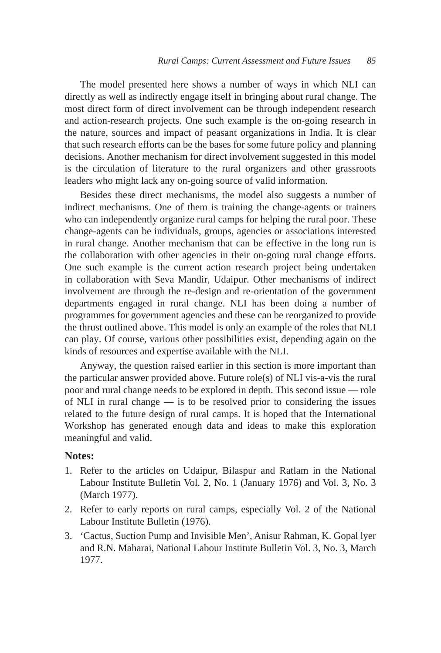The model presented here shows a number of ways in which NLI can directly as well as indirectly engage itself in bringing about rural change. The most direct form of direct involvement can be through independent research and action-research projects. One such example is the on-going research in the nature, sources and impact of peasant organizations in India. It is clear that such research efforts can be the bases for some future policy and planning decisions. Another mechanism for direct involvement suggested in this model is the circulation of literature to the rural organizers and other grassroots leaders who might lack any on-going source of valid information.

Besides these direct mechanisms, the model also suggests a number of indirect mechanisms. One of them is training the change-agents or trainers who can independently organize rural camps for helping the rural poor. These change-agents can be individuals, groups, agencies or associations interested in rural change. Another mechanism that can be effective in the long run is the collaboration with other agencies in their on-going rural change efforts. One such example is the current action research project being undertaken in collaboration with Seva Mandir, Udaipur. Other mechanisms of indirect involvement are through the re-design and re-orientation of the government departments engaged in rural change. NLI has been doing a number of programmes for government agencies and these can be reorganized to provide the thrust outlined above. This model is only an example of the roles that NLI can play. Of course, various other possibilities exist, depending again on the kinds of resources and expertise available with the NLI.

Anyway, the question raised earlier in this section is more important than the particular answer provided above. Future role(s) of NLI vis-a-vis the rural poor and rural change needs to be explored in depth. This second issue — role of NLI in rural change — is to be resolved prior to considering the issues related to the future design of rural camps. It is hoped that the International Workshop has generated enough data and ideas to make this exploration meaningful and valid.

#### **Notes:**

- 1. Refer to the articles on Udaipur, Bilaspur and Ratlam in the National Labour Institute Bulletin Vol. 2, No. 1 (January 1976) and Vol. 3, No. 3 (March 1977).
- 2. Refer to early reports on rural camps, especially Vol. 2 of the National Labour Institute Bulletin (1976).
- 3. 'Cactus, Suction Pump and Invisible Men', Anisur Rahman, K. Gopal lyer and R.N. Maharai, National Labour Institute Bulletin Vol. 3, No. 3, March 1977.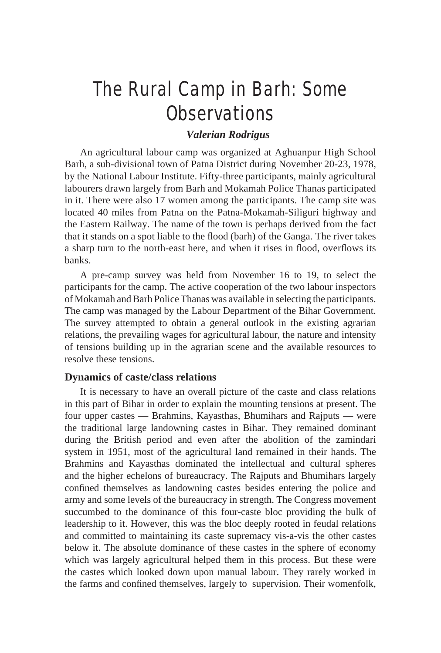## The Rural Camp in Barh: Some **Observations**

## *Valerian Rodrigus*

An agricultural labour camp was organized at Aghuanpur High School Barh, a sub-divisional town of Patna District during November 20-23, 1978, by the National Labour Institute. Fifty-three participants, mainly agricultural labourers drawn largely from Barh and Mokamah Police Thanas participated in it. There were also 17 women among the participants. The camp site was located 40 miles from Patna on the Patna-Mokamah-Siliguri highway and the Eastern Railway. The name of the town is perhaps derived from the fact that it stands on a spot liable to the flood (barh) of the Ganga. The river takes a sharp turn to the north-east here, and when it rises in flood, overflows its banks.

A pre-camp survey was held from November 16 to 19, to select the participants for the camp. The active cooperation of the two labour inspectors of Mokamah and Barh Police Thanas was available in selecting the participants. The camp was managed by the Labour Department of the Bihar Government. The survey attempted to obtain a general outlook in the existing agrarian relations, the prevailing wages for agricultural labour, the nature and intensity of tensions building up in the agrarian scene and the available resources to resolve these tensions.

#### **Dynamics of caste/class relations**

It is necessary to have an overall picture of the caste and class relations in this part of Bihar in order to explain the mounting tensions at present. The four upper castes — Brahmins, Kayasthas, Bhumihars and Rajputs — were the traditional large landowning castes in Bihar. They remained dominant during the British period and even after the abolition of the zamindari system in 1951, most of the agricultural land remained in their hands. The Brahmins and Kayasthas dominated the intellectual and cultural spheres and the higher echelons of bureaucracy. The Rajputs and Bhumihars largely confined themselves as landowning castes besides entering the police and army and some levels of the bureaucracy in strength. The Congress movement succumbed to the dominance of this four-caste bloc providing the bulk of leadership to it. However, this was the bloc deeply rooted in feudal relations and committed to maintaining its caste supremacy vis-a-vis the other castes below it. The absolute dominance of these castes in the sphere of economy which was largely agricultural helped them in this process. But these were the castes which looked down upon manual labour. They rarely worked in the farms and confined themselves, largely to supervision. Their womenfolk,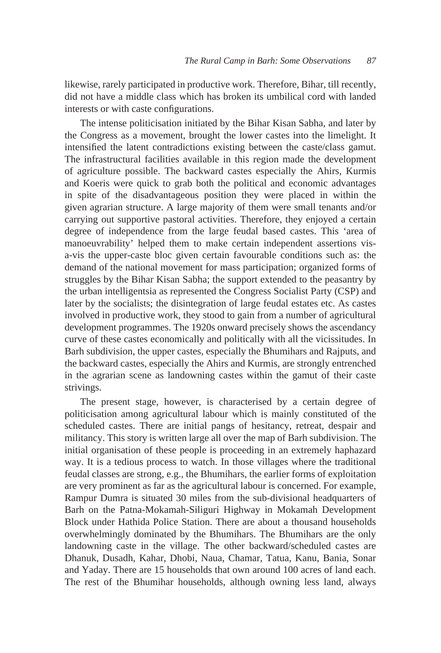likewise, rarely participated in productive work. Therefore, Bihar, till recently, did not have a middle class which has broken its umbilical cord with landed interests or with caste configurations.

The intense politicisation initiated by the Bihar Kisan Sabha, and later by the Congress as a movement, brought the lower castes into the limelight. It intensified the latent contradictions existing between the caste/class gamut. The infrastructural facilities available in this region made the development of agriculture possible. The backward castes especially the Ahirs, Kurmis and Koeris were quick to grab both the political and economic advantages in spite of the disadvantageous position they were placed in within the given agrarian structure. A large majority of them were small tenants and/or carrying out supportive pastoral activities. Therefore, they enjoyed a certain degree of independence from the large feudal based castes. This 'area of manoeuvrability' helped them to make certain independent assertions visa-vis the upper-caste bloc given certain favourable conditions such as: the demand of the national movement for mass participation; organized forms of struggles by the Bihar Kisan Sabha; the support extended to the peasantry by the urban intelligentsia as represented the Congress Socialist Party (CSP) and later by the socialists; the disintegration of large feudal estates etc. As castes involved in productive work, they stood to gain from a number of agricultural development programmes. The 1920s onward precisely shows the ascendancy curve of these castes economically and politically with all the vicissitudes. In Barh subdivision, the upper castes, especially the Bhumihars and Rajputs, and the backward castes, especially the Ahirs and Kurmis, are strongly entrenched in the agrarian scene as landowning castes within the gamut of their caste strivings.

The present stage, however, is characterised by a certain degree of politicisation among agricultural labour which is mainly constituted of the scheduled castes. There are initial pangs of hesitancy, retreat, despair and militancy. This story is written large all over the map of Barh subdivision. The initial organisation of these people is proceeding in an extremely haphazard way. It is a tedious process to watch. In those villages where the traditional feudal classes are strong, e.g., the Bhumihars, the earlier forms of exploitation are very prominent as far as the agricultural labour is concerned. For example, Rampur Dumra is situated 30 miles from the sub-divisional headquarters of Barh on the Patna-Mokamah-Siliguri Highway in Mokamah Development Block under Hathida Police Station. There are about a thousand households overwhelmingly dominated by the Bhumihars. The Bhumihars are the only landowning caste in the village. The other backward/scheduled castes are Dhanuk, Dusadh, Kahar, Dhobi, Naua, Chamar, Tatua, Kanu, Bania, Sonar and Yaday. There are 15 households that own around 100 acres of land each. The rest of the Bhumihar households, although owning less land, always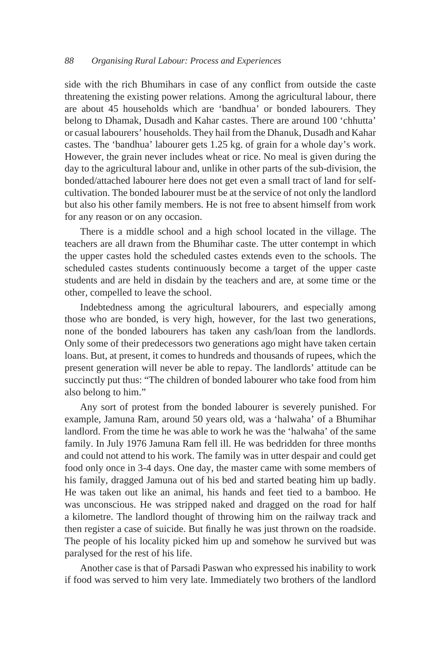side with the rich Bhumihars in case of any conflict from outside the caste threatening the existing power relations. Among the agricultural labour, there are about 45 households which are 'bandhua' or bonded labourers. They belong to Dhamak, Dusadh and Kahar castes. There are around 100 'chhutta' or casual labourers' households. They hail from the Dhanuk, Dusadh and Kahar castes. The 'bandhua' labourer gets 1.25 kg. of grain for a whole day's work. However, the grain never includes wheat or rice. No meal is given during the day to the agricultural labour and, unlike in other parts of the sub-division, the bonded/attached labourer here does not get even a small tract of land for selfcultivation. The bonded labourer must be at the service of not only the landlord but also his other family members. He is not free to absent himself from work for any reason or on any occasion.

There is a middle school and a high school located in the village. The teachers are all drawn from the Bhumihar caste. The utter contempt in which the upper castes hold the scheduled castes extends even to the schools. The scheduled castes students continuously become a target of the upper caste students and are held in disdain by the teachers and are, at some time or the other, compelled to leave the school.

Indebtedness among the agricultural labourers, and especially among those who are bonded, is very high, however, for the last two generations, none of the bonded labourers has taken any cash/loan from the landlords. Only some of their predecessors two generations ago might have taken certain loans. But, at present, it comes to hundreds and thousands of rupees, which the present generation will never be able to repay. The landlords' attitude can be succinctly put thus: "The children of bonded labourer who take food from him also belong to him."

Any sort of protest from the bonded labourer is severely punished. For example, Jamuna Ram, around 50 years old, was a 'halwaha' of a Bhumihar landlord. From the time he was able to work he was the 'halwaha' of the same family. In July 1976 Jamuna Ram fell ill. He was bedridden for three months and could not attend to his work. The family was in utter despair and could get food only once in 3-4 days. One day, the master came with some members of his family, dragged Jamuna out of his bed and started beating him up badly. He was taken out like an animal, his hands and feet tied to a bamboo. He was unconscious. He was stripped naked and dragged on the road for half a kilometre. The landlord thought of throwing him on the railway track and then register a case of suicide. But finally he was just thrown on the roadside. The people of his locality picked him up and somehow he survived but was paralysed for the rest of his life.

Another case is that of Parsadi Paswan who expressed his inability to work if food was served to him very late. Immediately two brothers of the landlord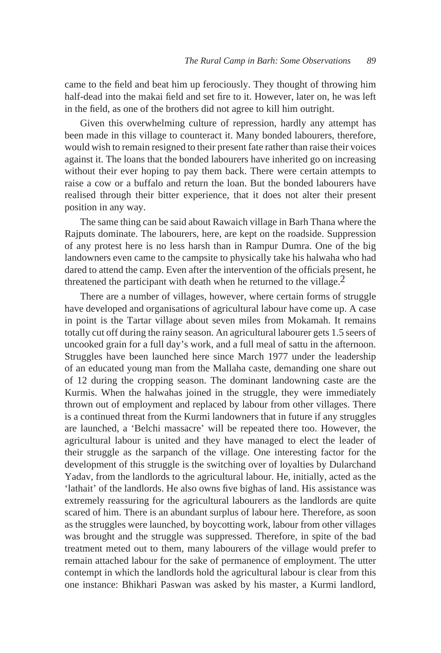came to the field and beat him up ferociously. They thought of throwing him half-dead into the makai field and set fire to it. However, later on, he was left in the field, as one of the brothers did not agree to kill him outright.

Given this overwhelming culture of repression, hardly any attempt has been made in this village to counteract it. Many bonded labourers, therefore, would wish to remain resigned to their present fate rather than raise their voices against it. The loans that the bonded labourers have inherited go on increasing without their ever hoping to pay them back. There were certain attempts to raise a cow or a buffalo and return the loan. But the bonded labourers have realised through their bitter experience, that it does not alter their present position in any way.

The same thing can be said about Rawaich village in Barh Thana where the Rajputs dominate. The labourers, here, are kept on the roadside. Suppression of any protest here is no less harsh than in Rampur Dumra. One of the big landowners even came to the campsite to physically take his halwaha who had dared to attend the camp. Even after the intervention of the officials present, he threatened the participant with death when he returned to the village.<sup>2</sup>

There are a number of villages, however, where certain forms of struggle have developed and organisations of agricultural labour have come up. A case in point is the Tartar village about seven miles from Mokamah. It remains totally cut off during the rainy season. An agricultural labourer gets 1.5 seers of uncooked grain for a full day's work, and a full meal of sattu in the afternoon. Struggles have been launched here since March 1977 under the leadership of an educated young man from the Mallaha caste, demanding one share out of 12 during the cropping season. The dominant landowning caste are the Kurmis. When the halwahas joined in the struggle, they were immediately thrown out of employment and replaced by labour from other villages. There is a continued threat from the Kurmi landowners that in future if any struggles are launched, a 'Belchi massacre' will be repeated there too. However, the agricultural labour is united and they have managed to elect the leader of their struggle as the sarpanch of the village. One interesting factor for the development of this struggle is the switching over of loyalties by Dularchand Yadav, from the landlords to the agricultural labour. He, initially, acted as the 'lathait' of the landlords. He also owns five bighas of land. His assistance was extremely reassuring for the agricultural labourers as the landlords are quite scared of him. There is an abundant surplus of labour here. Therefore, as soon as the struggles were launched, by boycotting work, labour from other villages was brought and the struggle was suppressed. Therefore, in spite of the bad treatment meted out to them, many labourers of the village would prefer to remain attached labour for the sake of permanence of employment. The utter contempt in which the landlords hold the agricultural labour is clear from this one instance: Bhikhari Paswan was asked by his master, a Kurmi landlord,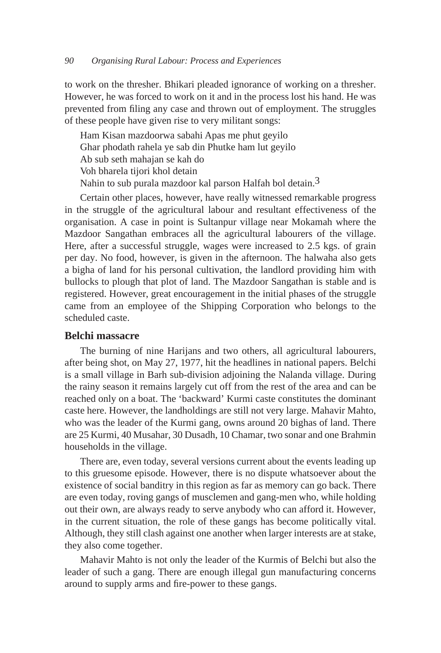to work on the thresher. Bhikari pleaded ignorance of working on a thresher. However, he was forced to work on it and in the process lost his hand. He was prevented from filing any case and thrown out of employment. The struggles of these people have given rise to very militant songs:

 Ham Kisan mazdoorwa sabahi Apas me phut geyilo Ghar phodath rahela ye sab din Phutke ham lut geyilo Ab sub seth mahajan se kah do Voh bharela tijori khol detain Nahin to sub purala mazdoor kal parson Halfah bol detain.3

Certain other places, however, have really witnessed remarkable progress in the struggle of the agricultural labour and resultant effectiveness of the organisation. A case in point is Sultanpur village near Mokamah where the Mazdoor Sangathan embraces all the agricultural labourers of the village. Here, after a successful struggle, wages were increased to 2.5 kgs. of grain per day. No food, however, is given in the afternoon. The halwaha also gets a bigha of land for his personal cultivation, the landlord providing him with bullocks to plough that plot of land. The Mazdoor Sangathan is stable and is registered. However, great encouragement in the initial phases of the struggle came from an employee of the Shipping Corporation who belongs to the scheduled caste.

#### **Belchi massacre**

The burning of nine Harijans and two others, all agricultural labourers, after being shot, on May 27, 1977, hit the headlines in national papers. Belchi is a small village in Barh sub-division adjoining the Nalanda village. During the rainy season it remains largely cut off from the rest of the area and can be reached only on a boat. The 'backward' Kurmi caste constitutes the dominant caste here. However, the landholdings are still not very large. Mahavir Mahto, who was the leader of the Kurmi gang, owns around 20 bighas of land. There are 25 Kurmi, 40 Musahar, 30 Dusadh, 10 Chamar, two sonar and one Brahmin households in the village.

There are, even today, several versions current about the events leading up to this gruesome episode. However, there is no dispute whatsoever about the existence of social banditry in this region as far as memory can go back. There are even today, roving gangs of musclemen and gang-men who, while holding out their own, are always ready to serve anybody who can afford it. However, in the current situation, the role of these gangs has become politically vital. Although, they still clash against one another when larger interests are at stake, they also come together.

Mahavir Mahto is not only the leader of the Kurmis of Belchi but also the leader of such a gang. There are enough illegal gun manufacturing concerns around to supply arms and fire-power to these gangs.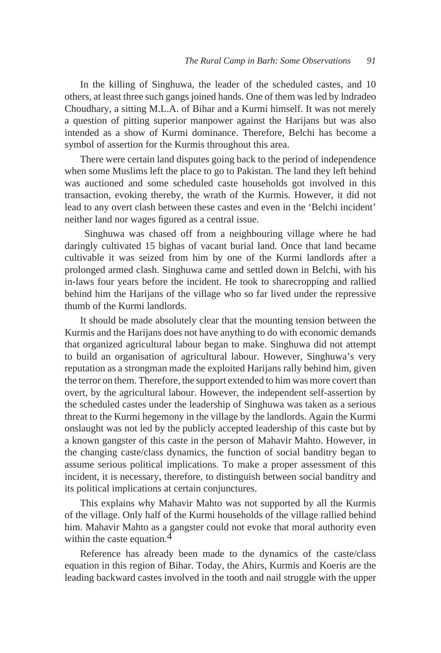In the killing of Singhuwa, the leader of the scheduled castes, and 10 others, at least three such gangs joined hands. One of them was led by lndradeo Choudhary, a sitting M.L.A. of Bihar and a Kurmi himself. It was not merely a question of pitting superior manpower against the Harijans but was also intended as a show of Kurmi dominance. Therefore, Belchi has become a symbol of assertion for the Kurmis throughout this area.

There were certain land disputes going back to the period of independence when some Muslims left the place to go to Pakistan. The land they left behind was auctioned and some scheduled caste households got involved in this transaction, evoking thereby, the wrath of the Kurmis. However, it did not lead to any overt clash between these castes and even in the 'Belchi incident' neither land nor wages figured as a central issue.

 Singhuwa was chased off from a neighbouring village where he had daringly cultivated 15 bighas of vacant burial land. Once that land became cultivable it was seized from him by one of the Kurmi landlords after a prolonged armed clash. Singhuwa came and settled down in Belchi, with his in-laws four years before the incident. He took to sharecropping and rallied behind him the Harijans of the village who so far lived under the repressive thumb of the Kurmi landlords.

It should be made absolutely clear that the mounting tension between the Kurmis and the Harijans does not have anything to do with economic demands that organized agricultural labour began to make. Singhuwa did not attempt to build an organisation of agricultural labour. However, Singhuwa's very reputation as a strongman made the exploited Harijans rally behind him, given the terror on them. Therefore, the support extended to him was more covert than overt, by the agricultural labour. However, the independent self-assertion by the scheduled castes under the leadership of Singhuwa was taken as a serious threat to the Kurmi hegemony in the village by the landlords. Again the Kurmi onslaught was not led by the publicly accepted leadership of this caste but by a known gangster of this caste in the person of Mahavir Mahto. However, in the changing caste/class dynamics, the function of social banditry began to assume serious political implications. To make a proper assessment of this incident, it is necessary, therefore, to distinguish between social banditry and its political implications at certain conjunctures.

This explains why Mahavir Mahto was not supported by all the Kurmis of the village. Only half of the Kurmi households of the village rallied behind him. Mahavir Mahto as a gangster could not evoke that moral authority even within the caste equation. $4$ 

Reference has already been made to the dynamics of the caste/class equation in this region of Bihar. Today, the Ahirs, Kurmis and Koeris are the leading backward castes involved in the tooth and nail struggle with the upper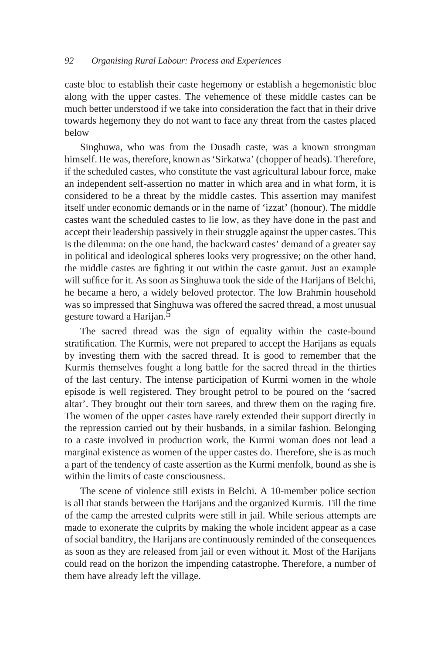caste bloc to establish their caste hegemony or establish a hegemonistic bloc along with the upper castes. The vehemence of these middle castes can be much better understood if we take into consideration the fact that in their drive towards hegemony they do not want to face any threat from the castes placed below

Singhuwa, who was from the Dusadh caste, was a known strongman himself. He was, therefore, known as 'Sirkatwa' (chopper of heads). Therefore, if the scheduled castes, who constitute the vast agricultural labour force, make an independent self-assertion no matter in which area and in what form, it is considered to be a threat by the middle castes. This assertion may manifest itself under economic demands or in the name of 'izzat' (honour). The middle castes want the scheduled castes to lie low, as they have done in the past and accept their leadership passively in their struggle against the upper castes. This is the dilemma: on the one hand, the backward castes' demand of a greater say in political and ideological spheres looks very progressive; on the other hand, the middle castes are fighting it out within the caste gamut. Just an example will suffice for it. As soon as Singhuwa took the side of the Harijans of Belchi, he became a hero, a widely beloved protector. The low Brahmin household was so impressed that Singhuwa was offered the sacred thread, a most unusual gesture toward a Harijan.<sup>5</sup>

The sacred thread was the sign of equality within the caste-bound stratification. The Kurmis, were not prepared to accept the Harijans as equals by investing them with the sacred thread. It is good to remember that the Kurmis themselves fought a long battle for the sacred thread in the thirties of the last century. The intense participation of Kurmi women in the whole episode is well registered. They brought petrol to be poured on the 'sacred altar'. They brought out their torn sarees, and threw them on the raging fire. The women of the upper castes have rarely extended their support directly in the repression carried out by their husbands, in a similar fashion. Belonging to a caste involved in production work, the Kurmi woman does not lead a marginal existence as women of the upper castes do. Therefore, she is as much a part of the tendency of caste assertion as the Kurmi menfolk, bound as she is within the limits of caste consciousness.

The scene of violence still exists in Belchi. A 10-member police section is all that stands between the Harijans and the organized Kurmis. Till the time of the camp the arrested culprits were still in jail. While serious attempts are made to exonerate the culprits by making the whole incident appear as a case of social banditry, the Harijans are continuously reminded of the consequences as soon as they are released from jail or even without it. Most of the Harijans could read on the horizon the impending catastrophe. Therefore, a number of them have already left the village.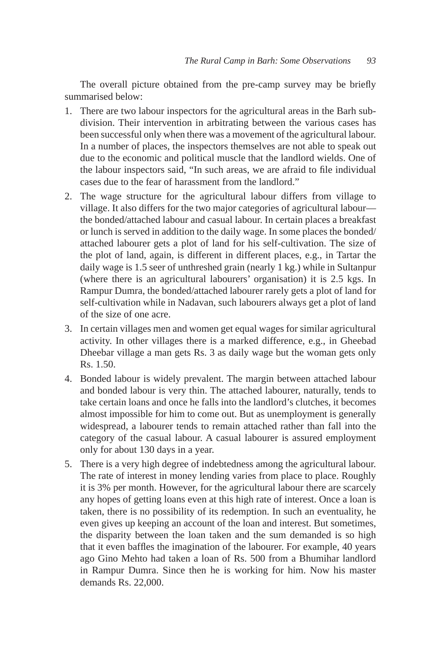The overall picture obtained from the pre-camp survey may be briefly summarised below:

- 1. There are two labour inspectors for the agricultural areas in the Barh subdivision. Their intervention in arbitrating between the various cases has been successful only when there was a movement of the agricultural labour. In a number of places, the inspectors themselves are not able to speak out due to the economic and political muscle that the landlord wields. One of the labour inspectors said, "In such areas, we are afraid to file individual cases due to the fear of harassment from the landlord."
- 2. The wage structure for the agricultural labour differs from village to village. It also differs for the two major categories of agricultural labour the bonded/attached labour and casual labour. In certain places a breakfast or lunch is served in addition to the daily wage. In some places the bonded/ attached labourer gets a plot of land for his self-cultivation. The size of the plot of land, again, is different in different places, e.g., in Tartar the daily wage is 1.5 seer of unthreshed grain (nearly 1 kg.) while in Sultanpur (where there is an agricultural labourers' organisation) it is 2.5 kgs. In Rampur Dumra, the bonded/attached labourer rarely gets a plot of land for self-cultivation while in Nadavan, such labourers always get a plot of land of the size of one acre.
- 3. In certain villages men and women get equal wages for similar agricultural activity. In other villages there is a marked difference, e.g., in Gheebad Dheebar village a man gets Rs. 3 as daily wage but the woman gets only Rs. 1.50.
- 4. Bonded labour is widely prevalent. The margin between attached labour and bonded labour is very thin. The attached labourer, naturally, tends to take certain loans and once he falls into the landlord's clutches, it becomes almost impossible for him to come out. But as unemployment is generally widespread, a labourer tends to remain attached rather than fall into the category of the casual labour. A casual labourer is assured employment only for about 130 days in a year.
- 5. There is a very high degree of indebtedness among the agricultural labour. The rate of interest in money lending varies from place to place. Roughly it is 3% per month. However, for the agricultural labour there are scarcely any hopes of getting loans even at this high rate of interest. Once a loan is taken, there is no possibility of its redemption. In such an eventuality, he even gives up keeping an account of the loan and interest. But sometimes, the disparity between the loan taken and the sum demanded is so high that it even baffles the imagination of the labourer. For example, 40 years ago Gino Mehto had taken a loan of Rs. 500 from a Bhumihar landlord in Rampur Dumra. Since then he is working for him. Now his master demands Rs. 22,000.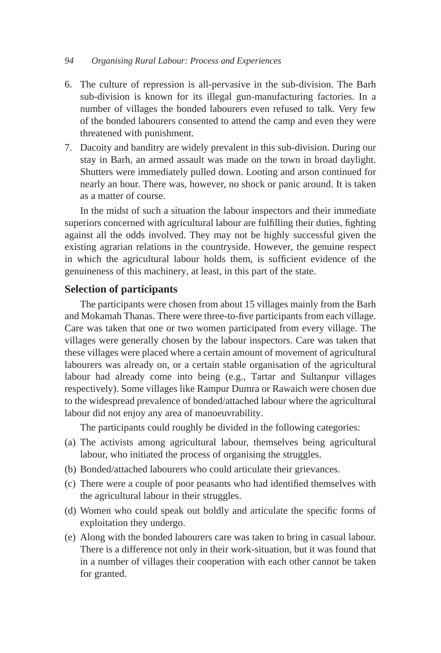#### *94 Organising Rural Labour: Process and Experiences*

- 6. The culture of repression is all-pervasive in the sub-division. The Barh sub-division is known for its illegal gun-manufacturing factories. In a number of villages the bonded labourers even refused to talk. Very few of the bonded labourers consented to attend the camp and even they were threatened with punishment.
- 7. Dacoity and banditry are widely prevalent in this sub-division. During our stay in Barh, an armed assault was made on the town in broad daylight. Shutters were immediately pulled down. Looting and arson continued for nearly an hour. There was, however, no shock or panic around. It is taken as a matter of course.

In the midst of such a situation the labour inspectors and their immediate superiors concerned with agricultural labour are fulfilling their duties, fighting against all the odds involved. They may not be highly successful given the existing agrarian relations in the countryside. However, the genuine respect in which the agricultural labour holds them, is sufficient evidence of the genuineness of this machinery, at least, in this part of the state.

## **Selection of participants**

The participants were chosen from about 15 villages mainly from the Barh and Mokamah Thanas. There were three-to-five participants from each village. Care was taken that one or two women participated from every village. The villages were generally chosen by the labour inspectors. Care was taken that these villages were placed where a certain amount of movement of agricultural labourers was already on, or a certain stable organisation of the agricultural labour had already come into being (e.g., Tartar and Sultanpur villages respectively). Some villages like Rampur Dumra or Rawaich were chosen due to the widespread prevalence of bonded/attached labour where the agricultural labour did not enjoy any area of manoeuvrability.

The participants could roughly be divided in the following categories:

- (a) The activists among agricultural labour, themselves being agricultural labour, who initiated the process of organising the struggles.
- (b) Bonded/attached labourers who could articulate their grievances.
- (c) There were a couple of poor peasants who had identified themselves with the agricultural labour in their struggles.
- (d) Women who could speak out boldly and articulate the specific forms of exploitation they undergo.
- (e) Along with the bonded labourers care was taken to bring in casual labour. There is a difference not only in their work-situation, but it was found that in a number of villages their cooperation with each other cannot be taken for granted.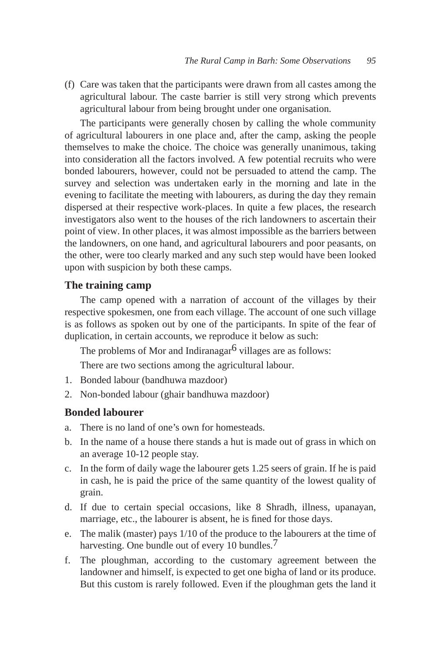(f) Care was taken that the participants were drawn from all castes among the agricultural labour. The caste barrier is still very strong which prevents agricultural labour from being brought under one organisation.

The participants were generally chosen by calling the whole community of agricultural labourers in one place and, after the camp, asking the people themselves to make the choice. The choice was generally unanimous, taking into consideration all the factors involved. A few potential recruits who were bonded labourers, however, could not be persuaded to attend the camp. The survey and selection was undertaken early in the morning and late in the evening to facilitate the meeting with labourers, as during the day they remain dispersed at their respective work-places. In quite a few places, the research investigators also went to the houses of the rich landowners to ascertain their point of view. In other places, it was almost impossible as the barriers between the landowners, on one hand, and agricultural labourers and poor peasants, on the other, were too clearly marked and any such step would have been looked upon with suspicion by both these camps.

#### **The training camp**

The camp opened with a narration of account of the villages by their respective spokesmen, one from each village. The account of one such village is as follows as spoken out by one of the participants. In spite of the fear of duplication, in certain accounts, we reproduce it below as such:

The problems of Mor and Indiranagar $6$  villages are as follows:

There are two sections among the agricultural labour.

- 1. Bonded labour (bandhuwa mazdoor)
- 2. Non-bonded labour (ghair bandhuwa mazdoor)

#### **Bonded labourer**

- a. There is no land of one's own for homesteads.
- b. In the name of a house there stands a hut is made out of grass in which on an average 10-12 people stay.
- c. In the form of daily wage the labourer gets 1.25 seers of grain. If he is paid in cash, he is paid the price of the same quantity of the lowest quality of grain.
- d. If due to certain special occasions, like 8 Shradh, illness, upanayan, marriage, etc., the labourer is absent, he is fined for those days.
- e. The malik (master) pays 1/10 of the produce to the labourers at the time of harvesting. One bundle out of every 10 bundles.<sup>7</sup>
- f. The ploughman, according to the customary agreement between the landowner and himself, is expected to get one bigha of land or its produce. But this custom is rarely followed. Even if the ploughman gets the land it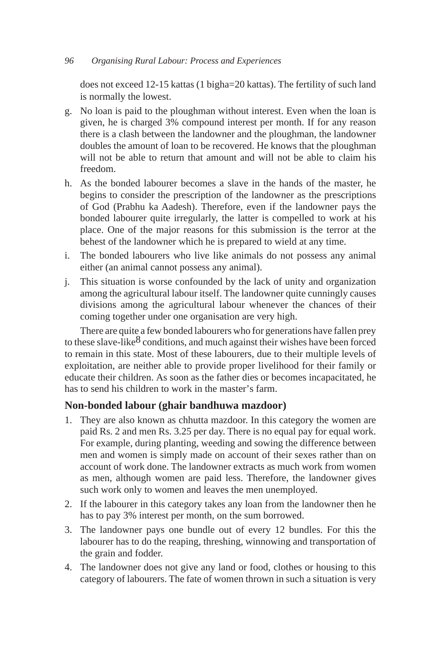#### *96 Organising Rural Labour: Process and Experiences*

does not exceed 12-15 kattas (1 bigha=20 kattas). The fertility of such land is normally the lowest.

- g. No loan is paid to the ploughman without interest. Even when the loan is given, he is charged 3% compound interest per month. If for any reason there is a clash between the landowner and the ploughman, the landowner doubles the amount of loan to be recovered. He knows that the ploughman will not be able to return that amount and will not be able to claim his freedom.
- h. As the bonded labourer becomes a slave in the hands of the master, he begins to consider the prescription of the landowner as the prescriptions of God (Prabhu ka Aadesh). Therefore, even if the landowner pays the bonded labourer quite irregularly, the latter is compelled to work at his place. One of the major reasons for this submission is the terror at the behest of the landowner which he is prepared to wield at any time.
- i. The bonded labourers who live like animals do not possess any animal either (an animal cannot possess any animal).
- j. This situation is worse confounded by the lack of unity and organization among the agricultural labour itself. The landowner quite cunningly causes divisions among the agricultural labour whenever the chances of their coming together under one organisation are very high.

There are quite a few bonded labourers who for generations have fallen prey to these slave-like<sup>8</sup> conditions, and much against their wishes have been forced to remain in this state. Most of these labourers, due to their multiple levels of exploitation, are neither able to provide proper livelihood for their family or educate their children. As soon as the father dies or becomes incapacitated, he has to send his children to work in the master's farm.

## **Non-bonded labour (ghair bandhuwa mazdoor)**

- 1. They are also known as chhutta mazdoor. In this category the women are paid Rs. 2 and men Rs. 3.25 per day. There is no equal pay for equal work. For example, during planting, weeding and sowing the difference between men and women is simply made on account of their sexes rather than on account of work done. The landowner extracts as much work from women as men, although women are paid less. Therefore, the landowner gives such work only to women and leaves the men unemployed.
- 2. If the labourer in this category takes any loan from the landowner then he has to pay 3% interest per month, on the sum borrowed.
- 3. The landowner pays one bundle out of every 12 bundles. For this the labourer has to do the reaping, threshing, winnowing and transportation of the grain and fodder.
- 4. The landowner does not give any land or food, clothes or housing to this category of labourers. The fate of women thrown in such a situation is very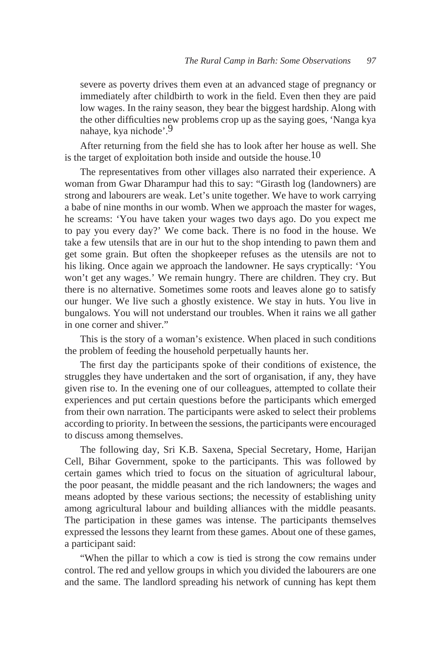severe as poverty drives them even at an advanced stage of pregnancy or immediately after childbirth to work in the field. Even then they are paid low wages. In the rainy season, they bear the biggest hardship. Along with the other difficulties new problems crop up as the saying goes, 'Nanga kya nahaye, kya nichode'.9

After returning from the field she has to look after her house as well. She is the target of exploitation both inside and outside the house.<sup>10</sup>

The representatives from other villages also narrated their experience. A woman from Gwar Dharampur had this to say: "Girasth log (landowners) are strong and labourers are weak. Let's unite together. We have to work carrying a babe of nine months in our womb. When we approach the master for wages, he screams: 'You have taken your wages two days ago. Do you expect me to pay you every day?' We come back. There is no food in the house. We take a few utensils that are in our hut to the shop intending to pawn them and get some grain. But often the shopkeeper refuses as the utensils are not to his liking. Once again we approach the landowner. He says cryptically: 'You won't get any wages.' We remain hungry. There are children. They cry. But there is no alternative. Sometimes some roots and leaves alone go to satisfy our hunger. We live such a ghostly existence. We stay in huts. You live in bungalows. You will not understand our troubles. When it rains we all gather in one corner and shiver."

This is the story of a woman's existence. When placed in such conditions the problem of feeding the household perpetually haunts her.

The first day the participants spoke of their conditions of existence, the struggles they have undertaken and the sort of organisation, if any, they have given rise to. In the evening one of our colleagues, attempted to collate their experiences and put certain questions before the participants which emerged from their own narration. The participants were asked to select their problems according to priority. In between the sessions, the participants were encouraged to discuss among themselves.

The following day, Sri K.B. Saxena, Special Secretary, Home, Harijan Cell, Bihar Government, spoke to the participants. This was followed by certain games which tried to focus on the situation of agricultural labour, the poor peasant, the middle peasant and the rich landowners; the wages and means adopted by these various sections; the necessity of establishing unity among agricultural labour and building alliances with the middle peasants. The participation in these games was intense. The participants themselves expressed the lessons they learnt from these games. About one of these games, a participant said:

"When the pillar to which a cow is tied is strong the cow remains under control. The red and yellow groups in which you divided the labourers are one and the same. The landlord spreading his network of cunning has kept them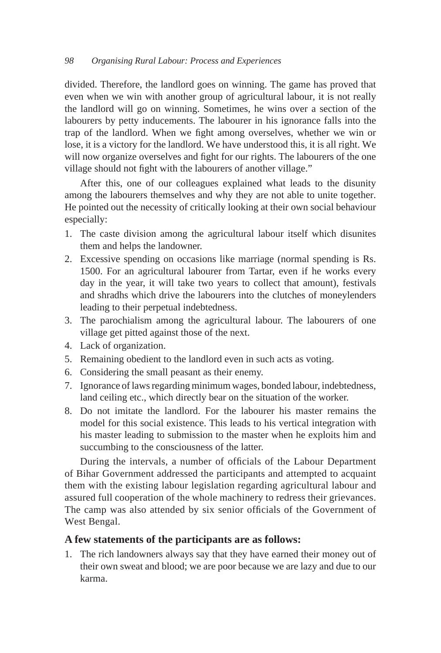divided. Therefore, the landlord goes on winning. The game has proved that even when we win with another group of agricultural labour, it is not really the landlord will go on winning. Sometimes, he wins over a section of the labourers by petty inducements. The labourer in his ignorance falls into the trap of the landlord. When we fight among overselves, whether we win or lose, it is a victory for the landlord. We have understood this, it is all right. We will now organize overselves and fight for our rights. The labourers of the one village should not fight with the labourers of another village."

After this, one of our colleagues explained what leads to the disunity among the labourers themselves and why they are not able to unite together. He pointed out the necessity of critically looking at their own social behaviour especially:

- 1. The caste division among the agricultural labour itself which disunites them and helps the landowner.
- 2. Excessive spending on occasions like marriage (normal spending is Rs. 1500. For an agricultural labourer from Tartar, even if he works every day in the year, it will take two years to collect that amount), festivals and shradhs which drive the labourers into the clutches of moneylenders leading to their perpetual indebtedness.
- 3. The parochialism among the agricultural labour. The labourers of one village get pitted against those of the next.
- 4. Lack of organization.
- 5. Remaining obedient to the landlord even in such acts as voting.
- 6. Considering the small peasant as their enemy.
- 7. Ignorance of laws regarding minimum wages, bonded labour, indebtedness, land ceiling etc., which directly bear on the situation of the worker.
- 8. Do not imitate the landlord. For the labourer his master remains the model for this social existence. This leads to his vertical integration with his master leading to submission to the master when he exploits him and succumbing to the consciousness of the latter.

During the intervals, a number of officials of the Labour Department of Bihar Government addressed the participants and attempted to acquaint them with the existing labour legislation regarding agricultural labour and assured full cooperation of the whole machinery to redress their grievances. The camp was also attended by six senior officials of the Government of West Bengal.

# **A few statements of the participants are as follows:**

1. The rich landowners always say that they have earned their money out of their own sweat and blood; we are poor because we are lazy and due to our karma.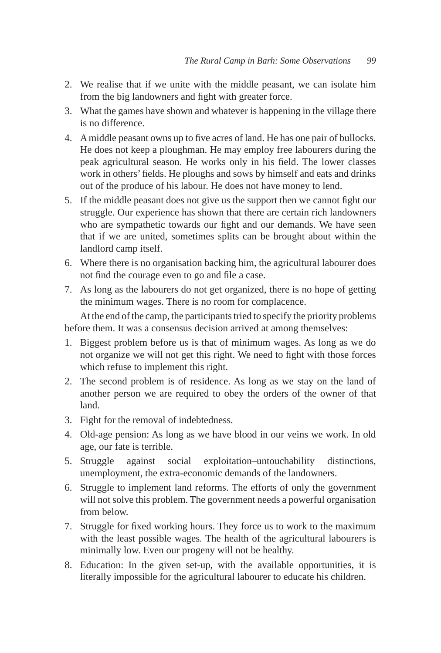- 2. We realise that if we unite with the middle peasant, we can isolate him from the big landowners and fight with greater force.
- 3. What the games have shown and whatever is happening in the village there is no difference.
- 4. A middle peasant owns up to five acres of land. He has one pair of bullocks. He does not keep a ploughman. He may employ free labourers during the peak agricultural season. He works only in his field. The lower classes work in others' fields. He ploughs and sows by himself and eats and drinks out of the produce of his labour. He does not have money to lend.
- 5. If the middle peasant does not give us the support then we cannot fight our struggle. Our experience has shown that there are certain rich landowners who are sympathetic towards our fight and our demands. We have seen that if we are united, sometimes splits can be brought about within the landlord camp itself.
- 6. Where there is no organisation backing him, the agricultural labourer does not find the courage even to go and file a case.
- 7. As long as the labourers do not get organized, there is no hope of getting the minimum wages. There is no room for complacence.

At the end of the camp, the participants tried to specify the priority problems before them. It was a consensus decision arrived at among themselves:

- 1. Biggest problem before us is that of minimum wages. As long as we do not organize we will not get this right. We need to fight with those forces which refuse to implement this right.
- 2. The second problem is of residence. As long as we stay on the land of another person we are required to obey the orders of the owner of that land.
- 3. Fight for the removal of indebtedness.
- 4. Old-age pension: As long as we have blood in our veins we work. In old age, our fate is terrible.
- 5. Struggle against social exploitation–untouchability distinctions, unemployment, the extra-economic demands of the landowners.
- 6. Struggle to implement land reforms. The efforts of only the government will not solve this problem. The government needs a powerful organisation from below.
- 7. Struggle for fixed working hours. They force us to work to the maximum with the least possible wages. The health of the agricultural labourers is minimally low. Even our progeny will not be healthy.
- 8. Education: In the given set-up, with the available opportunities, it is literally impossible for the agricultural labourer to educate his children.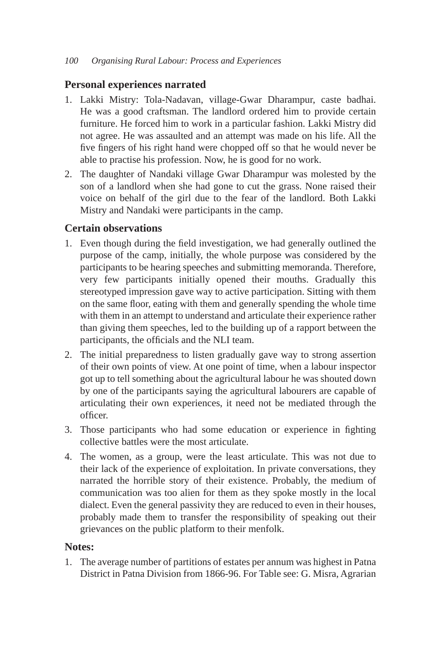# **Personal experiences narrated**

- 1. Lakki Mistry: Tola-Nadavan, village-Gwar Dharampur, caste badhai. He was a good craftsman. The landlord ordered him to provide certain furniture. He forced him to work in a particular fashion. Lakki Mistry did not agree. He was assaulted and an attempt was made on his life. All the five fingers of his right hand were chopped off so that he would never be able to practise his profession. Now, he is good for no work.
- 2. The daughter of Nandaki village Gwar Dharampur was molested by the son of a landlord when she had gone to cut the grass. None raised their voice on behalf of the girl due to the fear of the landlord. Both Lakki Mistry and Nandaki were participants in the camp.

# **Certain observations**

- 1. Even though during the field investigation, we had generally outlined the purpose of the camp, initially, the whole purpose was considered by the participants to be hearing speeches and submitting memoranda. Therefore, very few participants initially opened their mouths. Gradually this stereotyped impression gave way to active participation. Sitting with them on the same floor, eating with them and generally spending the whole time with them in an attempt to understand and articulate their experience rather than giving them speeches, led to the building up of a rapport between the participants, the officials and the NLI team.
- 2. The initial preparedness to listen gradually gave way to strong assertion of their own points of view. At one point of time, when a labour inspector got up to tell something about the agricultural labour he was shouted down by one of the participants saying the agricultural labourers are capable of articulating their own experiences, it need not be mediated through the officer.
- 3. Those participants who had some education or experience in fighting collective battles were the most articulate.
- 4. The women, as a group, were the least articulate. This was not due to their lack of the experience of exploitation. In private conversations, they narrated the horrible story of their existence. Probably, the medium of communication was too alien for them as they spoke mostly in the local dialect. Even the general passivity they are reduced to even in their houses, probably made them to transfer the responsibility of speaking out their grievances on the public platform to their menfolk.

# **Notes:**

1. The average number of partitions of estates per annum was highest in Patna District in Patna Division from 1866-96. For Table see: G. Misra, Agrarian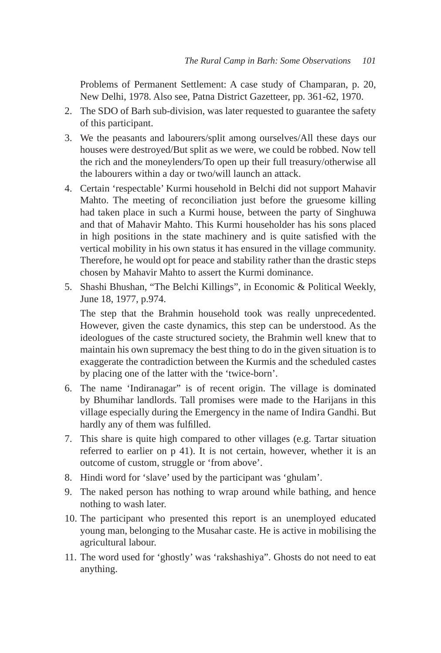Problems of Permanent Settlement: A case study of Champaran, p. 20, New Delhi, 1978. Also see, Patna District Gazetteer, pp. 361-62, 1970.

- 2. The SDO of Barh sub-division, was later requested to guarantee the safety of this participant.
- 3. We the peasants and labourers/split among ourselves/All these days our houses were destroyed/But split as we were, we could be robbed. Now tell the rich and the moneylenders/To open up their full treasury/otherwise all the labourers within a day or two/will launch an attack.
- 4. Certain 'respectable' Kurmi household in Belchi did not support Mahavir Mahto. The meeting of reconciliation just before the gruesome killing had taken place in such a Kurmi house, between the party of Singhuwa and that of Mahavir Mahto. This Kurmi householder has his sons placed in high positions in the state machinery and is quite satisfied with the vertical mobility in his own status it has ensured in the village community. Therefore, he would opt for peace and stability rather than the drastic steps chosen by Mahavir Mahto to assert the Kurmi dominance.
- 5. Shashi Bhushan, "The Belchi Killings", in Economic & Political Weekly, June 18, 1977, p.974.

 The step that the Brahmin household took was really unprecedented. However, given the caste dynamics, this step can be understood. As the ideologues of the caste structured society, the Brahmin well knew that to maintain his own supremacy the best thing to do in the given situation is to exaggerate the contradiction between the Kurmis and the scheduled castes by placing one of the latter with the 'twice-born'.

- 6. The name 'Indiranagar" is of recent origin. The village is dominated by Bhumihar landlords. Tall promises were made to the Harijans in this village especially during the Emergency in the name of Indira Gandhi. But hardly any of them was fulfilled.
- 7. This share is quite high compared to other villages (e.g. Tartar situation referred to earlier on p 41). It is not certain, however, whether it is an outcome of custom, struggle or 'from above'.
- 8. Hindi word for 'slave' used by the participant was 'ghulam'.
- 9. The naked person has nothing to wrap around while bathing, and hence nothing to wash later.
- 10. The participant who presented this report is an unemployed educated young man, belonging to the Musahar caste. He is active in mobilising the agricultural labour.
- 11. The word used for 'ghostly' was 'rakshashiya". Ghosts do not need to eat anything.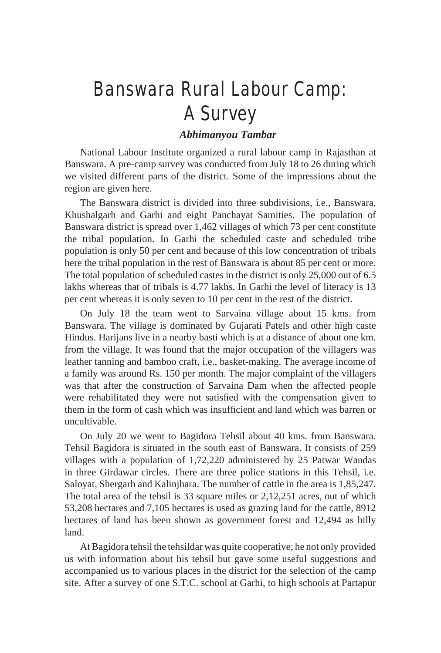# Banswara Rural Labour Camp: A Survey

# *Abhimanyou Tambar*

National Labour Institute organized a rural labour camp in Rajasthan at Banswara. A pre-camp survey was conducted from July 18 to 26 during which we visited different parts of the district. Some of the impressions about the region are given here.

The Banswara district is divided into three subdivisions, i.e., Banswara, Khushalgarh and Garhi and eight Panchayat Samities. The population of Banswara district is spread over 1,462 villages of which 73 per cent constitute the tribal population. In Garhi the scheduled caste and scheduled tribe population is only 50 per cent and because of this low concentration of tribals here the tribal population in the rest of Banswara is about 85 per cent or more. The total population of scheduled castes in the district is only 25,000 out of 6.5 lakhs whereas that of tribals is 4.77 lakhs. In Garhi the level of literacy is 13 per cent whereas it is only seven to 10 per cent in the rest of the district.

On July 18 the team went to Sarvaina village about 15 kms. from Banswara. The village is dominated by Gujarati Patels and other high caste Hindus. Harijans live in a nearby basti which is at a distance of about one km. from the village. It was found that the major occupation of the villagers was leather tanning and bamboo craft, i.e., basket-making. The average income of a family was around Rs. 150 per month. The major complaint of the villagers was that after the construction of Sarvaina Dam when the affected people were rehabilitated they were not satisfied with the compensation given to them in the form of cash which was insufficient and land which was barren or uncultivable.

On July 20 we went to Bagidora Tehsil about 40 kms. from Banswara. Tehsil Bagidora is situated in the south east of Banswara. It consists of 259 villages with a population of 1,72,220 administered by 25 Patwar Wandas in three Girdawar circles. There are three police stations in this Tehsil, i.e. Saloyat, Shergarh and Kalinjhara. The number of cattle in the area is 1,85,247. The total area of the tehsil is 33 square miles or 2,12,251 acres, out of which 53,208 hectares and 7,105 hectares is used as grazing land for the cattle, 8912 hectares of land has been shown as government forest and 12,494 as hilly land.

At Bagidora tehsil the tehsildar was quite cooperative; he not only provided us with information about his tehsil but gave some useful suggestions and accompanied us to various places in the district for the selection of the camp site. After a survey of one S.T.C. school at Garhi, to high schools at Partapur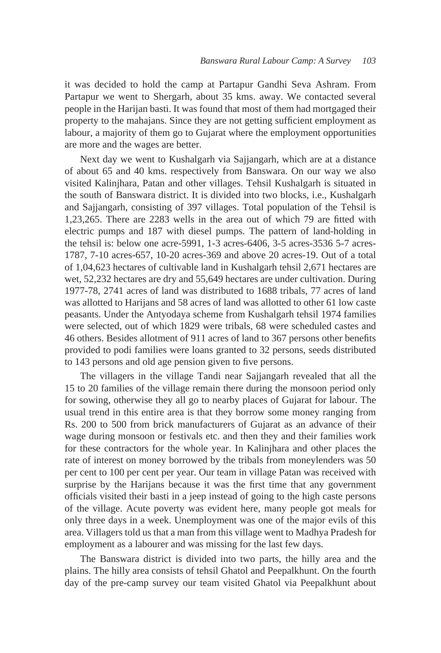it was decided to hold the camp at Partapur Gandhi Seva Ashram. From Partapur we went to Shergarh, about 35 kms. away. We contacted several people in the Harijan basti. It was found that most of them had mortgaged their property to the mahajans. Since they are not getting sufficient employment as labour, a majority of them go to Gujarat where the employment opportunities are more and the wages are better.

Next day we went to Kushalgarh via Sajjangarh, which are at a distance of about 65 and 40 kms. respectively from Banswara. On our way we also visited Kalinjhara, Patan and other villages. Tehsil Kushalgarh is situated in the south of Banswara district. It is divided into two blocks, i.e., Kushalgarh and Sajjangarh, consisting of 397 villages. Total population of the Tehsil is 1,23,265. There are 2283 wells in the area out of which 79 are fitted with electric pumps and 187 with diesel pumps. The pattern of land-holding in the tehsil is: below one acre-5991, 1-3 acres-6406, 3-5 acres-3536 5-7 acres-1787, 7-10 acres-657, 10-20 acres-369 and above 20 acres-19. Out of a total of 1,04,623 hectares of cultivable land in Kushalgarh tehsil 2,671 hectares are wet, 52,232 hectares are dry and 55,649 hectares are under cultivation. During 1977-78, 2741 acres of land was distributed to 1688 tribals, 77 acres of land was allotted to Harijans and 58 acres of land was allotted to other 61 low caste peasants. Under the Antyodaya scheme from Kushalgarh tehsil 1974 families were selected, out of which 1829 were tribals, 68 were scheduled castes and 46 others. Besides allotment of 911 acres of land to 367 persons other benefits provided to podi families were loans granted to 32 persons, seeds distributed to 143 persons and old age pension given to five persons.

The villagers in the village Tandi near Sajjangarh revealed that all the 15 to 20 families of the village remain there during the monsoon period only for sowing, otherwise they all go to nearby places of Gujarat for labour. The usual trend in this entire area is that they borrow some money ranging from Rs. 200 to 500 from brick manufacturers of Gujarat as an advance of their wage during monsoon or festivals etc. and then they and their families work for these contractors for the whole year. In Kalinjhara and other places the rate of interest on money borrowed by the tribals from moneylenders was 50 per cent to 100 per cent per year. Our team in village Patan was received with surprise by the Harijans because it was the first time that any government officials visited their basti in a jeep instead of going to the high caste persons of the village. Acute poverty was evident here, many people got meals for only three days in a week. Unemployment was one of the major evils of this area. Villagers told us that a man from this village went to Madhya Pradesh for employment as a labourer and was missing for the last few days.

The Banswara district is divided into two parts, the hilly area and the plains. The hilly area consists of tehsil Ghatol and Peepalkhunt. On the fourth day of the pre-camp survey our team visited Ghatol via Peepalkhunt about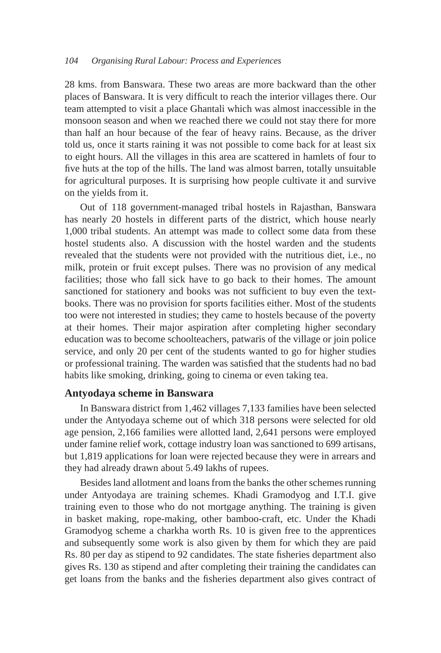28 kms. from Banswara. These two areas are more backward than the other places of Banswara. It is very difficult to reach the interior villages there. Our team attempted to visit a place Ghantali which was almost inaccessible in the monsoon season and when we reached there we could not stay there for more than half an hour because of the fear of heavy rains. Because, as the driver told us, once it starts raining it was not possible to come back for at least six to eight hours. All the villages in this area are scattered in hamlets of four to five huts at the top of the hills. The land was almost barren, totally unsuitable for agricultural purposes. It is surprising how people cultivate it and survive on the yields from it.

Out of 118 government-managed tribal hostels in Rajasthan, Banswara has nearly 20 hostels in different parts of the district, which house nearly 1,000 tribal students. An attempt was made to collect some data from these hostel students also. A discussion with the hostel warden and the students revealed that the students were not provided with the nutritious diet, i.e., no milk, protein or fruit except pulses. There was no provision of any medical facilities; those who fall sick have to go back to their homes. The amount sanctioned for stationery and books was not sufficient to buy even the textbooks. There was no provision for sports facilities either. Most of the students too were not interested in studies; they came to hostels because of the poverty at their homes. Their major aspiration after completing higher secondary education was to become schoolteachers, patwaris of the village or join police service, and only 20 per cent of the students wanted to go for higher studies or professional training. The warden was satisfied that the students had no bad habits like smoking, drinking, going to cinema or even taking tea.

## **Antyodaya scheme in Banswara**

In Banswara district from 1,462 villages 7,133 families have been selected under the Antyodaya scheme out of which 318 persons were selected for old age pension, 2,166 families were allotted land, 2,641 persons were employed under famine relief work, cottage industry loan was sanctioned to 699 artisans, but 1,819 applications for loan were rejected because they were in arrears and they had already drawn about 5.49 lakhs of rupees.

Besides land allotment and loans from the banks the other schemes running under Antyodaya are training schemes. Khadi Gramodyog and I.T.I. give training even to those who do not mortgage anything. The training is given in basket making, rope-making, other bamboo-craft, etc. Under the Khadi Gramodyog scheme a charkha worth Rs. 10 is given free to the apprentices and subsequently some work is also given by them for which they are paid Rs. 80 per day as stipend to 92 candidates. The state fisheries department also gives Rs. 130 as stipend and after completing their training the candidates can get loans from the banks and the fisheries department also gives contract of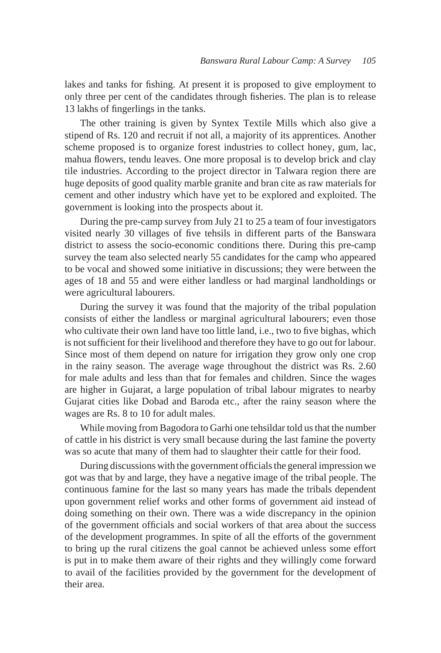lakes and tanks for fishing. At present it is proposed to give employment to only three per cent of the candidates through fisheries. The plan is to release 13 lakhs of fingerlings in the tanks.

The other training is given by Syntex Textile Mills which also give a stipend of Rs. 120 and recruit if not all, a majority of its apprentices. Another scheme proposed is to organize forest industries to collect honey, gum, lac, mahua flowers, tendu leaves. One more proposal is to develop brick and clay tile industries. According to the project director in Talwara region there are huge deposits of good quality marble granite and bran cite as raw materials for cement and other industry which have yet to be explored and exploited. The government is looking into the prospects about it.

During the pre-camp survey from July 21 to 25 a team of four investigators visited nearly 30 villages of five tehsils in different parts of the Banswara district to assess the socio-economic conditions there. During this pre-camp survey the team also selected nearly 55 candidates for the camp who appeared to be vocal and showed some initiative in discussions; they were between the ages of 18 and 55 and were either landless or had marginal landholdings or were agricultural labourers.

During the survey it was found that the majority of the tribal population consists of either the landless or marginal agricultural labourers; even those who cultivate their own land have too little land, i.e., two to five bighas, which is not sufficient for their livelihood and therefore they have to go out for labour. Since most of them depend on nature for irrigation they grow only one crop in the rainy season. The average wage throughout the district was Rs. 2.60 for male adults and less than that for females and children. Since the wages are higher in Gujarat, a large population of tribal labour migrates to nearby Gujarat cities like Dobad and Baroda etc., after the rainy season where the wages are Rs. 8 to 10 for adult males.

While moving from Bagodora to Garhi one tehsildar told us that the number of cattle in his district is very small because during the last famine the poverty was so acute that many of them had to slaughter their cattle for their food.

During discussions with the government officials the general impression we got was that by and large, they have a negative image of the tribal people. The continuous famine for the last so many years has made the tribals dependent upon government relief works and other forms of government aid instead of doing something on their own. There was a wide discrepancy in the opinion of the government officials and social workers of that area about the success of the development programmes. In spite of all the efforts of the government to bring up the rural citizens the goal cannot be achieved unless some effort is put in to make them aware of their rights and they willingly come forward to avail of the facilities provided by the government for the development of their area.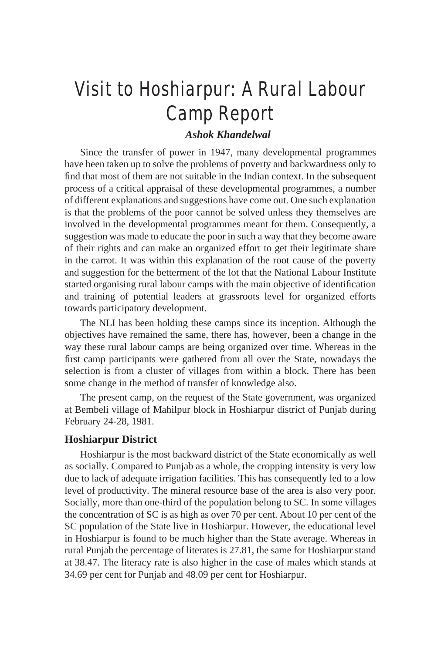# Visit to Hoshiarpur: A Rural Labour Camp Report

# *Ashok Khandelwal*

Since the transfer of power in 1947, many developmental programmes have been taken up to solve the problems of poverty and backwardness only to find that most of them are not suitable in the Indian context. In the subsequent process of a critical appraisal of these developmental programmes, a number of different explanations and suggestions have come out. One such explanation is that the problems of the poor cannot be solved unless they themselves are involved in the developmental programmes meant for them. Consequently, a suggestion was made to educate the poor in such a way that they become aware of their rights and can make an organized effort to get their legitimate share in the carrot. It was within this explanation of the root cause of the poverty and suggestion for the betterment of the lot that the National Labour Institute started organising rural labour camps with the main objective of identification and training of potential leaders at grassroots level for organized efforts towards participatory development.

The NLI has been holding these camps since its inception. Although the objectives have remained the same, there has, however, been a change in the way these rural labour camps are being organized over time. Whereas in the first camp participants were gathered from all over the State, nowadays the selection is from a cluster of villages from within a block. There has been some change in the method of transfer of knowledge also.

The present camp, on the request of the State government, was organized at Bembeli village of Mahilpur block in Hoshiarpur district of Punjab during February 24-28, 1981.

#### **Hoshiarpur District**

Hoshiarpur is the most backward district of the State economically as well as socially. Compared to Punjab as a whole, the cropping intensity is very low due to lack of adequate irrigation facilities. This has consequently led to a low level of productivity. The mineral resource base of the area is also very poor. Socially, more than one-third of the population belong to SC. In some villages the concentration of SC is as high as over 70 per cent. About 10 per cent of the SC population of the State live in Hoshiarpur. However, the educational level in Hoshiarpur is found to be much higher than the State average. Whereas in rural Punjab the percentage of literates is 27.81, the same for Hoshiarpur stand at 38.47. The literacy rate is also higher in the case of males which stands at 34.69 per cent for Punjab and 48.09 per cent for Hoshiarpur.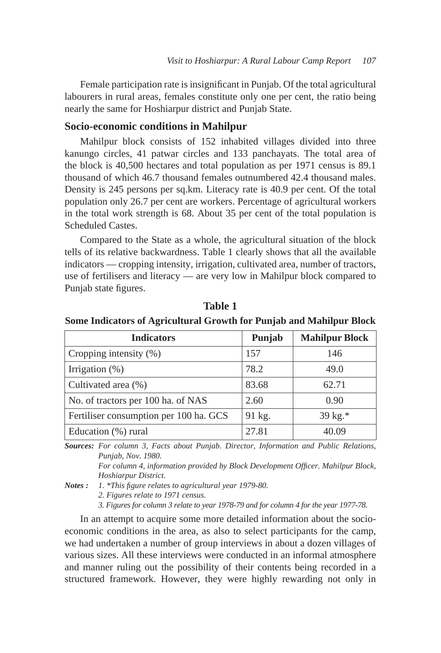Female participation rate is insignificant in Punjab. Of the total agricultural labourers in rural areas, females constitute only one per cent, the ratio being nearly the same for Hoshiarpur district and Punjab State.

#### **Socio-economic conditions in Mahilpur**

Mahilpur block consists of 152 inhabited villages divided into three kanungo circles, 41 patwar circles and 133 panchayats. The total area of the block is 40,500 hectares and total population as per 1971 census is 89.1 thousand of which 46.7 thousand females outnumbered 42.4 thousand males. Density is 245 persons per sq.km. Literacy rate is 40.9 per cent. Of the total population only 26.7 per cent are workers. Percentage of agricultural workers in the total work strength is 68. About 35 per cent of the total population is Scheduled Castes.

Compared to the State as a whole, the agricultural situation of the block tells of its relative backwardness. Table 1 clearly shows that all the available indicators — cropping intensity, irrigation, cultivated area, number of tractors, use of fertilisers and literacy — are very low in Mahilpur block compared to Punjab state figures.

| <b>Indicators</b>                      | Punjab | <b>Mahilpur Block</b> |
|----------------------------------------|--------|-----------------------|
| Cropping intensity $(\%)$              | 157    | 146                   |
| Irrigation $(\%)$                      | 78.2   | 49.0                  |
| Cultivated area (%)                    | 83.68  | 62.71                 |
| No. of tractors per 100 ha. of NAS     | 2.60   | 0.90                  |
| Fertiliser consumption per 100 ha. GCS | 91 kg. | 39 kg.*               |
| Education (%) rural                    | 27.81  | 40.09                 |

**Table 1**

**Some Indicators of Agricultural Growth for Punjab and Mahilpur Block**

*Sources: For column 3, Facts about Punjab. Director, Information and Public Relations, Punjab, Nov. 1980.*

 *For column 4, information provided by Block Development Officer. Mahilpur Block, Hoshiarpur District.*

*Notes : 1. \*This figure relates to agricultural year 1979-80.*

 *2. Figures relate to 1971 census.*

 *3. Figures for column 3 relate to year 1978-79 and for column 4 for the year 1977-78.*

In an attempt to acquire some more detailed information about the socioeconomic conditions in the area, as also to select participants for the camp, we had undertaken a number of group interviews in about a dozen villages of various sizes. All these interviews were conducted in an informal atmosphere and manner ruling out the possibility of their contents being recorded in a structured framework. However, they were highly rewarding not only in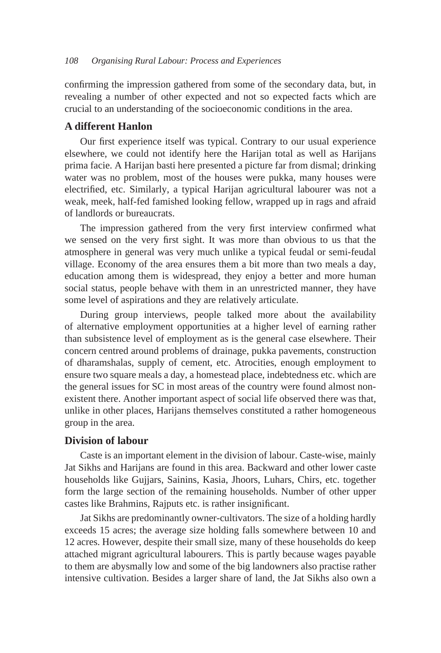confirming the impression gathered from some of the secondary data, but, in revealing a number of other expected and not so expected facts which are crucial to an understanding of the socioeconomic conditions in the area.

## **A different Hanlon**

Our first experience itself was typical. Contrary to our usual experience elsewhere, we could not identify here the Harijan total as well as Harijans prima facie. A Harijan basti here presented a picture far from dismal; drinking water was no problem, most of the houses were pukka, many houses were electrified, etc. Similarly, a typical Harijan agricultural labourer was not a weak, meek, half-fed famished looking fellow, wrapped up in rags and afraid of landlords or bureaucrats.

The impression gathered from the very first interview confirmed what we sensed on the very first sight. It was more than obvious to us that the atmosphere in general was very much unlike a typical feudal or semi-feudal village. Economy of the area ensures them a bit more than two meals a day, education among them is widespread, they enjoy a better and more human social status, people behave with them in an unrestricted manner, they have some level of aspirations and they are relatively articulate.

During group interviews, people talked more about the availability of alternative employment opportunities at a higher level of earning rather than subsistence level of employment as is the general case elsewhere. Their concern centred around problems of drainage, pukka pavements, construction of dharamshalas, supply of cement, etc. Atrocities, enough employment to ensure two square meals a day, a homestead place, indebtedness etc. which are the general issues for SC in most areas of the country were found almost nonexistent there. Another important aspect of social life observed there was that, unlike in other places, Harijans themselves constituted a rather homogeneous group in the area.

## **Division of labour**

Caste is an important element in the division of labour. Caste-wise, mainly Jat Sikhs and Harijans are found in this area. Backward and other lower caste households like Gujjars, Sainins, Kasia, Jhoors, Luhars, Chirs, etc. together form the large section of the remaining households. Number of other upper castes like Brahmins, Rajputs etc. is rather insignificant.

Jat Sikhs are predominantly owner-cultivators. The size of a holding hardly exceeds 15 acres; the average size holding falls somewhere between 10 and 12 acres. However, despite their small size, many of these households do keep attached migrant agricultural labourers. This is partly because wages payable to them are abysmally low and some of the big landowners also practise rather intensive cultivation. Besides a larger share of land, the Jat Sikhs also own a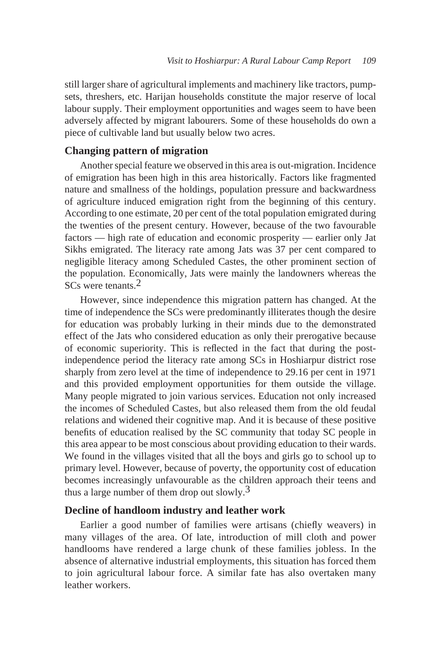still larger share of agricultural implements and machinery like tractors, pumpsets, threshers, etc. Harijan households constitute the major reserve of local labour supply. Their employment opportunities and wages seem to have been adversely affected by migrant labourers. Some of these households do own a piece of cultivable land but usually below two acres.

# **Changing pattern of migration**

Another special feature we observed in this area is out-migration. Incidence of emigration has been high in this area historically. Factors like fragmented nature and smallness of the holdings, population pressure and backwardness of agriculture induced emigration right from the beginning of this century. According to one estimate, 20 per cent of the total population emigrated during the twenties of the present century. However, because of the two favourable factors — high rate of education and economic prosperity — earlier only Jat Sikhs emigrated. The literacy rate among Jats was 37 per cent compared to negligible literacy among Scheduled Castes, the other prominent section of the population. Economically, Jats were mainly the landowners whereas the SCs were tenants.<sup>2</sup>

However, since independence this migration pattern has changed. At the time of independence the SCs were predominantly illiterates though the desire for education was probably lurking in their minds due to the demonstrated effect of the Jats who considered education as only their prerogative because of economic superiority. This is reflected in the fact that during the postindependence period the literacy rate among SCs in Hoshiarpur district rose sharply from zero level at the time of independence to 29.16 per cent in 1971 and this provided employment opportunities for them outside the village. Many people migrated to join various services. Education not only increased the incomes of Scheduled Castes, but also released them from the old feudal relations and widened their cognitive map. And it is because of these positive benefits of education realised by the SC community that today SC people in this area appear to be most conscious about providing education to their wards. We found in the villages visited that all the boys and girls go to school up to primary level. However, because of poverty, the opportunity cost of education becomes increasingly unfavourable as the children approach their teens and thus a large number of them drop out slowly.3

## **Decline of handloom industry and leather work**

Earlier a good number of families were artisans (chiefly weavers) in many villages of the area. Of late, introduction of mill cloth and power handlooms have rendered a large chunk of these families jobless. In the absence of alternative industrial employments, this situation has forced them to join agricultural labour force. A similar fate has also overtaken many leather workers.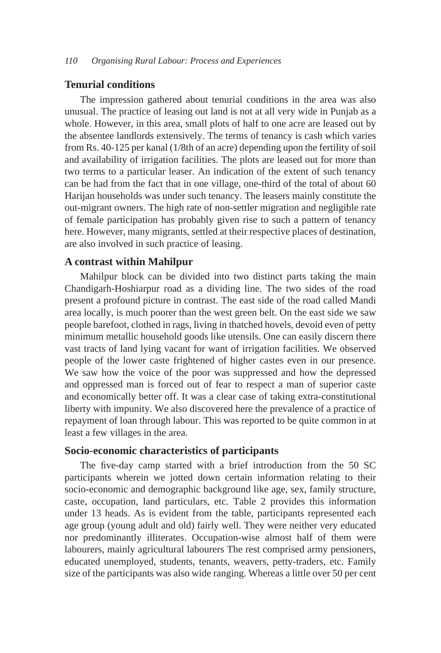## **Tenurial conditions**

The impression gathered about tenurial conditions in the area was also unusual. The practice of leasing out land is not at all very wide in Punjab as a whole. However, in this area, small plots of half to one acre are leased out by the absentee landlords extensively. The terms of tenancy is cash which varies from Rs. 40-125 per kanal (1/8th of an acre) depending upon the fertility of soil and availability of irrigation facilities. The plots are leased out for more than two terms to a particular leaser. An indication of the extent of such tenancy can be had from the fact that in one village, one-third of the total of about 60 Harijan households was under such tenancy. The leasers mainly constitute the out-migrant owners. The high rate of non-settler migration and negligible rate of female participation has probably given rise to such a pattern of tenancy here. However, many migrants, settled at their respective places of destination, are also involved in such practice of leasing.

#### **A contrast within Mahilpur**

Mahilpur block can be divided into two distinct parts taking the main Chandigarh-Hoshiarpur road as a dividing line. The two sides of the road present a profound picture in contrast. The east side of the road called Mandi area locally, is much poorer than the west green belt. On the east side we saw people barefoot, clothed in rags, living in thatched hovels, devoid even of petty minimum metallic household goods like utensils. One can easily discern there vast tracts of land lying vacant for want of irrigation facilities. We observed people of the lower caste frightened of higher castes even in our presence. We saw how the voice of the poor was suppressed and how the depressed and oppressed man is forced out of fear to respect a man of superior caste and economically better off. It was a clear case of taking extra-constitutional liberty with impunity. We also discovered here the prevalence of a practice of repayment of loan through labour. This was reported to be quite common in at least a few villages in the area.

# **Socio-economic characteristics of participants**

The five-day camp started with a brief introduction from the 50 SC participants wherein we jotted down certain information relating to their socio-economic and demographic background like age, sex, family structure, caste, occupation, land particulars, etc. Table 2 provides this information under 13 heads. As is evident from the table, participants represented each age group (young adult and old) fairly well. They were neither very educated nor predominantly illiterates. Occupation-wise almost half of them were labourers, mainly agricultural labourers The rest comprised army pensioners, educated unemployed, students, tenants, weavers, petty-traders, etc. Family size of the participants was also wide ranging. Whereas a little over 50 per cent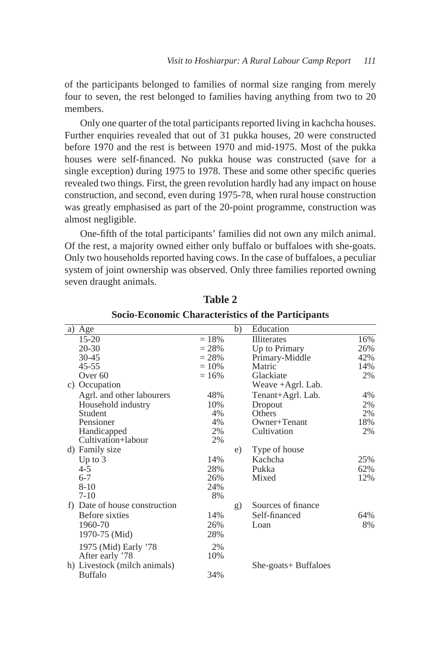of the participants belonged to families of normal size ranging from merely four to seven, the rest belonged to families having anything from two to 20 members.

Only one quarter of the total participants reported living in kachcha houses. Further enquiries revealed that out of 31 pukka houses, 20 were constructed before 1970 and the rest is between 1970 and mid-1975. Most of the pukka houses were self-financed. No pukka house was constructed (save for a single exception) during 1975 to 1978. These and some other specific queries revealed two things. First, the green revolution hardly had any impact on house construction, and second, even during 1975-78, when rural house construction was greatly emphasised as part of the 20-point programme, construction was almost negligible.

One-fifth of the total participants' families did not own any milch animal. Of the rest, a majority owned either only buffalo or buffaloes with she-goats. Only two households reported having cows. In the case of buffaloes, a peculiar system of joint ownership was observed. Only three families reported owning seven draught animals.

| a) Age                                         |          | b) | Education            |     |
|------------------------------------------------|----------|----|----------------------|-----|
| $15 - 20$                                      | $= 18%$  |    | <b>Illiterates</b>   | 16% |
| $20 - 30$                                      | $= 28%$  |    | Up to Primary        | 26% |
| $30 - 45$                                      | $= 28\%$ |    | Primary-Middle       | 42% |
| $45 - 55$                                      | $= 10\%$ |    | Matric               | 14% |
| Over <sub>60</sub>                             | $= 16\%$ |    | Glackiate            | 2%  |
| c) Occupation                                  |          |    | Weave +Agrl. Lab.    |     |
| Agrl. and other labourers                      | 48%      |    | Tenant+Agrl. Lab.    | 4%  |
| Household industry                             | 10%      |    | Dropout              | 2%  |
| Student                                        | 4%       |    | Others               | 2%  |
| Pensioner                                      | 4%       |    | Owner+Tenant         | 18% |
| Handicapped                                    | 2%       |    | Cultivation          | 2%  |
| Cultivation+labour                             | 2%       |    |                      |     |
| d) Family size                                 |          | e) | Type of house        |     |
| Up to $3$                                      | 14%      |    | Kachcha              | 25% |
| $4 - 5$                                        | 28%      |    | Pukka                | 62% |
| $6 - 7$                                        | 26%      |    | Mixed                | 12% |
| $8 - 10$                                       | 24%      |    |                      |     |
| $7-10$                                         | 8%       |    |                      |     |
| f) Date of house construction                  |          | g) | Sources of finance   |     |
| Before sixties                                 | 14%      |    | Self-financed        | 64% |
| 1960-70                                        | 26%      |    | Loan                 | 8%  |
| 1970-75 (Mid)                                  | 28%      |    |                      |     |
| 1975 (Mid) Early '78                           | 2%       |    |                      |     |
| After early '78                                | 10%      |    |                      |     |
|                                                |          |    |                      |     |
| h) Livestock (milch animals)<br><b>Buffalo</b> | 34%      |    | She-goats+ Buffaloes |     |
|                                                |          |    |                      |     |

**Table 2 Socio-Economic Characteristics of the Participants**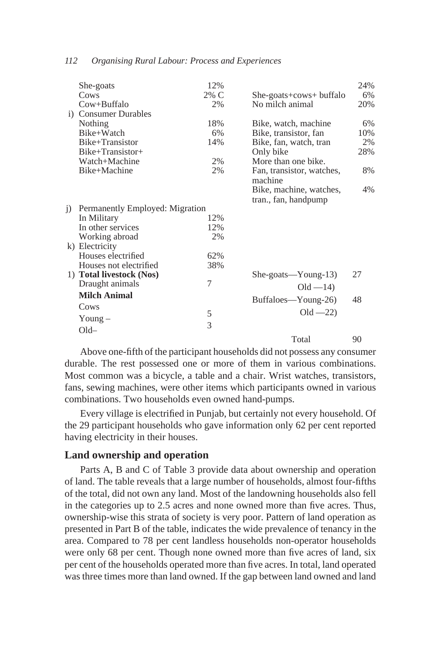|           | She-goats                       | 12%  |                           | 24% |
|-----------|---------------------------------|------|---------------------------|-----|
|           | Cows                            | 2% C | She-goats+cows+ buffalo   | 6%  |
|           | $Cow + But falo$                | 2%   | No milch animal           | 20% |
|           | i) Consumer Durables            |      |                           |     |
|           | Nothing                         | 18%  | Bike, watch, machine      | 6%  |
|           | Bike+Watch                      | 6%   | Bike, transistor, fan     | 10% |
|           | Bike+Transistor                 | 14%  | Bike, fan, watch, tran    | 2%  |
|           | Bike+Transistor+                |      | Only bike                 | 28% |
|           | Watch+Machine                   | 2%   | More than one bike.       |     |
|           | Bike+Machine                    | 2%   | Fan, transistor, watches, | 8%  |
|           |                                 |      | machine                   |     |
|           |                                 |      | Bike, machine, watches,   | 4%  |
|           |                                 |      | tran., fan, handpump      |     |
| $\bar{1}$ | Permanently Employed: Migration |      |                           |     |
|           | In Military                     | 12%  |                           |     |
|           | In other services               | 12%  |                           |     |
|           | Working abroad                  | 2%   |                           |     |
|           | k) Electricity                  |      |                           |     |
|           | Houses electrified              | 62%  |                           |     |
|           | Houses not electrified          | 38%  |                           |     |
|           | 1) Total livestock (Nos)        |      | She-goats—Young-13)       | 27  |
|           | Draught animals                 | 7    | $Old - 14)$               |     |
|           | <b>Milch Animal</b>             |      | Buffaloes—Young-26)       | 48  |
|           | Cows                            |      |                           |     |
|           | Young $-$                       | 5    | $Old -22)$                |     |
|           |                                 | 3    |                           |     |
|           | $Old-$                          |      |                           |     |
|           |                                 |      | Total                     | 90  |

Above one-fifth of the participant households did not possess any consumer durable. The rest possessed one or more of them in various combinations. Most common was a bicycle, a table and a chair. Wrist watches, transistors, fans, sewing machines, were other items which participants owned in various combinations. Two households even owned hand-pumps.

Every village is electrified in Punjab, but certainly not every household. Of the 29 participant households who gave information only 62 per cent reported having electricity in their houses.

#### **Land ownership and operation**

Parts A, B and C of Table 3 provide data about ownership and operation of land. The table reveals that a large number of households, almost four-fifths of the total, did not own any land. Most of the landowning households also fell in the categories up to 2.5 acres and none owned more than five acres. Thus, ownership-wise this strata of society is very poor. Pattern of land operation as presented in Part B of the table, indicates the wide prevalence of tenancy in the area. Compared to 78 per cent landless households non-operator households were only 68 per cent. Though none owned more than five acres of land, six per cent of the households operated more than five acres. In total, land operated was three times more than land owned. If the gap between land owned and land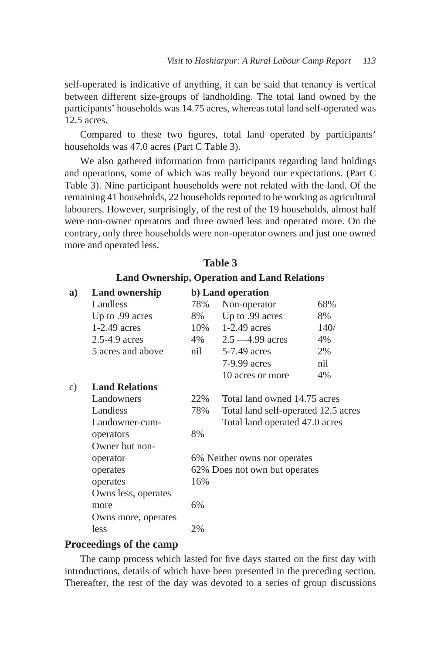self-operated is indicative of anything, it can be said that tenancy is vertical between different size-groups of landholding. The total land owned by the participants' households was 14.75 acres, whereas total land self-operated was 12.5 acres.

Compared to these two figures, total land operated by participants' households was 47.0 acres (Part C Table 3).

We also gathered information from participants regarding land holdings and operations, some of which was really beyond our expectations. (Part C Table 3). Nine participant households were not related with the land. Of the remaining 41 households, 22 households reported to be working as agricultural labourers. However, surprisingly, of the rest of the 19 households, almost half were non-owner operators and three owned less and operated more. On the contrary, only three households were non-operator owners and just one owned more and operated less.

|    | <b>Land Ownership, Operation and Land Relations</b> |     |                                     |      |  |  |
|----|-----------------------------------------------------|-----|-------------------------------------|------|--|--|
| a) | <b>Land ownership</b>                               |     | b) Land operation                   |      |  |  |
|    | Landless                                            | 78% | Non-operator                        | 68%  |  |  |
|    | Up to .99 acres                                     | 8%  | Up to .99 acres                     | 8%   |  |  |
|    | $1-2.49$ acres                                      |     | 10% 1-2.49 acres                    | 140/ |  |  |
|    | 2.5-4.9 acres                                       | 4%  | $2.5 - 4.99$ acres                  | 4%   |  |  |
|    | 5 acres and above                                   | nil | 5-7.49 acres                        | 2%   |  |  |
|    |                                                     |     | 7-9.99 acres                        | nil  |  |  |
|    |                                                     |     | 10 acres or more                    | 4%   |  |  |
| c) | <b>Land Relations</b>                               |     |                                     |      |  |  |
|    | Landowners                                          | 22% | Total land owned 14.75 acres        |      |  |  |
|    | Landless                                            | 78% | Total land self-operated 12.5 acres |      |  |  |
|    | Landowner-cum-                                      |     | Total land operated 47.0 acres      |      |  |  |
|    | operators                                           | 8%  |                                     |      |  |  |
|    | Owner but non-                                      |     |                                     |      |  |  |
|    | operator                                            |     | 6% Neither owns nor operates        |      |  |  |
|    | operates                                            |     | 62% Does not own but operates       |      |  |  |
|    | operates                                            | 16% |                                     |      |  |  |
|    | Owns less, operates                                 |     |                                     |      |  |  |
|    | more                                                | 6%  |                                     |      |  |  |
|    | Owns more, operates                                 |     |                                     |      |  |  |
|    | less                                                | 2%  |                                     |      |  |  |
|    |                                                     |     |                                     |      |  |  |

## **Table 3**

# **Proceedings of the camp**

The camp process which lasted for five days started on the first day with introductions, details of which have been presented in the preceding section. Thereafter, the rest of the day was devoted to a series of group discussions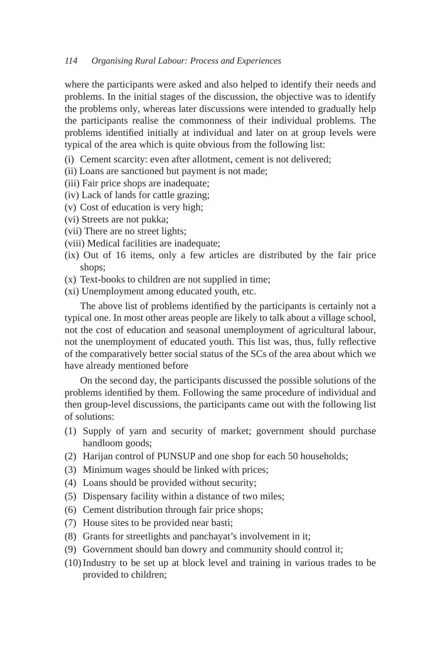where the participants were asked and also helped to identify their needs and problems. In the initial stages of the discussion, the objective was to identify the problems only, whereas later discussions were intended to gradually help the participants realise the commonness of their individual problems. The problems identified initially at individual and later on at group levels were typical of the area which is quite obvious from the following list:

- (i) Cement scarcity: even after allotment, cement is not delivered;
- (ii) Loans are sanctioned but payment is not made;
- (iii) Fair price shops are inadequate;
- (iv) Lack of lands for cattle grazing;
- (v) Cost of education is very high;
- (vi) Streets are not pukka;
- (vii) There are no street lights;
- (viii) Medical facilities are inadequate;
- (ix) Out of 16 items, only a few articles are distributed by the fair price shops;
- (x) Text-books to children are not supplied in time;
- (xi) Unemployment among educated youth, etc.

The above list of problems identified by the participants is certainly not a typical one. In most other areas people are likely to talk about a village school, not the cost of education and seasonal unemployment of agricultural labour, not the unemployment of educated youth. This list was, thus, fully reflective of the comparatively better social status of the SCs of the area about which we have already mentioned before

On the second day, the participants discussed the possible solutions of the problems identified by them. Following the same procedure of individual and then group-level discussions, the participants came out with the following list of solutions:

- (1) Supply of yarn and security of market; government should purchase handloom goods;
- (2) Harijan control of PUNSUP and one shop for each 50 households;
- (3) Minimum wages should be linked with prices;
- (4) Loans should be provided without security;
- (5) Dispensary facility within a distance of two miles;
- (6) Cement distribution through fair price shops;
- (7) House sites to be provided near basti;
- (8) Grants for streetlights and panchayat's involvement in it;
- (9) Government should ban dowry and community should control it;
- (10) Industry to be set up at block level and training in various trades to be provided to children;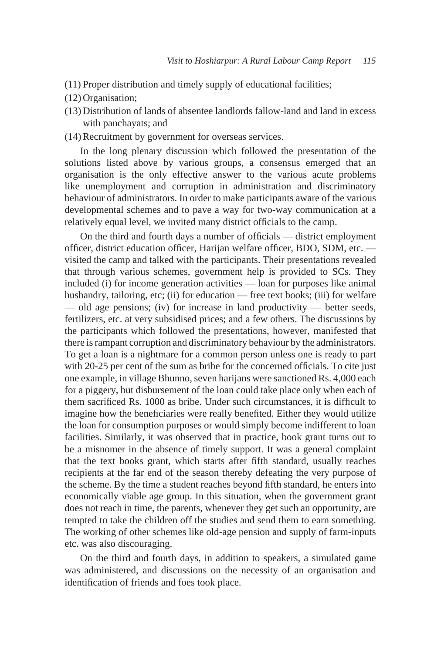- (11) Proper distribution and timely supply of educational facilities;
- (12) Organisation;
- (13) Distribution of lands of absentee landlords fallow-land and land in excess with panchayats; and
- (14) Recruitment by government for overseas services.

In the long plenary discussion which followed the presentation of the solutions listed above by various groups, a consensus emerged that an organisation is the only effective answer to the various acute problems like unemployment and corruption in administration and discriminatory behaviour of administrators. In order to make participants aware of the various developmental schemes and to pave a way for two-way communication at a relatively equal level, we invited many district officials to the camp.

On the third and fourth days a number of officials — district employment officer, district education officer, Harijan welfare officer, BDO, SDM, etc. visited the camp and talked with the participants. Their presentations revealed that through various schemes, government help is provided to SCs. They included (i) for income generation activities — loan for purposes like animal husbandry, tailoring, etc; (ii) for education — free text books; (iii) for welfare — old age pensions; (iv) for increase in land productivity — better seeds, fertilizers, etc. at very subsidised prices; and a few others. The discussions by the participants which followed the presentations, however, manifested that there is rampant corruption and discriminatory behaviour by the administrators. To get a loan is a nightmare for a common person unless one is ready to part with 20-25 per cent of the sum as bribe for the concerned officials. To cite just one example, in village Bhunno, seven harijans were sanctioned Rs. 4,000 each for a piggery, but disbursement of the loan could take place only when each of them sacrificed Rs. 1000 as bribe. Under such circumstances, it is difficult to imagine how the beneficiaries were really benefited. Either they would utilize the loan for consumption purposes or would simply become indifferent to loan facilities. Similarly, it was observed that in practice, book grant turns out to be a misnomer in the absence of timely support. It was a general complaint that the text books grant, which starts after fifth standard, usually reaches recipients at the far end of the season thereby defeating the very purpose of the scheme. By the time a student reaches beyond fifth standard, he enters into economically viable age group. In this situation, when the government grant does not reach in time, the parents, whenever they get such an opportunity, are tempted to take the children off the studies and send them to earn something. The working of other schemes like old-age pension and supply of farm-inputs etc. was also discouraging.

On the third and fourth days, in addition to speakers, a simulated game was administered, and discussions on the necessity of an organisation and identification of friends and foes took place.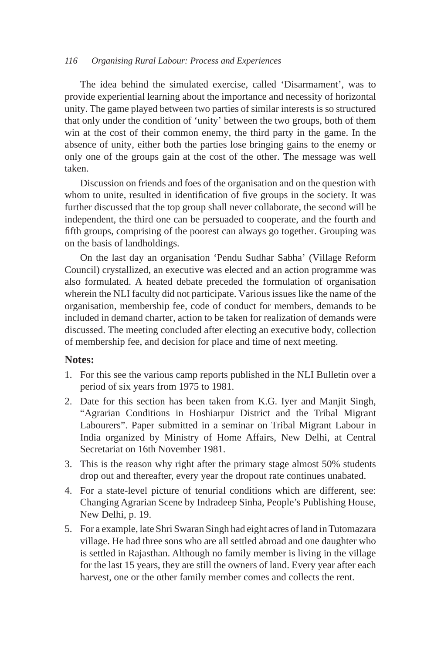The idea behind the simulated exercise, called 'Disarmament', was to provide experiential learning about the importance and necessity of horizontal unity. The game played between two parties of similar interests is so structured that only under the condition of 'unity' between the two groups, both of them win at the cost of their common enemy, the third party in the game. In the absence of unity, either both the parties lose bringing gains to the enemy or only one of the groups gain at the cost of the other. The message was well taken.

Discussion on friends and foes of the organisation and on the question with whom to unite, resulted in identification of five groups in the society. It was further discussed that the top group shall never collaborate, the second will be independent, the third one can be persuaded to cooperate, and the fourth and fifth groups, comprising of the poorest can always go together. Grouping was on the basis of landholdings.

On the last day an organisation 'Pendu Sudhar Sabha' (Village Reform Council) crystallized, an executive was elected and an action programme was also formulated. A heated debate preceded the formulation of organisation wherein the NLI faculty did not participate. Various issues like the name of the organisation, membership fee, code of conduct for members, demands to be included in demand charter, action to be taken for realization of demands were discussed. The meeting concluded after electing an executive body, collection of membership fee, and decision for place and time of next meeting.

## **Notes:**

- 1. For this see the various camp reports published in the NLI Bulletin over a period of six years from 1975 to 1981.
- 2. Date for this section has been taken from K.G. Iyer and Manjit Singh, "Agrarian Conditions in Hoshiarpur District and the Tribal Migrant Labourers". Paper submitted in a seminar on Tribal Migrant Labour in India organized by Ministry of Home Affairs, New Delhi, at Central Secretariat on 16th November 1981.
- 3. This is the reason why right after the primary stage almost 50% students drop out and thereafter, every year the dropout rate continues unabated.
- 4. For a state-level picture of tenurial conditions which are different, see: Changing Agrarian Scene by Indradeep Sinha, People's Publishing House, New Delhi, p. 19.
- 5. For a example, late Shri Swaran Singh had eight acres of land in Tutomazara village. He had three sons who are all settled abroad and one daughter who is settled in Rajasthan. Although no family member is living in the village for the last 15 years, they are still the owners of land. Every year after each harvest, one or the other family member comes and collects the rent.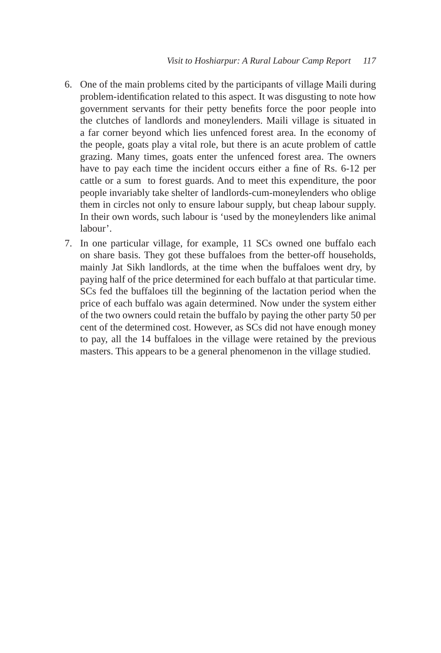- 6. One of the main problems cited by the participants of village Maili during problem-identification related to this aspect. It was disgusting to note how government servants for their petty benefits force the poor people into the clutches of landlords and moneylenders. Maili village is situated in a far corner beyond which lies unfenced forest area. In the economy of the people, goats play a vital role, but there is an acute problem of cattle grazing. Many times, goats enter the unfenced forest area. The owners have to pay each time the incident occurs either a fine of Rs. 6-12 per cattle or a sum to forest guards. And to meet this expenditure, the poor people invariably take shelter of landlords-cum-moneylenders who oblige them in circles not only to ensure labour supply, but cheap labour supply. In their own words, such labour is 'used by the moneylenders like animal labour'.
- 7. In one particular village, for example, 11 SCs owned one buffalo each on share basis. They got these buffaloes from the better-off households, mainly Jat Sikh landlords, at the time when the buffaloes went dry, by paying half of the price determined for each buffalo at that particular time. SCs fed the buffaloes till the beginning of the lactation period when the price of each buffalo was again determined. Now under the system either of the two owners could retain the buffalo by paying the other party 50 per cent of the determined cost. However, as SCs did not have enough money to pay, all the 14 buffaloes in the village were retained by the previous masters. This appears to be a general phenomenon in the village studied.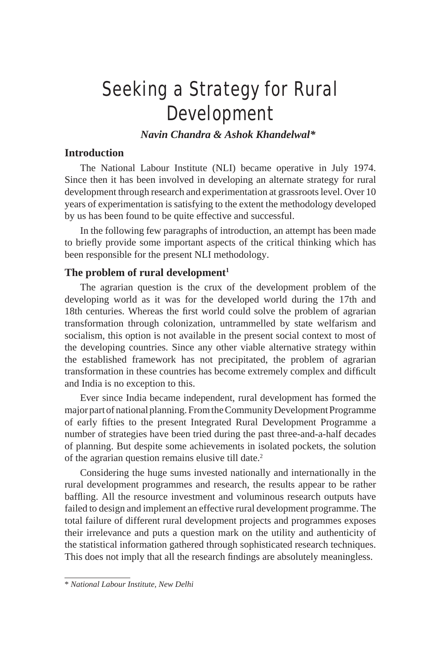# Seeking a Strategy for Rural Development

*Navin Chandra & Ashok Khandelwal\**

# **Introduction**

The National Labour Institute (NLI) became operative in July 1974. Since then it has been involved in developing an alternate strategy for rural development through research and experimentation at grassroots level. Over 10 years of experimentation is satisfying to the extent the methodology developed by us has been found to be quite effective and successful.

In the following few paragraphs of introduction, an attempt has been made to briefly provide some important aspects of the critical thinking which has been responsible for the present NLI methodology.

## The problem of rural development<sup>1</sup>

The agrarian question is the crux of the development problem of the developing world as it was for the developed world during the 17th and 18th centuries. Whereas the first world could solve the problem of agrarian transformation through colonization, untrammelled by state welfarism and socialism, this option is not available in the present social context to most of the developing countries. Since any other viable alternative strategy within the established framework has not precipitated, the problem of agrarian transformation in these countries has become extremely complex and difficult and India is no exception to this.

Ever since India became independent, rural development has formed the major part of national planning. From the Community Development Programme of early fifties to the present Integrated Rural Development Programme a number of strategies have been tried during the past three-and-a-half decades of planning. But despite some achievements in isolated pockets, the solution of the agrarian question remains elusive till date.2

Considering the huge sums invested nationally and internationally in the rural development programmes and research, the results appear to be rather baffling. All the resource investment and voluminous research outputs have failed to design and implement an effective rural development programme. The total failure of different rural development projects and programmes exposes their irrelevance and puts a question mark on the utility and authenticity of the statistical information gathered through sophisticated research techniques. This does not imply that all the research findings are absolutely meaningless.

<sup>\*</sup> *National Labour Institute, New Delhi*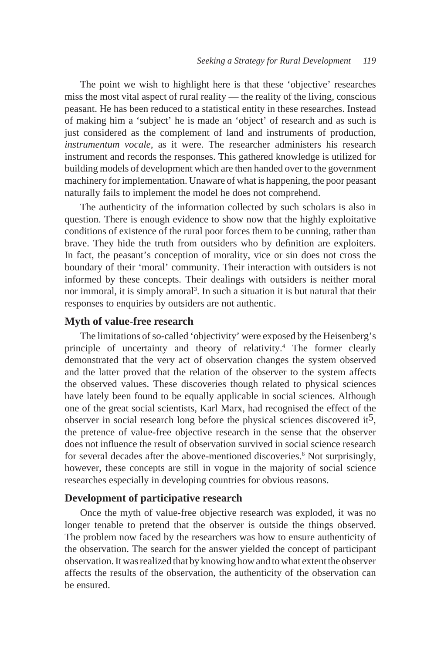The point we wish to highlight here is that these 'objective' researches miss the most vital aspect of rural reality — the reality of the living, conscious peasant. He has been reduced to a statistical entity in these researches. Instead of making him a 'subject' he is made an 'object' of research and as such is just considered as the complement of land and instruments of production, *instrumentum vocale,* as it were. The researcher administers his research instrument and records the responses. This gathered knowledge is utilized for building models of development which are then handed over to the government machinery for implementation. Unaware of what is happening, the poor peasant naturally fails to implement the model he does not comprehend.

The authenticity of the information collected by such scholars is also in question. There is enough evidence to show now that the highly exploitative conditions of existence of the rural poor forces them to be cunning, rather than brave. They hide the truth from outsiders who by definition are exploiters. In fact, the peasant's conception of morality, vice or sin does not cross the boundary of their 'moral' community. Their interaction with outsiders is not informed by these concepts. Their dealings with outsiders is neither moral nor immoral, it is simply amoral<sup>3</sup>. In such a situation it is but natural that their responses to enquiries by outsiders are not authentic.

## **Myth of value-free research**

The limitations of so-called 'objectivity' were exposed by the Heisenberg's principle of uncertainty and theory of relativity.4 The former clearly demonstrated that the very act of observation changes the system observed and the latter proved that the relation of the observer to the system affects the observed values. These discoveries though related to physical sciences have lately been found to be equally applicable in social sciences. Although one of the great social scientists, Karl Marx, had recognised the effect of the observer in social research long before the physical sciences discovered it<sup>5</sup>, the pretence of value-free objective research in the sense that the observer does not influence the result of observation survived in social science research for several decades after the above-mentioned discoveries.<sup>6</sup> Not surprisingly, however, these concepts are still in vogue in the majority of social science researches especially in developing countries for obvious reasons.

## **Development of participative research**

Once the myth of value-free objective research was exploded, it was no longer tenable to pretend that the observer is outside the things observed. The problem now faced by the researchers was how to ensure authenticity of the observation. The search for the answer yielded the concept of participant observation. It was realized that by knowing how and to what extent the observer affects the results of the observation, the authenticity of the observation can be ensured.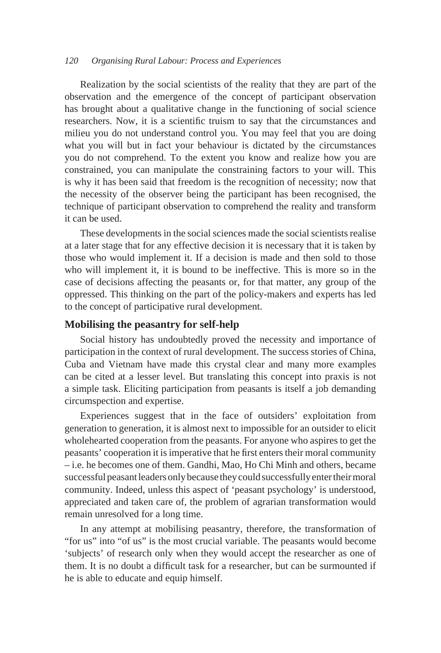Realization by the social scientists of the reality that they are part of the observation and the emergence of the concept of participant observation has brought about a qualitative change in the functioning of social science researchers. Now, it is a scientific truism to say that the circumstances and milieu you do not understand control you. You may feel that you are doing what you will but in fact your behaviour is dictated by the circumstances you do not comprehend. To the extent you know and realize how you are constrained, you can manipulate the constraining factors to your will. This is why it has been said that freedom is the recognition of necessity; now that the necessity of the observer being the participant has been recognised, the technique of participant observation to comprehend the reality and transform it can be used.

These developments in the social sciences made the social scientists realise at a later stage that for any effective decision it is necessary that it is taken by those who would implement it. If a decision is made and then sold to those who will implement it, it is bound to be ineffective. This is more so in the case of decisions affecting the peasants or, for that matter, any group of the oppressed. This thinking on the part of the policy-makers and experts has led to the concept of participative rural development.

#### **Mobilising the peasantry for self-help**

Social history has undoubtedly proved the necessity and importance of participation in the context of rural development. The success stories of China, Cuba and Vietnam have made this crystal clear and many more examples can be cited at a lesser level. But translating this concept into praxis is not a simple task. Eliciting participation from peasants is itself a job demanding circumspection and expertise.

Experiences suggest that in the face of outsiders' exploitation from generation to generation, it is almost next to impossible for an outsider to elicit wholehearted cooperation from the peasants. For anyone who aspires to get the peasants' cooperation it is imperative that he first enters their moral community – i.e. he becomes one of them. Gandhi, Mao, Ho Chi Minh and others, became successful peasant leaders only because they could successfully enter their moral community. Indeed, unless this aspect of 'peasant psychology' is understood, appreciated and taken care of, the problem of agrarian transformation would remain unresolved for a long time.

In any attempt at mobilising peasantry, therefore, the transformation of "for us" into "of us" is the most crucial variable. The peasants would become 'subjects' of research only when they would accept the researcher as one of them. It is no doubt a difficult task for a researcher, but can be surmounted if he is able to educate and equip himself.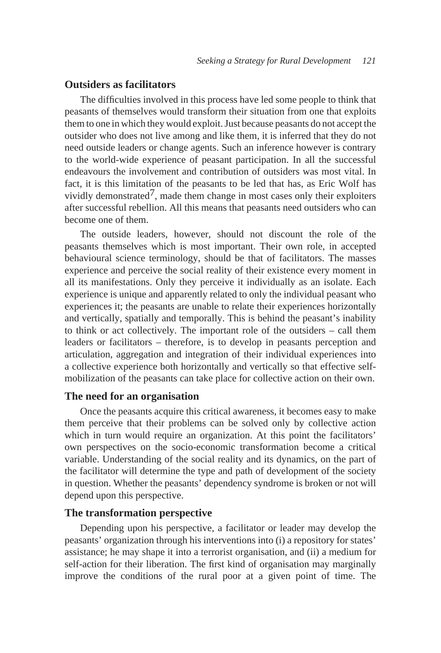# **Outsiders as facilitators**

The difficulties involved in this process have led some people to think that peasants of themselves would transform their situation from one that exploits them to one in which they would exploit. Just because peasants do not accept the outsider who does not live among and like them, it is inferred that they do not need outside leaders or change agents. Such an inference however is contrary to the world-wide experience of peasant participation. In all the successful endeavours the involvement and contribution of outsiders was most vital. In fact, it is this limitation of the peasants to be led that has, as Eric Wolf has vividly demonstrated<sup>7</sup>, made them change in most cases only their exploiters after successful rebellion. All this means that peasants need outsiders who can become one of them.

The outside leaders, however, should not discount the role of the peasants themselves which is most important. Their own role, in accepted behavioural science terminology, should be that of facilitators. The masses experience and perceive the social reality of their existence every moment in all its manifestations. Only they perceive it individually as an isolate. Each experience is unique and apparently related to only the individual peasant who experiences it; the peasants are unable to relate their experiences horizontally and vertically, spatially and temporally. This is behind the peasant's inability to think or act collectively. The important role of the outsiders – call them leaders or facilitators – therefore, is to develop in peasants perception and articulation, aggregation and integration of their individual experiences into a collective experience both horizontally and vertically so that effective selfmobilization of the peasants can take place for collective action on their own.

# **The need for an organisation**

Once the peasants acquire this critical awareness, it becomes easy to make them perceive that their problems can be solved only by collective action which in turn would require an organization. At this point the facilitators' own perspectives on the socio-economic transformation become a critical variable. Understanding of the social reality and its dynamics, on the part of the facilitator will determine the type and path of development of the society in question. Whether the peasants' dependency syndrome is broken or not will depend upon this perspective.

#### **The transformation perspective**

Depending upon his perspective, a facilitator or leader may develop the peasants' organization through his interventions into (i) a repository for states' assistance; he may shape it into a terrorist organisation, and (ii) a medium for self-action for their liberation. The first kind of organisation may marginally improve the conditions of the rural poor at a given point of time. The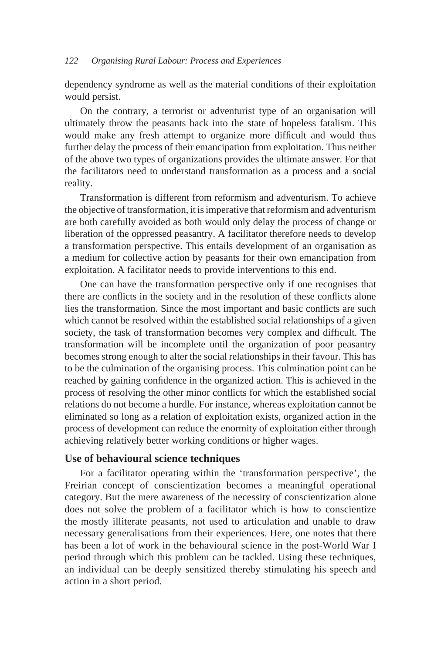dependency syndrome as well as the material conditions of their exploitation would persist.

On the contrary, a terrorist or adventurist type of an organisation will ultimately throw the peasants back into the state of hopeless fatalism. This would make any fresh attempt to organize more difficult and would thus further delay the process of their emancipation from exploitation. Thus neither of the above two types of organizations provides the ultimate answer. For that the facilitators need to understand transformation as a process and a social reality.

Transformation is different from reformism and adventurism. To achieve the objective of transformation, it is imperative that reformism and adventurism are both carefully avoided as both would only delay the process of change or liberation of the oppressed peasantry. A facilitator therefore needs to develop a transformation perspective. This entails development of an organisation as a medium for collective action by peasants for their own emancipation from exploitation. A facilitator needs to provide interventions to this end.

One can have the transformation perspective only if one recognises that there are conflicts in the society and in the resolution of these conflicts alone lies the transformation. Since the most important and basic conflicts are such which cannot be resolved within the established social relationships of a given society, the task of transformation becomes very complex and difficult. The transformation will be incomplete until the organization of poor peasantry becomes strong enough to alter the social relationships in their favour. This has to be the culmination of the organising process. This culmination point can be reached by gaining confidence in the organized action. This is achieved in the process of resolving the other minor conflicts for which the established social relations do not become a hurdle. For instance, whereas exploitation cannot be eliminated so long as a relation of exploitation exists, organized action in the process of development can reduce the enormity of exploitation either through achieving relatively better working conditions or higher wages.

# **Use of behavioural science techniques**

For a facilitator operating within the 'transformation perspective', the Freirian concept of conscientization becomes a meaningful operational category. But the mere awareness of the necessity of conscientization alone does not solve the problem of a facilitator which is how to conscientize the mostly illiterate peasants, not used to articulation and unable to draw necessary generalisations from their experiences. Here, one notes that there has been a lot of work in the behavioural science in the post-World War I period through which this problem can be tackled. Using these techniques, an individual can be deeply sensitized thereby stimulating his speech and action in a short period.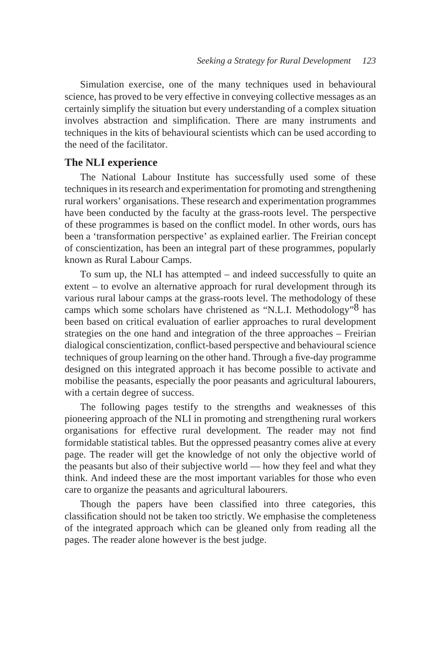Simulation exercise, one of the many techniques used in behavioural science, has proved to be very effective in conveying collective messages as an certainly simplify the situation but every understanding of a complex situation involves abstraction and simplification. There are many instruments and techniques in the kits of behavioural scientists which can be used according to the need of the facilitator.

#### **The NLI experience**

The National Labour Institute has successfully used some of these techniques in its research and experimentation for promoting and strengthening rural workers' organisations. These research and experimentation programmes have been conducted by the faculty at the grass-roots level. The perspective of these programmes is based on the conflict model. In other words, ours has been a 'transformation perspective' as explained earlier. The Freirian concept of conscientization, has been an integral part of these programmes, popularly known as Rural Labour Camps.

To sum up, the NLI has attempted – and indeed successfully to quite an extent – to evolve an alternative approach for rural development through its various rural labour camps at the grass-roots level. The methodology of these camps which some scholars have christened as "N.L.I. Methodology"8 has been based on critical evaluation of earlier approaches to rural development strategies on the one hand and integration of the three approaches – Freirian dialogical conscientization, conflict-based perspective and behavioural science techniques of group learning on the other hand. Through a five-day programme designed on this integrated approach it has become possible to activate and mobilise the peasants, especially the poor peasants and agricultural labourers, with a certain degree of success.

The following pages testify to the strengths and weaknesses of this pioneering approach of the NLI in promoting and strengthening rural workers organisations for effective rural development. The reader may not find formidable statistical tables. But the oppressed peasantry comes alive at every page. The reader will get the knowledge of not only the objective world of the peasants but also of their subjective world — how they feel and what they think. And indeed these are the most important variables for those who even care to organize the peasants and agricultural labourers.

Though the papers have been classified into three categories, this classification should not be taken too strictly. We emphasise the completeness of the integrated approach which can be gleaned only from reading all the pages. The reader alone however is the best judge.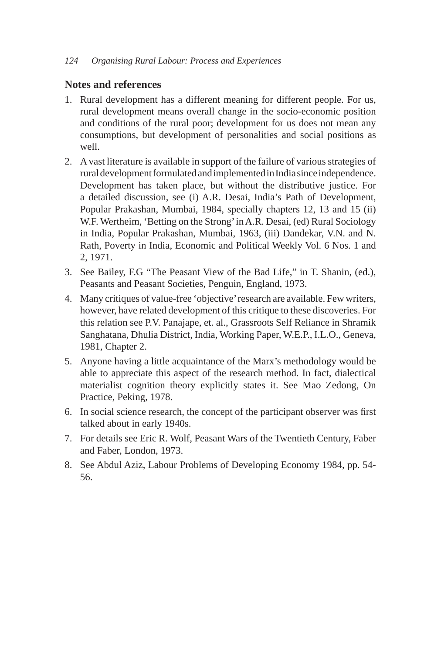## **Notes and references**

- 1. Rural development has a different meaning for different people. For us, rural development means overall change in the socio-economic position and conditions of the rural poor; development for us does not mean any consumptions, but development of personalities and social positions as well.
- 2. A vast literature is available in support of the failure of various strategies of rural development formulated and implemented in India since independence. Development has taken place, but without the distributive justice. For a detailed discussion, see (i) A.R. Desai, India's Path of Development, Popular Prakashan, Mumbai, 1984, specially chapters 12, 13 and 15 (ii) W.F. Wertheim, 'Betting on the Strong' in A.R. Desai, (ed) Rural Sociology in India, Popular Prakashan, Mumbai, 1963, (iii) Dandekar, V.N. and N. Rath, Poverty in India, Economic and Political Weekly Vol. 6 Nos. 1 and 2, 1971.
- 3. See Bailey, F.G "The Peasant View of the Bad Life," in T. Shanin, (ed.), Peasants and Peasant Societies, Penguin, England, 1973.
- 4. Many critiques of value-free 'objective' research are available. Few writers, however, have related development of this critique to these discoveries. For this relation see P.V. Panajape, et. al., Grassroots Self Reliance in Shramik Sanghatana, Dhulia District, India, Working Paper, W.E.P., I.L.O., Geneva, 1981, Chapter 2.
- 5. Anyone having a little acquaintance of the Marx's methodology would be able to appreciate this aspect of the research method. In fact, dialectical materialist cognition theory explicitly states it. See Mao Zedong, On Practice, Peking, 1978.
- 6. In social science research, the concept of the participant observer was first talked about in early 1940s.
- 7. For details see Eric R. Wolf, Peasant Wars of the Twentieth Century, Faber and Faber, London, 1973.
- 8. See Abdul Aziz, Labour Problems of Developing Economy 1984, pp. 54- 56.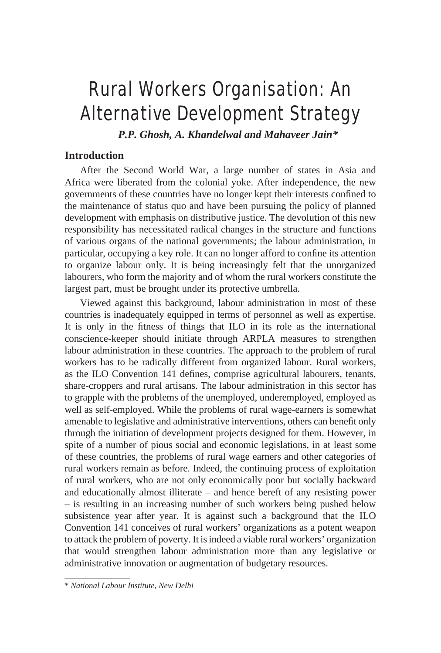# Rural Workers Organisation: An Alternative Development Strategy

*P.P. Ghosh, A. Khandelwal and Mahaveer Jain\**

# **Introduction**

After the Second World War, a large number of states in Asia and Africa were liberated from the colonial yoke. After independence, the new governments of these countries have no longer kept their interests confined to the maintenance of status quo and have been pursuing the policy of planned development with emphasis on distributive justice. The devolution of this new responsibility has necessitated radical changes in the structure and functions of various organs of the national governments; the labour administration, in particular, occupying a key role. It can no longer afford to confine its attention to organize labour only. It is being increasingly felt that the unorganized labourers, who form the majority and of whom the rural workers constitute the largest part, must be brought under its protective umbrella.

Viewed against this background, labour administration in most of these countries is inadequately equipped in terms of personnel as well as expertise. It is only in the fitness of things that ILO in its role as the international conscience-keeper should initiate through ARPLA measures to strengthen labour administration in these countries. The approach to the problem of rural workers has to be radically different from organized labour. Rural workers, as the ILO Convention 141 defines, comprise agricultural labourers, tenants, share-croppers and rural artisans. The labour administration in this sector has to grapple with the problems of the unemployed, underemployed, employed as well as self-employed. While the problems of rural wage-earners is somewhat amenable to legislative and administrative interventions, others can benefit only through the initiation of development projects designed for them. However, in spite of a number of pious social and economic legislations, in at least some of these countries, the problems of rural wage earners and other categories of rural workers remain as before. Indeed, the continuing process of exploitation of rural workers, who are not only economically poor but socially backward and educationally almost illiterate – and hence bereft of any resisting power – is resulting in an increasing number of such workers being pushed below subsistence year after year. It is against such a background that the ILO Convention 141 conceives of rural workers' organizations as a potent weapon to attack the problem of poverty. It is indeed a viable rural workers' organization that would strengthen labour administration more than any legislative or administrative innovation or augmentation of budgetary resources.

<sup>\*</sup> *National Labour Institute, New Delhi*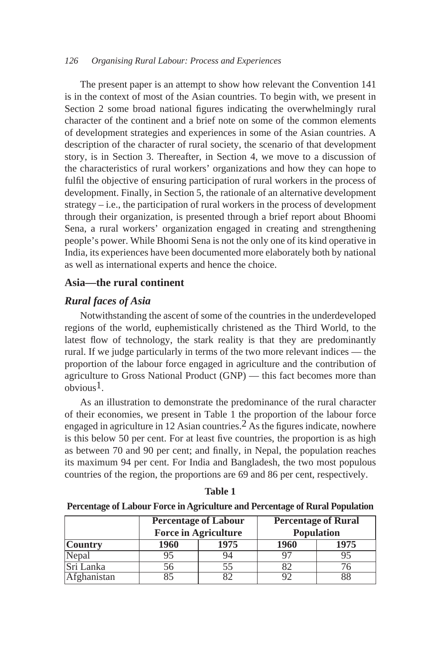The present paper is an attempt to show how relevant the Convention 141 is in the context of most of the Asian countries. To begin with, we present in Section 2 some broad national figures indicating the overwhelmingly rural character of the continent and a brief note on some of the common elements of development strategies and experiences in some of the Asian countries. A description of the character of rural society, the scenario of that development story, is in Section 3. Thereafter, in Section 4, we move to a discussion of the characteristics of rural workers' organizations and how they can hope to fulfil the objective of ensuring participation of rural workers in the process of development. Finally, in Section 5, the rationale of an alternative development strategy  $-i.e.,$  the participation of rural workers in the process of development through their organization, is presented through a brief report about Bhoomi Sena, a rural workers' organization engaged in creating and strengthening people's power. While Bhoomi Sena is not the only one of its kind operative in India, its experiences have been documented more elaborately both by national as well as international experts and hence the choice.

# **Asia—the rural continent**

# *Rural faces of Asia*

Notwithstanding the ascent of some of the countries in the underdeveloped regions of the world, euphemistically christened as the Third World, to the latest flow of technology, the stark reality is that they are predominantly rural. If we judge particularly in terms of the two more relevant indices — the proportion of the labour force engaged in agriculture and the contribution of agriculture to Gross National Product (GNP) — this fact becomes more than  $obvious<sup>1</sup>$ .

As an illustration to demonstrate the predominance of the rural character of their economies, we present in Table 1 the proportion of the labour force engaged in agriculture in 12 Asian countries.<sup>2</sup> As the figures indicate, nowhere is this below 50 per cent. For at least five countries, the proportion is as high as between 70 and 90 per cent; and finally, in Nepal, the population reaches its maximum 94 per cent. For India and Bangladesh, the two most populous countries of the region, the proportions are 69 and 86 per cent, respectively.

| ۰.<br>۰,<br>× |  |
|---------------|--|
|---------------|--|

**Percentage of Labour Force in Agriculture and Percentage of Rural Population**

| <b>Percentage of Labour</b> |                             | <b>Percentage of Rural</b> |                   |      |
|-----------------------------|-----------------------------|----------------------------|-------------------|------|
|                             | <b>Force in Agriculture</b> |                            | <b>Population</b> |      |
| <b>Country</b>              | 1960                        | 1975                       | <b>1960</b>       | 1975 |
| Nepal                       |                             | 94                         |                   | 95   |
| Sri Lanka                   |                             |                            |                   |      |
| 'Afghanistan                |                             |                            |                   | 88   |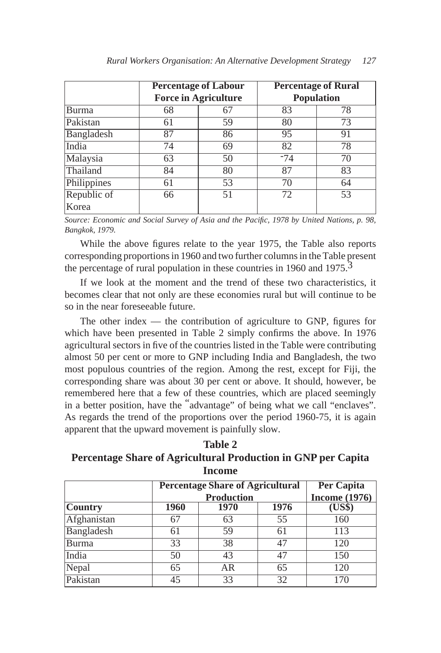|              | <b>Percentage of Labour</b><br><b>Force in Agriculture</b> |    | <b>Percentage of Rural</b><br><b>Population</b> |    |
|--------------|------------------------------------------------------------|----|-------------------------------------------------|----|
| <b>Burma</b> | 68                                                         | 67 | 83                                              | 78 |
| Pakistan     | 61                                                         | 59 | 80                                              | 73 |
| Bangladesh   | 87                                                         | 86 | 95                                              | 91 |
| India        | 74                                                         | 69 | 82                                              | 78 |
| Malaysia     | 63                                                         | 50 | $-74$                                           | 70 |
| Thailand     | 84                                                         | 80 | 87                                              | 83 |
| Philippines  | 61                                                         | 53 | 70                                              | 64 |
| Republic of  | 66                                                         | 51 | 72                                              | 53 |
| Korea        |                                                            |    |                                                 |    |

*Source: Economic and Social Survey of Asia and the Pacific, 1978 by United Nations, p. 98, Bangkok, 1979.*

While the above figures relate to the year 1975, the Table also reports corresponding proportions in 1960 and two further columns in the Table present the percentage of rural population in these countries in 1960 and 1975.<sup>3</sup>

If we look at the moment and the trend of these two characteristics, it becomes clear that not only are these economies rural but will continue to be so in the near foreseeable future.

The other index — the contribution of agriculture to GNP, figures for which have been presented in Table 2 simply confirms the above. In 1976 agricultural sectors in five of the countries listed in the Table were contributing almost 50 per cent or more to GNP including India and Bangladesh, the two most populous countries of the region. Among the rest, except for Fiji, the corresponding share was about 30 per cent or above. It should, however, be remembered here that a few of these countries, which are placed seemingly in a better position, have the "advantage" of being what we call "enclaves". As regards the trend of the proportions over the period 1960-75, it is again apparent that the upward movement is painfully slow.

**Table 2 Percentage Share of Agricultural Production in GNP per Capita Income**

|                | <b>Percentage Share of Agricultural</b> | <b>Per Capita</b><br><b>Income</b> (1976) |      |     |
|----------------|-----------------------------------------|-------------------------------------------|------|-----|
| <b>Country</b> | 1960                                    | <b>Production</b><br>1970                 | 1976 |     |
| Afghanistan    | 67                                      | 63                                        | 55   | 160 |
| Bangladesh     | 61                                      | 59                                        | 61   | 113 |
| Burma          | 33                                      | 38                                        | 47   | 120 |
| India          | 50                                      | 43                                        | 47   | 150 |
| Nepal          | 65                                      | AR                                        | 65   | 120 |
| Pakistan       | 45                                      | 33                                        | 32   | 170 |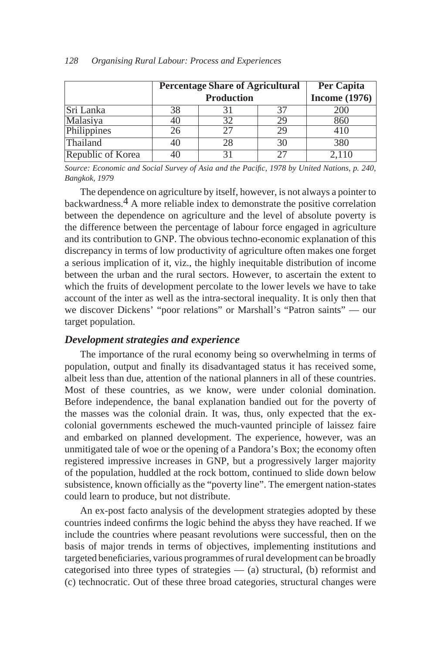|                   | <b>Percentage Share of Agricultural</b> | Per Capita |                 |       |
|-------------------|-----------------------------------------|------------|-----------------|-------|
|                   |                                         |            | Income $(1976)$ |       |
| Sri Lanka         | 38                                      |            | 37              | 200   |
| Malasiya          | 40                                      |            | 29              | 860   |
| Philippines       | 26                                      |            | 29              | 410   |
| Thailand          | 40                                      |            | 30              | 380   |
| Republic of Korea | 40                                      |            | 27              | 2,110 |

*Source: Economic and Social Survey of Asia and the Pacific, 1978 by United Nations, p. 240, Bangkok, 1979*

The dependence on agriculture by itself, however, is not always a pointer to backwardness.4 A more reliable index to demonstrate the positive correlation between the dependence on agriculture and the level of absolute poverty is the difference between the percentage of labour force engaged in agriculture and its contribution to GNP. The obvious techno-economic explanation of this discrepancy in terms of low productivity of agriculture often makes one forget a serious implication of it, viz., the highly inequitable distribution of income between the urban and the rural sectors. However, to ascertain the extent to which the fruits of development percolate to the lower levels we have to take account of the inter as well as the intra-sectoral inequality. It is only then that we discover Dickens' "poor relations" or Marshall's "Patron saints" — our target population.

#### *Development strategies and experience*

The importance of the rural economy being so overwhelming in terms of population, output and finally its disadvantaged status it has received some, albeit less than due, attention of the national planners in all of these countries. Most of these countries, as we know, were under colonial domination. Before independence, the banal explanation bandied out for the poverty of the masses was the colonial drain. It was, thus, only expected that the excolonial governments eschewed the much-vaunted principle of laissez faire and embarked on planned development. The experience, however, was an unmitigated tale of woe or the opening of a Pandora's Box; the economy often registered impressive increases in GNP, but a progressively larger majority of the population, huddled at the rock bottom, continued to slide down below subsistence, known officially as the "poverty line". The emergent nation-states could learn to produce, but not distribute.

An ex-post facto analysis of the development strategies adopted by these countries indeed confirms the logic behind the abyss they have reached. If we include the countries where peasant revolutions were successful, then on the basis of major trends in terms of objectives, implementing institutions and targeted beneficiaries, various programmes of rural development can be broadly categorised into three types of strategies  $-$  (a) structural, (b) reformist and (c) technocratic. Out of these three broad categories, structural changes were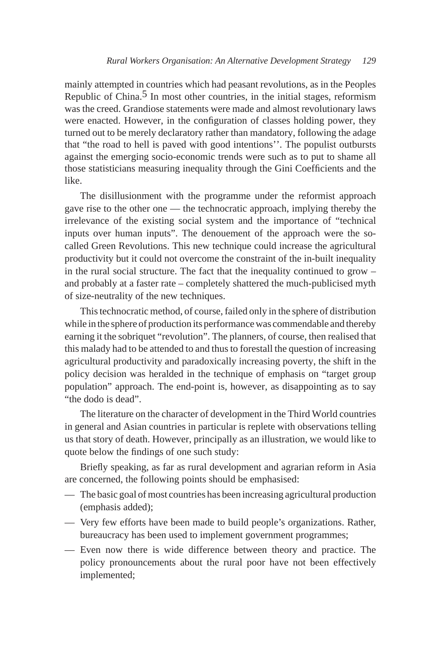mainly attempted in countries which had peasant revolutions, as in the Peoples Republic of China.<sup>5</sup> In most other countries, in the initial stages, reformism was the creed. Grandiose statements were made and almost revolutionary laws were enacted. However, in the configuration of classes holding power, they turned out to be merely declaratory rather than mandatory, following the adage that "the road to hell is paved with good intentions''. The populist outbursts against the emerging socio-economic trends were such as to put to shame all those statisticians measuring inequality through the Gini Coefficients and the like.

The disillusionment with the programme under the reformist approach gave rise to the other one — the technocratic approach, implying thereby the irrelevance of the existing social system and the importance of "technical inputs over human inputs". The denouement of the approach were the socalled Green Revolutions. This new technique could increase the agricultural productivity but it could not overcome the constraint of the in-built inequality in the rural social structure. The fact that the inequality continued to grow – and probably at a faster rate – completely shattered the much-publicised myth of size-neutrality of the new techniques.

This technocratic method, of course, failed only in the sphere of distribution while in the sphere of production its performance was commendable and thereby earning it the sobriquet "revolution". The planners, of course, then realised that this malady had to be attended to and thus to forestall the question of increasing agricultural productivity and paradoxically increasing poverty, the shift in the policy decision was heralded in the technique of emphasis on "target group population" approach. The end-point is, however, as disappointing as to say "the dodo is dead".

The literature on the character of development in the Third World countries in general and Asian countries in particular is replete with observations telling us that story of death. However, principally as an illustration, we would like to quote below the findings of one such study:

Briefly speaking, as far as rural development and agrarian reform in Asia are concerned, the following points should be emphasised:

- The basic goal of most countries has been increasing agricultural production (emphasis added);
- Very few efforts have been made to build people's organizations. Rather, bureaucracy has been used to implement government programmes;
- Even now there is wide difference between theory and practice. The policy pronouncements about the rural poor have not been effectively implemented;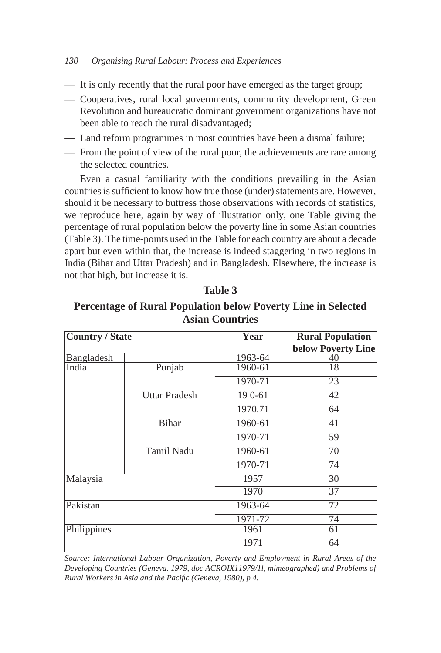- It is only recently that the rural poor have emerged as the target group;
- Cooperatives, rural local governments, community development, Green Revolution and bureaucratic dominant government organizations have not been able to reach the rural disadvantaged;
- Land reform programmes in most countries have been a dismal failure;
- From the point of view of the rural poor, the achievements are rare among the selected countries.

Even a casual familiarity with the conditions prevailing in the Asian countries is sufficient to know how true those (under) statements are. However, should it be necessary to buttress those observations with records of statistics, we reproduce here, again by way of illustration only, one Table giving the percentage of rural population below the poverty line in some Asian countries (Table 3). The time-points used in the Table for each country are about a decade apart but even within that, the increase is indeed staggering in two regions in India (Bihar and Uttar Pradesh) and in Bangladesh. Elsewhere, the increase is not that high, but increase it is.

| <b>Country / State</b> |                      | Year    | <b>Rural Population</b><br><b>below Poverty Line</b> |
|------------------------|----------------------|---------|------------------------------------------------------|
| Bangladesh             |                      | 1963-64 | 40                                                   |
| India                  | Punjab               | 1960-61 | 18                                                   |
|                        |                      | 1970-71 | 23                                                   |
|                        | <b>Uttar Pradesh</b> | 190-61  | $\overline{42}$                                      |
|                        |                      | 1970.71 | 64                                                   |
|                        | <b>Bihar</b>         | 1960-61 | 41                                                   |
|                        |                      | 1970-71 | 59                                                   |
|                        | <b>Tamil Nadu</b>    | 1960-61 | $\overline{70}$                                      |
|                        |                      | 1970-71 | $\overline{74}$                                      |
| Malaysia               |                      | 1957    | 30                                                   |
|                        |                      | 1970    | 37                                                   |
| Pakistan               |                      | 1963-64 | $\overline{72}$                                      |
|                        |                      | 1971-72 | 74                                                   |
| Philippines            |                      | 1961    | 61                                                   |
|                        |                      | 1971    | 64                                                   |

**Table 3**

**Percentage of Rural Population below Poverty Line in Selected Asian Countries**

*Source: International Labour Organization, Poverty and Employment in Rural Areas of the Developing Countries (Geneva. 1979, doc ACROIX11979/1l, mimeographed) and Problems of Rural Workers in Asia and the Pacific (Geneva, 1980), p 4.*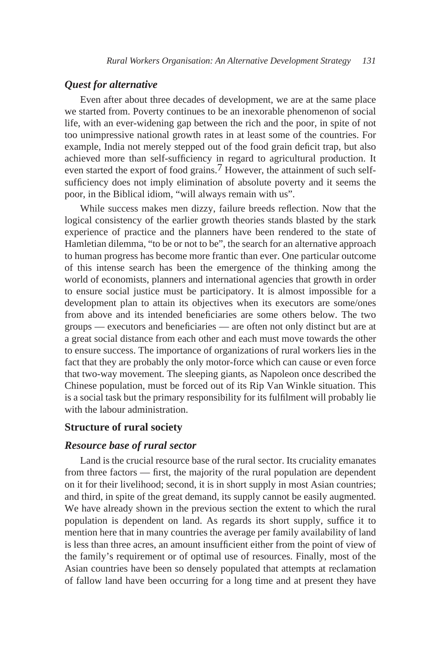# *Quest for alternative*

Even after about three decades of development, we are at the same place we started from. Poverty continues to be an inexorable phenomenon of social life, with an ever-widening gap between the rich and the poor, in spite of not too unimpressive national growth rates in at least some of the countries. For example, India not merely stepped out of the food grain deficit trap, but also achieved more than self-sufficiency in regard to agricultural production. It even started the export of food grains.<sup>7</sup> However, the attainment of such selfsufficiency does not imply elimination of absolute poverty and it seems the poor, in the Biblical idiom, "will always remain with us".

While success makes men dizzy, failure breeds reflection. Now that the logical consistency of the earlier growth theories stands blasted by the stark experience of practice and the planners have been rendered to the state of Hamletian dilemma, "to be or not to be", the search for an alternative approach to human progress has become more frantic than ever. One particular outcome of this intense search has been the emergence of the thinking among the world of economists, planners and international agencies that growth in order to ensure social justice must be participatory. It is almost impossible for a development plan to attain its objectives when its executors are some/ones from above and its intended beneficiaries are some others below. The two groups — executors and beneficiaries — are often not only distinct but are at a great social distance from each other and each must move towards the other to ensure success. The importance of organizations of rural workers lies in the fact that they are probably the only motor-force which can cause or even force that two-way movement. The sleeping giants, as Napoleon once described the Chinese population, must be forced out of its Rip Van Winkle situation. This is a social task but the primary responsibility for its fulfilment will probably lie with the labour administration.

## **Structure of rural society**

#### *Resource base of rural sector*

Land is the crucial resource base of the rural sector. Its cruciality emanates from three factors — first, the majority of the rural population are dependent on it for their livelihood; second, it is in short supply in most Asian countries; and third, in spite of the great demand, its supply cannot be easily augmented. We have already shown in the previous section the extent to which the rural population is dependent on land. As regards its short supply, suffice it to mention here that in many countries the average per family availability of land is less than three acres, an amount insufficient either from the point of view of the family's requirement or of optimal use of resources. Finally, most of the Asian countries have been so densely populated that attempts at reclamation of fallow land have been occurring for a long time and at present they have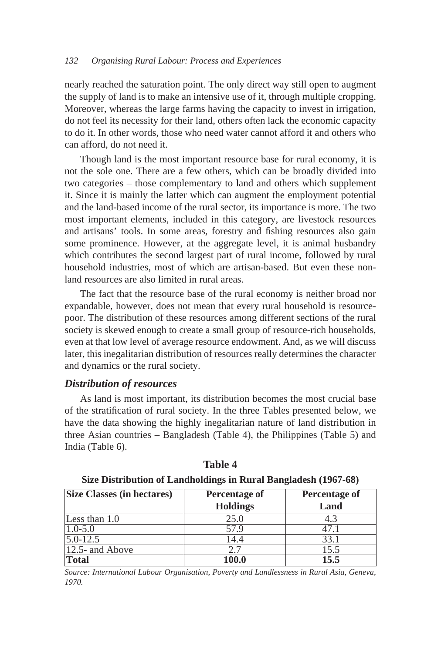nearly reached the saturation point. The only direct way still open to augment the supply of land is to make an intensive use of it, through multiple cropping. Moreover, whereas the large farms having the capacity to invest in irrigation, do not feel its necessity for their land, others often lack the economic capacity to do it. In other words, those who need water cannot afford it and others who can afford, do not need it.

Though land is the most important resource base for rural economy, it is not the sole one. There are a few others, which can be broadly divided into two categories – those complementary to land and others which supplement it. Since it is mainly the latter which can augment the employment potential and the land-based income of the rural sector, its importance is more. The two most important elements, included in this category, are livestock resources and artisans' tools. In some areas, forestry and fishing resources also gain some prominence. However, at the aggregate level, it is animal husbandry which contributes the second largest part of rural income, followed by rural household industries, most of which are artisan-based. But even these nonland resources are also limited in rural areas.

The fact that the resource base of the rural economy is neither broad nor expandable, however, does not mean that every rural household is resourcepoor. The distribution of these resources among different sections of the rural society is skewed enough to create a small group of resource-rich households, even at that low level of average resource endowment. And, as we will discuss later, this inegalitarian distribution of resources really determines the character and dynamics or the rural society.

## *Distribution of resources*

As land is most important, its distribution becomes the most crucial base of the stratification of rural society. In the three Tables presented below, we have the data showing the highly inegalitarian nature of land distribution in three Asian countries – Bangladesh (Table 4), the Philippines (Table 5) and India (Table 6).

| <b>Size Classes (in hectares)</b> | <b>Percentage of</b> | <b>Percentage of</b> |
|-----------------------------------|----------------------|----------------------|
|                                   | <b>Holdings</b>      | Land                 |
| Less than $1.0$                   | 25.0                 | 4.3                  |
| $ 1.0 - 5.0 $                     | 57.9                 | 47.1                 |
| $5.0 - 12.5$                      | 14.4                 | 33.1                 |
| $ 12.5$ - and Above               | 2.7                  | 15.5                 |
| <b>Total</b>                      | 100.0                | 15.5                 |

**Table 4 Size Distribution of Landholdings in Rural Bangladesh (1967-68)**

*Source: International Labour Organisation, Poverty and Landlessness in Rural Asia, Geneva, 1970.*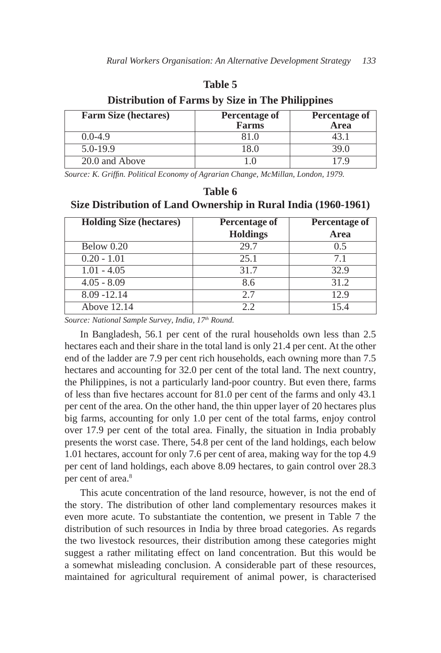## **Table 5**

**Distribution of Farms by Size in The Philippines**

| <b>Farm Size (hectares)</b> | <b>Percentage of</b><br><b>Farms</b> | <b>Percentage of</b><br><b>Area</b> |
|-----------------------------|--------------------------------------|-------------------------------------|
| $0.0 - 4.9$                 | 81 N                                 |                                     |
| $5.0 - 19.9$                | .8)                                  | 39 A                                |
| 20.0 and Above              |                                      |                                     |

*Source: K. Griffin. Political Economy of Agrarian Change, McMillan, London, 1979.*

| Table 6                                                        |
|----------------------------------------------------------------|
| Size Distribution of Land Ownership in Rural India (1960-1961) |

| <b>Holding Size (hectares)</b> | <b>Percentage of</b><br><b>Holdings</b> | <b>Percentage of</b><br>Area |
|--------------------------------|-----------------------------------------|------------------------------|
| Below 0.20                     | 29.7                                    | 0.5                          |
| $0.20 - 1.01$                  | 25.1                                    | 7.1                          |
| $1.01 - 4.05$                  | 31.7                                    | 32.9                         |
| $4.05 - 8.09$                  | 8.6                                     | 31.2                         |
| $8.09 - 12.14$                 | 2.7                                     | 12.9                         |
| Above 12.14                    | 2.2                                     | 154                          |

*Source: National Sample Survey, India, 17th Round.*

In Bangladesh, 56.1 per cent of the rural households own less than 2.5 hectares each and their share in the total land is only 21.4 per cent. At the other end of the ladder are 7.9 per cent rich households, each owning more than 7.5 hectares and accounting for 32.0 per cent of the total land. The next country, the Philippines, is not a particularly land-poor country. But even there, farms of less than five hectares account for 81.0 per cent of the farms and only 43.1 per cent of the area. On the other hand, the thin upper layer of 20 hectares plus big farms, accounting for only 1.0 per cent of the total farms, enjoy control over 17.9 per cent of the total area. Finally, the situation in India probably presents the worst case. There, 54.8 per cent of the land holdings, each below 1.01 hectares, account for only 7.6 per cent of area, making way for the top 4.9 per cent of land holdings, each above 8.09 hectares, to gain control over 28.3 per cent of area.<sup>8</sup>

This acute concentration of the land resource, however, is not the end of the story. The distribution of other land complementary resources makes it even more acute. To substantiate the contention, we present in Table 7 the distribution of such resources in India by three broad categories. As regards the two livestock resources, their distribution among these categories might suggest a rather militating effect on land concentration. But this would be a somewhat misleading conclusion. A considerable part of these resources, maintained for agricultural requirement of animal power, is characterised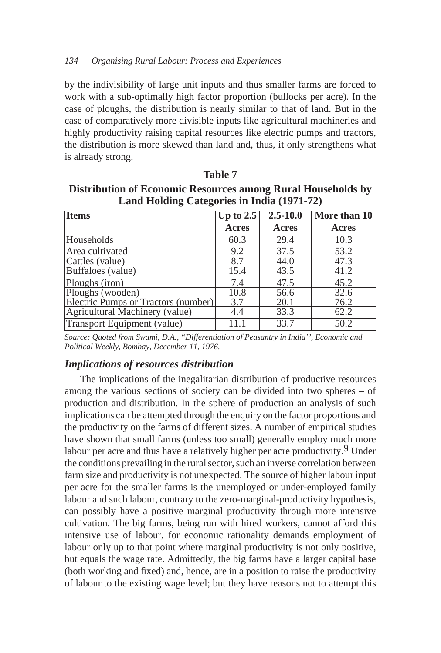by the indivisibility of large unit inputs and thus smaller farms are forced to work with a sub-optimally high factor proportion (bullocks per acre). In the case of ploughs, the distribution is nearly similar to that of land. But in the case of comparatively more divisible inputs like agricultural machineries and highly productivity raising capital resources like electric pumps and tractors, the distribution is more skewed than land and, thus, it only strengthens what is already strong.

**Distribution of Economic Resources among Rural Households by Land Holding Categories in India (1971-72)**

| <b>Items</b>                        | Up to 2.5    | $2.5 - 10.0$      | More than 10 |
|-------------------------------------|--------------|-------------------|--------------|
|                                     | <b>Acres</b> | Acres             | Acres        |
| Households                          | 60.3         | 29.4              | 10.3         |
| Area cultivated                     | 9.2          | 37.5              | 53.2         |
| Cattles (value)                     | 8.7          | 44.0              | 47.3         |
| Buffaloes (value)                   | 15.4         | 43.5              | 41.2         |
| Ploughs (iron)                      | 7.4          | $\overline{4}7.5$ | 45.2         |
| Ploughs (wooden)                    | 10.8         | 56.6              | 32.6         |
| Electric Pumps or Tractors (number) | 3.7          | 20.1              | 76.2         |
| Agricultural Machinery (value)      | 4.4          | 33.3              | 62.2         |
| Transport Equipment (value)         | 11.1         | 33.7              | 50.2         |

*Source: Quoted from Swami, D.A., "Differentiation of Peasantry in India'', Economic and Political Weekly, Bombay, December 11, 1976.*

## *Implications of resources distribution*

The implications of the inegalitarian distribution of productive resources among the various sections of society can be divided into two spheres – of production and distribution. In the sphere of production an analysis of such implications can be attempted through the enquiry on the factor proportions and the productivity on the farms of different sizes. A number of empirical studies have shown that small farms (unless too small) generally employ much more labour per acre and thus have a relatively higher per acre productivity.<sup>9</sup> Under the conditions prevailing in the rural sector, such an inverse correlation between farm size and productivity is not unexpected. The source of higher labour input per acre for the smaller farms is the unemployed or under-employed family labour and such labour, contrary to the zero-marginal-productivity hypothesis, can possibly have a positive marginal productivity through more intensive cultivation. The big farms, being run with hired workers, cannot afford this intensive use of labour, for economic rationality demands employment of labour only up to that point where marginal productivity is not only positive, but equals the wage rate. Admittedly, the big farms have a larger capital base (both working and fixed) and, hence, are in a position to raise the productivity of labour to the existing wage level; but they have reasons not to attempt this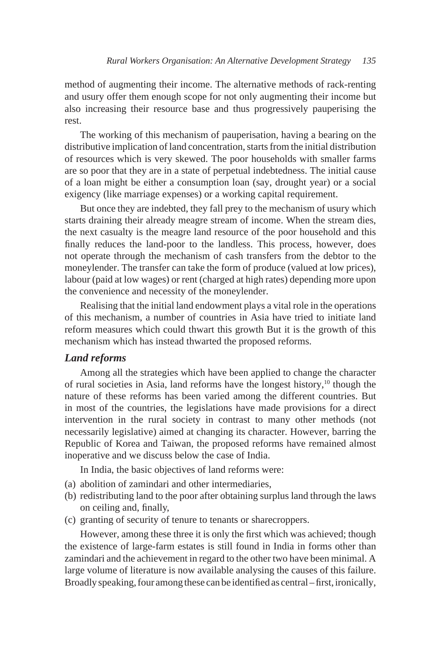method of augmenting their income. The alternative methods of rack-renting and usury offer them enough scope for not only augmenting their income but also increasing their resource base and thus progressively pauperising the rest.

The working of this mechanism of pauperisation, having a bearing on the distributive implication of land concentration, starts from the initial distribution of resources which is very skewed. The poor households with smaller farms are so poor that they are in a state of perpetual indebtedness. The initial cause of a loan might be either a consumption loan (say, drought year) or a social exigency (like marriage expenses) or a working capital requirement.

But once they are indebted, they fall prey to the mechanism of usury which starts draining their already meagre stream of income. When the stream dies, the next casualty is the meagre land resource of the poor household and this finally reduces the land-poor to the landless. This process, however, does not operate through the mechanism of cash transfers from the debtor to the moneylender. The transfer can take the form of produce (valued at low prices), labour (paid at low wages) or rent (charged at high rates) depending more upon the convenience and necessity of the moneylender.

Realising that the initial land endowment plays a vital role in the operations of this mechanism, a number of countries in Asia have tried to initiate land reform measures which could thwart this growth But it is the growth of this mechanism which has instead thwarted the proposed reforms.

# *Land reforms*

Among all the strategies which have been applied to change the character of rural societies in Asia, land reforms have the longest history, $10$  though the nature of these reforms has been varied among the different countries. But in most of the countries, the legislations have made provisions for a direct intervention in the rural society in contrast to many other methods (not necessarily legislative) aimed at changing its character. However, barring the Republic of Korea and Taiwan, the proposed reforms have remained almost inoperative and we discuss below the case of India.

In India, the basic objectives of land reforms were:

- (a) abolition of zamindari and other intermediaries,
- (b) redistributing land to the poor after obtaining surplus land through the laws on ceiling and, finally,
- (c) granting of security of tenure to tenants or sharecroppers.

However, among these three it is only the first which was achieved; though the existence of large-farm estates is still found in India in forms other than zamindari and the achievement in regard to the other two have been minimal. A large volume of literature is now available analysing the causes of this failure. Broadly speaking, four among these can be identified as central – first, ironically,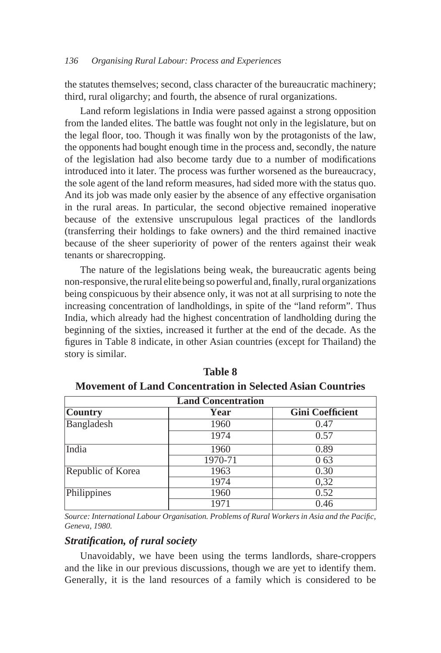the statutes themselves; second, class character of the bureaucratic machinery; third, rural oligarchy; and fourth, the absence of rural organizations.

Land reform legislations in India were passed against a strong opposition from the landed elites. The battle was fought not only in the legislature, but on the legal floor, too. Though it was finally won by the protagonists of the law, the opponents had bought enough time in the process and, secondly, the nature of the legislation had also become tardy due to a number of modifications introduced into it later. The process was further worsened as the bureaucracy, the sole agent of the land reform measures, had sided more with the status quo. And its job was made only easier by the absence of any effective organisation in the rural areas. In particular, the second objective remained inoperative because of the extensive unscrupulous legal practices of the landlords (transferring their holdings to fake owners) and the third remained inactive because of the sheer superiority of power of the renters against their weak tenants or sharecropping.

The nature of the legislations being weak, the bureaucratic agents being non-responsive, the rural elite being so powerful and, finally, rural organizations being conspicuous by their absence only, it was not at all surprising to note the increasing concentration of landholdings, in spite of the "land reform". Thus India, which already had the highest concentration of landholding during the beginning of the sixties, increased it further at the end of the decade. As the figures in Table 8 indicate, in other Asian countries (except for Thailand) the story is similar.

| <b>Land Concentration</b> |         |                         |  |  |  |
|---------------------------|---------|-------------------------|--|--|--|
| <b>Country</b>            | Year    | <b>Gini Coefficient</b> |  |  |  |
| Bangladesh                | 1960    | 0.47                    |  |  |  |
|                           | 1974    | 0.57                    |  |  |  |
| India                     | 1960    | 0.89                    |  |  |  |
|                           | 1970-71 | 0 63                    |  |  |  |
| Republic of Korea         | 1963    | 0.30                    |  |  |  |
|                           | 1974    | 0,32                    |  |  |  |
| Philippines               | 1960    | 0.52                    |  |  |  |
|                           | 1971    | 0.46                    |  |  |  |

**Table 8 Movement of Land Concentration in Selected Asian Countries**

*Source: International Labour Organisation. Problems of Rural Workers in Asia and the Pacific, Geneva, 1980.*

# *Stratification, of rural society*

Unavoidably, we have been using the terms landlords, share-croppers and the like in our previous discussions, though we are yet to identify them. Generally, it is the land resources of a family which is considered to be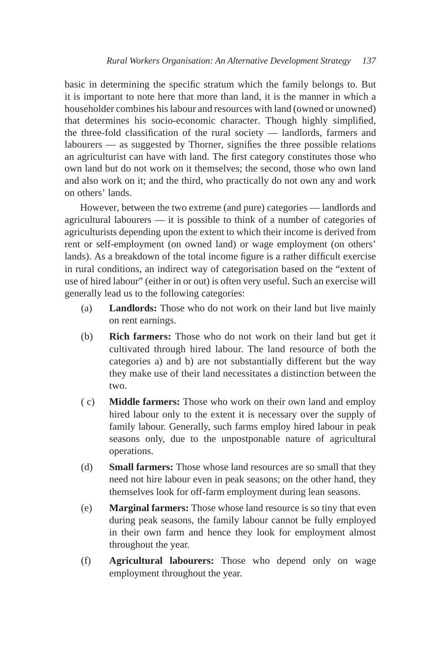basic in determining the specific stratum which the family belongs to. But it is important to note here that more than land, it is the manner in which a householder combines his labour and resources with land (owned or unowned) that determines his socio-economic character. Though highly simplified, the three-fold classification of the rural society — landlords, farmers and labourers — as suggested by Thorner, signifies the three possible relations an agriculturist can have with land. The first category constitutes those who own land but do not work on it themselves; the second, those who own land and also work on it; and the third, who practically do not own any and work on others' lands.

However, between the two extreme (and pure) categories — landlords and agricultural labourers — it is possible to think of a number of categories of agriculturists depending upon the extent to which their income is derived from rent or self-employment (on owned land) or wage employment (on others' lands). As a breakdown of the total income figure is a rather difficult exercise in rural conditions, an indirect way of categorisation based on the "extent of use of hired labour" (either in or out) is often very useful. Such an exercise will generally lead us to the following categories:

- (a) **Landlords:** Those who do not work on their land but live mainly on rent earnings.
- (b) **Rich farmers:** Those who do not work on their land but get it cultivated through hired labour. The land resource of both the categories a) and b) are not substantially different but the way they make use of their land necessitates a distinction between the two.
- ( c) **Middle farmers:** Those who work on their own land and employ hired labour only to the extent it is necessary over the supply of family labour. Generally, such farms employ hired labour in peak seasons only, due to the unpostponable nature of agricultural operations.
- (d) **Small farmers:** Those whose land resources are so small that they need not hire labour even in peak seasons; on the other hand, they themselves look for off-farm employment during lean seasons.
- (e) **Marginal farmers:** Those whose land resource is so tiny that even during peak seasons, the family labour cannot be fully employed in their own farm and hence they look for employment almost throughout the year.
- (f) **Agricultural labourers:** Those who depend only on wage employment throughout the year.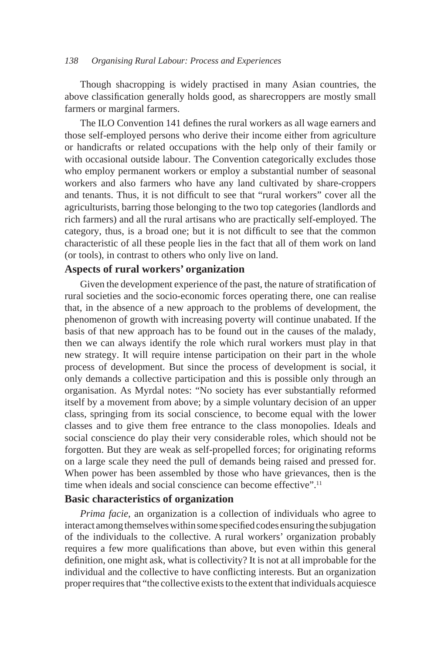Though shacropping is widely practised in many Asian countries, the above classification generally holds good, as sharecroppers are mostly small farmers or marginal farmers.

The ILO Convention 141 defines the rural workers as all wage earners and those self-employed persons who derive their income either from agriculture or handicrafts or related occupations with the help only of their family or with occasional outside labour. The Convention categorically excludes those who employ permanent workers or employ a substantial number of seasonal workers and also farmers who have any land cultivated by share-croppers and tenants. Thus, it is not difficult to see that "rural workers" cover all the agriculturists, barring those belonging to the two top categories (landlords and rich farmers) and all the rural artisans who are practically self-employed. The category, thus, is a broad one; but it is not difficult to see that the common characteristic of all these people lies in the fact that all of them work on land (or tools), in contrast to others who only live on land.

# **Aspects of rural workers' organization**

Given the development experience of the past, the nature of stratification of rural societies and the socio-economic forces operating there, one can realise that, in the absence of a new approach to the problems of development, the phenomenon of growth with increasing poverty will continue unabated. If the basis of that new approach has to be found out in the causes of the malady, then we can always identify the role which rural workers must play in that new strategy. It will require intense participation on their part in the whole process of development. But since the process of development is social, it only demands a collective participation and this is possible only through an organisation. As Myrdal notes: "No society has ever substantially reformed itself by a movement from above; by a simple voluntary decision of an upper class, springing from its social conscience, to become equal with the lower classes and to give them free entrance to the class monopolies. Ideals and social conscience do play their very considerable roles, which should not be forgotten. But they are weak as self-propelled forces; for originating reforms on a large scale they need the pull of demands being raised and pressed for. When power has been assembled by those who have grievances, then is the time when ideals and social conscience can become effective".<sup>11</sup>

## **Basic characteristics of organization**

*Prima facie*, an organization is a collection of individuals who agree to interact among themselves within some specified codes ensuring the subjugation of the individuals to the collective. A rural workers' organization probably requires a few more qualifications than above, but even within this general definition, one might ask, what is collectivity? It is not at all improbable for the individual and the collective to have conflicting interests. But an organization proper requires that "the collective exists to the extent that individuals acquiesce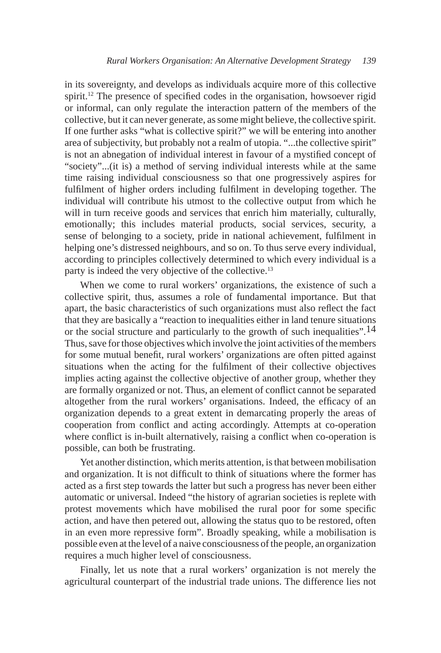in its sovereignty, and develops as individuals acquire more of this collective spirit.<sup>12</sup> The presence of specified codes in the organisation, howsoever rigid or informal, can only regulate the interaction pattern of the members of the collective, but it can never generate, as some might believe, the collective spirit. If one further asks "what is collective spirit?" we will be entering into another area of subjectivity, but probably not a realm of utopia. "...the collective spirit" is not an abnegation of individual interest in favour of a mystified concept of "society"...(it is) a method of serving individual interests while at the same time raising individual consciousness so that one progressively aspires for fulfilment of higher orders including fulfilment in developing together. The individual will contribute his utmost to the collective output from which he will in turn receive goods and services that enrich him materially, culturally, emotionally; this includes material products, social services, security, a sense of belonging to a society, pride in national achievement, fulfilment in helping one's distressed neighbours, and so on. To thus serve every individual, according to principles collectively determined to which every individual is a party is indeed the very objective of the collective.<sup>13</sup>

When we come to rural workers' organizations, the existence of such a collective spirit, thus, assumes a role of fundamental importance. But that apart, the basic characteristics of such organizations must also reflect the fact that they are basically a "reaction to inequalities either in land tenure situations or the social structure and particularly to the growth of such inequalities".<sup>14</sup> Thus, save for those objectives which involve the joint activities of the members for some mutual benefit, rural workers' organizations are often pitted against situations when the acting for the fulfilment of their collective objectives implies acting against the collective objective of another group, whether they are formally organized or not. Thus, an element of conflict cannot be separated altogether from the rural workers' organisations. Indeed, the efficacy of an organization depends to a great extent in demarcating properly the areas of cooperation from conflict and acting accordingly. Attempts at co-operation where conflict is in-built alternatively, raising a conflict when co-operation is possible, can both be frustrating.

Yet another distinction, which merits attention, is that between mobilisation and organization. It is not difficult to think of situations where the former has acted as a first step towards the latter but such a progress has never been either automatic or universal. Indeed "the history of agrarian societies is replete with protest movements which have mobilised the rural poor for some specific action, and have then petered out, allowing the status quo to be restored, often in an even more repressive form". Broadly speaking, while a mobilisation is possible even at the level of a naive consciousness of the people, an organization requires a much higher level of consciousness.

Finally, let us note that a rural workers' organization is not merely the agricultural counterpart of the industrial trade unions. The difference lies not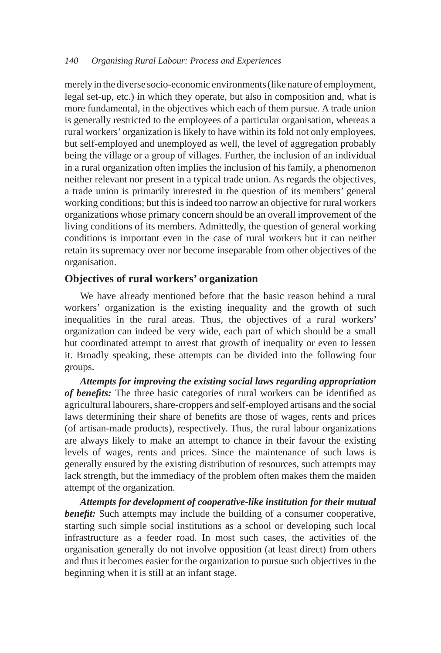merely in the diverse socio-economic environments (like nature of employment, legal set-up, etc.) in which they operate, but also in composition and, what is more fundamental, in the objectives which each of them pursue. A trade union is generally restricted to the employees of a particular organisation, whereas a rural workers' organization is likely to have within its fold not only employees, but self-employed and unemployed as well, the level of aggregation probably being the village or a group of villages. Further, the inclusion of an individual in a rural organization often implies the inclusion of his family, a phenomenon neither relevant nor present in a typical trade union. As regards the objectives, a trade union is primarily interested in the question of its members' general working conditions; but this is indeed too narrow an objective for rural workers organizations whose primary concern should be an overall improvement of the living conditions of its members. Admittedly, the question of general working conditions is important even in the case of rural workers but it can neither retain its supremacy over nor become inseparable from other objectives of the organisation.

## **Objectives of rural workers' organization**

We have already mentioned before that the basic reason behind a rural workers' organization is the existing inequality and the growth of such inequalities in the rural areas. Thus, the objectives of a rural workers' organization can indeed be very wide, each part of which should be a small but coordinated attempt to arrest that growth of inequality or even to lessen it. Broadly speaking, these attempts can be divided into the following four groups.

*Attempts for improving the existing social laws regarding appropriation of benefits:* The three basic categories of rural workers can be identified as agricultural labourers, share-croppers and self-employed artisans and the social laws determining their share of benefits are those of wages, rents and prices (of artisan-made products), respectively. Thus, the rural labour organizations are always likely to make an attempt to chance in their favour the existing levels of wages, rents and prices. Since the maintenance of such laws is generally ensured by the existing distribution of resources, such attempts may lack strength, but the immediacy of the problem often makes them the maiden attempt of the organization.

*Attempts for development of cooperative-like institution for their mutual benefit:* Such attempts may include the building of a consumer cooperative, starting such simple social institutions as a school or developing such local infrastructure as a feeder road. In most such cases, the activities of the organisation generally do not involve opposition (at least direct) from others and thus it becomes easier for the organization to pursue such objectives in the beginning when it is still at an infant stage.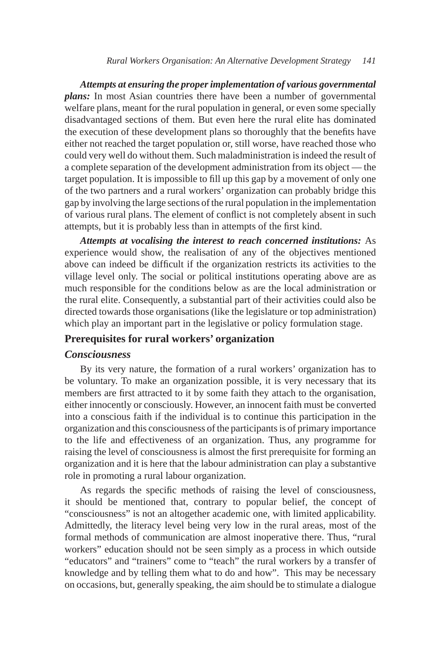*Attempts at ensuring the proper implementation of various governmental plans:* In most Asian countries there have been a number of governmental welfare plans, meant for the rural population in general, or even some specially disadvantaged sections of them. But even here the rural elite has dominated the execution of these development plans so thoroughly that the benefits have either not reached the target population or, still worse, have reached those who could very well do without them. Such maladministration is indeed the result of a complete separation of the development administration from its object — the target population. It is impossible to fill up this gap by a movement of only one of the two partners and a rural workers' organization can probably bridge this gap by involving the large sections of the rural population in the implementation of various rural plans. The element of conflict is not completely absent in such attempts, but it is probably less than in attempts of the first kind.

*Attempts at vocalising the interest to reach concerned institutions:* As experience would show, the realisation of any of the objectives mentioned above can indeed be difficult if the organization restricts its activities to the village level only. The social or political institutions operating above are as much responsible for the conditions below as are the local administration or the rural elite. Consequently, a substantial part of their activities could also be directed towards those organisations (like the legislature or top administration) which play an important part in the legislative or policy formulation stage.

# **Prerequisites for rural workers' organization**

#### *Consciousness*

By its very nature, the formation of a rural workers' organization has to be voluntary. To make an organization possible, it is very necessary that its members are first attracted to it by some faith they attach to the organisation, either innocently or consciously. However, an innocent faith must be converted into a conscious faith if the individual is to continue this participation in the organization and this consciousness of the participants is of primary importance to the life and effectiveness of an organization. Thus, any programme for raising the level of consciousness is almost the first prerequisite for forming an organization and it is here that the labour administration can play a substantive role in promoting a rural labour organization.

As regards the specific methods of raising the level of consciousness, it should be mentioned that, contrary to popular belief, the concept of "consciousness" is not an altogether academic one, with limited applicability. Admittedly, the literacy level being very low in the rural areas, most of the formal methods of communication are almost inoperative there. Thus, "rural workers" education should not be seen simply as a process in which outside "educators" and "trainers" come to "teach" the rural workers by a transfer of knowledge and by telling them what to do and how". This may be necessary on occasions, but, generally speaking, the aim should be to stimulate a dialogue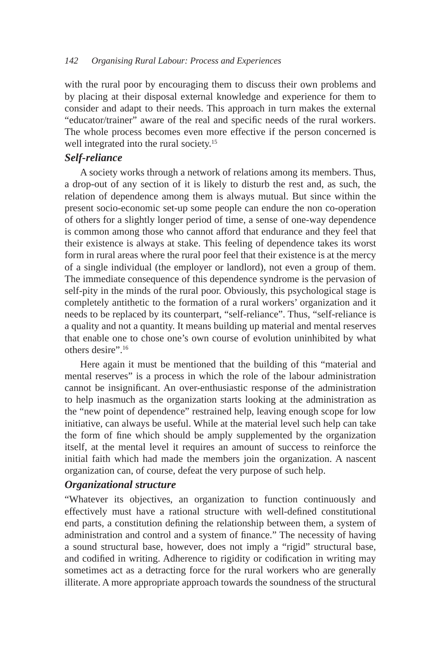with the rural poor by encouraging them to discuss their own problems and by placing at their disposal external knowledge and experience for them to consider and adapt to their needs. This approach in turn makes the external "educator/trainer" aware of the real and specific needs of the rural workers. The whole process becomes even more effective if the person concerned is well integrated into the rural society.<sup>15</sup>

# *Self-reliance*

A society works through a network of relations among its members. Thus, a drop-out of any section of it is likely to disturb the rest and, as such, the relation of dependence among them is always mutual. But since within the present socio-economic set-up some people can endure the non co-operation of others for a slightly longer period of time, a sense of one-way dependence is common among those who cannot afford that endurance and they feel that their existence is always at stake. This feeling of dependence takes its worst form in rural areas where the rural poor feel that their existence is at the mercy of a single individual (the employer or landlord), not even a group of them. The immediate consequence of this dependence syndrome is the pervasion of self-pity in the minds of the rural poor. Obviously, this psychological stage is completely antithetic to the formation of a rural workers' organization and it needs to be replaced by its counterpart, "self-reliance". Thus, "self-reliance is a quality and not a quantity. It means building up material and mental reserves that enable one to chose one's own course of evolution uninhibited by what others desire".16

Here again it must be mentioned that the building of this "material and mental reserves" is a process in which the role of the labour administration cannot be insignificant. An over-enthusiastic response of the administration to help inasmuch as the organization starts looking at the administration as the "new point of dependence" restrained help, leaving enough scope for low initiative, can always be useful. While at the material level such help can take the form of fine which should be amply supplemented by the organization itself, at the mental level it requires an amount of success to reinforce the initial faith which had made the members join the organization. A nascent organization can, of course, defeat the very purpose of such help.

# *Organizational structure*

"Whatever its objectives, an organization to function continuously and effectively must have a rational structure with well-defined constitutional end parts, a constitution defining the relationship between them, a system of administration and control and a system of finance." The necessity of having a sound structural base, however, does not imply a "rigid" structural base, and codified in writing. Adherence to rigidity or codification in writing may sometimes act as a detracting force for the rural workers who are generally illiterate. A more appropriate approach towards the soundness of the structural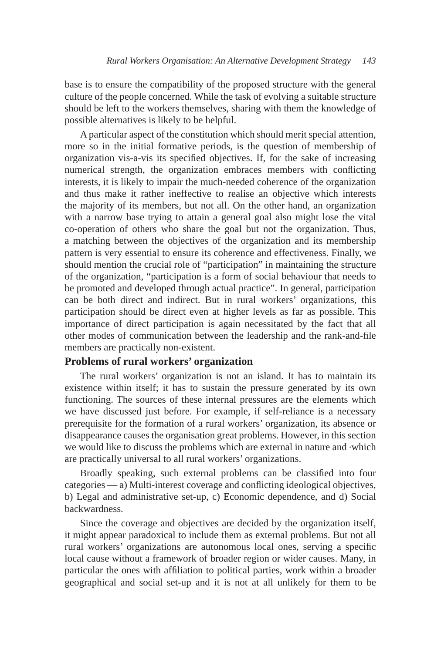base is to ensure the compatibility of the proposed structure with the general culture of the people concerned. While the task of evolving a suitable structure should be left to the workers themselves, sharing with them the knowledge of possible alternatives is likely to be helpful.

A particular aspect of the constitution which should merit special attention, more so in the initial formative periods, is the question of membership of organization vis-a-vis its specified objectives. If, for the sake of increasing numerical strength, the organization embraces members with conflicting interests, it is likely to impair the much-needed coherence of the organization and thus make it rather ineffective to realise an objective which interests the majority of its members, but not all. On the other hand, an organization with a narrow base trying to attain a general goal also might lose the vital co-operation of others who share the goal but not the organization. Thus, a matching between the objectives of the organization and its membership pattern is very essential to ensure its coherence and effectiveness. Finally, we should mention the crucial role of "participation" in maintaining the structure of the organization, "participation is a form of social behaviour that needs to be promoted and developed through actual practice". In general, participation can be both direct and indirect. But in rural workers' organizations, this participation should be direct even at higher levels as far as possible. This importance of direct participation is again necessitated by the fact that all other modes of communication between the leadership and the rank-and-file members are practically non-existent.

# **Problems of rural workers' organization**

The rural workers' organization is not an island. It has to maintain its existence within itself; it has to sustain the pressure generated by its own functioning. The sources of these internal pressures are the elements which we have discussed just before. For example, if self-reliance is a necessary prerequisite for the formation of a rural workers' organization, its absence or disappearance causes the organisation great problems. However, in this section we would like to discuss the problems which are external in nature and which are practically universal to all rural workers' organizations.

Broadly speaking, such external problems can be classified into four categories — a) Multi-interest coverage and conflicting ideological objectives, b) Legal and administrative set-up, c) Economic dependence, and d) Social backwardness.

Since the coverage and objectives are decided by the organization itself, it might appear paradoxical to include them as external problems. But not all rural workers' organizations are autonomous local ones, serving a specific local cause without a framework of broader region or wider causes. Many, in particular the ones with affiliation to political parties, work within a broader geographical and social set-up and it is not at all unlikely for them to be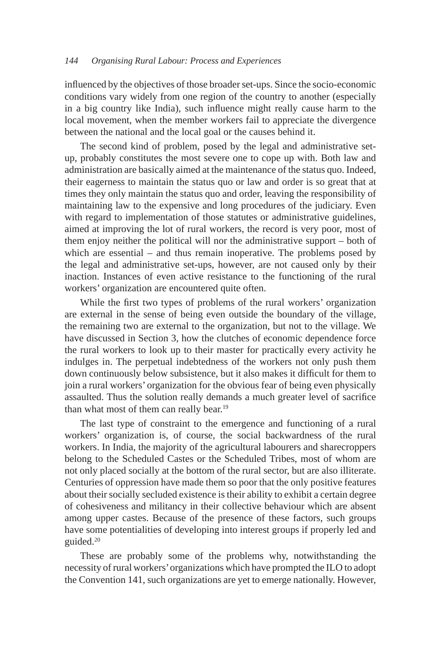influenced by the objectives of those broader set-ups. Since the socio-economic conditions vary widely from one region of the country to another (especially in a big country like India), such influence might really cause harm to the local movement, when the member workers fail to appreciate the divergence between the national and the local goal or the causes behind it.

The second kind of problem, posed by the legal and administrative setup, probably constitutes the most severe one to cope up with. Both law and administration are basically aimed at the maintenance of the status quo. Indeed, their eagerness to maintain the status quo or law and order is so great that at times they only maintain the status quo and order, leaving the responsibility of maintaining law to the expensive and long procedures of the judiciary. Even with regard to implementation of those statutes or administrative guidelines, aimed at improving the lot of rural workers, the record is very poor, most of them enjoy neither the political will nor the administrative support – both of which are essential – and thus remain inoperative. The problems posed by the legal and administrative set-ups, however, are not caused only by their inaction. Instances of even active resistance to the functioning of the rural workers' organization are encountered quite often.

While the first two types of problems of the rural workers' organization are external in the sense of being even outside the boundary of the village, the remaining two are external to the organization, but not to the village. We have discussed in Section 3, how the clutches of economic dependence force the rural workers to look up to their master for practically every activity he indulges in. The perpetual indebtedness of the workers not only push them down continuously below subsistence, but it also makes it difficult for them to join a rural workers' organization for the obvious fear of being even physically assaulted. Thus the solution really demands a much greater level of sacrifice than what most of them can really bear.<sup>19</sup>

The last type of constraint to the emergence and functioning of a rural workers' organization is, of course, the social backwardness of the rural workers. In India, the majority of the agricultural labourers and sharecroppers belong to the Scheduled Castes or the Scheduled Tribes, most of whom are not only placed socially at the bottom of the rural sector, but are also illiterate. Centuries of oppression have made them so poor that the only positive features about their socially secluded existence is their ability to exhibit a certain degree of cohesiveness and militancy in their collective behaviour which are absent among upper castes. Because of the presence of these factors, such groups have some potentialities of developing into interest groups if properly led and guided.20

These are probably some of the problems why, notwithstanding the necessity of rural workers' organizations which have prompted the ILO to adopt the Convention 141, such organizations are yet to emerge nationally. However,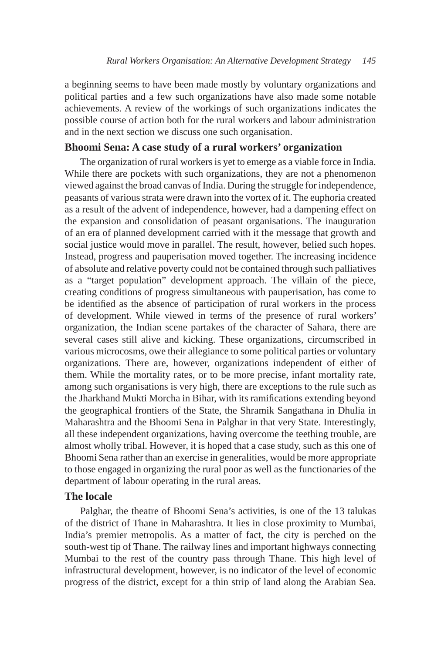a beginning seems to have been made mostly by voluntary organizations and political parties and a few such organizations have also made some notable achievements. A review of the workings of such organizations indicates the possible course of action both for the rural workers and labour administration and in the next section we discuss one such organisation.

# **Bhoomi Sena: A case study of a rural workers' organization**

The organization of rural workers is yet to emerge as a viable force in India. While there are pockets with such organizations, they are not a phenomenon viewed against the broad canvas of India. During the struggle for independence, peasants of various strata were drawn into the vortex of it. The euphoria created as a result of the advent of independence, however, had a dampening effect on the expansion and consolidation of peasant organisations. The inauguration of an era of planned development carried with it the message that growth and social justice would move in parallel. The result, however, belied such hopes. Instead, progress and pauperisation moved together. The increasing incidence of absolute and relative poverty could not be contained through such palliatives as a "target population" development approach. The villain of the piece, creating conditions of progress simultaneous with pauperisation, has come to be identified as the absence of participation of rural workers in the process of development. While viewed in terms of the presence of rural workers' organization, the Indian scene partakes of the character of Sahara, there are several cases still alive and kicking. These organizations, circumscribed in various microcosms, owe their allegiance to some political parties or voluntary organizations. There are, however, organizations independent of either of them. While the mortality rates, or to be more precise, infant mortality rate, among such organisations is very high, there are exceptions to the rule such as the Jharkhand Mukti Morcha in Bihar, with its ramifications extending beyond the geographical frontiers of the State, the Shramik Sangathana in Dhulia in Maharashtra and the Bhoomi Sena in Palghar in that very State. Interestingly, all these independent organizations, having overcome the teething trouble, are almost wholly tribal. However, it is hoped that a case study, such as this one of Bhoomi Sena rather than an exercise in generalities, would be more appropriate to those engaged in organizing the rural poor as well as the functionaries of the department of labour operating in the rural areas.

# **The locale**

Palghar, the theatre of Bhoomi Sena's activities, is one of the 13 talukas of the district of Thane in Maharashtra. It lies in close proximity to Mumbai, India's premier metropolis. As a matter of fact, the city is perched on the south-west tip of Thane. The railway lines and important highways connecting Mumbai to the rest of the country pass through Thane. This high level of infrastructural development, however, is no indicator of the level of economic progress of the district, except for a thin strip of land along the Arabian Sea.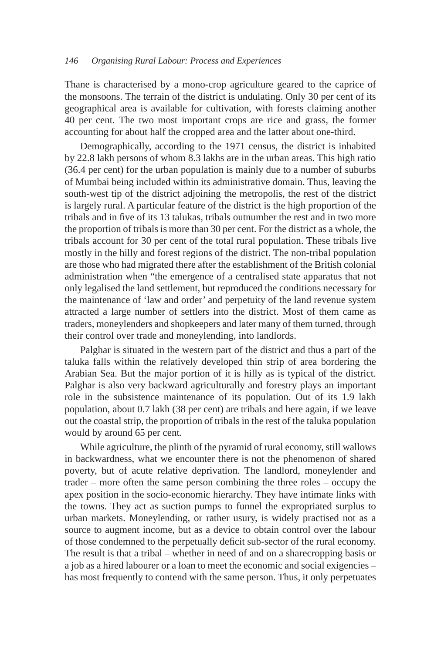Thane is characterised by a mono-crop agriculture geared to the caprice of the monsoons. The terrain of the district is undulating. Only 30 per cent of its geographical area is available for cultivation, with forests claiming another 40 per cent. The two most important crops are rice and grass, the former accounting for about half the cropped area and the latter about one-third.

Demographically, according to the 1971 census, the district is inhabited by 22.8 lakh persons of whom 8.3 lakhs are in the urban areas. This high ratio (36.4 per cent) for the urban population is mainly due to a number of suburbs of Mumbai being included within its administrative domain. Thus, leaving the south-west tip of the district adjoining the metropolis, the rest of the district is largely rural. A particular feature of the district is the high proportion of the tribals and in five of its 13 talukas, tribals outnumber the rest and in two more the proportion of tribals is more than 30 per cent. For the district as a whole, the tribals account for 30 per cent of the total rural population. These tribals live mostly in the hilly and forest regions of the district. The non-tribal population are those who had migrated there after the establishment of the British colonial administration when "the emergence of a centralised state apparatus that not only legalised the land settlement, but reproduced the conditions necessary for the maintenance of 'law and order' and perpetuity of the land revenue system attracted a large number of settlers into the district. Most of them came as traders, moneylenders and shopkeepers and later many of them turned, through their control over trade and moneylending, into landlords.

Palghar is situated in the western part of the district and thus a part of the taluka falls within the relatively developed thin strip of area bordering the Arabian Sea. But the major portion of it is hilly as is typical of the district. Palghar is also very backward agriculturally and forestry plays an important role in the subsistence maintenance of its population. Out of its 1.9 lakh population, about 0.7 lakh (38 per cent) are tribals and here again, if we leave out the coastal strip, the proportion of tribals in the rest of the taluka population would by around 65 per cent.

While agriculture, the plinth of the pyramid of rural economy, still wallows in backwardness, what we encounter there is not the phenomenon of shared poverty, but of acute relative deprivation. The landlord, moneylender and trader – more often the same person combining the three roles – occupy the apex position in the socio-economic hierarchy. They have intimate links with the towns. They act as suction pumps to funnel the expropriated surplus to urban markets. Moneylending, or rather usury, is widely practised not as a source to augment income, but as a device to obtain control over the labour of those condemned to the perpetually deficit sub-sector of the rural economy. The result is that a tribal – whether in need of and on a sharecropping basis or a job as a hired labourer or a loan to meet the economic and social exigencies – has most frequently to contend with the same person. Thus, it only perpetuates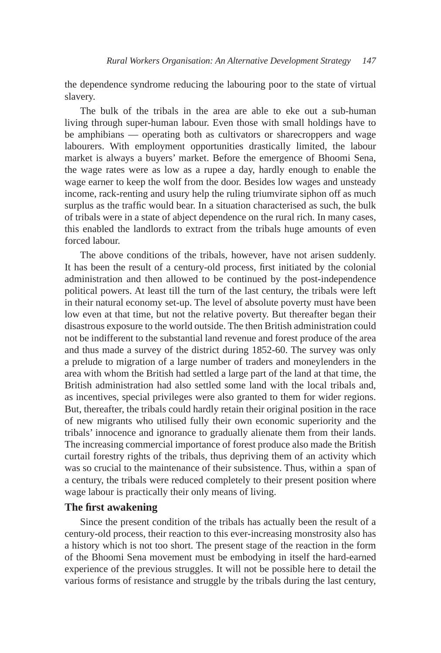the dependence syndrome reducing the labouring poor to the state of virtual slavery.

The bulk of the tribals in the area are able to eke out a sub-human living through super-human labour. Even those with small holdings have to be amphibians — operating both as cultivators or sharecroppers and wage labourers. With employment opportunities drastically limited, the labour market is always a buyers' market. Before the emergence of Bhoomi Sena, the wage rates were as low as a rupee a day, hardly enough to enable the wage earner to keep the wolf from the door. Besides low wages and unsteady income, rack-renting and usury help the ruling triumvirate siphon off as much surplus as the traffic would bear. In a situation characterised as such, the bulk of tribals were in a state of abject dependence on the rural rich. In many cases, this enabled the landlords to extract from the tribals huge amounts of even forced labour.

The above conditions of the tribals, however, have not arisen suddenly. It has been the result of a century-old process, first initiated by the colonial administration and then allowed to be continued by the post-independence political powers. At least till the turn of the last century, the tribals were left in their natural economy set-up. The level of absolute poverty must have been low even at that time, but not the relative poverty. But thereafter began their disastrous exposure to the world outside. The then British administration could not be indifferent to the substantial land revenue and forest produce of the area and thus made a survey of the district during 1852-60. The survey was only a prelude to migration of a large number of traders and moneylenders in the area with whom the British had settled a large part of the land at that time, the British administration had also settled some land with the local tribals and, as incentives, special privileges were also granted to them for wider regions. But, thereafter, the tribals could hardly retain their original position in the race of new migrants who utilised fully their own economic superiority and the tribals' innocence and ignorance to gradually alienate them from their lands. The increasing commercial importance of forest produce also made the British curtail forestry rights of the tribals, thus depriving them of an activity which was so crucial to the maintenance of their subsistence. Thus, within a span of a century, the tribals were reduced completely to their present position where wage labour is practically their only means of living.

#### **The first awakening**

Since the present condition of the tribals has actually been the result of a century-old process, their reaction to this ever-increasing monstrosity also has a history which is not too short. The present stage of the reaction in the form of the Bhoomi Sena movement must be embodying in itself the hard-earned experience of the previous struggles. It will not be possible here to detail the various forms of resistance and struggle by the tribals during the last century,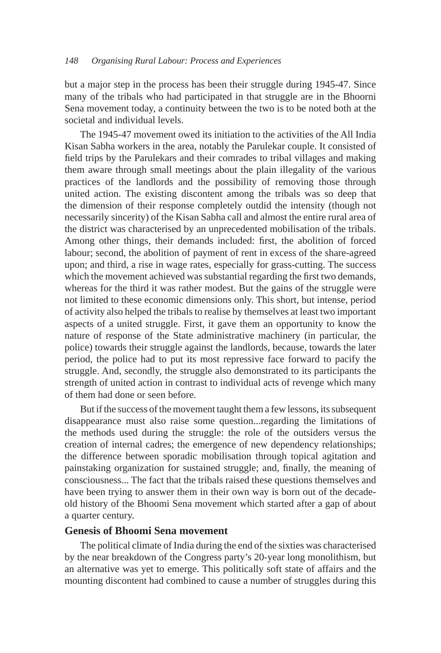but a major step in the process has been their struggle during 1945-47. Since many of the tribals who had participated in that struggle are in the Bhoorni Sena movement today, a continuity between the two is to be noted both at the societal and individual levels.

The 1945-47 movement owed its initiation to the activities of the All India Kisan Sabha workers in the area, notably the Parulekar couple. It consisted of field trips by the Parulekars and their comrades to tribal villages and making them aware through small meetings about the plain illegality of the various practices of the landlords and the possibility of removing those through united action. The existing discontent among the tribals was so deep that the dimension of their response completely outdid the intensity (though not necessarily sincerity) of the Kisan Sabha call and almost the entire rural area of the district was characterised by an unprecedented mobilisation of the tribals. Among other things, their demands included: first, the abolition of forced labour; second, the abolition of payment of rent in excess of the share-agreed upon; and third, a rise in wage rates, especially for grass-cutting. The success which the movement achieved was substantial regarding the first two demands, whereas for the third it was rather modest. But the gains of the struggle were not limited to these economic dimensions only. This short, but intense, period of activity also helped the tribals to realise by themselves at least two important aspects of a united struggle. First, it gave them an opportunity to know the nature of response of the State administrative machinery (in particular, the police) towards their struggle against the landlords, because, towards the later period, the police had to put its most repressive face forward to pacify the struggle. And, secondly, the struggle also demonstrated to its participants the strength of united action in contrast to individual acts of revenge which many of them had done or seen before.

But if the success of the movement taught them a few lessons, its subsequent disappearance must also raise some question...regarding the limitations of the methods used during the struggle: the role of the outsiders versus the creation of internal cadres; the emergence of new dependency relationships; the difference between sporadic mobilisation through topical agitation and painstaking organization for sustained struggle; and, finally, the meaning of consciousness... The fact that the tribals raised these questions themselves and have been trying to answer them in their own way is born out of the decadeold history of the Bhoomi Sena movement which started after a gap of about a quarter century.

## **Genesis of Bhoomi Sena movement**

The political climate of India during the end of the sixties was characterised by the near breakdown of the Congress party's 20-year long monolithism, but an alternative was yet to emerge. This politically soft state of affairs and the mounting discontent had combined to cause a number of struggles during this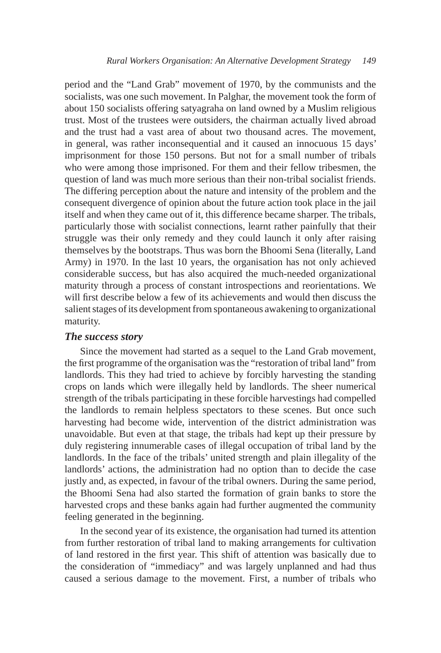period and the "Land Grab" movement of 1970, by the communists and the socialists, was one such movement. In Palghar, the movement took the form of about 150 socialists offering satyagraha on land owned by a Muslim religious trust. Most of the trustees were outsiders, the chairman actually lived abroad and the trust had a vast area of about two thousand acres. The movement, in general, was rather inconsequential and it caused an innocuous 15 days' imprisonment for those 150 persons. But not for a small number of tribals who were among those imprisoned. For them and their fellow tribesmen, the question of land was much more serious than their non-tribal socialist friends. The differing perception about the nature and intensity of the problem and the consequent divergence of opinion about the future action took place in the jail itself and when they came out of it, this difference became sharper. The tribals, particularly those with socialist connections, learnt rather painfully that their struggle was their only remedy and they could launch it only after raising themselves by the bootstraps. Thus was born the Bhoomi Sena (literally, Land Army) in 1970. In the last 10 years, the organisation has not only achieved considerable success, but has also acquired the much-needed organizational maturity through a process of constant introspections and reorientations. We will first describe below a few of its achievements and would then discuss the salient stages of its development from spontaneous awakening to organizational maturity.

## *The success story*

Since the movement had started as a sequel to the Land Grab movement, the first programme of the organisation was the "restoration of tribal land" from landlords. This they had tried to achieve by forcibly harvesting the standing crops on lands which were illegally held by landlords. The sheer numerical strength of the tribals participating in these forcible harvestings had compelled the landlords to remain helpless spectators to these scenes. But once such harvesting had become wide, intervention of the district administration was unavoidable. But even at that stage, the tribals had kept up their pressure by duly registering innumerable cases of illegal occupation of tribal land by the landlords. In the face of the tribals' united strength and plain illegality of the landlords' actions, the administration had no option than to decide the case justly and, as expected, in favour of the tribal owners. During the same period, the Bhoomi Sena had also started the formation of grain banks to store the harvested crops and these banks again had further augmented the community feeling generated in the beginning.

In the second year of its existence, the organisation had turned its attention from further restoration of tribal land to making arrangements for cultivation of land restored in the first year. This shift of attention was basically due to the consideration of "immediacy" and was largely unplanned and had thus caused a serious damage to the movement. First, a number of tribals who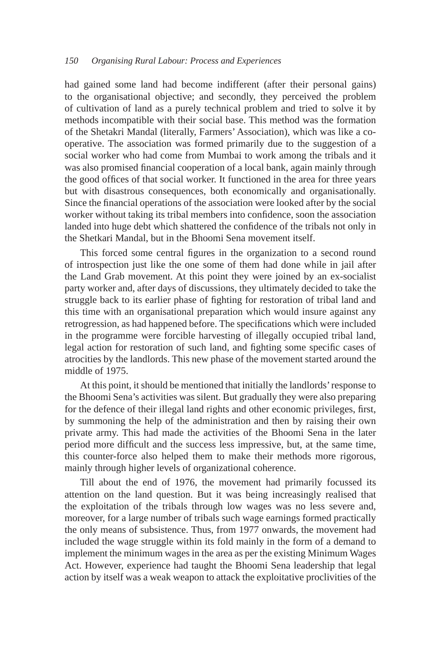had gained some land had become indifferent (after their personal gains) to the organisational objective; and secondly, they perceived the problem of cultivation of land as a purely technical problem and tried to solve it by methods incompatible with their social base. This method was the formation of the Shetakri Mandal (literally, Farmers' Association), which was like a cooperative. The association was formed primarily due to the suggestion of a social worker who had come from Mumbai to work among the tribals and it was also promised financial cooperation of a local bank, again mainly through the good offices of that social worker. It functioned in the area for three years but with disastrous consequences, both economically and organisationally. Since the financial operations of the association were looked after by the social worker without taking its tribal members into confidence, soon the association landed into huge debt which shattered the confidence of the tribals not only in the Shetkari Mandal, but in the Bhoomi Sena movement itself.

This forced some central figures in the organization to a second round of introspection just like the one some of them had done while in jail after the Land Grab movement. At this point they were joined by an ex-socialist party worker and, after days of discussions, they ultimately decided to take the struggle back to its earlier phase of fighting for restoration of tribal land and this time with an organisational preparation which would insure against any retrogression, as had happened before. The specifications which were included in the programme were forcible harvesting of illegally occupied tribal land, legal action for restoration of such land, and fighting some specific cases of atrocities by the landlords. This new phase of the movement started around the middle of 1975.

At this point, it should be mentioned that initially the landlords' response to the Bhoomi Sena's activities was silent. But gradually they were also preparing for the defence of their illegal land rights and other economic privileges, first, by summoning the help of the administration and then by raising their own private army. This had made the activities of the Bhoomi Sena in the later period more difficult and the success less impressive, but, at the same time, this counter-force also helped them to make their methods more rigorous, mainly through higher levels of organizational coherence.

Till about the end of 1976, the movement had primarily focussed its attention on the land question. But it was being increasingly realised that the exploitation of the tribals through low wages was no less severe and, moreover, for a large number of tribals such wage earnings formed practically the only means of subsistence. Thus, from 1977 onwards, the movement had included the wage struggle within its fold mainly in the form of a demand to implement the minimum wages in the area as per the existing Minimum Wages Act. However, experience had taught the Bhoomi Sena leadership that legal action by itself was a weak weapon to attack the exploitative proclivities of the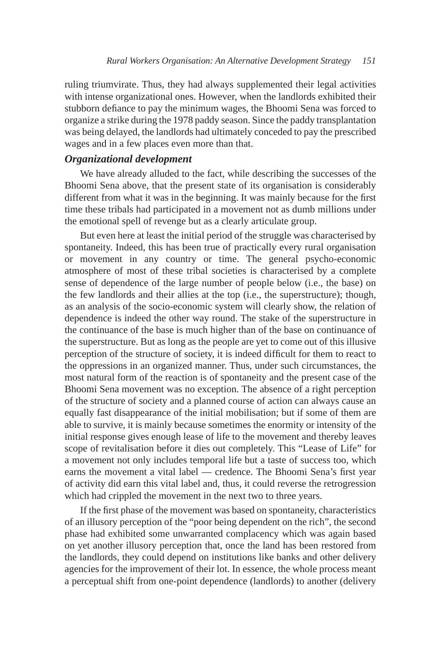ruling triumvirate. Thus, they had always supplemented their legal activities with intense organizational ones. However, when the landlords exhibited their stubborn defiance to pay the minimum wages, the Bhoomi Sena was forced to organize a strike during the 1978 paddy season. Since the paddy transplantation was being delayed, the landlords had ultimately conceded to pay the prescribed wages and in a few places even more than that.

#### *Organizational development*

We have already alluded to the fact, while describing the successes of the Bhoomi Sena above, that the present state of its organisation is considerably different from what it was in the beginning. It was mainly because for the first time these tribals had participated in a movement not as dumb millions under the emotional spell of revenge but as a clearly articulate group.

But even here at least the initial period of the struggle was characterised by spontaneity. Indeed, this has been true of practically every rural organisation or movement in any country or time. The general psycho-economic atmosphere of most of these tribal societies is characterised by a complete sense of dependence of the large number of people below (i.e., the base) on the few landlords and their allies at the top (i.e., the superstructure); though, as an analysis of the socio-economic system will clearly show, the relation of dependence is indeed the other way round. The stake of the superstructure in the continuance of the base is much higher than of the base on continuance of the superstructure. But as long as the people are yet to come out of this illusive perception of the structure of society, it is indeed difficult for them to react to the oppressions in an organized manner. Thus, under such circumstances, the most natural form of the reaction is of spontaneity and the present case of the Bhoomi Sena movement was no exception. The absence of a right perception of the structure of society and a planned course of action can always cause an equally fast disappearance of the initial mobilisation; but if some of them are able to survive, it is mainly because sometimes the enormity or intensity of the initial response gives enough lease of life to the movement and thereby leaves scope of revitalisation before it dies out completely. This "Lease of Life" for a movement not only includes temporal life but a taste of success too, which earns the movement a vital label — credence. The Bhoomi Sena's first year of activity did earn this vital label and, thus, it could reverse the retrogression which had crippled the movement in the next two to three years.

If the first phase of the movement was based on spontaneity, characteristics of an illusory perception of the "poor being dependent on the rich", the second phase had exhibited some unwarranted complacency which was again based on yet another illusory perception that, once the land has been restored from the landlords, they could depend on institutions like banks and other delivery agencies for the improvement of their lot. In essence, the whole process meant a perceptual shift from one-point dependence (landlords) to another (delivery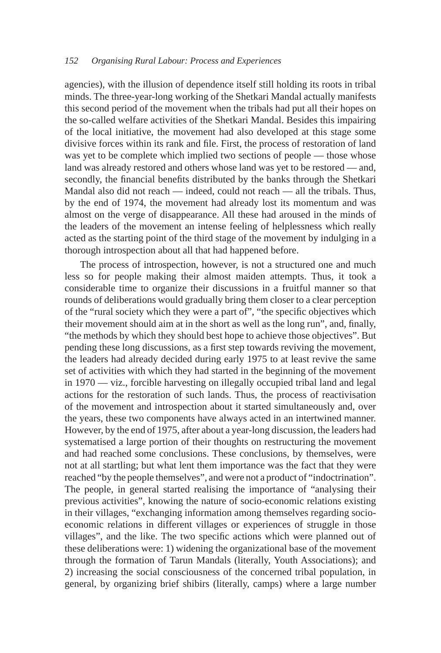agencies), with the illusion of dependence itself still holding its roots in tribal minds. The three-year-long working of the Shetkari Mandal actually manifests this second period of the movement when the tribals had put all their hopes on the so-called welfare activities of the Shetkari Mandal. Besides this impairing of the local initiative, the movement had also developed at this stage some divisive forces within its rank and file. First, the process of restoration of land was yet to be complete which implied two sections of people — those whose land was already restored and others whose land was yet to be restored — and, secondly, the financial benefits distributed by the banks through the Shetkari Mandal also did not reach — indeed, could not reach — all the tribals. Thus, by the end of 1974, the movement had already lost its momentum and was almost on the verge of disappearance. All these had aroused in the minds of the leaders of the movement an intense feeling of helplessness which really acted as the starting point of the third stage of the movement by indulging in a thorough introspection about all that had happened before.

The process of introspection, however, is not a structured one and much less so for people making their almost maiden attempts. Thus, it took a considerable time to organize their discussions in a fruitful manner so that rounds of deliberations would gradually bring them closer to a clear perception of the "rural society which they were a part of", "the specific objectives which their movement should aim at in the short as well as the long run", and, finally, "the methods by which they should best hope to achieve those objectives". But pending these long discussions, as a first step towards reviving the movement, the leaders had already decided during early 1975 to at least revive the same set of activities with which they had started in the beginning of the movement in 1970 — viz., forcible harvesting on illegally occupied tribal land and legal actions for the restoration of such lands. Thus, the process of reactivisation of the movement and introspection about it started simultaneously and, over the years, these two components have always acted in an intertwined manner. However, by the end of 1975, after about a year-long discussion, the leaders had systematised a large portion of their thoughts on restructuring the movement and had reached some conclusions. These conclusions, by themselves, were not at all startling; but what lent them importance was the fact that they were reached "by the people themselves", and were not a product of "indoctrination". The people, in general started realising the importance of "analysing their previous activities", knowing the nature of socio-economic relations existing in their villages, "exchanging information among themselves regarding socioeconomic relations in different villages or experiences of struggle in those villages", and the like. The two specific actions which were planned out of these deliberations were: 1) widening the organizational base of the movement through the formation of Tarun Mandals (literally, Youth Associations); and 2) increasing the social consciousness of the concerned tribal population, in general, by organizing brief shibirs (literally, camps) where a large number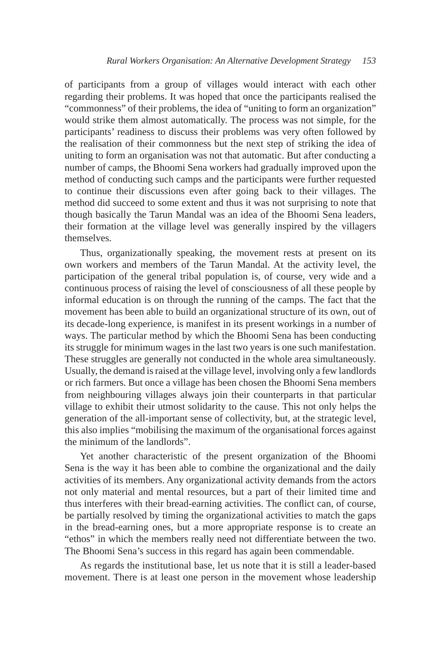of participants from a group of villages would interact with each other regarding their problems. It was hoped that once the participants realised the "commonness" of their problems, the idea of "uniting to form an organization" would strike them almost automatically. The process was not simple, for the participants' readiness to discuss their problems was very often followed by the realisation of their commonness but the next step of striking the idea of uniting to form an organisation was not that automatic. But after conducting a number of camps, the Bhoomi Sena workers had gradually improved upon the method of conducting such camps and the participants were further requested to continue their discussions even after going back to their villages. The method did succeed to some extent and thus it was not surprising to note that though basically the Tarun Mandal was an idea of the Bhoomi Sena leaders, their formation at the village level was generally inspired by the villagers themselves.

Thus, organizationally speaking, the movement rests at present on its own workers and members of the Tarun Mandal. At the activity level, the participation of the general tribal population is, of course, very wide and a continuous process of raising the level of consciousness of all these people by informal education is on through the running of the camps. The fact that the movement has been able to build an organizational structure of its own, out of its decade-long experience, is manifest in its present workings in a number of ways. The particular method by which the Bhoomi Sena has been conducting its struggle for minimum wages in the last two years is one such manifestation. These struggles are generally not conducted in the whole area simultaneously. Usually, the demand is raised at the village level, involving only a few landlords or rich farmers. But once a village has been chosen the Bhoomi Sena members from neighbouring villages always join their counterparts in that particular village to exhibit their utmost solidarity to the cause. This not only helps the generation of the all-important sense of collectivity, but, at the strategic level, this also implies "mobilising the maximum of the organisational forces against the minimum of the landlords".

Yet another characteristic of the present organization of the Bhoomi Sena is the way it has been able to combine the organizational and the daily activities of its members. Any organizational activity demands from the actors not only material and mental resources, but a part of their limited time and thus interferes with their bread-earning activities. The conflict can, of course, be partially resolved by timing the organizational activities to match the gaps in the bread-earning ones, but a more appropriate response is to create an "ethos" in which the members really need not differentiate between the two. The Bhoomi Sena's success in this regard has again been commendable.

As regards the institutional base, let us note that it is still a leader-based movement. There is at least one person in the movement whose leadership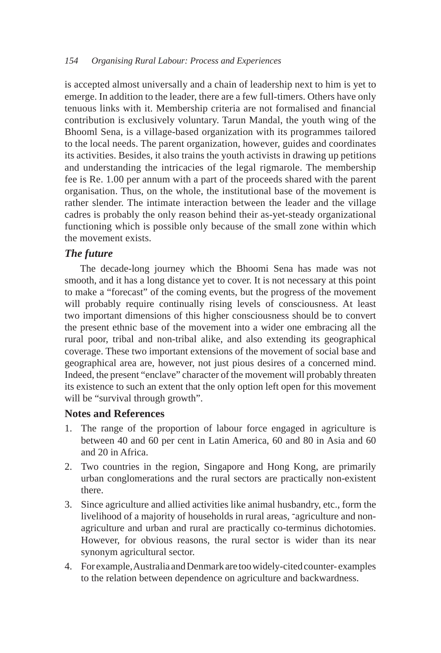is accepted almost universally and a chain of leadership next to him is yet to emerge. In addition to the leader, there are a few full-timers. Others have only tenuous links with it. Membership criteria are not formalised and financial contribution is exclusively voluntary. Tarun Mandal, the youth wing of the Bhooml Sena, is a village-based organization with its programmes tailored to the local needs. The parent organization, however, guides and coordinates its activities. Besides, it also trains the youth activists in drawing up petitions and understanding the intricacies of the legal rigmarole. The membership fee is Re. 1.00 per annum with a part of the proceeds shared with the parent organisation. Thus, on the whole, the institutional base of the movement is rather slender. The intimate interaction between the leader and the village cadres is probably the only reason behind their as-yet-steady organizational functioning which is possible only because of the small zone within which the movement exists.

# *The future*

The decade-long journey which the Bhoomi Sena has made was not smooth, and it has a long distance yet to cover. It is not necessary at this point to make a "forecast" of the coming events, but the progress of the movement will probably require continually rising levels of consciousness. At least two important dimensions of this higher consciousness should be to convert the present ethnic base of the movement into a wider one embracing all the rural poor, tribal and non-tribal alike, and also extending its geographical coverage. These two important extensions of the movement of social base and geographical area are, however, not just pious desires of a concerned mind. Indeed, the present "enclave" character of the movement will probably threaten its existence to such an extent that the only option left open for this movement will be "survival through growth".

## **Notes and References**

- 1. The range of the proportion of labour force engaged in agriculture is between 40 and 60 per cent in Latin America, 60 and 80 in Asia and 60 and 20 in Africa.
- 2. Two countries in the region, Singapore and Hong Kong, are primarily urban conglomerations and the rural sectors are practically non-existent there.
- 3. Since agriculture and allied activities like animal husbandry, etc., form the livelihood of a majority of households in rural areas, -agriculture and nonagriculture and urban and rural are practically co-terminus dichotomies. However, for obvious reasons, the rural sector is wider than its near synonym agricultural sector.
- 4. For example, Australia and Denmark are too widely-cited counter- examples to the relation between dependence on agriculture and backwardness.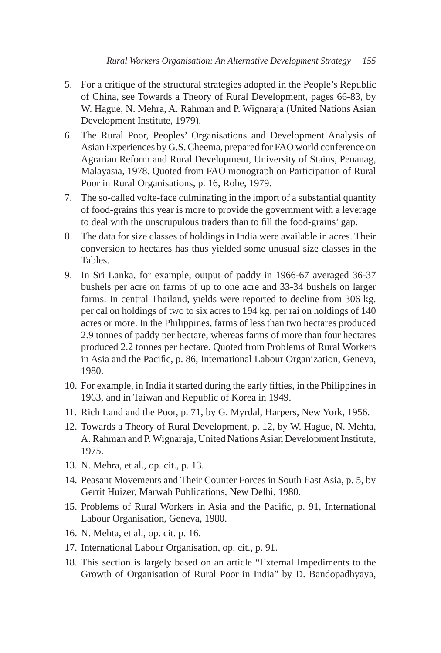- 5. For a critique of the structural strategies adopted in the People's Republic of China, see Towards a Theory of Rural Development, pages 66-83, by W. Hague, N. Mehra, A. Rahman and P. Wignaraja (United Nations Asian Development Institute, 1979).
- 6. The Rural Poor, Peoples' Organisations and Development Analysis of Asian Experiences by G.S. Cheema, prepared for FAO world conference on Agrarian Reform and Rural Development, University of Stains, Penanag, Malayasia, 1978. Quoted from FAO monograph on Participation of Rural Poor in Rural Organisations, p. 16, Rohe, 1979.
- 7. The so-called volte-face culminating in the import of a substantial quantity of food-grains this year is more to provide the government with a leverage to deal with the unscrupulous traders than to fill the food-grains' gap.
- 8. The data for size classes of holdings in India were available in acres. Their conversion to hectares has thus yielded some unusual size classes in the Tables.
- 9. In Sri Lanka, for example, output of paddy in 1966-67 averaged 36-37 bushels per acre on farms of up to one acre and 33-34 bushels on larger farms. In central Thailand, yields were reported to decline from 306 kg. per cal on holdings of two to six acres to 194 kg. per rai on holdings of 140 acres or more. In the Philippines, farms of less than two hectares produced 2.9 tonnes of paddy per hectare, whereas farms of more than four hectares produced 2.2 tonnes per hectare. Quoted from Problems of Rural Workers in Asia and the Pacific, p. 86, International Labour Organization, Geneva, 1980.
- 10. For example, in India it started during the early fifties, in the Philippines in 1963, and in Taiwan and Republic of Korea in 1949.
- 11. Rich Land and the Poor, p. 71, by G. Myrdal, Harpers, New York, 1956.
- 12. Towards a Theory of Rural Development, p. 12, by W. Hague, N. Mehta, A. Rahman and P. Wignaraja, United Nations Asian Development Institute, 1975.
- 13. N. Mehra, et al., op. cit., p. 13.
- 14. Peasant Movements and Their Counter Forces in South East Asia, p. 5, by Gerrit Huizer, Marwah Publications, New Delhi, 1980.
- 15. Problems of Rural Workers in Asia and the Pacific, p. 91, International Labour Organisation, Geneva, 1980.
- 16. N. Mehta, et al., op. cit. p. 16.
- 17. International Labour Organisation, op. cit., p. 91.
- 18. This section is largely based on an article "External Impediments to the Growth of Organisation of Rural Poor in India" by D. Bandopadhyaya,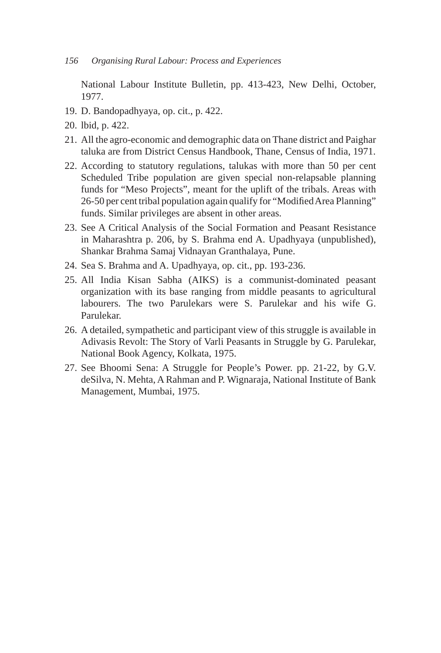National Labour Institute Bulletin, pp. 413-423, New Delhi, October, 1977.

- 19. D. Bandopadhyaya, op. cit., p. 422.
- 20. lbid, p. 422.
- 21. All the agro-economic and demographic data on Thane district and Paighar taluka are from District Census Handbook, Thane, Census of India, 1971.
- 22. According to statutory regulations, talukas with more than 50 per cent Scheduled Tribe population are given special non-relapsable planning funds for "Meso Projects", meant for the uplift of the tribals. Areas with 26-50 per cent tribal population again qualify for "Modified Area Planning" funds. Similar privileges are absent in other areas.
- 23. See A Critical Analysis of the Social Formation and Peasant Resistance in Maharashtra p. 206, by S. Brahma end A. Upadhyaya (unpublished), Shankar Brahma Samaj Vidnayan Granthalaya, Pune.
- 24. Sea S. Brahma and A. Upadhyaya, op. cit., pp. 193-236.
- 25. All India Kisan Sabha (AIKS) is a communist-dominated peasant organization with its base ranging from middle peasants to agricultural labourers. The two Parulekars were S. Parulekar and his wife G. Parulekar.
- 26. A detailed, sympathetic and participant view of this struggle is available in Adivasis Revolt: The Story of Varli Peasants in Struggle by G. Parulekar, National Book Agency, Kolkata, 1975.
- 27. See Bhoomi Sena: A Struggle for People's Power. pp. 21-22, by G.V. deSilva, N. Mehta, A Rahman and P. Wignaraja, National Institute of Bank Management, Mumbai, 1975.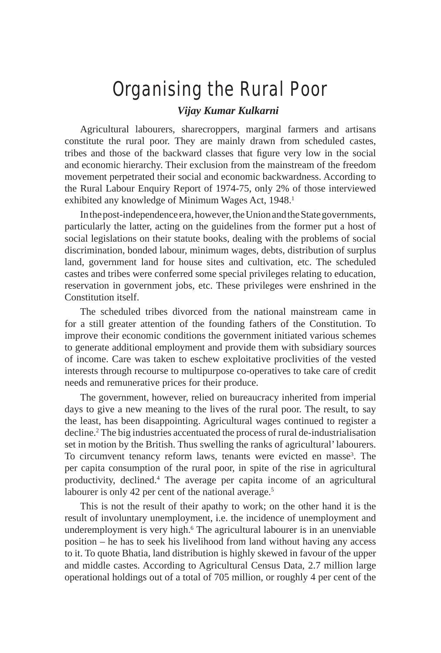# Organising the Rural Poor

#### *Vijay Kumar Kulkarni*

Agricultural labourers, sharecroppers, marginal farmers and artisans constitute the rural poor. They are mainly drawn from scheduled castes, tribes and those of the backward classes that figure very low in the social and economic hierarchy. Their exclusion from the mainstream of the freedom movement perpetrated their social and economic backwardness. According to the Rural Labour Enquiry Report of 1974-75, only 2% of those interviewed exhibited any knowledge of Minimum Wages Act, 1948.<sup>1</sup>

In the post-independence era, however, the Union and the State governments, particularly the latter, acting on the guidelines from the former put a host of social legislations on their statute books, dealing with the problems of social discrimination, bonded labour, minimum wages, debts, distribution of surplus land, government land for house sites and cultivation, etc. The scheduled castes and tribes were conferred some special privileges relating to education, reservation in government jobs, etc. These privileges were enshrined in the Constitution itself.

The scheduled tribes divorced from the national mainstream came in for a still greater attention of the founding fathers of the Constitution. To improve their economic conditions the government initiated various schemes to generate additional employment and provide them with subsidiary sources of income. Care was taken to eschew exploitative proclivities of the vested interests through recourse to multipurpose co-operatives to take care of credit needs and remunerative prices for their produce.

The government, however, relied on bureaucracy inherited from imperial days to give a new meaning to the lives of the rural poor. The result, to say the least, has been disappointing. Agricultural wages continued to register a decline.2 The big industries accentuated the process of rural de-industrialisation set in motion by the British. Thus swelling the ranks of agricultural' labourers. To circumvent tenancy reform laws, tenants were evicted en masse<sup>3</sup>. The per capita consumption of the rural poor, in spite of the rise in agricultural productivity, declined.4 The average per capita income of an agricultural labourer is only 42 per cent of the national average.<sup>5</sup>

This is not the result of their apathy to work; on the other hand it is the result of involuntary unemployment, i.e. the incidence of unemployment and underemployment is very high.<sup>6</sup> The agricultural labourer is in an unenviable position – he has to seek his livelihood from land without having any access to it. To quote Bhatia, land distribution is highly skewed in favour of the upper and middle castes. According to Agricultural Census Data, 2.7 million large operational holdings out of a total of 705 million, or roughly 4 per cent of the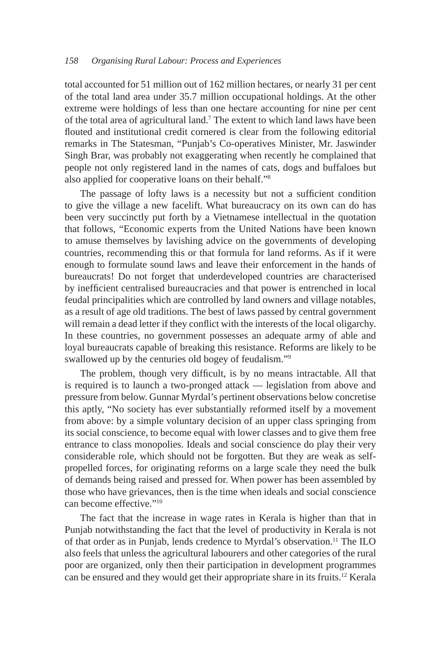total accounted for 51 million out of 162 million hectares, or nearly 31 per cent of the total land area under 35.7 million occupational holdings. At the other extreme were holdings of less than one hectare accounting for nine per cent of the total area of agricultural land.7 The extent to which land laws have been flouted and institutional credit cornered is clear from the following editorial remarks in The Statesman, "Punjab's Co-operatives Minister, Mr. Jaswinder Singh Brar, was probably not exaggerating when recently he complained that people not only registered land in the names of cats, dogs and buffaloes but also applied for cooperative loans on their behalf."8

The passage of lofty laws is a necessity but not a sufficient condition to give the village a new facelift. What bureaucracy on its own can do has been very succinctly put forth by a Vietnamese intellectual in the quotation that follows, "Economic experts from the United Nations have been known to amuse themselves by lavishing advice on the governments of developing countries, recommending this or that formula for land reforms. As if it were enough to formulate sound laws and leave their enforcement in the hands of bureaucrats! Do not forget that underdeveloped countries are characterised by inefficient centralised bureaucracies and that power is entrenched in local feudal principalities which are controlled by land owners and village notables, as a result of age old traditions. The best of laws passed by central government will remain a dead letter if they conflict with the interests of the local oligarchy. In these countries, no government possesses an adequate army of able and loyal bureaucrats capable of breaking this resistance. Reforms are likely to be swallowed up by the centuries old bogey of feudalism."<sup>9</sup>

The problem, though very difficult, is by no means intractable. All that is required is to launch a two-pronged attack — legislation from above and pressure from below. Gunnar Myrdal's pertinent observations below concretise this aptly, "No society has ever substantially reformed itself by a movement from above: by a simple voluntary decision of an upper class springing from its social conscience, to become equal with lower classes and to give them free entrance to class monopolies. Ideals and social conscience do play their very considerable role, which should not be forgotten. But they are weak as selfpropelled forces, for originating reforms on a large scale they need the bulk of demands being raised and pressed for. When power has been assembled by those who have grievances, then is the time when ideals and social conscience can become effective."10

The fact that the increase in wage rates in Kerala is higher than that in Punjab notwithstanding the fact that the level of productivity in Kerala is not of that order as in Punjab, lends credence to Myrdal's observation.11 The ILO also feels that unless the agricultural labourers and other categories of the rural poor are organized, only then their participation in development programmes can be ensured and they would get their appropriate share in its fruits.12 Kerala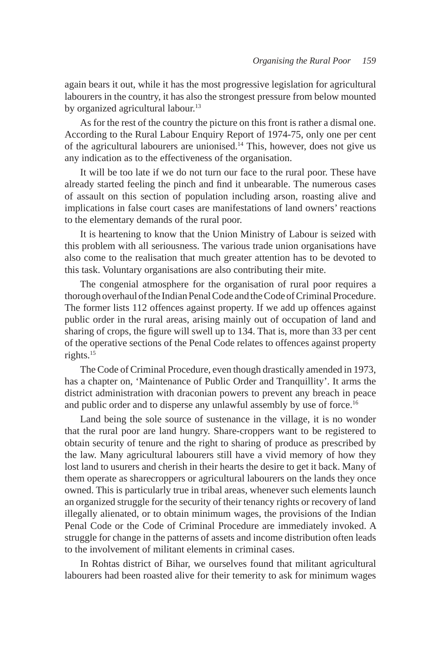again bears it out, while it has the most progressive legislation for agricultural labourers in the country, it has also the strongest pressure from below mounted by organized agricultural labour.<sup>13</sup>

As for the rest of the country the picture on this front is rather a dismal one. According to the Rural Labour Enquiry Report of 1974-75, only one per cent of the agricultural labourers are unionised.14 This, however, does not give us any indication as to the effectiveness of the organisation.

It will be too late if we do not turn our face to the rural poor. These have already started feeling the pinch and find it unbearable. The numerous cases of assault on this section of population including arson, roasting alive and implications in false court cases are manifestations of land owners' reactions to the elementary demands of the rural poor.

It is heartening to know that the Union Ministry of Labour is seized with this problem with all seriousness. The various trade union organisations have also come to the realisation that much greater attention has to be devoted to this task. Voluntary organisations are also contributing their mite.

The congenial atmosphere for the organisation of rural poor requires a thorough overhaul of the Indian Penal Code and the Code of Criminal Procedure. The former lists 112 offences against property. If we add up offences against public order in the rural areas, arising mainly out of occupation of land and sharing of crops, the figure will swell up to 134. That is, more than 33 per cent of the operative sections of the Penal Code relates to offences against property rights.15

The Code of Criminal Procedure, even though drastically amended in 1973, has a chapter on, 'Maintenance of Public Order and Tranquillity'. It arms the district administration with draconian powers to prevent any breach in peace and public order and to disperse any unlawful assembly by use of force.<sup>16</sup>

Land being the sole source of sustenance in the village, it is no wonder that the rural poor are land hungry. Share-croppers want to be registered to obtain security of tenure and the right to sharing of produce as prescribed by the law. Many agricultural labourers still have a vivid memory of how they lost land to usurers and cherish in their hearts the desire to get it back. Many of them operate as sharecroppers or agricultural labourers on the lands they once owned. This is particularly true in tribal areas, whenever such elements launch an organized struggle for the security of their tenancy rights or recovery of land illegally alienated, or to obtain minimum wages, the provisions of the Indian Penal Code or the Code of Criminal Procedure are immediately invoked. A struggle for change in the patterns of assets and income distribution often leads to the involvement of militant elements in criminal cases.

In Rohtas district of Bihar, we ourselves found that militant agricultural labourers had been roasted alive for their temerity to ask for minimum wages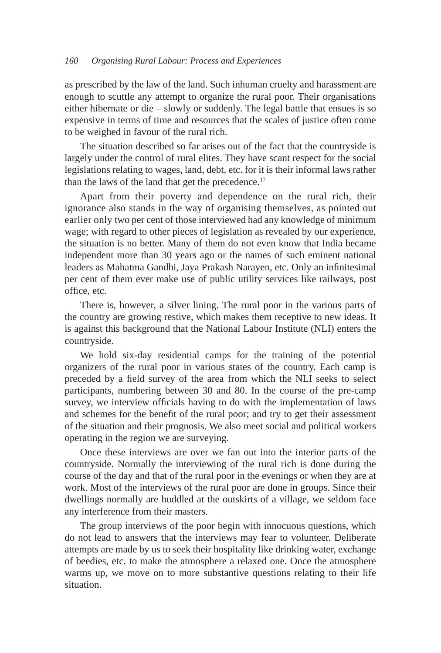as prescribed by the law of the land. Such inhuman cruelty and harassment are enough to scuttle any attempt to organize the rural poor. Their organisations either hibernate or die – slowly or suddenly. The legal battle that ensues is so expensive in terms of time and resources that the scales of justice often come to be weighed in favour of the rural rich.

The situation described so far arises out of the fact that the countryside is largely under the control of rural elites. They have scant respect for the social legislations relating to wages, land, debt, etc. for it is their informal laws rather than the laws of the land that get the precedence.<sup>17</sup>

Apart from their poverty and dependence on the rural rich, their ignorance also stands in the way of organising themselves, as pointed out earlier only two per cent of those interviewed had any knowledge of minimum wage; with regard to other pieces of legislation as revealed by our experience, the situation is no better. Many of them do not even know that India became independent more than 30 years ago or the names of such eminent national leaders as Mahatma Gandhi, Jaya Prakash Narayen, etc. Only an infinitesimal per cent of them ever make use of public utility services like railways, post office, etc.

There is, however, a silver lining. The rural poor in the various parts of the country are growing restive, which makes them receptive to new ideas. It is against this background that the National Labour Institute (NLI) enters the countryside.

We hold six-day residential camps for the training of the potential organizers of the rural poor in various states of the country. Each camp is preceded by a field survey of the area from which the NLI seeks to select participants, numbering between 30 and 80. In the course of the pre-camp survey, we interview officials having to do with the implementation of laws and schemes for the benefit of the rural poor; and try to get their assessment of the situation and their prognosis. We also meet social and political workers operating in the region we are surveying.

Once these interviews are over we fan out into the interior parts of the countryside. Normally the interviewing of the rural rich is done during the course of the day and that of the rural poor in the evenings or when they are at work. Most of the interviews of the rural poor are done in groups. Since their dwellings normally are huddled at the outskirts of a village, we seldom face any interference from their masters.

The group interviews of the poor begin with innocuous questions, which do not lead to answers that the interviews may fear to volunteer. Deliberate attempts are made by us to seek their hospitality like drinking water, exchange of beedies, etc. to make the atmosphere a relaxed one. Once the atmosphere warms up, we move on to more substantive questions relating to their life situation.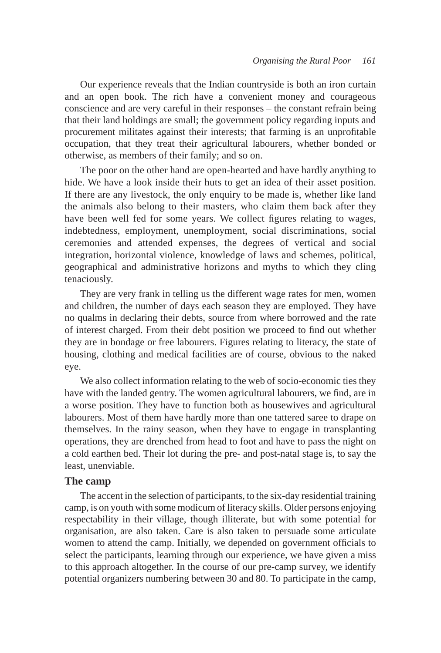Our experience reveals that the Indian countryside is both an iron curtain and an open book. The rich have a convenient money and courageous conscience and are very careful in their responses – the constant refrain being that their land holdings are small; the government policy regarding inputs and procurement militates against their interests; that farming is an unprofitable occupation, that they treat their agricultural labourers, whether bonded or otherwise, as members of their family; and so on.

The poor on the other hand are open-hearted and have hardly anything to hide. We have a look inside their huts to get an idea of their asset position. If there are any livestock, the only enquiry to be made is, whether like land the animals also belong to their masters, who claim them back after they have been well fed for some years. We collect figures relating to wages, indebtedness, employment, unemployment, social discriminations, social ceremonies and attended expenses, the degrees of vertical and social integration, horizontal violence, knowledge of laws and schemes, political, geographical and administrative horizons and myths to which they cling tenaciously.

They are very frank in telling us the different wage rates for men, women and children, the number of days each season they are employed. They have no qualms in declaring their debts, source from where borrowed and the rate of interest charged. From their debt position we proceed to find out whether they are in bondage or free labourers. Figures relating to literacy, the state of housing, clothing and medical facilities are of course, obvious to the naked eye.

We also collect information relating to the web of socio-economic ties they have with the landed gentry. The women agricultural labourers, we find, are in a worse position. They have to function both as housewives and agricultural labourers. Most of them have hardly more than one tattered saree to drape on themselves. In the rainy season, when they have to engage in transplanting operations, they are drenched from head to foot and have to pass the night on a cold earthen bed. Their lot during the pre- and post-natal stage is, to say the least, unenviable.

#### **The camp**

The accent in the selection of participants, to the six-day residential training camp, is on youth with some modicum of literacy skills. Older persons enjoying respectability in their village, though illiterate, but with some potential for organisation, are also taken. Care is also taken to persuade some articulate women to attend the camp. Initially, we depended on government officials to select the participants, learning through our experience, we have given a miss to this approach altogether. In the course of our pre-camp survey, we identify potential organizers numbering between 30 and 80. To participate in the camp,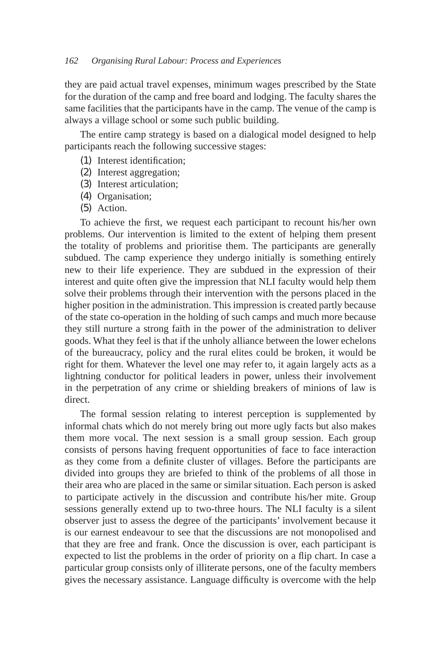they are paid actual travel expenses, minimum wages prescribed by the State for the duration of the camp and free board and lodging. The faculty shares the same facilities that the participants have in the camp. The venue of the camp is always a village school or some such public building.

The entire camp strategy is based on a dialogical model designed to help participants reach the following successive stages:

- (1) Interest identification;
- (2) Interest aggregation;
- (3) Interest articulation;
- (4) Organisation;
- (5) Action.

To achieve the first, we request each participant to recount his/her own problems. Our intervention is limited to the extent of helping them present the totality of problems and prioritise them. The participants are generally subdued. The camp experience they undergo initially is something entirely new to their life experience. They are subdued in the expression of their interest and quite often give the impression that NLI faculty would help them solve their problems through their intervention with the persons placed in the higher position in the administration. This impression is created partly because of the state co-operation in the holding of such camps and much more because they still nurture a strong faith in the power of the administration to deliver goods. What they feel is that if the unholy alliance between the lower echelons of the bureaucracy, policy and the rural elites could be broken, it would be right for them. Whatever the level one may refer to, it again largely acts as a lightning conductor for political leaders in power, unless their involvement in the perpetration of any crime or shielding breakers of minions of law is direct.

The formal session relating to interest perception is supplemented by informal chats which do not merely bring out more ugly facts but also makes them more vocal. The next session is a small group session. Each group consists of persons having frequent opportunities of face to face interaction as they come from a definite cluster of villages. Before the participants are divided into groups they are briefed to think of the problems of all those in their area who are placed in the same or similar situation. Each person is asked to participate actively in the discussion and contribute his/her mite. Group sessions generally extend up to two-three hours. The NLI faculty is a silent observer just to assess the degree of the participants' involvement because it is our earnest endeavour to see that the discussions are not monopolised and that they are free and frank. Once the discussion is over, each participant is expected to list the problems in the order of priority on a flip chart. In case a particular group consists only of illiterate persons, one of the faculty members gives the necessary assistance. Language difficulty is overcome with the help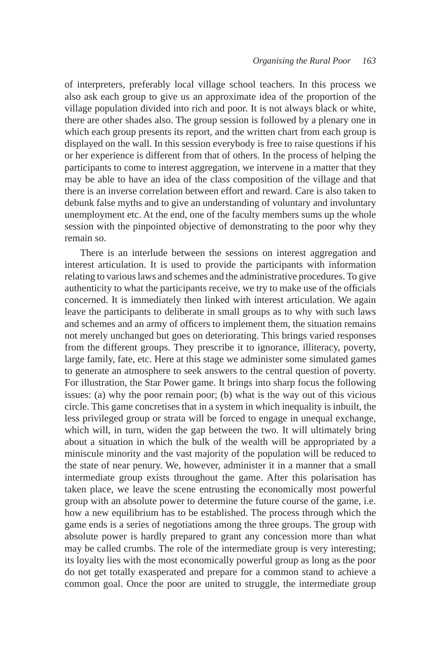of interpreters, preferably local village school teachers. In this process we also ask each group to give us an approximate idea of the proportion of the village population divided into rich and poor. It is not always black or white, there are other shades also. The group session is followed by a plenary one in which each group presents its report, and the written chart from each group is displayed on the wall. In this session everybody is free to raise questions if his or her experience is different from that of others. In the process of helping the participants to come to interest aggregation, we intervene in a matter that they may be able to have an idea of the class composition of the village and that there is an inverse correlation between effort and reward. Care is also taken to debunk false myths and to give an understanding of voluntary and involuntary unemployment etc. At the end, one of the faculty members sums up the whole session with the pinpointed objective of demonstrating to the poor why they remain so.

There is an interlude between the sessions on interest aggregation and interest articulation. It is used to provide the participants with information relating to various laws and schemes and the administrative procedures. To give authenticity to what the participants receive, we try to make use of the officials concerned. It is immediately then linked with interest articulation. We again leave the participants to deliberate in small groups as to why with such laws and schemes and an army of officers to implement them, the situation remains not merely unchanged but goes on deteriorating. This brings varied responses from the different groups. They prescribe it to ignorance, illiteracy, poverty, large family, fate, etc. Here at this stage we administer some simulated games to generate an atmosphere to seek answers to the central question of poverty. For illustration, the Star Power game. It brings into sharp focus the following issues: (a) why the poor remain poor; (b) what is the way out of this vicious circle. This game concretises that in a system in which inequality is inbuilt, the less privileged group or strata will be forced to engage in unequal exchange, which will, in turn, widen the gap between the two. It will ultimately bring about a situation in which the bulk of the wealth will be appropriated by a miniscule minority and the vast majority of the population will be reduced to the state of near penury. We, however, administer it in a manner that a small intermediate group exists throughout the game. After this polarisation has taken place, we leave the scene entrusting the economically most powerful group with an absolute power to determine the future course of the game, i.e. how a new equilibrium has to be established. The process through which the game ends is a series of negotiations among the three groups. The group with absolute power is hardly prepared to grant any concession more than what may be called crumbs. The role of the intermediate group is very interesting; its loyalty lies with the most economically powerful group as long as the poor do not get totally exasperated and prepare for a common stand to achieve a common goal. Once the poor are united to struggle, the intermediate group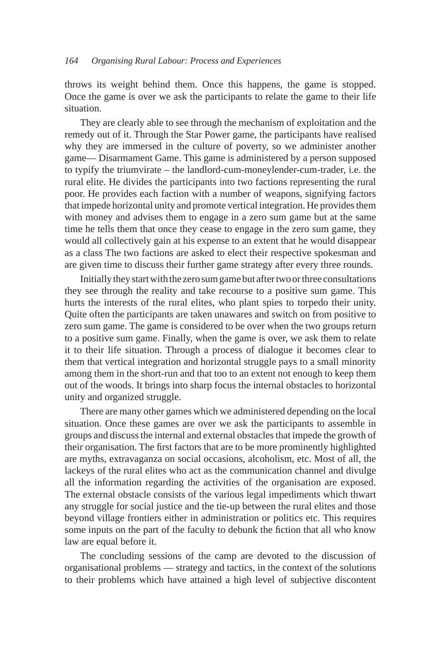throws its weight behind them. Once this happens, the game is stopped. Once the game is over we ask the participants to relate the game to their life situation.

They are clearly able to see through the mechanism of exploitation and the remedy out of it. Through the Star Power game, the participants have realised why they are immersed in the culture of poverty, so we administer another game— Disarmament Game. This game is administered by a person supposed to typify the triumvirate – the landlord-cum-moneylender-cum-trader, i.e. the rural elite. He divides the participants into two factions representing the rural poor. He provides each faction with a number of weapons, signifying factors that impede horizontal unity and promote vertical integration. He provides them with money and advises them to engage in a zero sum game but at the same time he tells them that once they cease to engage in the zero sum game, they would all collectively gain at his expense to an extent that he would disappear as a class The two factions are asked to elect their respective spokesman and are given time to discuss their further game strategy after every three rounds.

Initially they start with the zero sum game but after two or three consultations they see through the reality and take recourse to a positive sum game. This hurts the interests of the rural elites, who plant spies to torpedo their unity. Quite often the participants are taken unawares and switch on from positive to zero sum game. The game is considered to be over when the two groups return to a positive sum game. Finally, when the game is over, we ask them to relate it to their life situation. Through a process of dialogue it becomes clear to them that vertical integration and horizontal struggle pays to a small minority among them in the short-run and that too to an extent not enough to keep them out of the woods. It brings into sharp focus the internal obstacles to horizontal unity and organized struggle.

There are many other games which we administered depending on the local situation. Once these games are over we ask the participants to assemble in groups and discuss the internal and external obstacles that impede the growth of their organisation. The first factors that are to be more prominently highlighted are myths, extravaganza on social occasions, alcoholism, etc. Most of all, the lackeys of the rural elites who act as the communication channel and divulge all the information regarding the activities of the organisation are exposed. The external obstacle consists of the various legal impediments which thwart any struggle for social justice and the tie-up between the rural elites and those beyond village frontiers either in administration or politics etc. This requires some inputs on the part of the faculty to debunk the fiction that all who know law are equal before it.

The concluding sessions of the camp are devoted to the discussion of organisational problems — strategy and tactics, in the context of the solutions to their problems which have attained a high level of subjective discontent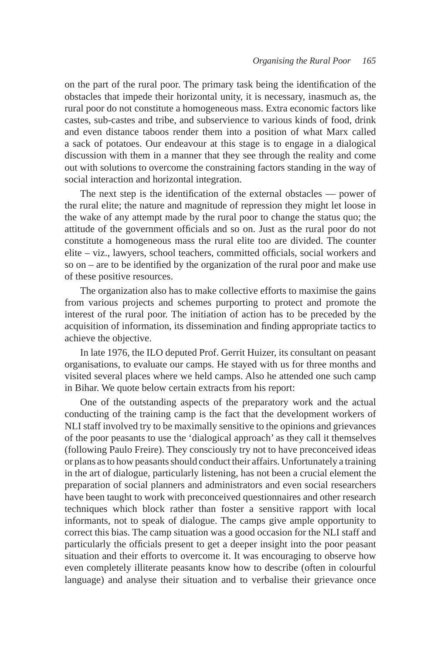on the part of the rural poor. The primary task being the identification of the obstacles that impede their horizontal unity, it is necessary, inasmuch as, the rural poor do not constitute a homogeneous mass. Extra economic factors like castes, sub-castes and tribe, and subservience to various kinds of food, drink and even distance taboos render them into a position of what Marx called a sack of potatoes. Our endeavour at this stage is to engage in a dialogical discussion with them in a manner that they see through the reality and come out with solutions to overcome the constraining factors standing in the way of social interaction and horizontal integration.

The next step is the identification of the external obstacles — power of the rural elite; the nature and magnitude of repression they might let loose in the wake of any attempt made by the rural poor to change the status quo; the attitude of the government officials and so on. Just as the rural poor do not constitute a homogeneous mass the rural elite too are divided. The counter elite – viz., lawyers, school teachers, committed officials, social workers and so on – are to be identified by the organization of the rural poor and make use of these positive resources.

The organization also has to make collective efforts to maximise the gains from various projects and schemes purporting to protect and promote the interest of the rural poor. The initiation of action has to be preceded by the acquisition of information, its dissemination and finding appropriate tactics to achieve the objective.

In late 1976, the ILO deputed Prof. Gerrit Huizer, its consultant on peasant organisations, to evaluate our camps. He stayed with us for three months and visited several places where we held camps. Also he attended one such camp in Bihar. We quote below certain extracts from his report:

One of the outstanding aspects of the preparatory work and the actual conducting of the training camp is the fact that the development workers of NLI staff involved try to be maximally sensitive to the opinions and grievances of the poor peasants to use the 'dialogical approach' as they call it themselves (following Paulo Freire). They consciously try not to have preconceived ideas or plans as to how peasants should conduct their affairs. Unfortunately a training in the art of dialogue, particularly listening, has not been a crucial element the preparation of social planners and administrators and even social researchers have been taught to work with preconceived questionnaires and other research techniques which block rather than foster a sensitive rapport with local informants, not to speak of dialogue. The camps give ample opportunity to correct this bias. The camp situation was a good occasion for the NLI staff and particularly the officials present to get a deeper insight into the poor peasant situation and their efforts to overcome it. It was encouraging to observe how even completely illiterate peasants know how to describe (often in colourful language) and analyse their situation and to verbalise their grievance once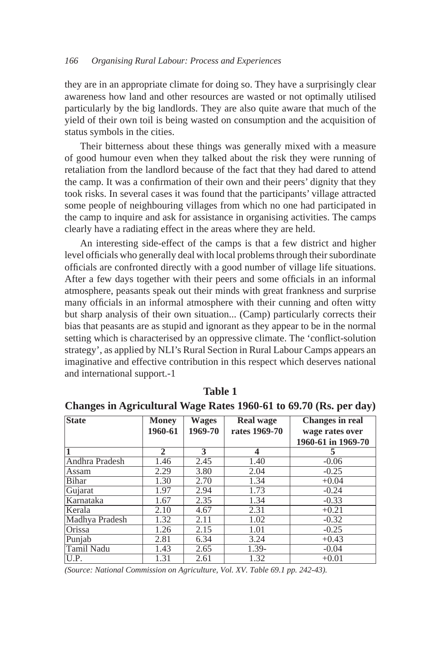they are in an appropriate climate for doing so. They have a surprisingly clear awareness how land and other resources are wasted or not optimally utilised particularly by the big landlords. They are also quite aware that much of the yield of their own toil is being wasted on consumption and the acquisition of status symbols in the cities.

Their bitterness about these things was generally mixed with a measure of good humour even when they talked about the risk they were running of retaliation from the landlord because of the fact that they had dared to attend the camp. It was a confirmation of their own and their peers' dignity that they took risks. In several cases it was found that the participants' village attracted some people of neighbouring villages from which no one had participated in the camp to inquire and ask for assistance in organising activities. The camps clearly have a radiating effect in the areas where they are held.

An interesting side-effect of the camps is that a few district and higher level officials who generally deal with local problems through their subordinate officials are confronted directly with a good number of village life situations. After a few days together with their peers and some officials in an informal atmosphere, peasants speak out their minds with great frankness and surprise many officials in an informal atmosphere with their cunning and often witty but sharp analysis of their own situation... (Camp) particularly corrects their bias that peasants are as stupid and ignorant as they appear to be in the normal setting which is characterised by an oppressive climate. The 'conflict-solution strategy', as applied by NLI's Rural Section in Rural Labour Camps appears an imaginative and effective contribution in this respect which deserves national and international support.-1

| <b>State</b>      | <b>Money</b> | <b>Wages</b> | <b>Real wage</b> | Changes in real    |
|-------------------|--------------|--------------|------------------|--------------------|
|                   | 1960-61      | 1969-70      | rates 1969-70    | wage rates over    |
|                   |              |              |                  | 1960-61 in 1969-70 |
|                   | 2            | 3            | 4                | 5                  |
| Andhra Pradesh    | 1.46         | 2.45         | 1.40             | $-0.06$            |
| Assam             | 2.29         | 3.80         | 2.04             | $-0.25$            |
| <b>Bihar</b>      | 1.30         | 2.70         | 1.34             | $+0.04$            |
| Gujarat           | 1.97         | 2.94         | 1.73             | $-0.24$            |
| Karnataka         | 1.67         | 2.35         | 1.34             | $-0.33$            |
| Kerala            | 2.10         | 4.67         | 2.31             | $+0.21$            |
| Madhya Pradesh    | 1.32         | 2.11         | 1.02             | $-0.32$            |
| Orissa            | 1.26         | 2.15         | 1.01             | $-0.25$            |
| Punjab            | 2.81         | 6.34         | 3.24             | $+0.43$            |
| <b>Tamil Nadu</b> | 1.43         | 2.65         | 1.39-            | $-0.04$            |
| U.P.              | 1.31         | 2.61         | 1.32             | $+0.01$            |

**Table 1**

**Changes in Agricultural Wage Rates 1960-61 to 69.70 (Rs. per day)**

*(Source: National Commission on Agriculture, Vol. XV. Table 69.1 pp. 242-43).*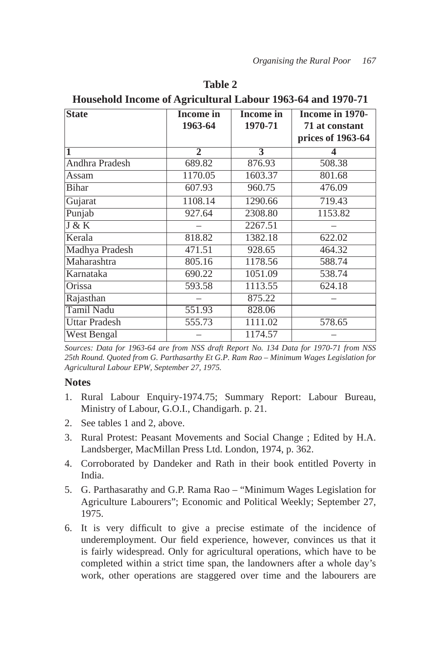| <b>State</b>          | Income in | Income in | Income in 1970-   |
|-----------------------|-----------|-----------|-------------------|
|                       | 1963-64   | 1970-71   | 71 at constant    |
|                       |           |           | prices of 1963-64 |
|                       | 2         | 3         | 4                 |
| <b>Andhra Pradesh</b> | 689.82    | 876.93    | 508.38            |
| Assam                 | 1170.05   | 1603.37   | 801.68            |
| <b>Bihar</b>          | 607.93    | 960.75    | 476.09            |
| Gujarat               | 1108.14   | 1290.66   | 719.43            |
| Punjab                | 927.64    | 2308.80   | 1153.82           |
| J & K                 |           | 2267.51   |                   |
| Kerala                | 818.82    | 1382.18   | 622.02            |
| Madhya Pradesh        | 471.51    | 928.65    | 464.32            |
| Maharashtra           | 805.16    | 1178.56   | 588.74            |
| Karnataka             | 690.22    | 1051.09   | 538.74            |
| Orissa                | 593.58    | 1113.55   | 624.18            |
| Rajasthan             |           | 875.22    |                   |
| <b>Tamil Nadu</b>     | 551.93    | 828.06    |                   |
| Uttar Pradesh         | 555.73    | 1111.02   | 578.65            |
| West Bengal           |           | 1174.57   |                   |

**Table 2 Household Income of Agricultural Labour 1963-64 and 1970-71**

## **Notes**

- 1. Rural Labour Enquiry-1974.75; Summary Report: Labour Bureau, Ministry of Labour, G.O.I., Chandigarh. p. 21.
- 2. See tables 1 and 2, above.
- 3. Rural Protest: Peasant Movements and Social Change ; Edited by H.A. Landsberger, MacMillan Press Ltd. London, 1974, p. 362.
- 4. Corroborated by Dandeker and Rath in their book entitled Poverty in India.
- 5. G. Parthasarathy and G.P. Rama Rao "Minimum Wages Legislation for Agriculture Labourers"; Economic and Political Weekly; September 27, 1975.
- 6. It is very difficult to give a precise estimate of the incidence of underemployment. Our field experience, however, convinces us that it is fairly widespread. Only for agricultural operations, which have to be completed within a strict time span, the landowners after a whole day's work, other operations are staggered over time and the labourers are

*Sources: Data for 1963-64 are from NSS draft Report No. 134 Data for 1970-71 from NSS 25th Round. Quoted from G. Parthasarthy Et G.P. Ram Rao – Minimum Wages Legislation for Agricultural Labour EPW, September 27, 1975.*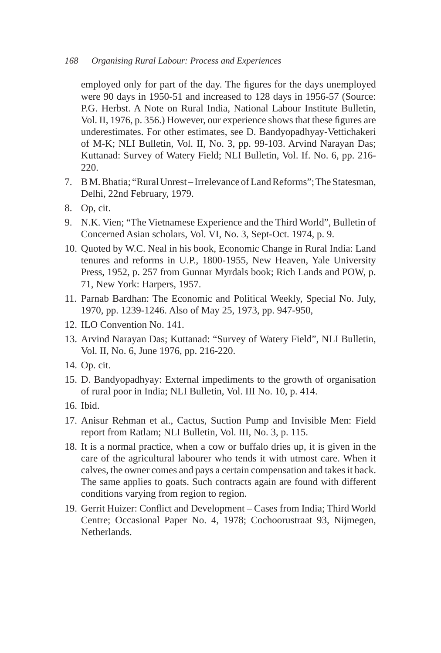employed only for part of the day. The figures for the days unemployed were 90 days in 1950-51 and increased to 128 days in 1956-57 (Source: P.G. Herbst. A Note on Rural India, National Labour Institute Bulletin, Vol. II, 1976, p. 356.) However, our experience shows that these figures are underestimates. For other estimates, see D. Bandyopadhyay-Vettichakeri of M-K; NLI Bulletin, Vol. II, No. 3, pp. 99-103. Arvind Narayan Das; Kuttanad: Survey of Watery Field; NLI Bulletin, Vol. If. No. 6, pp. 216- 220.

- 7. B M. Bhatia; "Rural Unrest Irrelevance of Land Reforms"; The Statesman, Delhi, 22nd February, 1979.
- 8. Op, cit.
- 9. N.K. Vien; "The Vietnamese Experience and the Third World", Bulletin of Concerned Asian scholars, Vol. VI, No. 3, Sept-Oct. 1974, p. 9.
- 10. Quoted by W.C. Neal in his book, Economic Change in Rural India: Land tenures and reforms in U.P., 1800-1955, New Heaven, Yale University Press, 1952, p. 257 from Gunnar Myrdals book; Rich Lands and POW, p. 71, New York: Harpers, 1957.
- 11. Parnab Bardhan: The Economic and Political Weekly, Special No. July, 1970, pp. 1239-1246. Also of May 25, 1973, pp. 947-950,
- 12. ILO Convention No. 141.
- 13. Arvind Narayan Das; Kuttanad: "Survey of Watery Field", NLI Bulletin, Vol. II, No. 6, June 1976, pp. 216-220.
- 14. Op. cit.
- 15. D. Bandyopadhyay: External impediments to the growth of organisation of rural poor in India; NLI Bulletin, Vol. III No. 10, p. 414.
- 16. Ibid.
- 17. Anisur Rehman et al., Cactus, Suction Pump and Invisible Men: Field report from Ratlam; NLI Bulletin, Vol. III, No. 3, p. 115.
- 18. It is a normal practice, when a cow or buffalo dries up, it is given in the care of the agricultural labourer who tends it with utmost care. When it calves, the owner comes and pays a certain compensation and takes it back. The same applies to goats. Such contracts again are found with different conditions varying from region to region.
- 19. Gerrit Huizer: Conflict and Development Cases from India; Third World Centre; Occasional Paper No. 4, 1978; Cochoorustraat 93, Nijmegen, Netherlands.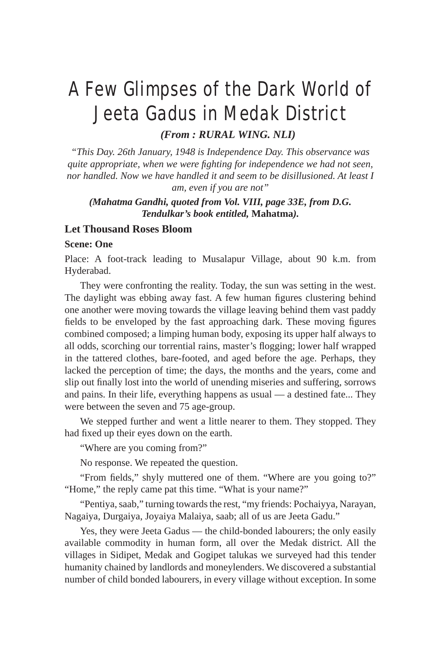# A Few Glimpses of the Dark World of Jeeta Gadus in Medak District

*(From : RURAL WING. NLI)*

*"This Day. 26th January, 1948 is Independence Day. This observance was quite appropriate, when we were fighting for independence we had not seen, nor handled. Now we have handled it and seem to be disillusioned. At least I am, even if you are not"*

*(Mahatma Gandhi, quoted from Vol. VIII, page 33E, from D.G. Tendulkar's book entitled,* **Mahatma***).*

# **Let Thousand Roses Bloom**

#### **Scene: One**

Place: A foot-track leading to Musalapur Village, about 90 k.m. from Hyderabad.

They were confronting the reality. Today, the sun was setting in the west. The daylight was ebbing away fast. A few human figures clustering behind one another were moving towards the village leaving behind them vast paddy fields to be enveloped by the fast approaching dark. These moving figures combined composed; a limping human body, exposing its upper half always to all odds, scorching our torrential rains, master's flogging; lower half wrapped in the tattered clothes, bare-footed, and aged before the age. Perhaps, they lacked the perception of time; the days, the months and the years, come and slip out finally lost into the world of unending miseries and suffering, sorrows and pains. In their life, everything happens as usual — a destined fate... They were between the seven and 75 age-group.

We stepped further and went a little nearer to them. They stopped. They had fixed up their eyes down on the earth.

"Where are you coming from?"

No response. We repeated the question.

"From fields," shyly muttered one of them. "Where are you going to?" "Home," the reply came pat this time. "What is your name?"

"Pentiya, saab," turning towards the rest, "my friends: Pochaiyya, Narayan, Nagaiya, Durgaiya, Joyaiya Malaiya, saab; all of us are Jeeta Gadu."

Yes, they were Jeeta Gadus — the child-bonded labourers; the only easily available commodity in human form, all over the Medak district. All the villages in Sidipet, Medak and Gogipet talukas we surveyed had this tender humanity chained by landlords and moneylenders. We discovered a substantial number of child bonded labourers, in every village without exception. In some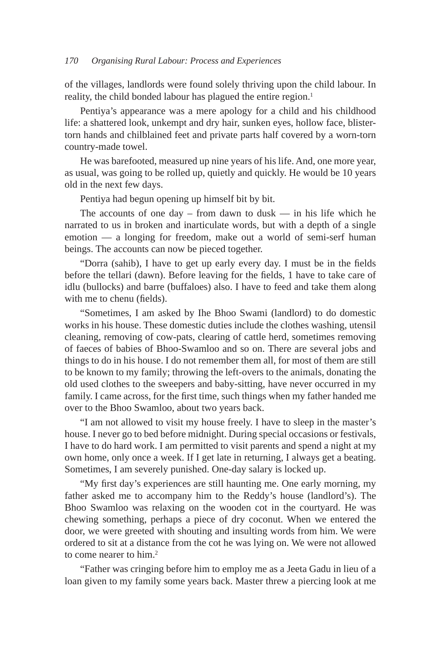of the villages, landlords were found solely thriving upon the child labour. In reality, the child bonded labour has plagued the entire region.<sup>1</sup>

Pentiya's appearance was a mere apology for a child and his childhood life: a shattered look, unkempt and dry hair, sunken eyes, hollow face, blistertorn hands and chilblained feet and private parts half covered by a worn-torn country-made towel.

He was barefooted, measured up nine years of his life. And, one more year, as usual, was going to be rolled up, quietly and quickly. He would be 10 years old in the next few days.

Pentiya had begun opening up himself bit by bit.

The accounts of one day – from dawn to dusk — in his life which he narrated to us in broken and inarticulate words, but with a depth of a single emotion — a longing for freedom, make out a world of semi-serf human beings. The accounts can now be pieced together.

"Dorra (sahib), I have to get up early every day. I must be in the fields before the tellari (dawn). Before leaving for the fields, 1 have to take care of idlu (bullocks) and barre (buffaloes) also. I have to feed and take them along with me to chenu (fields).

"Sometimes, I am asked by Ihe Bhoo Swami (landlord) to do domestic works in his house. These domestic duties include the clothes washing, utensil cleaning, removing of cow-pats, clearing of cattle herd, sometimes removing of faeces of babies of Bhoo-Swamloo and so on. There are several jobs and things to do in his house. I do not remember them all, for most of them are still to be known to my family; throwing the left-overs to the animals, donating the old used clothes to the sweepers and baby-sitting, have never occurred in my family. I came across, for the first time, such things when my father handed me over to the Bhoo Swamloo, about two years back.

"I am not allowed to visit my house freely. I have to sleep in the master's house. I never go to bed before midnight. During special occasions or festivals, I have to do hard work. I am permitted to visit parents and spend a night at my own home, only once a week. If I get late in returning, I always get a beating. Sometimes, I am severely punished. One-day salary is locked up.

"My first day's experiences are still haunting me. One early morning, my father asked me to accompany him to the Reddy's house (landlord's). The Bhoo Swamloo was relaxing on the wooden cot in the courtyard. He was chewing something, perhaps a piece of dry coconut. When we entered the door, we were greeted with shouting and insulting words from him. We were ordered to sit at a distance from the cot he was lying on. We were not allowed to come nearer to him.<sup>2</sup>

"Father was cringing before him to employ me as a Jeeta Gadu in lieu of a loan given to my family some years back. Master threw a piercing look at me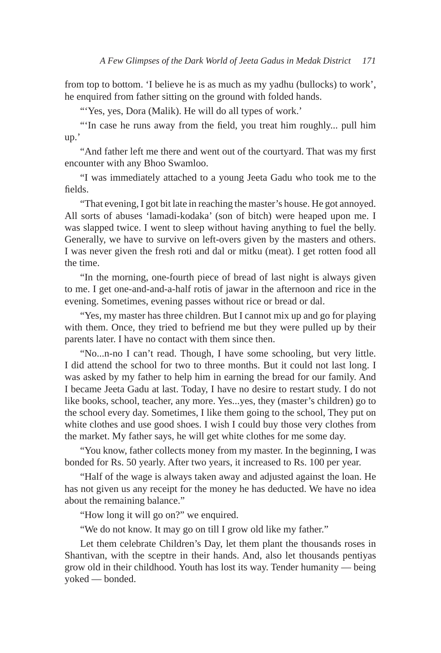from top to bottom. 'I believe he is as much as my yadhu (bullocks) to work', he enquired from father sitting on the ground with folded hands.

"'Yes, yes, Dora (Malik). He will do all types of work."

"'In case he runs away from the field, you treat him roughly... pull him up.'

"And father left me there and went out of the courtyard. That was my first encounter with any Bhoo Swamloo.

"I was immediately attached to a young Jeeta Gadu who took me to the fields.

"That evening, I got bit late in reaching the master's house. He got annoyed. All sorts of abuses 'lamadi-kodaka' (son of bitch) were heaped upon me. I was slapped twice. I went to sleep without having anything to fuel the belly. Generally, we have to survive on left-overs given by the masters and others. I was never given the fresh roti and dal or mitku (meat). I get rotten food all the time.

"In the morning, one-fourth piece of bread of last night is always given to me. I get one-and-and-a-half rotis of jawar in the afternoon and rice in the evening. Sometimes, evening passes without rice or bread or dal.

"Yes, my master has three children. But I cannot mix up and go for playing with them. Once, they tried to befriend me but they were pulled up by their parents later. I have no contact with them since then.

"No...n-no I can't read. Though, I have some schooling, but very little. I did attend the school for two to three months. But it could not last long. I was asked by my father to help him in earning the bread for our family. And I became Jeeta Gadu at last. Today, I have no desire to restart study. I do not like books, school, teacher, any more. Yes...yes, they (master's children) go to the school every day. Sometimes, I like them going to the school, They put on white clothes and use good shoes. I wish I could buy those very clothes from the market. My father says, he will get white clothes for me some day.

"You know, father collects money from my master. In the beginning, I was bonded for Rs. 50 yearly. After two years, it increased to Rs. 100 per year.

"Half of the wage is always taken away and adjusted against the loan. He has not given us any receipt for the money he has deducted. We have no idea about the remaining balance."

"How long it will go on?" we enquired.

"We do not know. It may go on till I grow old like my father."

Let them celebrate Children's Day, let them plant the thousands roses in Shantivan, with the sceptre in their hands. And, also let thousands pentiyas grow old in their childhood. Youth has lost its way. Tender humanity — being yoked — bonded.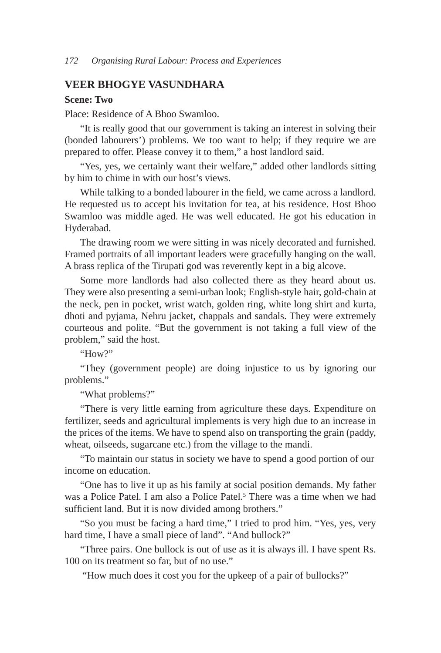### **VEER BHOGYE VASUNDHARA**

### **Scene: Two**

Place: Residence of A Bhoo Swamloo.

"It is really good that our government is taking an interest in solving their (bonded labourers') problems. We too want to help; if they require we are prepared to offer. Please convey it to them," a host landlord said.

"Yes, yes, we certainly want their welfare," added other landlords sitting by him to chime in with our host's views.

While talking to a bonded labourer in the field, we came across a landlord. He requested us to accept his invitation for tea, at his residence. Host Bhoo Swamloo was middle aged. He was well educated. He got his education in Hyderabad.

The drawing room we were sitting in was nicely decorated and furnished. Framed portraits of all important leaders were gracefully hanging on the wall. A brass replica of the Tirupati god was reverently kept in a big alcove.

Some more landlords had also collected there as they heard about us. They were also presenting a semi-urban look; English-style hair, gold-chain at the neck, pen in pocket, wrist watch, golden ring, white long shirt and kurta, dhoti and pyjama, Nehru jacket, chappals and sandals. They were extremely courteous and polite. "But the government is not taking a full view of the problem," said the host.

" $How?"$ 

"They (government people) are doing injustice to us by ignoring our problems."

"What problems?"

"There is very little earning from agriculture these days. Expenditure on fertilizer, seeds and agricultural implements is very high due to an increase in the prices of the items. We have to spend also on transporting the grain (paddy, wheat, oilseeds, sugarcane etc.) from the village to the mandi.

"To maintain our status in society we have to spend a good portion of our income on education.

"One has to live it up as his family at social position demands. My father was a Police Patel. I am also a Police Patel.<sup>5</sup> There was a time when we had sufficient land. But it is now divided among brothers."

"So you must be facing a hard time," I tried to prod him. "Yes, yes, very hard time, I have a small piece of land". "And bullock?"

"Three pairs. One bullock is out of use as it is always ill. I have spent Rs. 100 on its treatment so far, but of no use."

"How much does it cost you for the upkeep of a pair of bullocks?"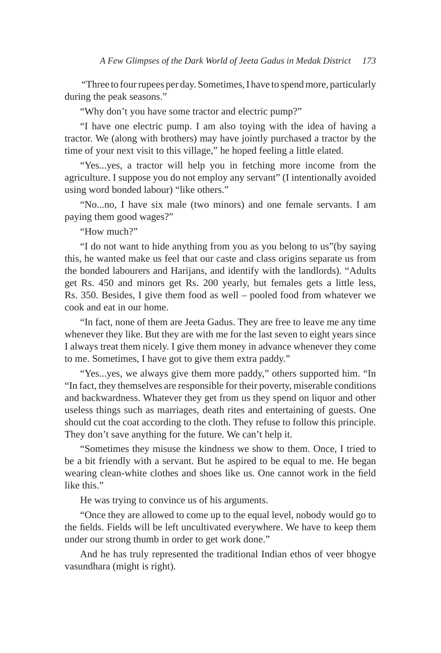"Three to four rupees per day. Sometimes, I have to spend more, particularly during the peak seasons."

"Why don't you have some tractor and electric pump?"

"I have one electric pump. I am also toying with the idea of having a tractor. We (along with brothers) may have jointly purchased a tractor by the time of your next visit to this village," he hoped feeling a little elated.

"Yes...yes, a tractor will help you in fetching more income from the agriculture. I suppose you do not employ any servant" (I intentionally avoided using word bonded labour) "like others."

"No...no, I have six male (two minors) and one female servants. I am paying them good wages?"

"How much?"

"I do not want to hide anything from you as you belong to us"(by saying this, he wanted make us feel that our caste and class origins separate us from the bonded labourers and Harijans, and identify with the landlords). "Adults get Rs. 450 and minors get Rs. 200 yearly, but females gets a little less, Rs. 350. Besides, I give them food as well – pooled food from whatever we cook and eat in our home.

"In fact, none of them are Jeeta Gadus. They are free to leave me any time whenever they like. But they are with me for the last seven to eight years since I always treat them nicely. I give them money in advance whenever they come to me. Sometimes, I have got to give them extra paddy."

"Yes...yes, we always give them more paddy," others supported him. "In "In fact, they themselves are responsible for their poverty, miserable conditions and backwardness. Whatever they get from us they spend on liquor and other useless things such as marriages, death rites and entertaining of guests. One should cut the coat according to the cloth. They refuse to follow this principle. They don't save anything for the future. We can't help it.

"Sometimes they misuse the kindness we show to them. Once, I tried to be a bit friendly with a servant. But he aspired to be equal to me. He began wearing clean-white clothes and shoes like us. One cannot work in the field like this."

He was trying to convince us of his arguments.

"Once they are allowed to come up to the equal level, nobody would go to the fields. Fields will be left uncultivated everywhere. We have to keep them under our strong thumb in order to get work done."

And he has truly represented the traditional Indian ethos of veer bhogye vasundhara (might is right).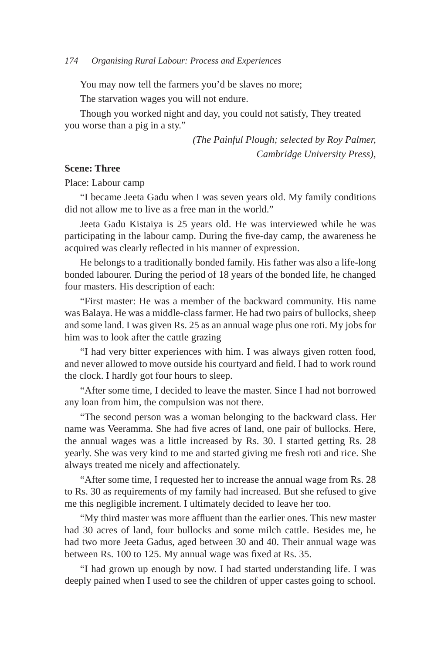You may now tell the farmers you'd be slaves no more;

The starvation wages you will not endure.

Though you worked night and day, you could not satisfy, They treated you worse than a pig in a sty."

> *(The Painful Plough; selected by Roy Palmer, Cambridge University Press),*

### **Scene: Three**

Place: Labour camp

"I became Jeeta Gadu when I was seven years old. My family conditions did not allow me to live as a free man in the world."

Jeeta Gadu Kistaiya is 25 years old. He was interviewed while he was participating in the labour camp. During the five-day camp, the awareness he acquired was clearly reflected in his manner of expression.

He belongs to a traditionally bonded family. His father was also a life-long bonded labourer. During the period of 18 years of the bonded life, he changed four masters. His description of each:

"First master: He was a member of the backward community. His name was Balaya. He was a middle-class farmer. He had two pairs of bullocks, sheep and some land. I was given Rs. 25 as an annual wage plus one roti. My jobs for him was to look after the cattle grazing

"I had very bitter experiences with him. I was always given rotten food, and never allowed to move outside his courtyard and field. I had to work round the clock. I hardly got four hours to sleep.

"After some time, I decided to leave the master. Since I had not borrowed any loan from him, the compulsion was not there.

"The second person was a woman belonging to the backward class. Her name was Veeramma. She had five acres of land, one pair of bullocks. Here, the annual wages was a little increased by Rs. 30. I started getting Rs. 28 yearly. She was very kind to me and started giving me fresh roti and rice. She always treated me nicely and affectionately.

"After some time, I requested her to increase the annual wage from Rs. 28 to Rs. 30 as requirements of my family had increased. But she refused to give me this negligible increment. I ultimately decided to leave her too.

"My third master was more affluent than the earlier ones. This new master had 30 acres of land, four bullocks and some milch cattle. Besides me, he had two more Jeeta Gadus, aged between 30 and 40. Their annual wage was between Rs. 100 to 125. My annual wage was fixed at Rs. 35.

"I had grown up enough by now. I had started understanding life. I was deeply pained when I used to see the children of upper castes going to school.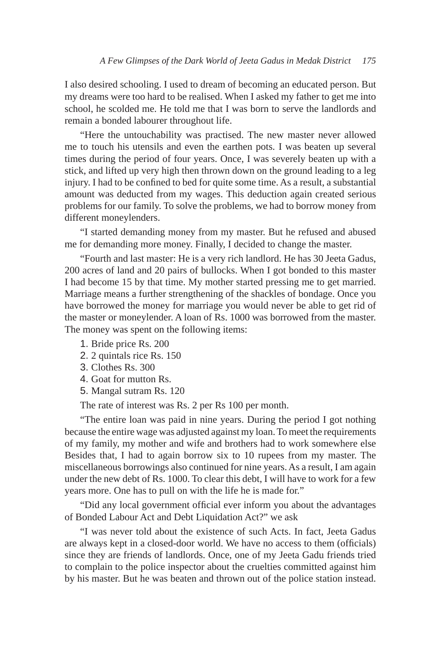I also desired schooling. I used to dream of becoming an educated person. But my dreams were too hard to be realised. When I asked my father to get me into school, he scolded me. He told me that I was born to serve the landlords and remain a bonded labourer throughout life.

"Here the untouchability was practised. The new master never allowed me to touch his utensils and even the earthen pots. I was beaten up several times during the period of four years. Once, I was severely beaten up with a stick, and lifted up very high then thrown down on the ground leading to a leg injury. I had to be confined to bed for quite some time. As a result, a substantial amount was deducted from my wages. This deduction again created serious problems for our family. To solve the problems, we had to borrow money from different moneylenders.

"I started demanding money from my master. But he refused and abused me for demanding more money. Finally, I decided to change the master.

"Fourth and last master: He is a very rich landlord. He has 30 Jeeta Gadus, 200 acres of land and 20 pairs of bullocks. When I got bonded to this master I had become 15 by that time. My mother started pressing me to get married. Marriage means a further strengthening of the shackles of bondage. Once you have borrowed the money for marriage you would never be able to get rid of the master or moneylender. A loan of Rs. 1000 was borrowed from the master. The money was spent on the following items:

- 1. Bride price Rs. 200
- 2. 2 quintals rice Rs. 150
- 3. Clothes Rs. 300
- 4. Goat for mutton Rs.
- 5. Mangal sutram Rs. 120

The rate of interest was Rs. 2 per Rs 100 per month.

"The entire loan was paid in nine years. During the period I got nothing because the entire wage was adjusted against my loan. To meet the requirements of my family, my mother and wife and brothers had to work somewhere else Besides that, I had to again borrow six to 10 rupees from my master. The miscellaneous borrowings also continued for nine years. As a result, I am again under the new debt of Rs. 1000. To clear this debt, I will have to work for a few years more. One has to pull on with the life he is made for."

"Did any local government official ever inform you about the advantages of Bonded Labour Act and Debt Liquidation Act?" we ask

"I was never told about the existence of such Acts. In fact, Jeeta Gadus are always kept in a closed-door world. We have no access to them (officials) since they are friends of landlords. Once, one of my Jeeta Gadu friends tried to complain to the police inspector about the cruelties committed against him by his master. But he was beaten and thrown out of the police station instead.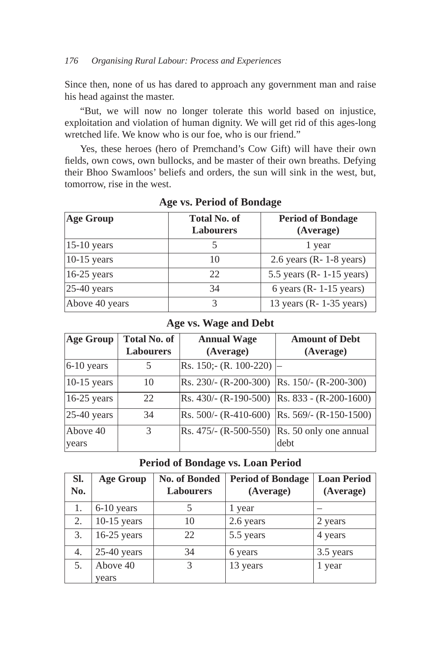### *176 Organising Rural Labour: Process and Experiences*

Since then, none of us has dared to approach any government man and raise his head against the master.

"But, we will now no longer tolerate this world based on injustice, exploitation and violation of human dignity. We will get rid of this ages-long wretched life. We know who is our foe, who is our friend."

Yes, these heroes (hero of Premchand's Cow Gift) will have their own fields, own cows, own bullocks, and be master of their own breaths. Defying their Bhoo Swamloos' beliefs and orders, the sun will sink in the west, but, tomorrow, rise in the west.

| <b>Age Group</b>        | <b>Total No. of</b><br><b>Labourers</b> | <b>Period of Bondage</b><br>(Average) |
|-------------------------|-----------------------------------------|---------------------------------------|
| $15-10$ years           |                                         | 1 year                                |
| $10-15$ years           | 10                                      | $2.6$ years (R- 1-8 years)            |
| $16-25$ years           | 22                                      | 5.5 years $(R - 1 - 15$ years)        |
| $ 25-40 \text{ years} $ | 34                                      | 6 years ( $R - 1 - 15$ years)         |
| Above 40 years          | 3                                       | 13 years ( $R - 1-35$ years)          |

### **Age vs. Period of Bondage**

### **Age vs. Wage and Debt**

| <b>Age Group</b>        | <b>Total No. of</b><br><b>Labourers</b> | <b>Annual Wage</b><br>(Average)              | <b>Amount of Debt</b><br>(Average)            |
|-------------------------|-----------------------------------------|----------------------------------------------|-----------------------------------------------|
| $6-10$ years            | 5                                       | Rs. $150$ ;- (R. $100-220$ )                 |                                               |
| $ 10-15 \text{ years} $ | 10                                      | Rs. 230/- (R-200-300)  Rs. 150/- (R-200-300) |                                               |
| $16-25$ years           | 22                                      |                                              | Rs. 430/- (R-190-500)  Rs. 833 - (R-200-1600) |
| $ 25-40 \text{ years} $ | 34                                      | $Rs. 500/- (R-410-600)$                      | $\vert$ Rs. 569/- (R-150-1500) $\vert$        |
| Above $40$<br>years     | 3                                       | $Rs. 475/- (R-500-550)$                      | Rs. 50 only one annual<br>debt                |

### **Period of Bondage vs. Loan Period**

| SI.<br>No. | <b>Age Group</b>  | <b>No. of Bonded</b><br><b>Labourers</b> | <b>Period of Bondage</b><br>(Average) | <b>Loan Period</b><br>(Average) |
|------------|-------------------|------------------------------------------|---------------------------------------|---------------------------------|
| 1.         | 6-10 years        |                                          | 1 year                                |                                 |
| 2.         | $10-15$ years     | 10                                       | 2.6 years                             | 2 years                         |
| 3.         | $16-25$ years     | 22                                       | 5.5 years                             | 4 years                         |
| 4.         | $25-40$ years     | 34                                       | 6 years                               | 3.5 years                       |
| 5.         | Above 40<br>years | 3                                        | 13 years                              | 1 year                          |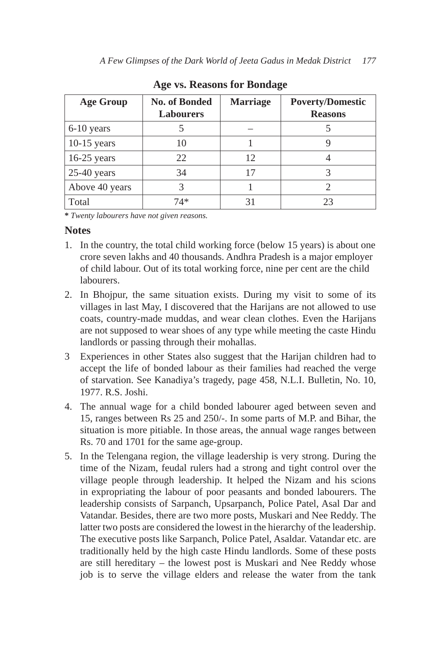| <b>Age Group</b> | <b>No. of Bonded</b><br><b>Labourers</b> | <b>Marriage</b> | <b>Poverty/Domestic</b><br><b>Reasons</b> |
|------------------|------------------------------------------|-----------------|-------------------------------------------|
| 6-10 years       |                                          |                 |                                           |
| $10-15$ years    | 10                                       |                 |                                           |
| $16-25$ years    | 22                                       | 12              |                                           |
| $25-40$ years    | 34                                       | 17              |                                           |
| Above 40 years   | 3                                        |                 |                                           |
| Total            | $74*$                                    | 31              | 23                                        |

**Age vs. Reasons for Bondage**

**\*** *Twenty labourers have not given reasons.*

## **Notes**

- 1. In the country, the total child working force (below 15 years) is about one crore seven lakhs and 40 thousands. Andhra Pradesh is a major employer of child labour. Out of its total working force, nine per cent are the child labourers.
- 2. In Bhojpur, the same situation exists. During my visit to some of its villages in last May, I discovered that the Harijans are not allowed to use coats, country-made muddas, and wear clean clothes. Even the Harijans are not supposed to wear shoes of any type while meeting the caste Hindu landlords or passing through their mohallas.
- 3 Experiences in other States also suggest that the Harijan children had to accept the life of bonded labour as their families had reached the verge of starvation. See Kanadiya's tragedy, page 458, N.L.I. Bulletin, No. 10, 1977. R.S. Joshi.
- 4. The annual wage for a child bonded labourer aged between seven and 15, ranges between Rs 25 and 250/-. In some parts of M.P. and Bihar, the situation is more pitiable. In those areas, the annual wage ranges between Rs. 70 and 1701 for the same age-group.
- 5. In the Telengana region, the village leadership is very strong. During the time of the Nizam, feudal rulers had a strong and tight control over the village people through leadership. It helped the Nizam and his scions in expropriating the labour of poor peasants and bonded labourers. The leadership consists of Sarpanch, Upsarpanch, Police Patel, Asal Dar and Vatandar. Besides, there are two more posts, Muskari and Nee Reddy. The latter two posts are considered the lowest in the hierarchy of the leadership. The executive posts like Sarpanch, Police Patel, Asaldar. Vatandar etc. are traditionally held by the high caste Hindu landlords. Some of these posts are still hereditary – the lowest post is Muskari and Nee Reddy whose job is to serve the village elders and release the water from the tank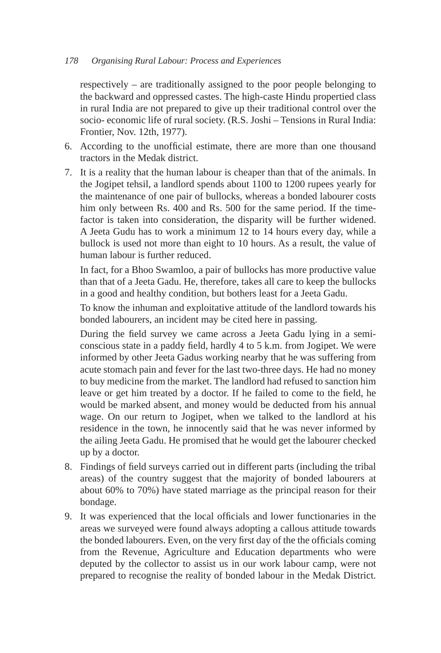### *178 Organising Rural Labour: Process and Experiences*

respectively – are traditionally assigned to the poor people belonging to the backward and oppressed castes. The high-caste Hindu propertied class in rural India are not prepared to give up their traditional control over the socio- economic life of rural society. (R.S. Joshi – Tensions in Rural India: Frontier, Nov. 12th, 1977).

- 6. According to the unofficial estimate, there are more than one thousand tractors in the Medak district.
- 7. It is a reality that the human labour is cheaper than that of the animals. In the Jogipet tehsil, a landlord spends about 1100 to 1200 rupees yearly for the maintenance of one pair of bullocks, whereas a bonded labourer costs him only between Rs. 400 and Rs. 500 for the same period. If the timefactor is taken into consideration, the disparity will be further widened. A Jeeta Gudu has to work a minimum 12 to 14 hours every day, while a bullock is used not more than eight to 10 hours. As a result, the value of human labour is further reduced.

 In fact, for a Bhoo Swamloo, a pair of bullocks has more productive value than that of a Jeeta Gadu. He, therefore, takes all care to keep the bullocks in a good and healthy condition, but bothers least for a Jeeta Gadu.

 To know the inhuman and exploitative attitude of the landlord towards his bonded labourers, an incident may be cited here in passing.

 During the field survey we came across a Jeeta Gadu lying in a semiconscious state in a paddy field, hardly 4 to 5 k.m. from Jogipet. We were informed by other Jeeta Gadus working nearby that he was suffering from acute stomach pain and fever for the last two-three days. He had no money to buy medicine from the market. The landlord had refused to sanction him leave or get him treated by a doctor. If he failed to come to the field, he would be marked absent, and money would be deducted from his annual wage. On our return to Jogipet, when we talked to the landlord at his residence in the town, he innocently said that he was never informed by the ailing Jeeta Gadu. He promised that he would get the labourer checked up by a doctor.

- 8. Findings of field surveys carried out in different parts (including the tribal areas) of the country suggest that the majority of bonded labourers at about 60% to 70%) have stated marriage as the principal reason for their bondage.
- 9. It was experienced that the local officials and lower functionaries in the areas we surveyed were found always adopting a callous attitude towards the bonded labourers. Even, on the very first day of the the officials coming from the Revenue, Agriculture and Education departments who were deputed by the collector to assist us in our work labour camp, were not prepared to recognise the reality of bonded labour in the Medak District.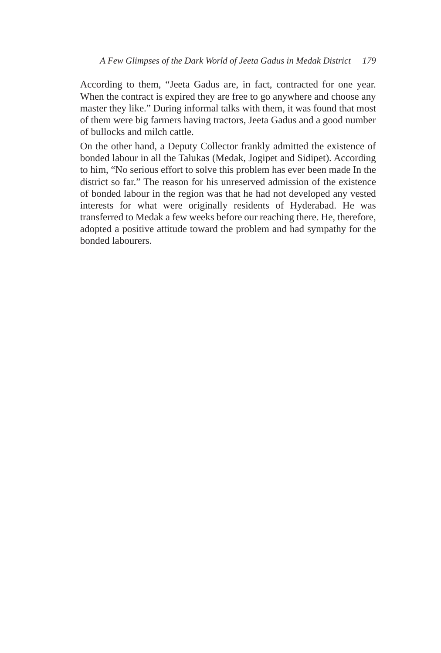According to them, "Jeeta Gadus are, in fact, contracted for one year. When the contract is expired they are free to go anywhere and choose any master they like." During informal talks with them, it was found that most of them were big farmers having tractors, Jeeta Gadus and a good number of bullocks and milch cattle.

 On the other hand, a Deputy Collector frankly admitted the existence of bonded labour in all the Talukas (Medak, Jogipet and Sidipet). According to him, "No serious effort to solve this problem has ever been made In the district so far." The reason for his unreserved admission of the existence of bonded labour in the region was that he had not developed any vested interests for what were originally residents of Hyderabad. He was transferred to Medak a few weeks before our reaching there. He, therefore, adopted a positive attitude toward the problem and had sympathy for the bonded labourers.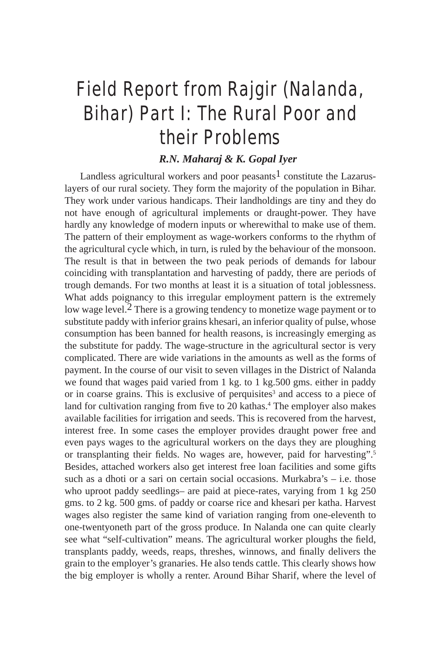# Field Report from Rajgir (Nalanda, Bihar) Part I: The Rural Poor and their Problems

## *R.N. Maharaj & K. Gopal Iyer*

Landless agricultural workers and poor peasants<sup>1</sup> constitute the Lazaruslayers of our rural society. They form the majority of the population in Bihar. They work under various handicaps. Their landholdings are tiny and they do not have enough of agricultural implements or draught-power. They have hardly any knowledge of modern inputs or wherewithal to make use of them. The pattern of their employment as wage-workers conforms to the rhythm of the agricultural cycle which, in turn, is ruled by the behaviour of the monsoon. The result is that in between the two peak periods of demands for labour coinciding with transplantation and harvesting of paddy, there are periods of trough demands. For two months at least it is a situation of total joblessness. What adds poignancy to this irregular employment pattern is the extremely low wage level.<sup>2</sup> There is a growing tendency to monetize wage payment or to substitute paddy with inferior grains khesari, an inferior quality of pulse, whose consumption has been banned for health reasons, is increasingly emerging as the substitute for paddy. The wage-structure in the agricultural sector is very complicated. There are wide variations in the amounts as well as the forms of payment. In the course of our visit to seven villages in the District of Nalanda we found that wages paid varied from 1 kg. to 1 kg.500 gms. either in paddy or in coarse grains. This is exclusive of perquisites<sup>3</sup> and access to a piece of land for cultivation ranging from five to 20 kathas.<sup>4</sup> The employer also makes available facilities for irrigation and seeds. This is recovered from the harvest, interest free. In some cases the employer provides draught power free and even pays wages to the agricultural workers on the days they are ploughing or transplanting their fields. No wages are, however, paid for harvesting".5 Besides, attached workers also get interest free loan facilities and some gifts such as a dhoti or a sari on certain social occasions. Murkabra's – i.e. those who uproot paddy seedlings– are paid at piece-rates, varying from 1 kg 250 gms. to 2 kg. 500 gms. of paddy or coarse rice and khesari per katha. Harvest wages also register the same kind of variation ranging from one-eleventh to one-twentyoneth part of the gross produce. In Nalanda one can quite clearly see what "self-cultivation" means. The agricultural worker ploughs the field, transplants paddy, weeds, reaps, threshes, winnows, and finally delivers the grain to the employer's granaries. He also tends cattle. This clearly shows how the big employer is wholly a renter. Around Bihar Sharif, where the level of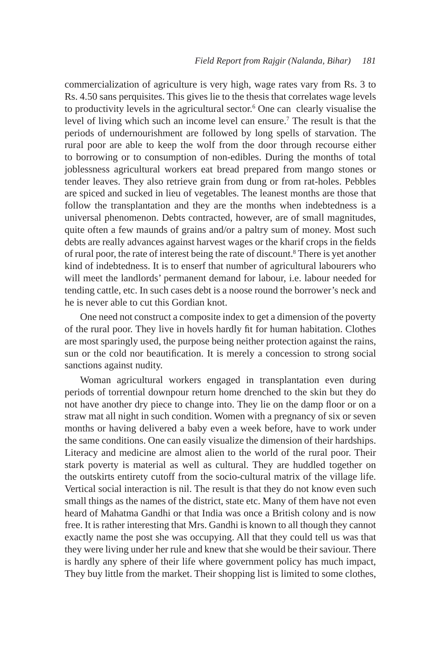commercialization of agriculture is very high, wage rates vary from Rs. 3 to Rs. 4.50 sans perquisites. This gives lie to the thesis that correlates wage levels to productivity levels in the agricultural sector.6 One can clearly visualise the level of living which such an income level can ensure.<sup>7</sup> The result is that the periods of undernourishment are followed by long spells of starvation. The rural poor are able to keep the wolf from the door through recourse either to borrowing or to consumption of non-edibles. During the months of total joblessness agricultural workers eat bread prepared from mango stones or tender leaves. They also retrieve grain from dung or from rat-holes. Pebbles are spiced and sucked in lieu of vegetables. The leanest months are those that follow the transplantation and they are the months when indebtedness is a universal phenomenon. Debts contracted, however, are of small magnitudes, quite often a few maunds of grains and/or a paltry sum of money. Most such debts are really advances against harvest wages or the kharif crops in the fields of rural poor, the rate of interest being the rate of discount.8 There is yet another kind of indebtedness. It is to enserf that number of agricultural labourers who will meet the landlords' permanent demand for labour, i.e. labour needed for tending cattle, etc. In such cases debt is a noose round the borrower's neck and he is never able to cut this Gordian knot.

One need not construct a composite index to get a dimension of the poverty of the rural poor. They live in hovels hardly fit for human habitation. Clothes are most sparingly used, the purpose being neither protection against the rains, sun or the cold nor beautification. It is merely a concession to strong social sanctions against nudity.

Woman agricultural workers engaged in transplantation even during periods of torrential downpour return home drenched to the skin but they do not have another dry piece to change into. They lie on the damp floor or on a straw mat all night in such condition. Women with a pregnancy of six or seven months or having delivered a baby even a week before, have to work under the same conditions. One can easily visualize the dimension of their hardships. Literacy and medicine are almost alien to the world of the rural poor. Their stark poverty is material as well as cultural. They are huddled together on the outskirts entirety cutoff from the socio-cultural matrix of the village life. Vertical social interaction is nil. The result is that they do not know even such small things as the names of the district, state etc. Many of them have not even heard of Mahatma Gandhi or that India was once a British colony and is now free. It is rather interesting that Mrs. Gandhi is known to all though they cannot exactly name the post she was occupying. All that they could tell us was that they were living under her rule and knew that she would be their saviour. There is hardly any sphere of their life where government policy has much impact, They buy little from the market. Their shopping list is limited to some clothes,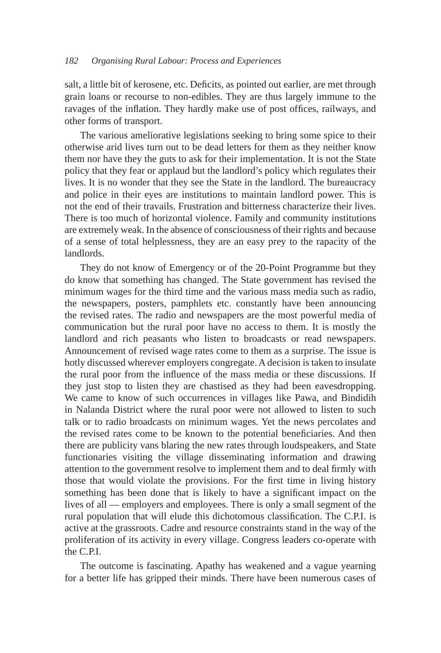salt, a little bit of kerosene, etc. Deficits, as pointed out earlier, are met through grain loans or recourse to non-edibles. They are thus largely immune to the ravages of the inflation. They hardly make use of post offices, railways, and other forms of transport.

The various ameliorative legislations seeking to bring some spice to their otherwise arid lives turn out to be dead letters for them as they neither know them nor have they the guts to ask for their implementation. It is not the State policy that they fear or applaud but the landlord's policy which regulates their lives. It is no wonder that they see the State in the landlord. The bureaucracy and police in their eyes are institutions to maintain landlord power. This is not the end of their travails. Frustration and bitterness characterize their lives. There is too much of horizontal violence. Family and community institutions are extremely weak. In the absence of consciousness of their rights and because of a sense of total helplessness, they are an easy prey to the rapacity of the landlords.

They do not know of Emergency or of the 20-Point Programme but they do know that something has changed. The State government has revised the minimum wages for the third time and the various mass media such as radio, the newspapers, posters, pamphlets etc. constantly have been announcing the revised rates. The radio and newspapers are the most powerful media of communication but the rural poor have no access to them. It is mostly the landlord and rich peasants who listen to broadcasts or read newspapers. Announcement of revised wage rates come to them as a surprise. The issue is hotly discussed wherever employers congregate. A decision is taken to insulate the rural poor from the influence of the mass media or these discussions. If they just stop to listen they are chastised as they had been eavesdropping. We came to know of such occurrences in villages like Pawa, and Bindidih in Nalanda District where the rural poor were not allowed to listen to such talk or to radio broadcasts on minimum wages. Yet the news percolates and the revised rates come to be known to the potential beneficiaries. And then there are publicity vans blaring the new rates through loudspeakers, and State functionaries visiting the village disseminating information and drawing attention to the government resolve to implement them and to deal firmly with those that would violate the provisions. For the first time in living history something has been done that is likely to have a significant impact on the lives of all — employers and employees. There is only a small segment of the rural population that will elude this dichotomous classification. The C.P.I. is active at the grassroots. Cadre and resource constraints stand in the way of the proliferation of its activity in every village. Congress leaders co-operate with the C.P.I.

The outcome is fascinating. Apathy has weakened and a vague yearning for a better life has gripped their minds. There have been numerous cases of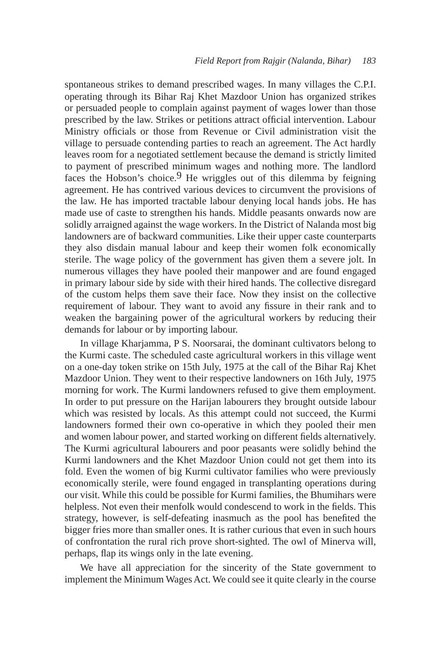spontaneous strikes to demand prescribed wages. In many villages the C.P.I. operating through its Bihar Raj Khet Mazdoor Union has organized strikes or persuaded people to complain against payment of wages lower than those prescribed by the law. Strikes or petitions attract official intervention. Labour Ministry officials or those from Revenue or Civil administration visit the village to persuade contending parties to reach an agreement. The Act hardly leaves room for a negotiated settlement because the demand is strictly limited to payment of prescribed minimum wages and nothing more. The landlord faces the Hobson's choice.  $9$  He wriggles out of this dilemma by feigning agreement. He has contrived various devices to circumvent the provisions of the law. He has imported tractable labour denying local hands jobs. He has made use of caste to strengthen his hands. Middle peasants onwards now are solidly arraigned against the wage workers. In the District of Nalanda most big landowners are of backward communities. Like their upper caste counterparts they also disdain manual labour and keep their women folk economically sterile. The wage policy of the government has given them a severe jolt. In numerous villages they have pooled their manpower and are found engaged in primary labour side by side with their hired hands. The collective disregard of the custom helps them save their face. Now they insist on the collective requirement of labour. They want to avoid any fissure in their rank and to weaken the bargaining power of the agricultural workers by reducing their demands for labour or by importing labour.

In village Kharjamma, P S. Noorsarai, the dominant cultivators belong to the Kurmi caste. The scheduled caste agricultural workers in this village went on a one-day token strike on 15th July, 1975 at the call of the Bihar Raj Khet Mazdoor Union. They went to their respective landowners on 16th July, 1975 morning for work. The Kurmi landowners refused to give them employment. In order to put pressure on the Harijan labourers they brought outside labour which was resisted by locals. As this attempt could not succeed, the Kurmi landowners formed their own co-operative in which they pooled their men and women labour power, and started working on different fields alternatively. The Kurmi agricultural labourers and poor peasants were solidly behind the Kurmi landowners and the Khet Mazdoor Union could not get them into its fold. Even the women of big Kurmi cultivator families who were previously economically sterile, were found engaged in transplanting operations during our visit. While this could be possible for Kurmi families, the Bhumihars were helpless. Not even their menfolk would condescend to work in the fields. This strategy, however, is self-defeating inasmuch as the pool has benefited the bigger fries more than smaller ones. It is rather curious that even in such hours of confrontation the rural rich prove short-sighted. The owl of Minerva will, perhaps, flap its wings only in the late evening.

We have all appreciation for the sincerity of the State government to implement the Minimum Wages Act. We could see it quite clearly in the course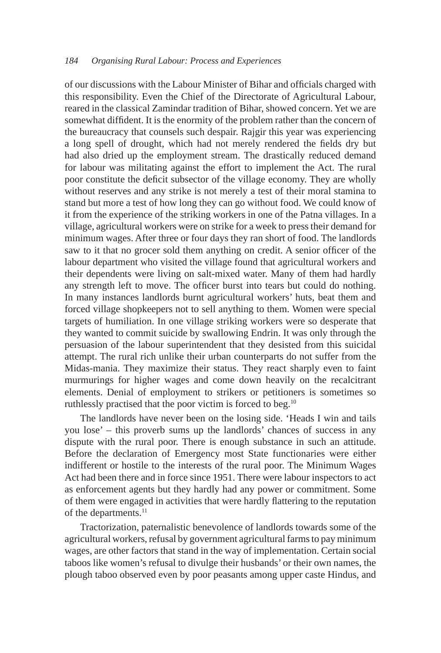#### *184 Organising Rural Labour: Process and Experiences*

of our discussions with the Labour Minister of Bihar and officials charged with this responsibility. Even the Chief of the Directorate of Agricultural Labour, reared in the classical Zamindar tradition of Bihar, showed concern. Yet we are somewhat diffident. It is the enormity of the problem rather than the concern of the bureaucracy that counsels such despair. Rajgir this year was experiencing a long spell of drought, which had not merely rendered the fields dry but had also dried up the employment stream. The drastically reduced demand for labour was militating against the effort to implement the Act. The rural poor constitute the deficit subsector of the village economy. They are wholly without reserves and any strike is not merely a test of their moral stamina to stand but more a test of how long they can go without food. We could know of it from the experience of the striking workers in one of the Patna villages. In a village, agricultural workers were on strike for a week to press their demand for minimum wages. After three or four days they ran short of food. The landlords saw to it that no grocer sold them anything on credit. A senior officer of the labour department who visited the village found that agricultural workers and their dependents were living on salt-mixed water. Many of them had hardly any strength left to move. The officer burst into tears but could do nothing. In many instances landlords burnt agricultural workers' huts, beat them and forced village shopkeepers not to sell anything to them. Women were special targets of humiliation. In one village striking workers were so desperate that they wanted to commit suicide by swallowing Endrin. It was only through the persuasion of the labour superintendent that they desisted from this suicidal attempt. The rural rich unlike their urban counterparts do not suffer from the Midas-mania. They maximize their status. They react sharply even to faint murmurings for higher wages and come down heavily on the recalcitrant elements. Denial of employment to strikers or petitioners is sometimes so ruthlessly practised that the poor victim is forced to beg.<sup>10</sup>

The landlords have never been on the losing side. 'Heads I win and tails you lose' – this proverb sums up the landlords' chances of success in any dispute with the rural poor. There is enough substance in such an attitude. Before the declaration of Emergency most State functionaries were either indifferent or hostile to the interests of the rural poor. The Minimum Wages Act had been there and in force since 1951. There were labour inspectors to act as enforcement agents but they hardly had any power or commitment. Some of them were engaged in activities that were hardly flattering to the reputation of the departments.<sup>11</sup>

Tractorization, paternalistic benevolence of landlords towards some of the agricultural workers, refusal by government agricultural farms to pay minimum wages, are other factors that stand in the way of implementation. Certain social taboos like women's refusal to divulge their husbands' or their own names, the plough taboo observed even by poor peasants among upper caste Hindus, and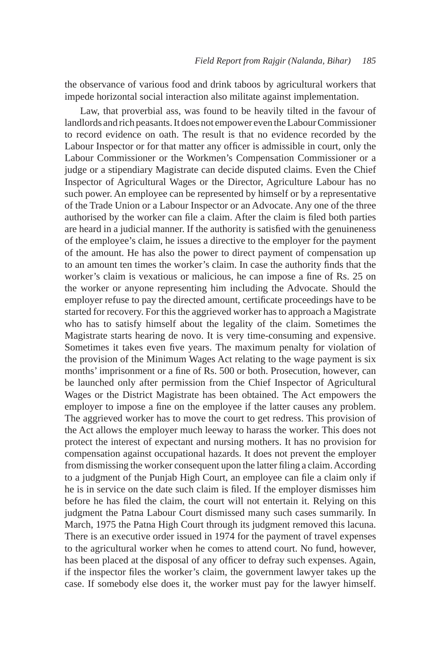the observance of various food and drink taboos by agricultural workers that impede horizontal social interaction also militate against implementation.

Law, that proverbial ass, was found to be heavily tilted in the favour of landlords and rich peasants. It does not empower even the Labour Commissioner to record evidence on oath. The result is that no evidence recorded by the Labour Inspector or for that matter any officer is admissible in court, only the Labour Commissioner or the Workmen's Compensation Commissioner or a judge or a stipendiary Magistrate can decide disputed claims. Even the Chief Inspector of Agricultural Wages or the Director, Agriculture Labour has no such power. An employee can be represented by himself or by a representative of the Trade Union or a Labour Inspector or an Advocate. Any one of the three authorised by the worker can file a claim. After the claim is filed both parties are heard in a judicial manner. If the authority is satisfied with the genuineness of the employee's claim, he issues a directive to the employer for the payment of the amount. He has also the power to direct payment of compensation up to an amount ten times the worker's claim. In case the authority finds that the worker's claim is vexatious or malicious, he can impose a fine of Rs. 25 on the worker or anyone representing him including the Advocate. Should the employer refuse to pay the directed amount, certificate proceedings have to be started for recovery. For this the aggrieved worker has to approach a Magistrate who has to satisfy himself about the legality of the claim. Sometimes the Magistrate starts hearing de novo. It is very time-consuming and expensive. Sometimes it takes even five years. The maximum penalty for violation of the provision of the Minimum Wages Act relating to the wage payment is six months' imprisonment or a fine of Rs. 500 or both. Prosecution, however, can be launched only after permission from the Chief Inspector of Agricultural Wages or the District Magistrate has been obtained. The Act empowers the employer to impose a fine on the employee if the latter causes any problem. The aggrieved worker has to move the court to get redress. This provision of the Act allows the employer much leeway to harass the worker. This does not protect the interest of expectant and nursing mothers. It has no provision for compensation against occupational hazards. It does not prevent the employer from dismissing the worker consequent upon the latter filing a claim. According to a judgment of the Punjab High Court, an employee can file a claim only if he is in service on the date such claim is filed. If the employer dismisses him before he has filed the claim, the court will not entertain it. Relying on this judgment the Patna Labour Court dismissed many such cases summarily. In March, 1975 the Patna High Court through its judgment removed this lacuna. There is an executive order issued in 1974 for the payment of travel expenses to the agricultural worker when he comes to attend court. No fund, however, has been placed at the disposal of any officer to defray such expenses. Again, if the inspector files the worker's claim, the government lawyer takes up the case. If somebody else does it, the worker must pay for the lawyer himself.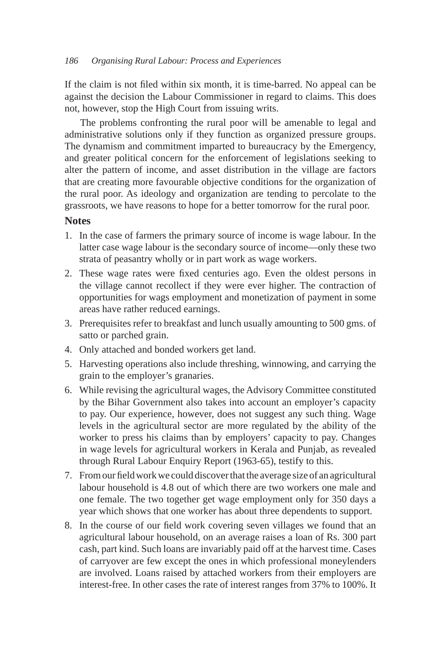If the claim is not filed within six month, it is time-barred. No appeal can be against the decision the Labour Commissioner in regard to claims. This does not, however, stop the High Court from issuing writs.

The problems confronting the rural poor will be amenable to legal and administrative solutions only if they function as organized pressure groups. The dynamism and commitment imparted to bureaucracy by the Emergency, and greater political concern for the enforcement of legislations seeking to alter the pattern of income, and asset distribution in the village are factors that are creating more favourable objective conditions for the organization of the rural poor. As ideology and organization are tending to percolate to the grassroots, we have reasons to hope for a better tomorrow for the rural poor.

### **Notes**

- 1. In the case of farmers the primary source of income is wage labour. In the latter case wage labour is the secondary source of income—only these two strata of peasantry wholly or in part work as wage workers.
- 2. These wage rates were fixed centuries ago. Even the oldest persons in the village cannot recollect if they were ever higher. The contraction of opportunities for wags employment and monetization of payment in some areas have rather reduced earnings.
- 3. Prerequisites refer to breakfast and lunch usually amounting to 500 gms. of satto or parched grain.
- 4. Only attached and bonded workers get land.
- 5. Harvesting operations also include threshing, winnowing, and carrying the grain to the employer's granaries.
- 6. While revising the agricultural wages, the Advisory Committee constituted by the Bihar Government also takes into account an employer's capacity to pay. Our experience, however, does not suggest any such thing. Wage levels in the agricultural sector are more regulated by the ability of the worker to press his claims than by employers' capacity to pay. Changes in wage levels for agricultural workers in Kerala and Punjab, as revealed through Rural Labour Enquiry Report (1963-65), testify to this.
- 7. From our field work we could discover that the average size of an agricultural labour household is 4.8 out of which there are two workers one male and one female. The two together get wage employment only for 350 days a year which shows that one worker has about three dependents to support.
- 8. In the course of our field work covering seven villages we found that an agricultural labour household, on an average raises a loan of Rs. 300 part cash, part kind. Such loans are invariably paid off at the harvest time. Cases of carryover are few except the ones in which professional moneylenders are involved. Loans raised by attached workers from their employers are interest-free. In other cases the rate of interest ranges from 37% to 100%. It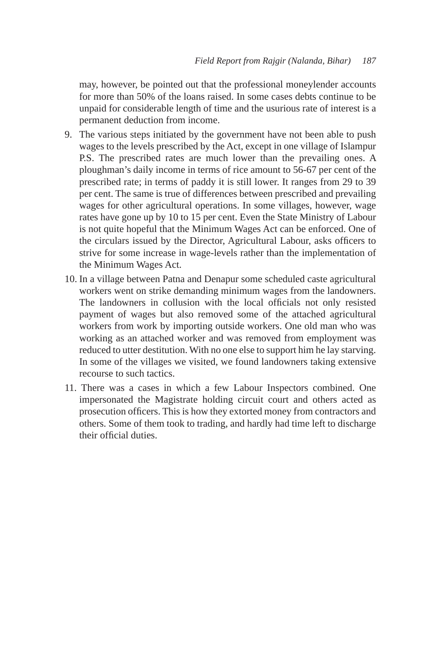may, however, be pointed out that the professional moneylender accounts for more than 50% of the loans raised. In some cases debts continue to be unpaid for considerable length of time and the usurious rate of interest is a permanent deduction from income.

- 9. The various steps initiated by the government have not been able to push wages to the levels prescribed by the Act, except in one village of Islampur P.S. The prescribed rates are much lower than the prevailing ones. A ploughman's daily income in terms of rice amount to 56-67 per cent of the prescribed rate; in terms of paddy it is still lower. It ranges from 29 to 39 per cent. The same is true of differences between prescribed and prevailing wages for other agricultural operations. In some villages, however, wage rates have gone up by 10 to 15 per cent. Even the State Ministry of Labour is not quite hopeful that the Minimum Wages Act can be enforced. One of the circulars issued by the Director, Agricultural Labour, asks officers to strive for some increase in wage-levels rather than the implementation of the Minimum Wages Act.
- 10. In a village between Patna and Denapur some scheduled caste agricultural workers went on strike demanding minimum wages from the landowners. The landowners in collusion with the local officials not only resisted payment of wages but also removed some of the attached agricultural workers from work by importing outside workers. One old man who was working as an attached worker and was removed from employment was reduced to utter destitution. With no one else to support him he lay starving. In some of the villages we visited, we found landowners taking extensive recourse to such tactics.
- 11. There was a cases in which a few Labour Inspectors combined. One impersonated the Magistrate holding circuit court and others acted as prosecution officers. This is how they extorted money from contractors and others. Some of them took to trading, and hardly had time left to discharge their official duties.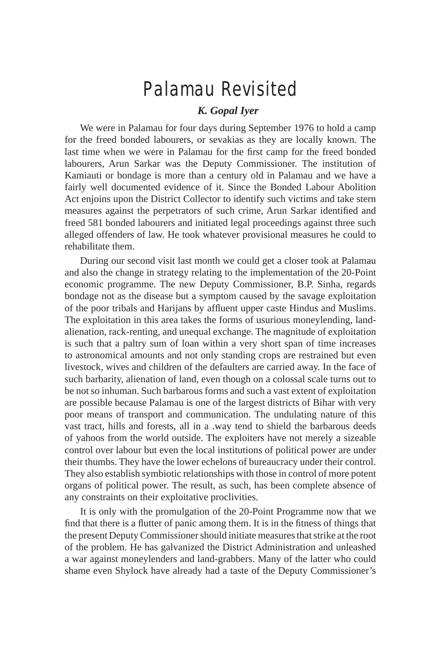## Palamau Revisited

### *K. Gopal Iyer*

We were in Palamau for four days during September 1976 to hold a camp for the freed bonded labourers, or sevakias as they are locally known. The last time when we were in Palamau for the first camp for the freed bonded labourers, Arun Sarkar was the Deputy Commissioner. The institution of Kamiauti or bondage is more than a century old in Palamau and we have a fairly well documented evidence of it. Since the Bonded Labour Abolition Act enjoins upon the District Collector to identify such victims and take stern measures against the perpetrators of such crime, Arun Sarkar identified and freed 581 bonded labourers and initiated legal proceedings against three such alleged offenders of law. He took whatever provisional measures he could to rehabilitate them.

During our second visit last month we could get a closer took at Palamau and also the change in strategy relating to the implementation of the 20-Point economic programme. The new Deputy Commissioner, B.P. Sinha, regards bondage not as the disease but a symptom caused by the savage exploitation of the poor tribals and Harijans by affluent upper caste Hindus and Muslims. The exploitation in this area takes the forms of usurious moneylending, landalienation, rack-renting, and unequal exchange. The magnitude of exploitation is such that a paltry sum of loan within a very short span of time increases to astronomical amounts and not only standing crops are restrained but even livestock, wives and children of the defaulters are carried away. In the face of such barbarity, alienation of land, even though on a colossal scale turns out to be not so inhuman. Such barbarous forms and such a vast extent of exploitation are possible because Palamau is one of the largest districts of Bihar with very poor means of transport and communication. The undulating nature of this vast tract, hills and forests, all in a .way tend to shield the barbarous deeds of yahoos from the world outside. The exploiters have not merely a sizeable control over labour but even the local institutions of political power are under their thumbs. They have the lower echelons of bureaucracy under their control. They also establish symbiotic relationships with those in control of more potent organs of political power. The result, as such, has been complete absence of any constraints on their exploitative proclivities.

It is only with the promulgation of the 20-Point Programme now that we find that there is a flutter of panic among them. It is in the fitness of things that the present Deputy Commissioner should initiate measures that strike at the root of the problem. He has galvanized the District Administration and unleashed a war against moneylenders and land-grabbers. Many of the latter who could shame even Shylock have already had a taste of the Deputy Commissioner's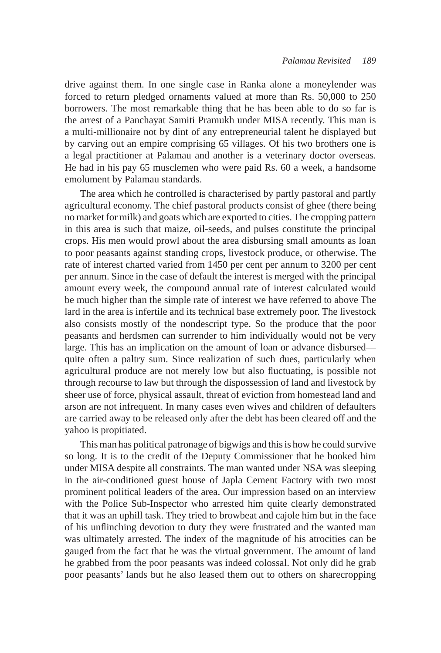drive against them. In one single case in Ranka alone a moneylender was forced to return pledged ornaments valued at more than Rs. 50,000 to 250 borrowers. The most remarkable thing that he has been able to do so far is the arrest of a Panchayat Samiti Pramukh under MISA recently. This man is a multi-millionaire not by dint of any entrepreneurial talent he displayed but by carving out an empire comprising 65 villages. Of his two brothers one is a legal practitioner at Palamau and another is a veterinary doctor overseas. He had in his pay 65 musclemen who were paid Rs. 60 a week, a handsome emolument by Palamau standards.

The area which he controlled is characterised by partly pastoral and partly agricultural economy. The chief pastoral products consist of ghee (there being no market for milk) and goats which are exported to cities. The cropping pattern in this area is such that maize, oil-seeds, and pulses constitute the principal crops. His men would prowl about the area disbursing small amounts as loan to poor peasants against standing crops, livestock produce, or otherwise. The rate of interest charted varied from 1450 per cent per annum to 3200 per cent per annum. Since in the case of default the interest is merged with the principal amount every week, the compound annual rate of interest calculated would be much higher than the simple rate of interest we have referred to above The lard in the area is infertile and its technical base extremely poor. The livestock also consists mostly of the nondescript type. So the produce that the poor peasants and herdsmen can surrender to him individually would not be very large. This has an implication on the amount of loan or advance disbursed quite often a paltry sum. Since realization of such dues, particularly when agricultural produce are not merely low but also fluctuating, is possible not through recourse to law but through the dispossession of land and livestock by sheer use of force, physical assault, threat of eviction from homestead land and arson are not infrequent. In many cases even wives and children of defaulters are carried away to be released only after the debt has been cleared off and the yahoo is propitiated.

This man has political patronage of bigwigs and this is how he could survive so long. It is to the credit of the Deputy Commissioner that he booked him under MISA despite all constraints. The man wanted under NSA was sleeping in the air-conditioned guest house of Japla Cement Factory with two most prominent political leaders of the area. Our impression based on an interview with the Police Sub-Inspector who arrested him quite clearly demonstrated that it was an uphill task. They tried to browbeat and cajole him but in the face of his unflinching devotion to duty they were frustrated and the wanted man was ultimately arrested. The index of the magnitude of his atrocities can be gauged from the fact that he was the virtual government. The amount of land he grabbed from the poor peasants was indeed colossal. Not only did he grab poor peasants' lands but he also leased them out to others on sharecropping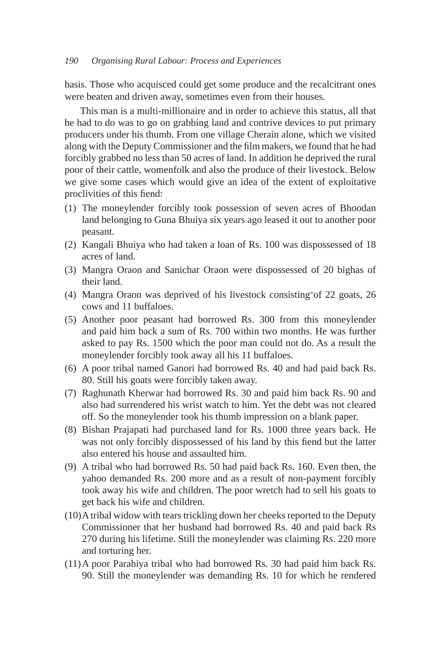### *190 Organising Rural Labour: Process and Experiences*

basis. Those who acquisced could get some produce and the recalcitrant ones were beaten and driven away, sometimes even from their houses.

This man is a multi-millionaire and in order to achieve this status, all that he had to do was to go on grabbing land and contrive devices to put primary producers under his thumb. From one village Cherain alone, which we visited along with the Deputy Commissioner and the film makers, we found that he had forcibly grabbed no less than 50 acres of land. In addition he deprived the rural poor of their cattle, womenfolk and also the produce of their livestock. Below we give some cases which would give an idea of the extent of exploitative proclivities of this fiend:

- (1) The moneylender forcibly took possession of seven acres of Bhoodan land belonging to Guna Bhuiya six years ago leased it out to another poor peasant.
- (2) Kangali Bhuiya who had taken a loan of Rs. 100 was dispossessed of 18 acres of land.
- (3) Mangra Oraon and Sanichar Oraon were dispossessed of 20 bighas of their land.
- (4) Mangra Oraon was deprived of his livestock consisting-of 22 goats, 26 cows and 11 buffaloes.
- (5) Another poor peasant had borrowed Rs. 300 from this moneylender and paid him back a sum of Rs. 700 within two months. He was further asked to pay Rs. 1500 which the poor man could not do. As a result the moneylender forcibly took away all his 11 buffaloes.
- (6) A poor tribal named Ganori had borrowed Rs. 40 and had paid back Rs. 80. Still his goats were forcibly taken away.
- (7) Raghunath Kherwar had borrowed Rs. 30 and paid him back Rs. 90 and also had surrendered his wrist watch to him. Yet the debt was not cleared off. So the moneylender took his thumb impression on a blank paper.
- (8) Bishan Prajapati had purchased land for Rs. 1000 three years back. He was not only forcibly dispossessed of his land by this fiend but the latter also entered his house and assaulted him.
- (9) A tribal who had borrowed Rs. 50 had paid back Rs. 160. Even then, the yahoo demanded Rs. 200 more and as a result of non-payment forcibly took away his wife and children. The poor wretch had to sell his goats to get back his wife and children.
- (10) A tribal widow with tears trickling down her cheeks reported to the Deputy Commissioner that her husband had borrowed Rs. 40 and paid back Rs 270 during his lifetime. Still the moneylender was claiming Rs. 220 more and torturing her.
- (11) A poor Parahiya tribal who had borrowed Rs. 30 had paid him back Rs. 90. Still the moneylender was demanding Rs. 10 for which he rendered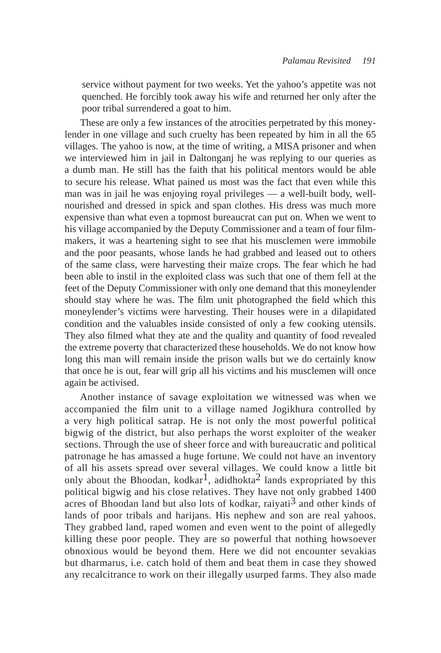service without payment for two weeks. Yet the yahoo's appetite was not quenched. He forcibly took away his wife and returned her only after the poor tribal surrendered a goat to him.

These are only a few instances of the atrocities perpetrated by this moneylender in one village and such cruelty has been repeated by him in all the 65 villages. The yahoo is now, at the time of writing, a MISA prisoner and when we interviewed him in jail in Daltonganj he was replying to our queries as a dumb man. He still has the faith that his political mentors would be able to secure his release. What pained us most was the fact that even while this man was in jail he was enjoying royal privileges — a well-built body, wellnourished and dressed in spick and span clothes. His dress was much more expensive than what even a topmost bureaucrat can put on. When we went to his village accompanied by the Deputy Commissioner and a team of four filmmakers, it was a heartening sight to see that his musclemen were immobile and the poor peasants, whose lands he had grabbed and leased out to others of the same class, were harvesting their maize crops. The fear which he had been able to instil in the exploited class was such that one of them fell at the feet of the Deputy Commissioner with only one demand that this moneylender should stay where he was. The film unit photographed the field which this moneylender's victims were harvesting. Their houses were in a dilapidated condition and the valuables inside consisted of only a few cooking utensils. They also filmed what they ate and the quality and quantity of food revealed the extreme poverty that characterized these households. We do not know how long this man will remain inside the prison walls but we do certainly know that once he is out, fear will grip all his victims and his musclemen will once again be activised.

Another instance of savage exploitation we witnessed was when we accompanied the film unit to a village named Jogikhura controlled by a very high political satrap. He is not only the most powerful political bigwig of the district, but also perhaps the worst exploiter of the weaker sections. Through the use of sheer force and with bureaucratic and political patronage he has amassed a huge fortune. We could not have an inventory of all his assets spread over several villages. We could know a little bit only about the Bhoodan, kodkar<sup>1</sup>, adidhokta<sup>2</sup> lands expropriated by this political bigwig and his close relatives. They have not only grabbed 1400 acres of Bhoodan land but also lots of kodkar, raiyati<sup>3</sup> and other kinds of lands of poor tribals and harijans. His nephew and son are real yahoos. They grabbed land, raped women and even went to the point of allegedly killing these poor people. They are so powerful that nothing howsoever obnoxious would be beyond them. Here we did not encounter sevakias but dharmarus, i.e. catch hold of them and beat them in case they showed any recalcitrance to work on their illegally usurped farms. They also made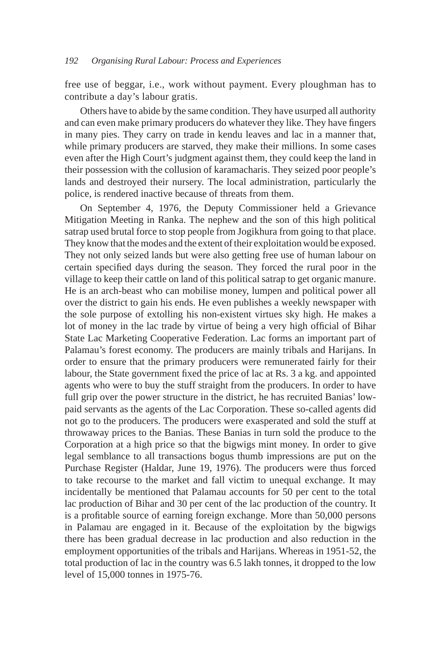#### *192 Organising Rural Labour: Process and Experiences*

free use of beggar, i.e., work without payment. Every ploughman has to contribute a day's labour gratis.

Others have to abide by the same condition. They have usurped all authority and can even make primary producers do whatever they like. They have fingers in many pies. They carry on trade in kendu leaves and lac in a manner that, while primary producers are starved, they make their millions. In some cases even after the High Court's judgment against them, they could keep the land in their possession with the collusion of karamacharis. They seized poor people's lands and destroyed their nursery. The local administration, particularly the police, is rendered inactive because of threats from them.

On September 4, 1976, the Deputy Commissioner held a Grievance Mitigation Meeting in Ranka. The nephew and the son of this high political satrap used brutal force to stop people from Jogikhura from going to that place. They know that the modes and the extent of their exploitation would be exposed. They not only seized lands but were also getting free use of human labour on certain specified days during the season. They forced the rural poor in the village to keep their cattle on land of this political satrap to get organic manure. He is an arch-beast who can mobilise money, lumpen and political power all over the district to gain his ends. He even publishes a weekly newspaper with the sole purpose of extolling his non-existent virtues sky high. He makes a lot of money in the lac trade by virtue of being a very high official of Bihar State Lac Marketing Cooperative Federation. Lac forms an important part of Palamau's forest economy. The producers are mainly tribals and Harijans. In order to ensure that the primary producers were remunerated fairly for their labour, the State government fixed the price of lac at Rs. 3 a kg. and appointed agents who were to buy the stuff straight from the producers. In order to have full grip over the power structure in the district, he has recruited Banias' lowpaid servants as the agents of the Lac Corporation. These so-called agents did not go to the producers. The producers were exasperated and sold the stuff at throwaway prices to the Banias. These Banias in turn sold the produce to the Corporation at a high price so that the bigwigs mint money. In order to give legal semblance to all transactions bogus thumb impressions are put on the Purchase Register (Haldar, June 19, 1976). The producers were thus forced to take recourse to the market and fall victim to unequal exchange. It may incidentally be mentioned that Palamau accounts for 50 per cent to the total lac production of Bihar and 30 per cent of the lac production of the country. It is a profitable source of earning foreign exchange. More than 50,000 persons in Palamau are engaged in it. Because of the exploitation by the bigwigs there has been gradual decrease in lac production and also reduction in the employment opportunities of the tribals and Harijans. Whereas in 1951-52, the total production of lac in the country was 6.5 lakh tonnes, it dropped to the low level of 15,000 tonnes in 1975-76.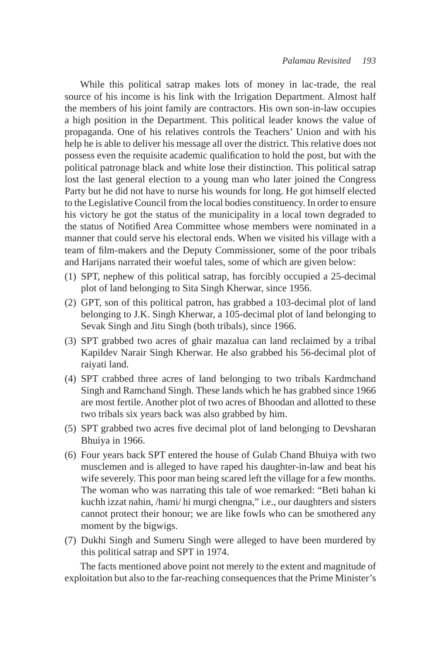While this political satrap makes lots of money in lac-trade, the real source of his income is his link with the Irrigation Department. Almost half the members of his joint family are contractors. His own son-in-law occupies a high position in the Department. This political leader knows the value of propaganda. One of his relatives controls the Teachers' Union and with his help he is able to deliver his message all over the district. This relative does not possess even the requisite academic qualification to hold the post, but with the political patronage black and white lose their distinction. This political satrap lost the last general election to a young man who later joined the Congress Party but he did not have to nurse his wounds for long. He got himself elected to the Legislative Council from the local bodies constituency. In order to ensure his victory he got the status of the municipality in a local town degraded to the status of Notified Area Committee whose members were nominated in a manner that could serve his electoral ends. When we visited his village with a team of film-makers and the Deputy Commissioner, some of the poor tribals and Harijans narrated their woeful tales, some of which are given below:

- (1) SPT, nephew of this political satrap, has forcibly occupied a 25-decimal plot of land belonging to Sita Singh Kherwar, since 1956.
- (2) GPT, son of this political patron, has grabbed a 103-decimal plot of land belonging to J.K. Singh Kherwar, a 105-decimal plot of land belonging to Sevak Singh and Jitu Singh (both tribals), since 1966.
- (3) SPT grabbed two acres of ghair mazalua can land reclaimed by a tribal Kapildev Narair Singh Kherwar. He also grabbed his 56-decimal plot of raiyati land.
- (4) SPT crabbed three acres of land belonging to two tribals Kardmchand Singh and Ramchand Singh. These lands which he has grabbed since 1966 are most fertile. Another plot of two acres of Bhoodan and allotted to these two tribals six years back was also grabbed by him.
- (5) SPT grabbed two acres five decimal plot of land belonging to Devsharan Bhuiya in 1966.
- (6) Four years back SPT entered the house of Gulab Chand Bhuiya with two musclemen and is alleged to have raped his daughter-in-law and beat his wife severely. This poor man being scared left the village for a few months. The woman who was narrating this tale of woe remarked: "Beti bahan ki kuchh izzat nahin, /hami/ hi murgi chengna," i.e., our daughters and sisters cannot protect their honour; we are like fowls who can be smothered any moment by the bigwigs.
- (7) Dukhi Singh and Sumeru Singh were alleged to have been murdered by this political satrap and SPT in 1974.

The facts mentioned above point not merely to the extent and magnitude of exploitation but also to the far-reaching consequences that the Prime Minister's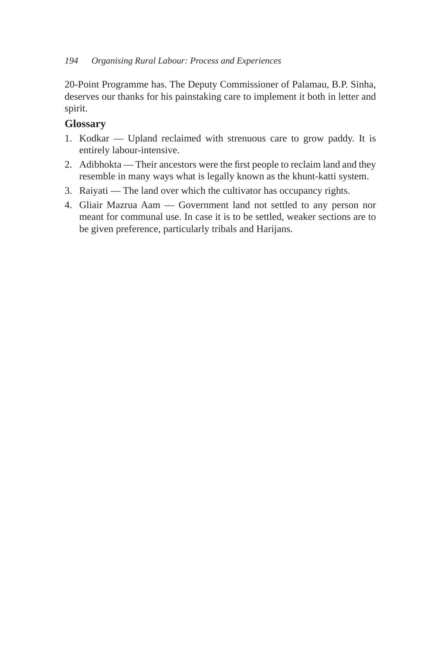### *194 Organising Rural Labour: Process and Experiences*

20-Point Programme has. The Deputy Commissioner of Palamau, B.P. Sinha, deserves our thanks for his painstaking care to implement it both in letter and spirit.

## **Glossary**

- 1. Kodkar Upland reclaimed with strenuous care to grow paddy. It is entirely labour-intensive.
- 2. Adibhokta Their ancestors were the first people to reclaim land and they resemble in many ways what is legally known as the khunt-katti system.
- 3. Raiyati The land over which the cultivator has occupancy rights.
- 4. Gliair Mazrua Aam Government land not settled to any person nor meant for communal use. In case it is to be settled, weaker sections are to be given preference, particularly tribals and Harijans.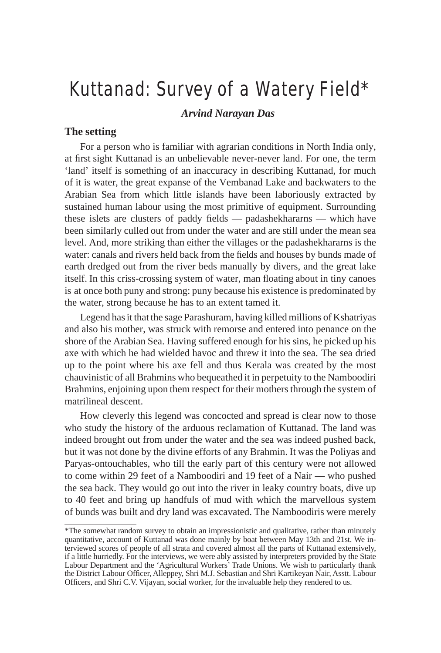## Kuttanad: Survey of a Watery Field\*

*Arvind Narayan Das*

## **The setting**

For a person who is familiar with agrarian conditions in North India only, at first sight Kuttanad is an unbelievable never-never land. For one, the term 'land' itself is something of an inaccuracy in describing Kuttanad, for much of it is water, the great expanse of the Vembanad Lake and backwaters to the Arabian Sea from which little islands have been laboriously extracted by sustained human labour using the most primitive of equipment. Surrounding these islets are clusters of paddy fields — padashekhararns — which have been similarly culled out from under the water and are still under the mean sea level. And, more striking than either the villages or the padashekhararns is the water: canals and rivers held back from the fields and houses by bunds made of earth dredged out from the river beds manually by divers, and the great lake itself. In this criss-crossing system of water, man floating about in tiny canoes is at once both puny and strong: puny because his existence is predominated by the water, strong because he has to an extent tamed it.

Legend has it that the sage Parashuram, having killed millions of Kshatriyas and also his mother, was struck with remorse and entered into penance on the shore of the Arabian Sea. Having suffered enough for his sins, he picked up his axe with which he had wielded havoc and threw it into the sea. The sea dried up to the point where his axe fell and thus Kerala was created by the most chauvinistic of all Brahmins who bequeathed it in perpetuity to the Namboodiri Brahmins, enjoining upon them respect for their mothers through the system of matrilineal descent.

How cleverly this legend was concocted and spread is clear now to those who study the history of the arduous reclamation of Kuttanad. The land was indeed brought out from under the water and the sea was indeed pushed back, but it was not done by the divine efforts of any Brahmin. It was the Poliyas and Paryas-ontouchables, who till the early part of this century were not allowed to come within 29 feet of a Namboodiri and 19 feet of a Nair — who pushed the sea back. They would go out into the river in leaky country boats, dive up to 40 feet and bring up handfuls of mud with which the marvellous system of bunds was built and dry land was excavated. The Namboodiris were merely

<sup>\*</sup>The somewhat random survey to obtain an impressionistic and qualitative, rather than minutely quantitative, account of Kuttanad was done mainly by boat between May 13th and 21st. We interviewed scores of people of all strata and covered almost all the parts of Kuttanad extensively, if a little hurriedly. For the interviews, we were ably assisted by interpreters provided by the State Labour Department and the 'Agricultural Workers' Trade Unions. We wish to particularly thank the District Labour Officer, Alleppey, Shri M.J. Sebastian and Shri Kartikeyan Nair, Asstt. Labour Officers, and Shri C.V. Vijayan, social worker, for the invaluable help they rendered to us.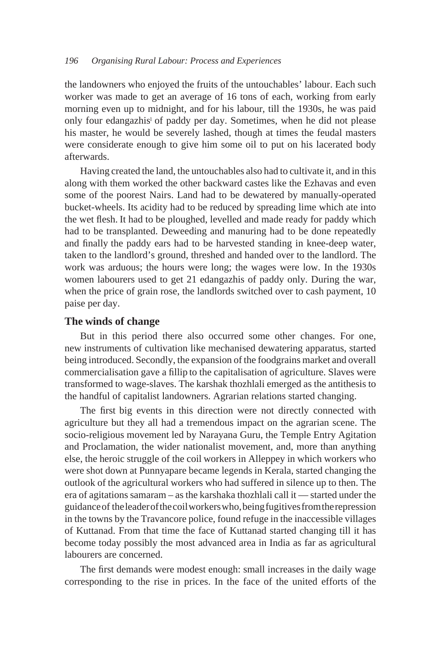the landowners who enjoyed the fruits of the untouchables' labour. Each such worker was made to get an average of 16 tons of each, working from early morning even up to midnight, and for his labour, till the 1930s, he was paid only four edangazhis<sup>1</sup> of paddy per day. Sometimes, when he did not please his master, he would be severely lashed, though at times the feudal masters were considerate enough to give him some oil to put on his lacerated body afterwards.

Having created the land, the untouchables also had to cultivate it, and in this along with them worked the other backward castes like the Ezhavas and even some of the poorest Nairs. Land had to be dewatered by manually-operated bucket-wheels. Its acidity had to be reduced by spreading lime which ate into the wet flesh. It had to be ploughed, levelled and made ready for paddy which had to be transplanted. Deweeding and manuring had to be done repeatedly and finally the paddy ears had to be harvested standing in knee-deep water, taken to the landlord's ground, threshed and handed over to the landlord. The work was arduous; the hours were long; the wages were low. In the 1930s women labourers used to get 21 edangazhis of paddy only. During the war, when the price of grain rose, the landlords switched over to cash payment, 10 paise per day.

### **The winds of change**

But in this period there also occurred some other changes. For one, new instruments of cultivation like mechanised dewatering apparatus, started being introduced. Secondly, the expansion of the foodgrains market and overall commercialisation gave a fillip to the capitalisation of agriculture. Slaves were transformed to wage-slaves. The karshak thozhlali emerged as the antithesis to the handful of capitalist landowners. Agrarian relations started changing.

The first big events in this direction were not directly connected with agriculture but they all had a tremendous impact on the agrarian scene. The socio-religious movement led by Narayana Guru, the Temple Entry Agitation and Proclamation, the wider nationalist movement, and, more than anything else, the heroic struggle of the coil workers in Alleppey in which workers who were shot down at Punnyapare became legends in Kerala, started changing the outlook of the agricultural workers who had suffered in silence up to then. The era of agitations samaram – as the karshaka thozhlali call it — started under the guidance of the leader of the coil workers who, being fugitives from the repression in the towns by the Travancore police, found refuge in the inaccessible villages of Kuttanad. From that time the face of Kuttanad started changing till it has become today possibly the most advanced area in India as far as agricultural labourers are concerned.

The first demands were modest enough: small increases in the daily wage corresponding to the rise in prices. In the face of the united efforts of the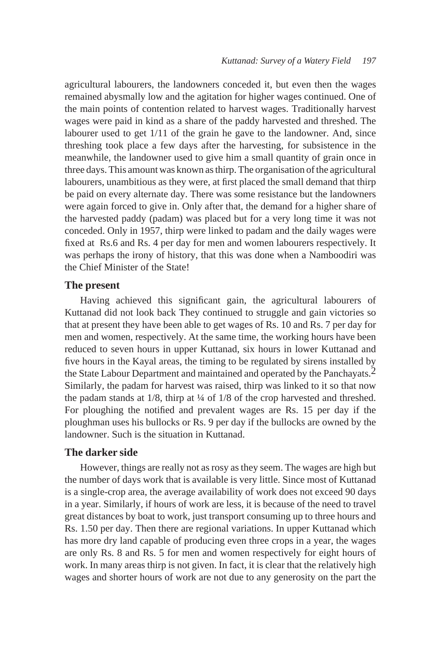agricultural labourers, the landowners conceded it, but even then the wages remained abysmally low and the agitation for higher wages continued. One of the main points of contention related to harvest wages. Traditionally harvest wages were paid in kind as a share of the paddy harvested and threshed. The labourer used to get  $1/11$  of the grain he gave to the landowner. And, since threshing took place a few days after the harvesting, for subsistence in the meanwhile, the landowner used to give him a small quantity of grain once in three days. This amount was known as thirp. The organisation of the agricultural labourers, unambitious as they were, at first placed the small demand that thirp be paid on every alternate day. There was some resistance but the landowners were again forced to give in. Only after that, the demand for a higher share of the harvested paddy (padam) was placed but for a very long time it was not conceded. Only in 1957, thirp were linked to padam and the daily wages were fixed at Rs.6 and Rs. 4 per day for men and women labourers respectively. It was perhaps the irony of history, that this was done when a Namboodiri was the Chief Minister of the State!

### **The present**

Having achieved this significant gain, the agricultural labourers of Kuttanad did not look back They continued to struggle and gain victories so that at present they have been able to get wages of Rs. 10 and Rs. 7 per day for men and women, respectively. At the same time, the working hours have been reduced to seven hours in upper Kuttanad, six hours in lower Kuttanad and five hours in the Kayal areas, the timing to be regulated by sirens installed by the State Labour Department and maintained and operated by the Panchayats.<sup>2</sup> Similarly, the padam for harvest was raised, thirp was linked to it so that now the padam stands at  $1/8$ , thirp at  $\frac{1}{4}$  of  $1/8$  of the crop harvested and threshed. For ploughing the notified and prevalent wages are Rs. 15 per day if the ploughman uses his bullocks or Rs. 9 per day if the bullocks are owned by the landowner. Such is the situation in Kuttanad.

### **The darker side**

However, things are really not as rosy as they seem. The wages are high but the number of days work that is available is very little. Since most of Kuttanad is a single-crop area, the average availability of work does not exceed 90 days in a year. Similarly, if hours of work are less, it is because of the need to travel great distances by boat to work, just transport consuming up to three hours and Rs. 1.50 per day. Then there are regional variations. In upper Kuttanad which has more dry land capable of producing even three crops in a year, the wages are only Rs. 8 and Rs. 5 for men and women respectively for eight hours of work. In many areas thirp is not given. In fact, it is clear that the relatively high wages and shorter hours of work are not due to any generosity on the part the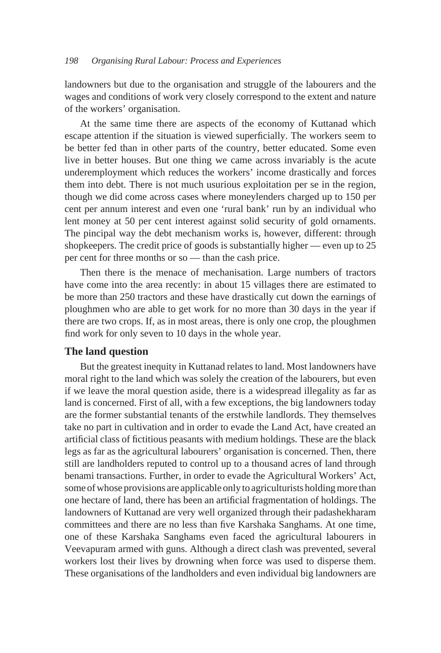landowners but due to the organisation and struggle of the labourers and the wages and conditions of work very closely correspond to the extent and nature of the workers' organisation.

At the same time there are aspects of the economy of Kuttanad which escape attention if the situation is viewed superficially. The workers seem to be better fed than in other parts of the country, better educated. Some even live in better houses. But one thing we came across invariably is the acute underemployment which reduces the workers' income drastically and forces them into debt. There is not much usurious exploitation per se in the region, though we did come across cases where moneylenders charged up to 150 per cent per annum interest and even one 'rural bank' run by an individual who lent money at 50 per cent interest against solid security of gold ornaments. The pincipal way the debt mechanism works is, however, different: through shopkeepers. The credit price of goods is substantially higher — even up to 25 per cent for three months or so — than the cash price.

Then there is the menace of mechanisation. Large numbers of tractors have come into the area recently: in about 15 villages there are estimated to be more than 250 tractors and these have drastically cut down the earnings of ploughmen who are able to get work for no more than 30 days in the year if there are two crops. If, as in most areas, there is only one crop, the ploughmen find work for only seven to 10 days in the whole year.

### **The land question**

But the greatest inequity in Kuttanad relates to land. Most landowners have moral right to the land which was solely the creation of the labourers, but even if we leave the moral question aside, there is a widespread illegality as far as land is concerned. First of all, with a few exceptions, the big landowners today are the former substantial tenants of the erstwhile landlords. They themselves take no part in cultivation and in order to evade the Land Act, have created an artificial class of fictitious peasants with medium holdings. These are the black legs as far as the agricultural labourers' organisation is concerned. Then, there still are landholders reputed to control up to a thousand acres of land through benami transactions. Further, in order to evade the Agricultural Workers' Act, some of whose provisions are applicable only to agriculturists holding more than one hectare of land, there has been an artificial fragmentation of holdings. The landowners of Kuttanad are very well organized through their padashekharam committees and there are no less than five Karshaka Sanghams. At one time, one of these Karshaka Sanghams even faced the agricultural labourers in Veevapuram armed with guns. Although a direct clash was prevented, several workers lost their lives by drowning when force was used to disperse them. These organisations of the landholders and even individual big landowners are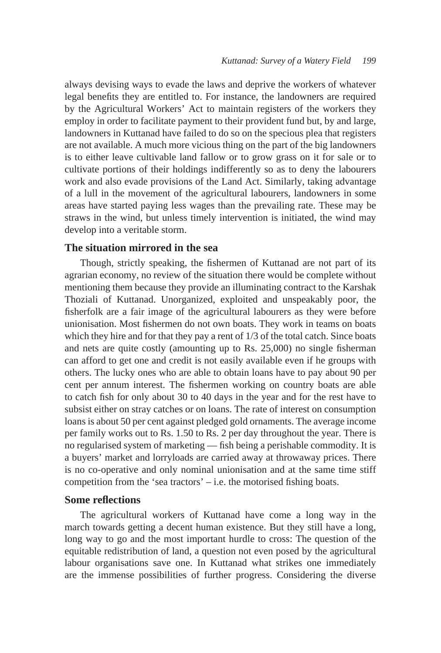always devising ways to evade the laws and deprive the workers of whatever legal benefits they are entitled to. For instance, the landowners are required by the Agricultural Workers' Act to maintain registers of the workers they employ in order to facilitate payment to their provident fund but, by and large, landowners in Kuttanad have failed to do so on the specious plea that registers are not available. A much more vicious thing on the part of the big landowners is to either leave cultivable land fallow or to grow grass on it for sale or to cultivate portions of their holdings indifferently so as to deny the labourers work and also evade provisions of the Land Act. Similarly, taking advantage of a lull in the movement of the agricultural labourers, landowners in some areas have started paying less wages than the prevailing rate. These may be straws in the wind, but unless timely intervention is initiated, the wind may develop into a veritable storm.

### **The situation mirrored in the sea**

Though, strictly speaking, the fishermen of Kuttanad are not part of its agrarian economy, no review of the situation there would be complete without mentioning them because they provide an illuminating contract to the Karshak Thoziali of Kuttanad. Unorganized, exploited and unspeakably poor, the fisherfolk are a fair image of the agricultural labourers as they were before unionisation. Most fishermen do not own boats. They work in teams on boats which they hire and for that they pay a rent of 1/3 of the total catch. Since boats and nets are quite costly (amounting up to Rs. 25,000) no single fisherman can afford to get one and credit is not easily available even if he groups with others. The lucky ones who are able to obtain loans have to pay about 90 per cent per annum interest. The fishermen working on country boats are able to catch fish for only about 30 to 40 days in the year and for the rest have to subsist either on stray catches or on loans. The rate of interest on consumption loans is about 50 per cent against pledged gold ornaments. The average income per family works out to Rs. 1.50 to Rs. 2 per day throughout the year. There is no regularised system of marketing — fish being a perishable commodity. It is a buyers' market and lorryloads are carried away at throwaway prices. There is no co-operative and only nominal unionisation and at the same time stiff competition from the 'sea tractors' – i.e. the motorised fishing boats.

### **Some reflections**

The agricultural workers of Kuttanad have come a long way in the march towards getting a decent human existence. But they still have a long, long way to go and the most important hurdle to cross: The question of the equitable redistribution of land, a question not even posed by the agricultural labour organisations save one. In Kuttanad what strikes one immediately are the immense possibilities of further progress. Considering the diverse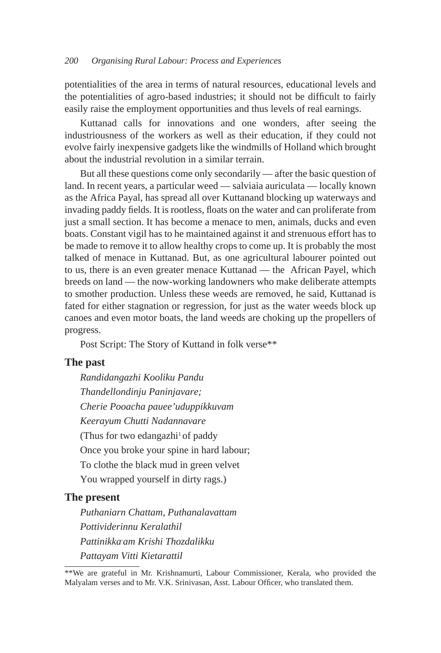potentialities of the area in terms of natural resources, educational levels and the potentialities of agro-based industries; it should not be difficult to fairly easily raise the employment opportunities and thus levels of real earnings.

Kuttanad calls for innovations and one wonders, after seeing the industriousness of the workers as well as their education, if they could not evolve fairly inexpensive gadgets like the windmills of Holland which brought about the industrial revolution in a similar terrain.

But all these questions come only secondarily — after the basic question of land. In recent years, a particular weed — salviaia auriculata — locally known as the Africa Payal, has spread all over Kuttanand blocking up waterways and invading paddy fields. It is rootless, floats on the water and can proliferate from just a small section. It has become a menace to men, animals, ducks and even boats. Constant vigil has to he maintained against it and strenuous effort has to be made to remove it to allow healthy crops to come up. It is probably the most talked of menace in Kuttanad. But, as one agricultural labourer pointed out to us, there is an even greater menace Kuttanad — the African. Payel, which breeds on land — the now-working landowners who make deliberate attempts to smother production. Unless these weeds are removed, he said, Kuttanad is fated for either stagnation or regression, for just as the water weeds block up canoes and even motor boats, the land weeds are choking up the propellers of progress.

Post Script: The Story of Kuttand in folk verse\*\*

### **The past**

*Randidangazhi Kooliku Pandu Thandellondinju Paninjavare; Cherie Pooacha pauee'uduppikkuvam Keerayum Chutti Nadannavare* (Thus for two edangazhi<sup>1</sup> of paddy) Once you broke your spine in hard labour; To clothe the black mud in green velvet You wrapped yourself in dirty rags.)

### **The present**

*Puthaniarn Chattam, Puthanalavattam Pottividerinnu Keralathil Pattinikka-am Krishi Thozdalikku Pattayam Vitti Kietarattil*

<sup>\*\*</sup>We are grateful in Mr. Krishnamurti, Labour Commissioner, Kerala, who provided the Malyalam verses and to Mr. V.K. Srinivasan, Asst. Labour Officer, who translated them.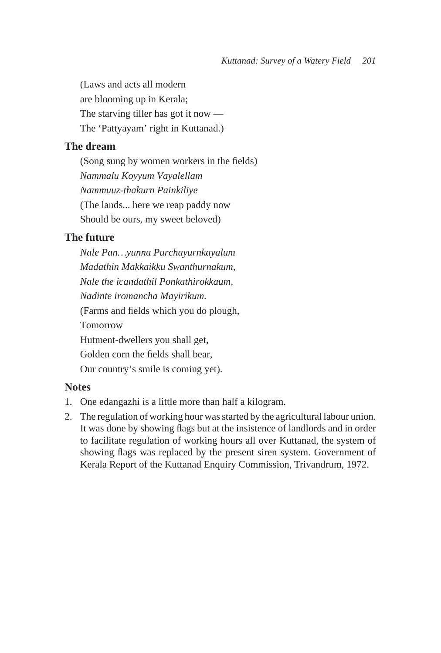(Laws and acts all modern are blooming up in Kerala; The starving tiller has got it now — The 'Pattyayam' right in Kuttanad.)

### **The dream**

(Song sung by women workers in the fields) *Nammalu Koyyum Vayalellam Nammuuz-thakurn Painkiliye* (The lands... here we reap paddy now Should be ours, my sweet beloved)

## **The future**

*Nale Pan…yunna Purchayurnkayalum Madathin Makkaikku Swanthurnakum, Nale the icandathil Ponkathirokkaum, Nadinte iromancha Mayirikum.* (Farms and fields which you do plough, Tomorrow Hutment-dwellers you shall get, Golden corn the fields shall bear, Our country's smile is coming yet).

### **Notes**

- 1. One edangazhi is a little more than half a kilogram.
- 2. The regulation of working hour was started by the agricultural labour union. It was done by showing flags but at the insistence of landlords and in order to facilitate regulation of working hours all over Kuttanad, the system of showing flags was replaced by the present siren system. Government of Kerala Report of the Kuttanad Enquiry Commission, Trivandrum, 1972.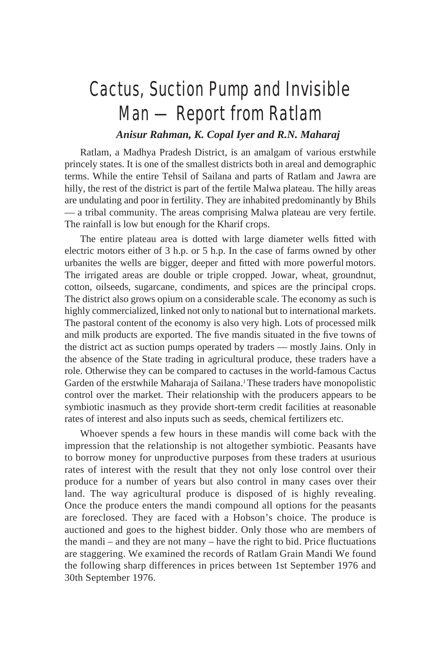## Cactus, Suction Pump and Invisible Man — Report from Ratlam

## *Anisur Rahman, K. Copal Iyer and R.N. Maharaj*

Ratlam, a Madhya Pradesh District, is an amalgam of various erstwhile princely states. It is one of the smallest districts both in areal and demographic terms. While the entire Tehsil of Sailana and parts of Ratlam and Jawra are hilly, the rest of the district is part of the fertile Malwa plateau. The hilly areas are undulating and poor in fertility. They are inhabited predominantly by Bhils — a tribal community. The areas comprising Malwa plateau are very fertile. The rainfall is low but enough for the Kharif crops.

The entire plateau area is dotted with large diameter wells fitted with electric motors either of 3 h.p. or 5 h.p. In the case of farms owned by other urbanites the wells are bigger, deeper and fitted with more powerful motors. The irrigated areas are double or triple cropped. Jowar, wheat, groundnut, cotton, oilseeds, sugarcane, condiments, and spices are the principal crops. The district also grows opium on a considerable scale. The economy as such is highly commercialized, linked not only to national but to international markets. The pastoral content of the economy is also very high. Lots of processed milk and milk products are exported. The five mandis situated in the five towns of the district act as suction pumps operated by traders — mostly Jains. Only in the absence of the State trading in agricultural produce, these traders have a role. Otherwise they can be compared to cactuses in the world-famous Cactus Garden of the erstwhile Maharaja of Sailana.<sup>1</sup> These traders have monopolistic control over the market. Their relationship with the producers appears to be symbiotic inasmuch as they provide short-term credit facilities at reasonable rates of interest and also inputs such as seeds, chemical fertilizers etc.

Whoever spends a few hours in these mandis will come back with the impression that the relationship is not altogether symbiotic. Peasants have to borrow money for unproductive purposes from these traders at usurious rates of interest with the result that they not only lose control over their produce for a number of years but also control in many cases over their land. The way agricultural produce is disposed of is highly revealing. Once the produce enters the mandi compound all options for the peasants are foreclosed. They are faced with a Hobson's choice. The produce is auctioned and goes to the highest bidder. Only those who are members of the mandi – and they are not many – have the right to bid. Price fluctuations are staggering. We examined the records of Ratlam Grain Mandi We found the following sharp differences in prices between 1st September 1976 and 30th September 1976.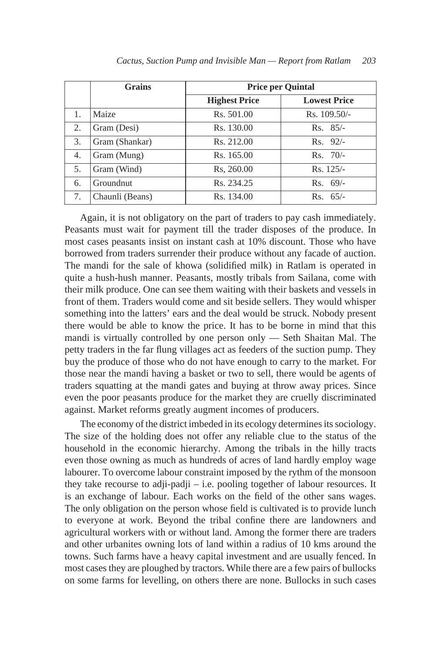|    | <b>Grains</b>   | <b>Price per Quintal</b> |                     |
|----|-----------------|--------------------------|---------------------|
|    |                 | <b>Highest Price</b>     | <b>Lowest Price</b> |
| 1. | Maize           | Rs. 501.00               | $Rs. 109.50/-$      |
| 2. | Gram (Desi)     | Rs. 130.00               | $Rs. 85/-$          |
| 3. | Gram (Shankar)  | Rs. 212.00               | $Rs. 92/-$          |
| 4. | Gram (Mung)     | Rs. 165.00               | $Rs. 70/-$          |
| 5. | Gram (Wind)     | Rs, 260.00               | $Rs. 125/-$         |
| 6. | Groundnut       | Rs. 234.25               | $Rs. 69/-$          |
| 7. | Chaunli (Beans) | Rs. 134.00               | $Rs. 65/-$          |

Again, it is not obligatory on the part of traders to pay cash immediately. Peasants must wait for payment till the trader disposes of the produce. In most cases peasants insist on instant cash at 10% discount. Those who have borrowed from traders surrender their produce without any facade of auction. The mandi for the sale of khowa (solidified milk) in Ratlam is operated in quite a hush-hush manner. Peasants, mostly tribals from Sailana, come with their milk produce. One can see them waiting with their baskets and vessels in front of them. Traders would come and sit beside sellers. They would whisper something into the latters' ears and the deal would be struck. Nobody present there would be able to know the price. It has to be borne in mind that this mandi is virtually controlled by one person only — Seth Shaitan Mal. The petty traders in the far flung villages act as feeders of the suction pump. They buy the produce of those who do not have enough to carry to the market. For those near the mandi having a basket or two to sell, there would be agents of traders squatting at the mandi gates and buying at throw away prices. Since even the poor peasants produce for the market they are cruelly discriminated against. Market reforms greatly augment incomes of producers.

The economy of the district imbeded in its ecology determines its sociology. The size of the holding does not offer any reliable clue to the status of the household in the economic hierarchy. Among the tribals in the hilly tracts even those owning as much as hundreds of acres of land hardly employ wage labourer. To overcome labour constraint imposed by the rythm of the monsoon they take recourse to adji-padji – i.e. pooling together of labour resources. It is an exchange of labour. Each works on the field of the other sans wages. The only obligation on the person whose field is cultivated is to provide lunch to everyone at work. Beyond the tribal confine there are landowners and agricultural workers with or without land. Among the former there are traders and other urbanites owning lots of land within a radius of 10 kms around the towns. Such farms have a heavy capital investment and are usually fenced. In most cases they are ploughed by tractors. While there are a few pairs of bullocks on some farms for levelling, on others there are none. Bullocks in such cases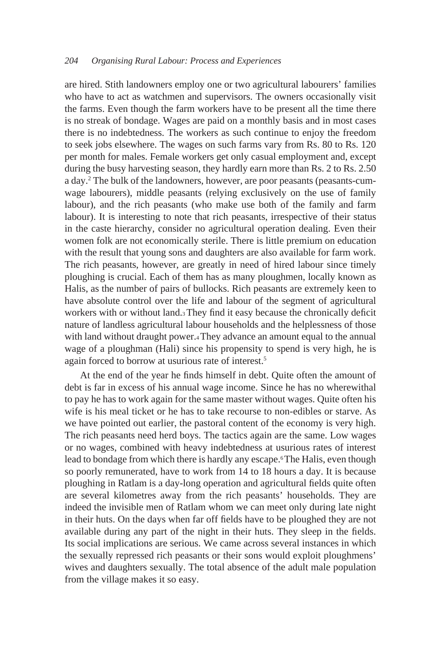#### *204 Organising Rural Labour: Process and Experiences*

are hired. Stith landowners employ one or two agricultural labourers' families who have to act as watchmen and supervisors. The owners occasionally visit the farms. Even though the farm workers have to be present all the time there is no streak of bondage. Wages are paid on a monthly basis and in most cases there is no indebtedness. The workers as such continue to enjoy the freedom to seek jobs elsewhere. The wages on such farms vary from Rs. 80 to Rs. 120 per month for males. Female workers get only casual employment and, except during the busy harvesting season, they hardly earn more than Rs. 2 to Rs. 2.50 a day.2 The bulk of the landowners, however, are poor peasants (peasants-cumwage labourers), middle peasants (relying exclusively on the use of family labour), and the rich peasants (who make use both of the family and farm labour). It is interesting to note that rich peasants, irrespective of their status in the caste hierarchy, consider no agricultural operation dealing. Even their women folk are not economically sterile. There is little premium on education with the result that young sons and daughters are also available for farm work. The rich peasants, however, are greatly in need of hired labour since timely ploughing is crucial. Each of them has as many ploughmen, locally known as Halis, as the number of pairs of bullocks. Rich peasants are extremely keen to have absolute control over the life and labour of the segment of agricultural workers with or without land.3 They find it easy because the chronically deficit nature of landless agricultural labour households and the helplessness of those with land without draught power.4 They advance an amount equal to the annual wage of a ploughman (Hali) since his propensity to spend is very high, he is again forced to borrow at usurious rate of interest.5

At the end of the year he finds himself in debt. Quite often the amount of debt is far in excess of his annual wage income. Since he has no wherewithal to pay he has to work again for the same master without wages. Quite often his wife is his meal ticket or he has to take recourse to non-edibles or starve. As we have pointed out earlier, the pastoral content of the economy is very high. The rich peasants need herd boys. The tactics again are the same. Low wages or no wages, combined with heavy indebtedness at usurious rates of interest lead to bondage from which there is hardly any escape.<sup>6</sup> The Halis, even though so poorly remunerated, have to work from 14 to 18 hours a day. It is because ploughing in Ratlam is a day-long operation and agricultural fields quite often are several kilometres away from the rich peasants' households. They are indeed the invisible men of Ratlam whom we can meet only during late night in their huts. On the days when far off fields have to be ploughed they are not available during any part of the night in their huts. They sleep in the fields. Its social implications are serious. We came across several instances in which the sexually repressed rich peasants or their sons would exploit ploughmens' wives and daughters sexually. The total absence of the adult male population from the village makes it so easy.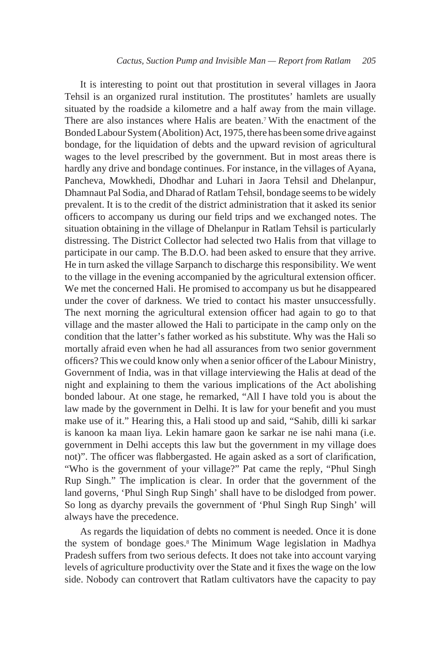It is interesting to point out that prostitution in several villages in Jaora Tehsil is an organized rural institution. The prostitutes' hamlets are usually situated by the roadside a kilometre and a half away from the main village. There are also instances where Halis are beaten.<sup>7</sup> With the enactment of the Bonded Labour System (Abolition) Act, 1975, there has been some drive against bondage, for the liquidation of debts and the upward revision of agricultural wages to the level prescribed by the government. But in most areas there is hardly any drive and bondage continues. For instance, in the villages of Ayana, Pancheva, Mowkhedi, Dhodhar and Luhari in Jaora Tehsil and Dhelanpur, Dhamnaut Pal Sodia, and Dharad of Ratlam Tehsil, bondage seems to be widely prevalent. It is to the credit of the district administration that it asked its senior officers to accompany us during our field trips and we exchanged notes. The situation obtaining in the village of Dhelanpur in Ratlam Tehsil is particularly distressing. The District Collector had selected two Halis from that village to participate in our camp. The B.D.O. had been asked to ensure that they arrive. He in turn asked the village Sarpanch to discharge this responsibility. We went to the village in the evening accompanied by the agricultural extension officer. We met the concerned Hali. He promised to accompany us but he disappeared under the cover of darkness. We tried to contact his master unsuccessfully. The next morning the agricultural extension officer had again to go to that village and the master allowed the Hali to participate in the camp only on the condition that the latter's father worked as his substitute. Why was the Hali so mortally afraid even when he had all assurances from two senior government officers? This we could know only when a senior officer of the Labour Ministry, Government of India, was in that village interviewing the Halis at dead of the night and explaining to them the various implications of the Act abolishing bonded labour. At one stage, he remarked, "All I have told you is about the law made by the government in Delhi. It is law for your benefit and you must make use of it." Hearing this, a Hali stood up and said, "Sahib, dilli ki sarkar is kanoon ka maan liya. Lekin hamare gaon ke sarkar ne ise nahi mana (i.e. government in Delhi accepts this law but the government in my village does not)". The officer was flabbergasted. He again asked as a sort of clarification, "Who is the government of your village?" Pat came the reply, "Phul Singh Rup Singh." The implication is clear. In order that the government of the land governs, 'Phul Singh Rup Singh' shall have to be dislodged from power. So long as dyarchy prevails the government of 'Phul Singh Rup Singh' will always have the precedence.

As regards the liquidation of debts no comment is needed. Once it is done the system of bondage goes.8 The Minimum Wage legislation in Madhya Pradesh suffers from two serious defects. It does not take into account varying levels of agriculture productivity over the State and it fixes the wage on the low side. Nobody can controvert that Ratlam cultivators have the capacity to pay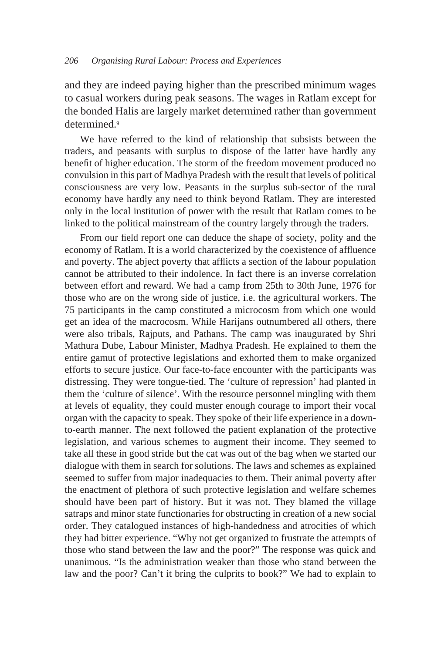and they are indeed paying higher than the prescribed minimum wages to casual workers during peak seasons. The wages in Ratlam except for the bonded Halis are largely market determined rather than government determined<sup>9</sup>

We have referred to the kind of relationship that subsists between the traders, and peasants with surplus to dispose of the latter have hardly any benefit of higher education. The storm of the freedom movement produced no convulsion in this part of Madhya Pradesh with the result that levels of political consciousness are very low. Peasants in the surplus sub-sector of the rural economy have hardly any need to think beyond Ratlam. They are interested only in the local institution of power with the result that Ratlam comes to be linked to the political mainstream of the country largely through the traders.

From our field report one can deduce the shape of society, polity and the economy of Ratlam. It is a world characterized by the coexistence of affluence and poverty. The abject poverty that afflicts a section of the labour population cannot be attributed to their indolence. In fact there is an inverse correlation between effort and reward. We had a camp from 25th to 30th June, 1976 for those who are on the wrong side of justice, i.e. the agricultural workers. The 75 participants in the camp constituted a microcosm from which one would get an idea of the macrocosm. While Harijans outnumbered all others, there were also tribals, Rajputs, and Pathans. The camp was inaugurated by Shri Mathura Dube, Labour Minister, Madhya Pradesh. He explained to them the entire gamut of protective legislations and exhorted them to make organized efforts to secure justice. Our face-to-face encounter with the participants was distressing. They were tongue-tied. The 'culture of repression' had planted in them the 'culture of silence'. With the resource personnel mingling with them at levels of equality, they could muster enough courage to import their vocal organ with the capacity to speak. They spoke of their life experience in a downto-earth manner. The next followed the patient explanation of the protective legislation, and various schemes to augment their income. They seemed to take all these in good stride but the cat was out of the bag when we started our dialogue with them in search for solutions. The laws and schemes as explained seemed to suffer from major inadequacies to them. Their animal poverty after the enactment of plethora of such protective legislation and welfare schemes should have been part of history. But it was not. They blamed the village satraps and minor state functionaries for obstructing in creation of a new social order. They catalogued instances of high-handedness and atrocities of which they had bitter experience. "Why not get organized to frustrate the attempts of those who stand between the law and the poor?" The response was quick and unanimous. "Is the administration weaker than those who stand between the law and the poor? Can't it bring the culprits to book?" We had to explain to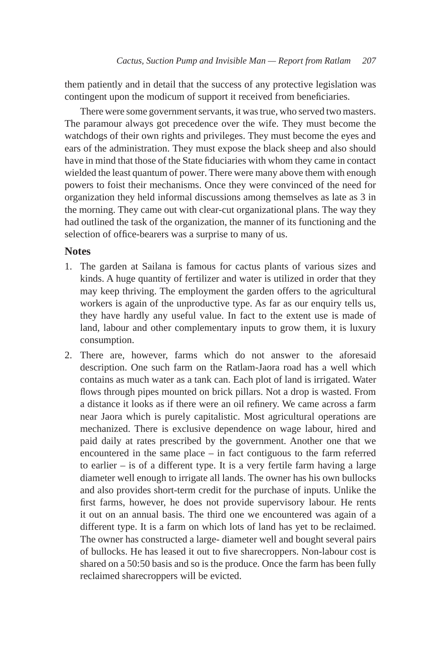them patiently and in detail that the success of any protective legislation was contingent upon the modicum of support it received from beneficiaries.

There were some government servants, it was true, who served two masters. The paramour always got precedence over the wife. They must become the watchdogs of their own rights and privileges. They must become the eyes and ears of the administration. They must expose the black sheep and also should have in mind that those of the State fiduciaries with whom they came in contact wielded the least quantum of power. There were many above them with enough powers to foist their mechanisms. Once they were convinced of the need for organization they held informal discussions among themselves as late as 3 in the morning. They came out with clear-cut organizational plans. The way they had outlined the task of the organization, the manner of its functioning and the selection of office-bearers was a surprise to many of us.

### **Notes**

- 1. The garden at Sailana is famous for cactus plants of various sizes and kinds. A huge quantity of fertilizer and water is utilized in order that they may keep thriving. The employment the garden offers to the agricultural workers is again of the unproductive type. As far as our enquiry tells us, they have hardly any useful value. In fact to the extent use is made of land, labour and other complementary inputs to grow them, it is luxury consumption.
- 2. There are, however, farms which do not answer to the aforesaid description. One such farm on the Ratlam-Jaora road has a well which contains as much water as a tank can. Each plot of land is irrigated. Water flows through pipes mounted on brick pillars. Not a drop is wasted. From a distance it looks as if there were an oil refinery. We came across a farm near Jaora which is purely capitalistic. Most agricultural operations are mechanized. There is exclusive dependence on wage labour, hired and paid daily at rates prescribed by the government. Another one that we encountered in the same place – in fact contiguous to the farm referred to earlier – is of a different type. It is a very fertile farm having a large diameter well enough to irrigate all lands. The owner has his own bullocks and also provides short-term credit for the purchase of inputs. Unlike the first farms, however, he does not provide supervisory labour. He rents it out on an annual basis. The third one we encountered was again of a different type. It is a farm on which lots of land has yet to be reclaimed. The owner has constructed a large- diameter well and bought several pairs of bullocks. He has leased it out to five sharecroppers. Non-labour cost is shared on a 50:50 basis and so is the produce. Once the farm has been fully reclaimed sharecroppers will be evicted.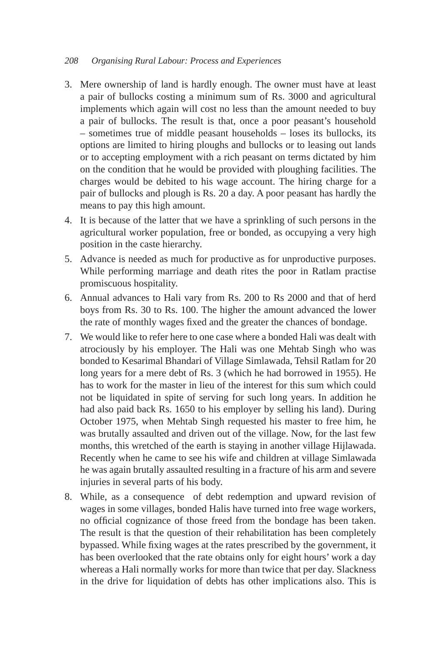- 3. Mere ownership of land is hardly enough. The owner must have at least a pair of bullocks costing a minimum sum of Rs. 3000 and agricultural implements which again will cost no less than the amount needed to buy a pair of bullocks. The result is that, once a poor peasant's household – sometimes true of middle peasant households – loses its bullocks, its options are limited to hiring ploughs and bullocks or to leasing out lands or to accepting employment with a rich peasant on terms dictated by him on the condition that he would be provided with ploughing facilities. The charges would be debited to his wage account. The hiring charge for a pair of bullocks and plough is Rs. 20 a day. A poor peasant has hardly the means to pay this high amount.
- 4. It is because of the latter that we have a sprinkling of such persons in the agricultural worker population, free or bonded, as occupying a very high position in the caste hierarchy.
- 5. Advance is needed as much for productive as for unproductive purposes. While performing marriage and death rites the poor in Ratlam practise promiscuous hospitality.
- 6. Annual advances to Hali vary from Rs. 200 to Rs 2000 and that of herd boys from Rs. 30 to Rs. 100. The higher the amount advanced the lower the rate of monthly wages fixed and the greater the chances of bondage.
- 7. We would like to refer here to one case where a bonded Hali was dealt with atrociously by his employer. The Hali was one Mehtab Singh who was bonded to Kesarimal Bhandari of Village Simlawada, Tehsil Ratlam for 20 long years for a mere debt of Rs. 3 (which he had borrowed in 1955). He has to work for the master in lieu of the interest for this sum which could not be liquidated in spite of serving for such long years. In addition he had also paid back Rs. 1650 to his employer by selling his land). During October 1975, when Mehtab Singh requested his master to free him, he was brutally assaulted and driven out of the village. Now, for the last few months, this wretched of the earth is staying in another village Hijlawada. Recently when he came to see his wife and children at village Simlawada he was again brutally assaulted resulting in a fracture of his arm and severe injuries in several parts of his body.
- 8. While, as a consequence of debt redemption and upward revision of wages in some villages, bonded Halis have turned into free wage workers, no official cognizance of those freed from the bondage has been taken. The result is that the question of their rehabilitation has been completely bypassed. While fixing wages at the rates prescribed by the government, it has been overlooked that the rate obtains only for eight hours' work a day whereas a Hali normally works for more than twice that per day. Slackness in the drive for liquidation of debts has other implications also. This is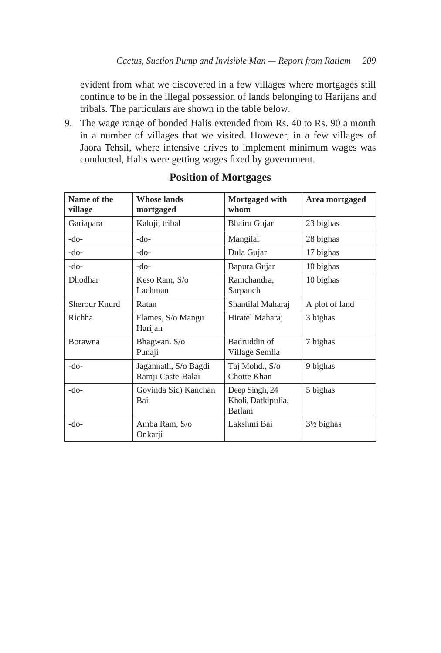evident from what we discovered in a few villages where mortgages still continue to be in the illegal possession of lands belonging to Harijans and tribals. The particulars are shown in the table below.

9. The wage range of bonded Halis extended from Rs. 40 to Rs. 90 a month in a number of villages that we visited. However, in a few villages of Jaora Tehsil, where intensive drives to implement minimum wages was conducted, Halis were getting wages fixed by government.

| Name of the<br>village | <b>Whose lands</b><br>mortgaged           | Mortgaged with<br>whom         | Area mortgaged        |
|------------------------|-------------------------------------------|--------------------------------|-----------------------|
| Gariapara              | Kaluji, tribal                            | Bhairu Gujar                   | 23 bighas             |
| $-do-$                 | -do-                                      | Mangilal                       | 28 bighas             |
| $-do-$                 | -do-                                      | Dula Gujar                     | 17 bighas             |
| $-do-$                 | -do-                                      | Bapura Gujar                   | 10 bighas             |
| Dhodhar                | Keso Ram, S/o<br>Lachman                  | Ramchandra,<br>Sarpanch        | 10 bighas             |
| Sherour Knurd          | Ratan                                     | Shantilal Maharaj              | A plot of land        |
| Richha                 | Flames, S/o Mangu<br>Harijan              | Hiratel Maharaj                | 3 bighas              |
| <b>Borawna</b>         | Bhagwan. S/o<br>Punaji                    | Badruddin of<br>Village Semlia | 7 bighas              |
| $-do-$                 | Jagannath, S/o Bagdi<br>Ramji Caste-Balai | Taj Mohd., S/o<br>Chotte Khan  | 9 bighas              |
| $-do-$                 | Govinda Sic) Kanchan<br>Bai               |                                | 5 bighas              |
| $-do-$                 | Amba Ram, S/o<br>Onkarji                  | Lakshmi Bai                    | $3\frac{1}{2}$ bighas |

# **Position of Mortgages**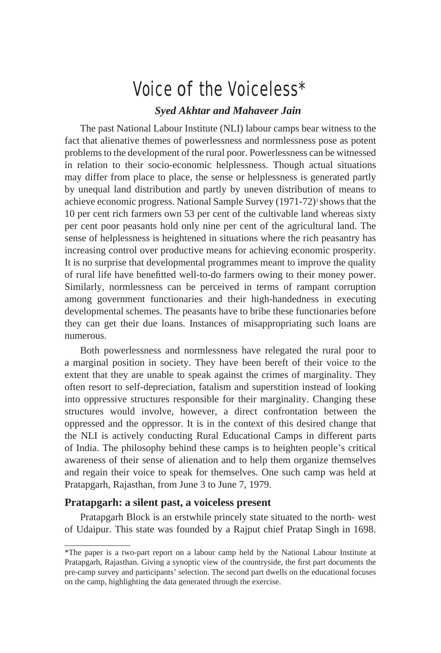# Voice of the Voiceless\*

# *Syed Akhtar and Mahaveer Jain*

The past National Labour Institute (NLI) labour camps bear witness to the fact that alienative themes of powerlessness and normlessness pose as potent problems to the development of the rural poor. Powerlessness can be witnessed in relation to their socio-economic helplessness. Though actual situations may differ from place to place, the sense or helplessness is generated partly by unequal land distribution and partly by uneven distribution of means to achieve economic progress. National Sample Survey (1971-72)1 shows that the 10 per cent rich farmers own 53 per cent of the cultivable land whereas sixty per cent poor peasants hold only nine per cent of the agricultural land. The sense of helplessness is heightened in situations where the rich peasantry has increasing control over productive means for achieving economic prosperity. It is no surprise that developmental programmes meant to improve the quality of rural life have benefitted well-to-do farmers owing to their money power. Similarly, normlessness can be perceived in terms of rampant corruption among government functionaries and their high-handedness in executing developmental schemes. The peasants have to bribe these functionaries before they can get their due loans. Instances of misappropriating such loans are numerous.

Both powerlessness and normlessness have relegated the rural poor to a marginal position in society. They have been bereft of their voice to the extent that they are unable to speak against the crimes of marginality. They often resort to self-depreciation, fatalism and superstition instead of looking into oppressive structures responsible for their marginality. Changing these structures would involve, however, a direct confrontation between the oppressed and the oppressor. It is in the context of this desired change that the NLI is actively conducting Rural Educational Camps in different parts of India. The philosophy behind these camps is to heighten people's critical awareness of their sense of alienation and to help them organize themselves and regain their voice to speak for themselves. One such camp was held at Pratapgarh, Rajasthan, from June 3 to June 7, 1979.

#### **Pratapgarh: a silent past, a voiceless present**

Pratapgarh Block is an erstwhile princely state situated to the north- west of Udaipur. This state was founded by a Rajput chief Pratap Singh in 1698.

<sup>\*</sup>The paper is a two-part report on a labour camp held by the National Labour Institute at Pratapgarh, Rajasthan. Giving a synoptic view of the countryside, the first part documents the pre-camp survey and participants' selection. The second part dwells on the educational focuses on the camp, highlighting the data generated through the exercise.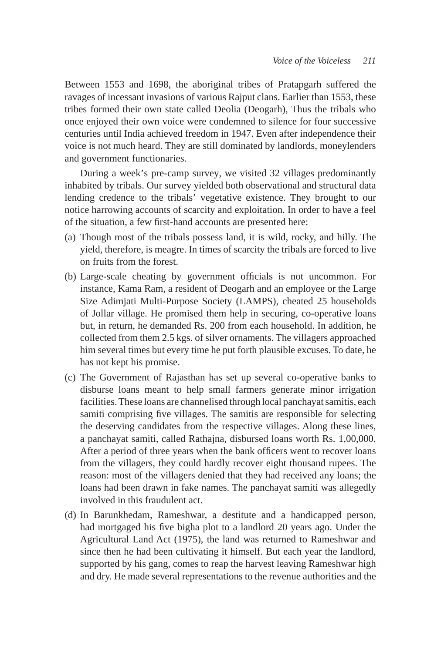Between 1553 and 1698, the aboriginal tribes of Pratapgarh suffered the ravages of incessant invasions of various Rajput clans. Earlier than 1553, these tribes formed their own state called Deolia (Deogarh), Thus the tribals who once enjoyed their own voice were condemned to silence for four successive centuries until India achieved freedom in 1947. Even after independence their voice is not much heard. They are still dominated by landlords, moneylenders and government functionaries.

During a week's pre-camp survey, we visited 32 villages predominantly inhabited by tribals. Our survey yielded both observational and structural data lending credence to the tribals' vegetative existence. They brought to our notice harrowing accounts of scarcity and exploitation. In order to have a feel of the situation, a few first-hand accounts are presented here:

- (a) Though most of the tribals possess land, it is wild, rocky, and hilly. The yield, therefore, is meagre. In times of scarcity the tribals are forced to live on fruits from the forest.
- (b) Large-scale cheating by government officials is not uncommon. For instance, Kama Ram, a resident of Deogarh and an employee or the Large Size Adimjati Multi-Purpose Society (LAMPS), cheated 25 households of Jollar village. He promised them help in securing, co-operative loans but, in return, he demanded Rs. 200 from each household. In addition, he collected from them 2.5 kgs. of silver ornaments. The villagers approached him several times but every time he put forth plausible excuses. To date, he has not kept his promise.
- (c) The Government of Rajasthan has set up several co-operative banks to disburse loans meant to help small farmers generate minor irrigation facilities. These loans are channelised through local panchayat samitis, each samiti comprising five villages. The samitis are responsible for selecting the deserving candidates from the respective villages. Along these lines, a panchayat samiti, called Rathajna, disbursed loans worth Rs. 1,00,000. After a period of three years when the bank officers went to recover loans from the villagers, they could hardly recover eight thousand rupees. The reason: most of the villagers denied that they had received any loans; the loans had been drawn in fake names. The panchayat samiti was allegedly involved in this fraudulent act.
- (d) In Barunkhedam, Rameshwar, a destitute and a handicapped person, had mortgaged his five bigha plot to a landlord 20 years ago. Under the Agricultural Land Act (1975), the land was returned to Rameshwar and since then he had been cultivating it himself. But each year the landlord, supported by his gang, comes to reap the harvest leaving Rameshwar high and dry. He made several representations to the revenue authorities and the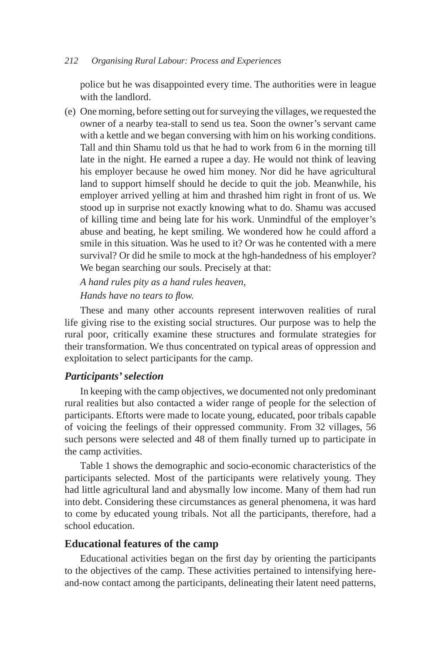police but he was disappointed every time. The authorities were in league with the landlord.

(e) One morning, before setting out for surveying the villages, we requested the owner of a nearby tea-stall to send us tea. Soon the owner's servant came with a kettle and we began conversing with him on his working conditions. Tall and thin Shamu told us that he had to work from 6 in the morning till late in the night. He earned a rupee a day. He would not think of leaving his employer because he owed him money. Nor did he have agricultural land to support himself should he decide to quit the job. Meanwhile, his employer arrived yelling at him and thrashed him right in front of us. We stood up in surprise not exactly knowing what to do. Shamu was accused of killing time and being late for his work. Unmindful of the employer's abuse and beating, he kept smiling. We wondered how he could afford a smile in this situation. Was he used to it? Or was he contented with a mere survival? Or did he smile to mock at the hgh-handedness of his employer? We began searching our souls. Precisely at that:

 *A hand rules pity as a hand rules heaven, Hands have no tears to flow.*

These and many other accounts represent interwoven realities of rural life giving rise to the existing social structures. Our purpose was to help the rural poor, critically examine these structures and formulate strategies for their transformation. We thus concentrated on typical areas of oppression and exploitation to select participants for the camp.

# *Participants' selection*

In keeping with the camp objectives, we documented not only predominant rural realities but also contacted a wider range of people for the selection of participants. Eftorts were made to locate young, educated, poor tribals capable of voicing the feelings of their oppressed community. From 32 villages, 56 such persons were selected and 48 of them finally turned up to participate in the camp activities.

Table 1 shows the demographic and socio-economic characteristics of the participants selected. Most of the participants were relatively young. They had little agricultural land and abysmally low income. Many of them had run into debt. Considering these circumstances as general phenomena, it was hard to come by educated young tribals. Not all the participants, therefore, had a school education.

# **Educational features of the camp**

Educational activities began on the first day by orienting the participants to the objectives of the camp. These activities pertained to intensifying hereand-now contact among the participants, delineating their latent need patterns,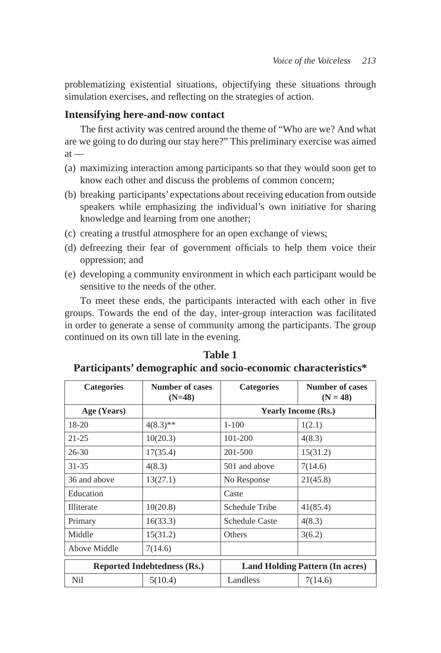problematizing existential situations, objectifying these situations through simulation exercises, and reflecting on the strategies of action.

### **Intensifying here-and-now contact**

The first activity was centred around the theme of "Who are we? And what are we going to do during our stay here?" This preliminary exercise was aimed  $at -$ 

- (a) maximizing interaction among participants so that they would soon get to know each other and discuss the problems of common concern;
- (b) breaking participants' expectations about receiving education from outside speakers while emphasizing the individual's own initiative for sharing knowledge and learning from one another;
- (c) creating a trustful atmosphere for an open exchange of views;
- (d) defreezing their fear of government officials to help them voice their oppression; and
- (e) developing a community environment in which each participant would be sensitive to the needs of the other.

To meet these ends, the participants interacted with each other in five groups. Towards the end of the day, inter-group interaction was facilitated in order to generate a sense of community among the participants. The group continued on its own till late in the evening.

| <b>Categories</b> | <b>Number of cases</b><br>$(N=48)$ | <b>Categories</b>          | <b>Number of cases</b><br>$(N = 48)$   |  |  |  |
|-------------------|------------------------------------|----------------------------|----------------------------------------|--|--|--|
| Age (Years)       |                                    | <b>Yearly Income (Rs.)</b> |                                        |  |  |  |
| $18-20$           | $4(8.3)$ **                        | $1 - 100$                  | 1(2.1)                                 |  |  |  |
| $21 - 25$         | 10(20.3)                           | 101-200                    | 4(8.3)                                 |  |  |  |
| $26 - 30$         | 17(35.4)                           | 201-500                    | 15(31.2)                               |  |  |  |
| 31-35             | 4(8.3)                             | 501 and above              | 7(14.6)                                |  |  |  |
| 36 and above      | 13(27.1)                           | No Response                | 21(45.8)                               |  |  |  |
| Education         |                                    | Caste                      |                                        |  |  |  |
| <b>Illiterate</b> | 10(20.8)                           | Schedule Tribe             | 41(85.4)                               |  |  |  |
| Primary           | 16(33.3)                           | <b>Schedule Caste</b>      | 4(8.3)                                 |  |  |  |
| Middle            | 15(31.2)                           | <b>Others</b>              | 3(6.2)                                 |  |  |  |
| Above Middle      | 7(14.6)                            |                            |                                        |  |  |  |
|                   | <b>Reported Indebtedness (Rs.)</b> |                            | <b>Land Holding Pattern (In acres)</b> |  |  |  |
| Nil               | 5(10.4)                            | 7(14.6)<br>Landless        |                                        |  |  |  |

**Table 1 Participants' demographic and socio-economic characteristics\***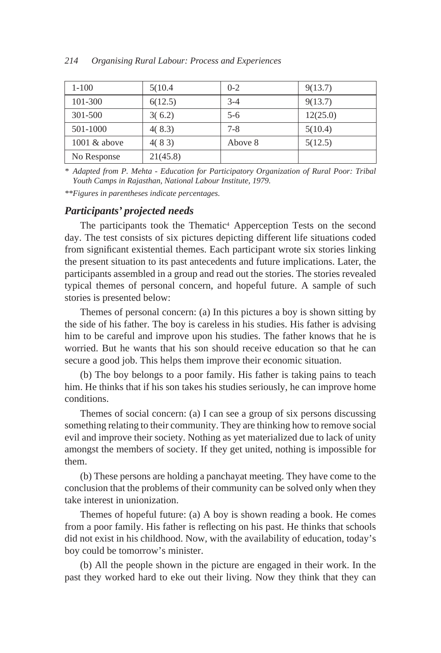| $1 - 100$       | 5(10.4)  | $0 - 2$ | 9(13.7)  |
|-----------------|----------|---------|----------|
| 101-300         | 6(12.5)  | $3 - 4$ | 9(13.7)  |
| 301-500         | 3(6.2)   | $5-6$   | 12(25.0) |
| 501-1000        | 4(8.3)   | $7 - 8$ | 5(10.4)  |
| $1001 \& above$ | 4(83)    | Above 8 | 5(12.5)  |
| No Response     | 21(45.8) |         |          |

*\* Adapted from P. Mehta - Education for Participatory Organization of Rural Poor: Tribal Youth Camps in Rajasthan, National Labour Institute, 1979.*

*\*\*Figures in parentheses indicate percentages.*

# *Participants' projected needs*

The participants took the Thematic<sup>4</sup> Apperception Tests on the second day. The test consists of six pictures depicting different life situations coded from significant existential themes. Each participant wrote six stories linking the present situation to its past antecedents and future implications. Later, the participants assembled in a group and read out the stories. The stories revealed typical themes of personal concern, and hopeful future. A sample of such stories is presented below:

Themes of personal concern: (a) In this pictures a boy is shown sitting by the side of his father. The boy is careless in his studies. His father is advising him to be careful and improve upon his studies. The father knows that he is worried. But he wants that his son should receive education so that he can secure a good job. This helps them improve their economic situation.

(b) The boy belongs to a poor family. His father is taking pains to teach him. He thinks that if his son takes his studies seriously, he can improve home conditions.

Themes of social concern: (a) I can see a group of six persons discussing something relating to their community. They are thinking how to remove social evil and improve their society. Nothing as yet materialized due to lack of unity amongst the members of society. If they get united, nothing is impossible for them.

(b) These persons are holding a panchayat meeting. They have come to the conclusion that the problems of their community can be solved only when they take interest in unionization.

Themes of hopeful future: (a) A boy is shown reading a book. He comes from a poor family. His father is reflecting on his past. He thinks that schools did not exist in his childhood. Now, with the availability of education, today's boy could be tomorrow's minister.

(b) All the people shown in the picture are engaged in their work. In the past they worked hard to eke out their living. Now they think that they can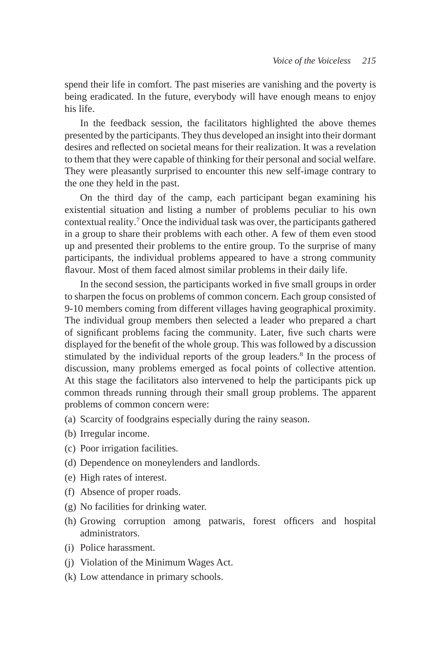spend their life in comfort. The past miseries are vanishing and the poverty is being eradicated. In the future, everybody will have enough means to enjoy his life.

In the feedback session, the facilitators highlighted the above themes presented by the participants. They thus developed an insight into their dormant desires and reflected on societal means for their realization. It was a revelation to them that they were capable of thinking for their personal and social welfare. They were pleasantly surprised to encounter this new self-image contrary to the one they held in the past.

On the third day of the camp, each participant began examining his existential situation and listing a number of problems peculiar to his own contextual reality.7 Once the individual task was over, the participants gathered in a group to share their problems with each other. A few of them even stood up and presented their problems to the entire group. To the surprise of many participants, the individual problems appeared to have a strong community flavour. Most of them faced almost similar problems in their daily life.

In the second session, the participants worked in five small groups in order to sharpen the focus on problems of common concern. Each group consisted of 9-10 members coming from different villages having geographical proximity. The individual group members then selected a leader who prepared a chart of significant problems facing the community. Later, five such charts were displayed for the benefit of the whole group. This was followed by a discussion stimulated by the individual reports of the group leaders.<sup>8</sup> In the process of discussion, many problems emerged as focal points of collective attention. At this stage the facilitators also intervened to help the participants pick up common threads running through their small group problems. The apparent problems of common concern were:

- (a) Scarcity of foodgrains especially during the rainy season.
- (b) Irregular income.
- (c) Poor irrigation facilities.
- (d) Dependence on moneylenders and landlords.
- (e) High rates of interest.
- (f) Absence of proper roads.
- (g) No facilities for drinking water.
- (h) Growing corruption among patwaris, forest officers and hospital administrators.
- (i) Police harassment.
- (j) Violation of the Minimum Wages Act.
- (k) Low attendance in primary schools.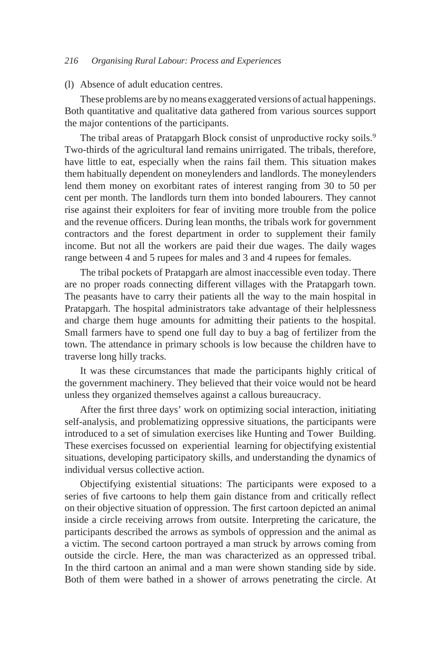#### (l) Absence of adult education centres.

These problems are by no means exaggerated versions of actual happenings. Both quantitative and qualitative data gathered from various sources support the major contentions of the participants.

The tribal areas of Pratapgarh Block consist of unproductive rocky soils.<sup>9</sup> Two-thirds of the agricultural land remains unirrigated. The tribals, therefore, have little to eat, especially when the rains fail them. This situation makes them habitually dependent on moneylenders and landlords. The moneylenders lend them money on exorbitant rates of interest ranging from 30 to 50 per cent per month. The landlords turn them into bonded labourers. They cannot rise against their exploiters for fear of inviting more trouble from the police and the revenue officers. During lean months, the tribals work for government contractors and the forest department in order to supplement their family income. But not all the workers are paid their due wages. The daily wages range between 4 and 5 rupees for males and 3 and 4 rupees for females.

The tribal pockets of Pratapgarh are almost inaccessible even today. There are no proper roads connecting different villages with the Pratapgarh town. The peasants have to carry their patients all the way to the main hospital in Pratapgarh. The hospital administrators take advantage of their helplessness and charge them huge amounts for admitting their patients to the hospital. Small farmers have to spend one full day to buy a bag of fertilizer from the town. The attendance in primary schools is low because the children have to traverse long hilly tracks.

It was these circumstances that made the participants highly critical of the government machinery. They believed that their voice would not be heard unless they organized themselves against a callous bureaucracy.

After the first three days' work on optimizing social interaction, initiating self-analysis, and problematizing oppressive situations, the participants were introduced to a set of simulation exercises like Hunting and Tower Building. These exercises focussed on experiential learning for objectifying existential situations, developing participatory skills, and understanding the dynamics of individual versus collective action.

Objectifying existential situations: The participants were exposed to a series of five cartoons to help them gain distance from and critically reflect on their objective situation of oppression. The first cartoon depicted an animal inside a circle receiving arrows from outsite. Interpreting the caricature, the participants described the arrows as symbols of oppression and the animal as a victim. The second cartoon portrayed a man struck by arrows coming from outside the circle. Here, the man was characterized as an oppressed tribal. In the third cartoon an animal and a man were shown standing side by side. Both of them were bathed in a shower of arrows penetrating the circle. At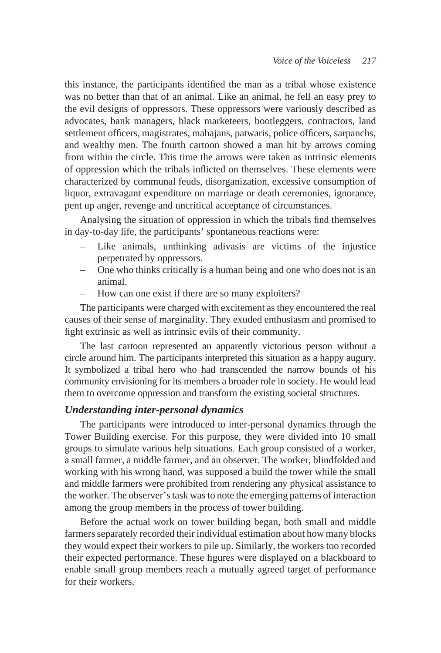this instance, the participants identified the man as a tribal whose existence was no better than that of an animal. Like an animal, he fell an easy prey to the evil designs of oppressors. These oppressors were variously described as advocates, bank managers, black marketeers, bootleggers, contractors, land settlement officers, magistrates, mahajans, patwaris, police officers, sarpanchs, and wealthy men. The fourth cartoon showed a man hit by arrows coming from within the circle. This time the arrows were taken as intrinsic elements of oppression which the tribals inflicted on themselves. These elements were characterized by communal feuds, disorganization, excessive consumption of liquor, extravagant expenditure on marriage or death ceremonies, ignorance, pent up anger, revenge and uncritical acceptance of circumstances.

Analysing the situation of oppression in which the tribals find themselves in day-to-day life, the participants' spontaneous reactions were:

- Like animals, unthinking adivasis are victims of the injustice perpetrated by oppressors.
- One who thinks critically is a human being and one who does not is an animal.
- How can one exist if there are so many exploiters?

The participants were charged with excitement as they encountered the real causes of their sense of marginality. They exuded enthusiasm and promised to fight extrinsic as well as intrinsic evils of their community.

The last cartoon represented an apparently victorious person without a circle around him. The participants interpreted this situation as a happy augury. It symbolized a tribal hero who had transcended the narrow bounds of his community envisioning for its members a broader role in society. He would lead them to overcome oppression and transform the existing societal structures.

### *Understanding inter-personal dynamics*

The participants were introduced to inter-personal dynamics through the Tower Building exercise. For this purpose, they were divided into 10 small groups to simulate various help situations. Each group consisted of a worker, a small farmer, a middle farmer, and an observer. The worker, blindfolded and working with his wrong hand, was supposed a build the tower while the small and middle farmers were prohibited from rendering any physical assistance to the worker. The observer's task was to note the emerging patterns of interaction among the group members in the process of tower building.

Before the actual work on tower building began, both small and middle farmers separately recorded their individual estimation about how many blocks they would expect their workers to pile up. Similarly, the workers too recorded their expected performance. These figures were displayed on a blackboard to enable small group members reach a mutually agreed target of performance for their workers.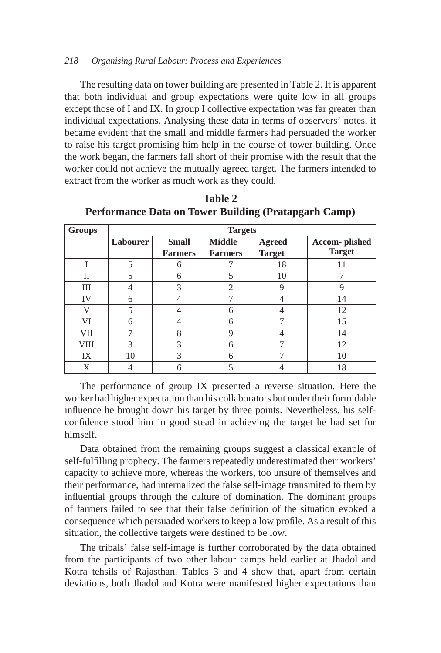The resulting data on tower building are presented in Table 2. It is apparent that both individual and group expectations were quite low in all groups except those of I and IX. In group I collective expectation was far greater than individual expectations. Analysing these data in terms of observers' notes, it became evident that the small and middle farmers had persuaded the worker to raise his target promising him help in the course of tower building. Once the work began, the farmers fall short of their promise with the result that the worker could not achieve the mutually agreed target. The farmers intended to extract from the worker as much work as they could.

| <b>Groups</b> |                 | <b>Targets</b>                 |                                 |                                |                                |  |  |  |  |  |  |
|---------------|-----------------|--------------------------------|---------------------------------|--------------------------------|--------------------------------|--|--|--|--|--|--|
|               | <b>Labourer</b> | <b>Small</b><br><b>Farmers</b> | <b>Middle</b><br><b>Farmers</b> | <b>Agreed</b><br><b>Target</b> | Accom-plished<br><b>Target</b> |  |  |  |  |  |  |
|               | 5               | 6                              |                                 | 18                             | 11                             |  |  |  |  |  |  |
| П             | 5               | 6                              | 5                               | 10                             |                                |  |  |  |  |  |  |
| Ш             |                 | 3                              | 2                               | 9                              | 9                              |  |  |  |  |  |  |
| IV            | 6               |                                |                                 | 4                              | 14                             |  |  |  |  |  |  |
| 77            | 5               |                                | 6                               |                                | 12                             |  |  |  |  |  |  |
| VI            | 6               |                                | 6                               |                                | 15                             |  |  |  |  |  |  |
| VII           | 7               | 8                              | 9                               | 4                              | 14                             |  |  |  |  |  |  |
| <b>VIII</b>   | 3               | 3                              | 6                               |                                | 12                             |  |  |  |  |  |  |
| IX            | 10              | 3                              | 6                               |                                | 10                             |  |  |  |  |  |  |
| Χ             |                 | 6                              | 5                               |                                | 18                             |  |  |  |  |  |  |

**Table 2 Performance Data on Tower Building (Pratapgarh Camp)**

The performance of group IX presented a reverse situation. Here the worker had higher expectation than his collaborators but under their formidable influence he brought down his target by three points. Nevertheless, his selfconfidence stood him in good stead in achieving the target he had set for himself.

Data obtained from the remaining groups suggest a classical exanple of self-fulfilling prophecy. The farmers repeatedly underestimated their workers' capacity to achieve more, whereas the workers, too unsure of themselves and their performance, had internalized the false self-image transmited to them by influential groups through the culture of domination. The dominant groups of farmers failed to see that their false definition of the situation evoked a consequence which persuaded workers to keep a low profile. As a result of this situation, the collective targets were destined to be low.

The tribals' false self-image is further corroborated by the data obtained from the participants of two other labour camps held earlier at Jhadol and Kotra tehsils of Rajasthan. Tables 3 and 4 show that, apart from certain deviations, both Jhadol and Kotra were manifested higher expectations than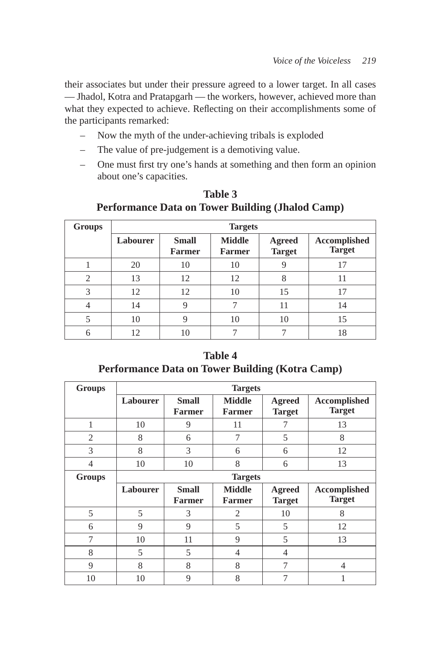their associates but under their pressure agreed to a lower target. In all cases — Jhadol, Kotra and Pratapgarh — the workers, however, achieved more than what they expected to achieve. Reflecting on their accomplishments some of the participants remarked:

- Now the myth of the under-achieving tribals is exploded
- The value of pre-judgement is a demotiving value.
- One must first try one's hands at something and then form an opinion about one's capacities.

| <b>Groups</b> | <b>Targets</b> |                               |                                |                                |                               |  |  |  |  |  |  |
|---------------|----------------|-------------------------------|--------------------------------|--------------------------------|-------------------------------|--|--|--|--|--|--|
|               | Labourer       | <b>Small</b><br><b>Farmer</b> | <b>Middle</b><br><b>Farmer</b> | <b>Agreed</b><br><b>Target</b> | Accomplished<br><b>Target</b> |  |  |  |  |  |  |
|               | 20             | 10                            | 10                             | 9                              | 17                            |  |  |  |  |  |  |
| 2             | 13             | 12                            | 12                             | 8                              | 11                            |  |  |  |  |  |  |
| 3             | 12             | 12                            | 10                             | 15                             | 17                            |  |  |  |  |  |  |
|               | 14             | 9                             | 7                              | 11                             | 14                            |  |  |  |  |  |  |
|               | 10             | 9                             | 10                             | 10                             | 15                            |  |  |  |  |  |  |
| 6             | 12             | 10                            |                                |                                | 18                            |  |  |  |  |  |  |

**Table 3 Performance Data on Tower Building (Jhalod Camp)**

**Table 4 Performance Data on Tower Building (Kotra Camp)**

| <b>Groups</b>  | <b>Targets</b> |                               |                                |                                |                                      |  |  |  |  |  |
|----------------|----------------|-------------------------------|--------------------------------|--------------------------------|--------------------------------------|--|--|--|--|--|
|                | Labourer       | <b>Small</b><br><b>Farmer</b> | <b>Middle</b><br><b>Farmer</b> | <b>Agreed</b><br><b>Target</b> | Accomplished<br><b>Target</b>        |  |  |  |  |  |
| 1              | 10             | 9                             | 11                             |                                | 13                                   |  |  |  |  |  |
| $\overline{2}$ | 8              | 6                             | 7                              | 5                              | 8                                    |  |  |  |  |  |
| 3              | 8              | 3                             | 6                              | 6                              | 12                                   |  |  |  |  |  |
| $\overline{4}$ | 10             | 10                            | 8                              | 6                              | 13                                   |  |  |  |  |  |
| <b>Groups</b>  |                |                               | <b>Targets</b>                 |                                |                                      |  |  |  |  |  |
|                |                |                               |                                |                                |                                      |  |  |  |  |  |
|                | Labourer       | <b>Small</b><br><b>Farmer</b> | <b>Middle</b><br><b>Farmer</b> | <b>Agreed</b><br><b>Target</b> | <b>Accomplished</b><br><b>Target</b> |  |  |  |  |  |
| 5              | 5              | 3                             | 2                              | 10                             | 8                                    |  |  |  |  |  |
| 6              | 9              | 9                             | 5                              | 5                              | 12                                   |  |  |  |  |  |
| 7              | 10             | 11                            | 9                              | 5                              | 13                                   |  |  |  |  |  |
| 8              | 5              | 5                             | 4                              | 4                              |                                      |  |  |  |  |  |
| 9              | 8              | 8                             | 8                              | 7                              | $\overline{4}$                       |  |  |  |  |  |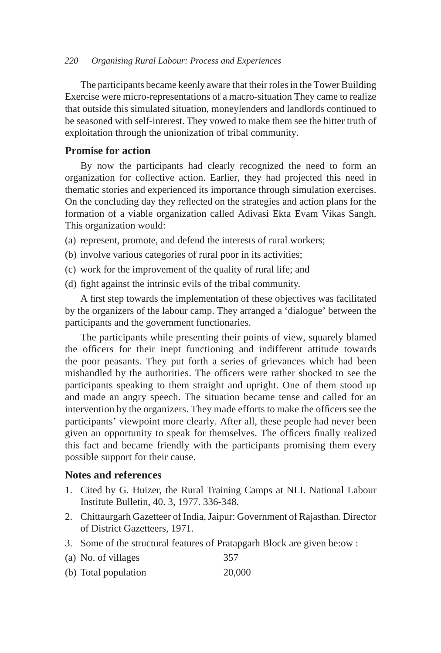The participants became keenly aware that their roles in the Tower Building Exercise were micro-representations of a macro-situation They came to realize that outside this simulated situation, moneylenders and landlords continued to be seasoned with self-interest. They vowed to make them see the bitter truth of exploitation through the unionization of tribal community.

# **Promise for action**

By now the participants had clearly recognized the need to form an organization for collective action. Earlier, they had projected this need in thematic stories and experienced its importance through simulation exercises. On the concluding day they reflected on the strategies and action plans for the formation of a viable organization called Adivasi Ekta Evam Vikas Sangh. This organization would:

- (a) represent, promote, and defend the interests of rural workers;
- (b) involve various categories of rural poor in its activities;
- (c) work for the improvement of the quality of rural life; and
- (d) fight against the intrinsic evils of the tribal community.

A first step towards the implementation of these objectives was facilitated by the organizers of the labour camp. They arranged a 'dialogue' between the participants and the government functionaries.

The participants while presenting their points of view, squarely blamed the officers for their inept functioning and indifferent attitude towards the poor peasants. They put forth a series of grievances which had been mishandled by the authorities. The officers were rather shocked to see the participants speaking to them straight and upright. One of them stood up and made an angry speech. The situation became tense and called for an intervention by the organizers. They made efforts to make the officers see the participants' viewpoint more clearly. After all, these people had never been given an opportunity to speak for themselves. The officers finally realized this fact and became friendly with the participants promising them every possible support for their cause.

# **Notes and references**

- 1. Cited by G. Huizer, the Rural Training Camps at NLI. National Labour Institute Bulletin, 40. 3, 1977. 336-348.
- 2. Chittaurgarh Gazetteer of India, Jaipur: Government of Rajasthan. Director of District Gazetteers, 1971.
- 3. Some of the structural features of Pratapgarh Block are given be:ow :
- (a) No. of villages 357
- (b) Total population 20,000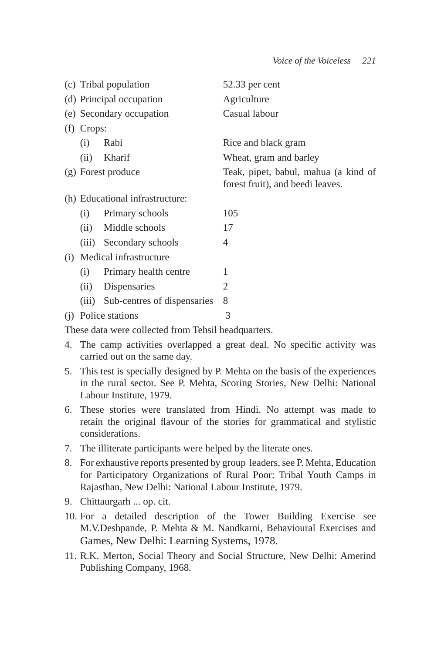|     |              | (c) Tribal population           | 52.33 per cent                                                           |  |  |  |  |
|-----|--------------|---------------------------------|--------------------------------------------------------------------------|--|--|--|--|
|     |              | (d) Principal occupation        | Agriculture                                                              |  |  |  |  |
|     |              | (e) Secondary occupation        | Casual labour                                                            |  |  |  |  |
|     | $(f)$ Crops: |                                 |                                                                          |  |  |  |  |
|     | (i)          | Rabi                            | Rice and black gram                                                      |  |  |  |  |
|     | (ii)         | Kharif                          | Wheat, gram and barley                                                   |  |  |  |  |
|     |              | (g) Forest produce              | Teak, pipet, babul, mahua (a kind of<br>forest fruit), and beedi leaves. |  |  |  |  |
|     |              | (h) Educational infrastructure: |                                                                          |  |  |  |  |
|     | (i)          | Primary schools                 | 105                                                                      |  |  |  |  |
|     | (ii)         | Middle schools                  | 17                                                                       |  |  |  |  |
|     | (iii)        | Secondary schools               | 4                                                                        |  |  |  |  |
| (i) |              | Medical infrastructure          |                                                                          |  |  |  |  |
|     | (i)          | Primary health centre           | 1                                                                        |  |  |  |  |
|     | (ii)         | Dispensaries                    | 2                                                                        |  |  |  |  |
|     | (iii)        | Sub-centres of dispensaries     | 8                                                                        |  |  |  |  |
| (1) |              | Police stations                 | 3                                                                        |  |  |  |  |

These data were collected from Tehsil headquarters.

- 4. The camp activities overlapped a great deal. No specific activity was carried out on the same day.
- 5. This test is specially designed by P. Mehta on the basis of the experiences in the rural sector. See P. Mehta, Scoring Stories, New Delhi: National Labour Institute, 1979.
- 6. These stories were translated from Hindi. No attempt was made to retain the original flavour of the stories for grammatical and stylistic considerations.
- 7. The illiterate participants were helped by the literate ones.
- 8. For exhaustive reports presented by group leaders, see P. Mehta, Education for Participatory Organizations of Rural Poor: Tribal Youth Camps in Rajasthan, New Delhi: National Labour Institute, 1979.
- 9. Chittaurgarh ... op. cit.
- 10. For a detailed description of the Tower Building Exercise see M.V.Deshpande, P. Mehta & M. Nandkarni, Behavioural Exercises and Games, New Delhi: Learning Systems, 1978.
- 11. R.K. Merton, Social Theory and Social Structure, New Delhi: Amerind Publishing Company, 1968.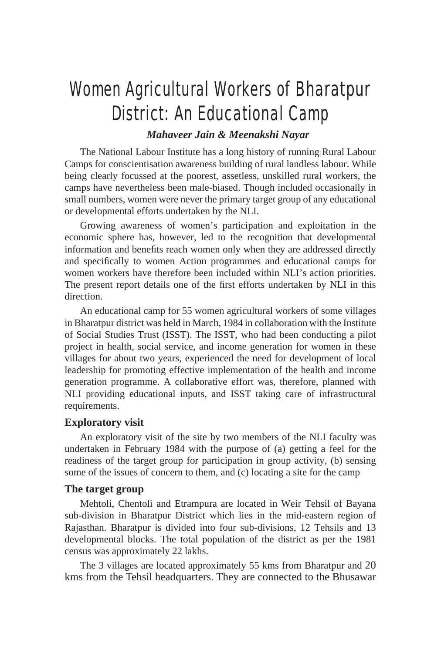# Women Agricultural Workers of Bharatpur District: An Educational Camp

# *Mahaveer Jain & Meenakshi Nayar*

The National Labour Institute has a long history of running Rural Labour Camps for conscientisation awareness building of rural landless labour. While being clearly focussed at the poorest, assetless, unskilled rural workers, the camps have nevertheless been male-biased. Though included occasionally in small numbers, women were never the primary target group of any educational or developmental efforts undertaken by the NLI.

Growing awareness of women's participation and exploitation in the economic sphere has, however, led to the recognition that developmental information and benefits reach women only when they are addressed directly and specifically to women Action programmes and educational camps for women workers have therefore been included within NLI's action priorities. The present report details one of the first efforts undertaken by NLI in this direction.

An educational camp for 55 women agricultural workers of some villages in Bharatpur district was held in March, 1984 in collaboration with the Institute of Social Studies Trust (ISST). The ISST, who had been conducting a pilot project in health, social service, and income generation for women in these villages for about two years, experienced the need for development of local leadership for promoting effective implementation of the health and income generation programme. A collaborative effort was, therefore, planned with NLI providing educational inputs, and ISST taking care of infrastructural requirements.

#### **Exploratory visit**

An exploratory visit of the site by two members of the NLI faculty was undertaken in February 1984 with the purpose of (a) getting a feel for the readiness of the target group for participation in group activity, (b) sensing some of the issues of concern to them, and (c) locating a site for the camp

### **The target group**

Mehtoli, Chentoli and Etrampura are located in Weir Tehsil of Bayana sub-division in Bharatpur District which lies in the mid-eastern region of Rajasthan. Bharatpur is divided into four sub-divisions, 12 Tehsils and 13 developmental blocks. The total population of the district as per the 1981 census was approximately 22 lakhs.

The 3 villages are located approximately 55 kms from Bharatpur and 20 kms from the Tehsil headquarters. They are connected to the Bhusawar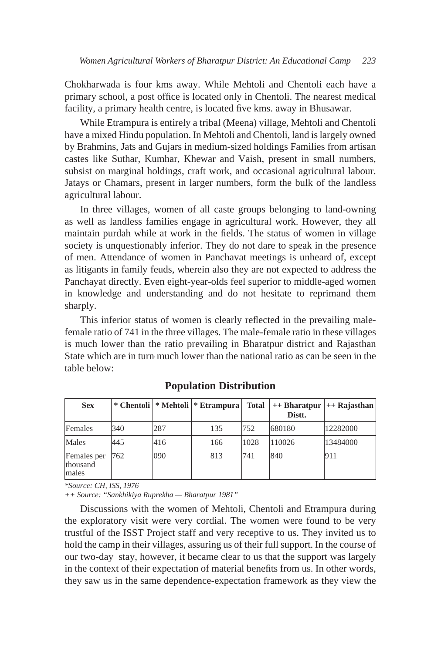Chokharwada is four kms away. While Mehtoli and Chentoli each have a primary school, a post office is located only in Chentoli. The nearest medical facility, a primary health centre, is located five kms. away in Bhusawar.

While Etrampura is entirely a tribal (Meena) village, Mehtoli and Chentoli have a mixed Hindu population. In Mehtoli and Chentoli, land is largely owned by Brahmins, Jats and Gujars in medium-sized holdings Families from artisan castes like Suthar, Kumhar, Khewar and Vaish, present in small numbers, subsist on marginal holdings, craft work, and occasional agricultural labour. Jatays or Chamars, present in larger numbers, form the bulk of the landless agricultural labour.

In three villages, women of all caste groups belonging to land-owning as well as landless families engage in agricultural work. However, they all maintain purdah while at work in the fields. The status of women in village society is unquestionably inferior. They do not dare to speak in the presence of men. Attendance of women in Panchavat meetings is unheard of, except as litigants in family feuds, wherein also they are not expected to address the Panchayat directly. Even eight-year-olds feel superior to middle-aged women in knowledge and understanding and do not hesitate to reprimand them sharply.

This inferior status of women is clearly reflected in the prevailing malefemale ratio of 741 in the three villages. The male-female ratio in these villages is much lower than the ratio prevailing in Bharatpur district and Rajasthan State which are in turn, much lower than the national ratio as can be seen in the table below:

| <b>Sex</b>                              |      |     | * Chentoli   * Mehtoli   * Etrampura | Total | $++ Bharatpur \,  ++ Rajasthan$<br>Distt. |          |
|-----------------------------------------|------|-----|--------------------------------------|-------|-------------------------------------------|----------|
| Females                                 | 340  | 287 | 135                                  | 752   | 680180                                    | 12282000 |
| Males                                   | 445  | 416 | 166                                  | 1028  | 110026                                    | 13484000 |
| Females per<br><b>thousand</b><br>males | 1762 | 090 | 813                                  | 741   | 840                                       | 911      |

**Population Distribution**

*\*Source: CH, ISS, 1976*

*++ Source: "Sankhikiya Ruprekha — Bharatpur 1981"*

Discussions with the women of Mehtoli, Chentoli and Etrampura during the exploratory visit were very cordial. The women were found to be very trustful of the ISST Project staff and very receptive to us. They invited us to hold the camp in their villages, assuring us of their full support. In the course of our two-day stay, however, it became clear to us that the support was largely in the context of their expectation of material benefits from us. In other words, they saw us in the same dependence-expectation framework as they view the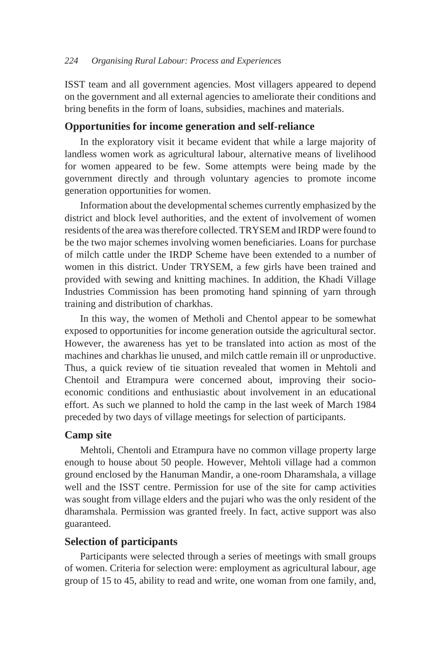ISST team and all government agencies. Most villagers appeared to depend on the government and all external agencies to ameliorate their conditions and bring benefits in the form of loans, subsidies, machines and materials.

#### **Opportunities for income generation and self-reliance**

In the exploratory visit it became evident that while a large majority of landless women work as agricultural labour, alternative means of livelihood for women appeared to be few. Some attempts were being made by the government directly and through voluntary agencies to promote income generation opportunities for women.

Information about the developmental schemes currently emphasized by the district and block level authorities, and the extent of involvement of women residents of the area was therefore collected. TRYSEM and IRDP were found to be the two major schemes involving women beneficiaries. Loans for purchase of milch cattle under the IRDP Scheme have been extended to a number of women in this district. Under TRYSEM, a few girls have been trained and provided with sewing and knitting machines. In addition, the Khadi Village Industries Commission has been promoting hand spinning of yarn through training and distribution of charkhas.

In this way, the women of Metholi and Chentol appear to be somewhat exposed to opportunities for income generation outside the agricultural sector. However, the awareness has yet to be translated into action as most of the machines and charkhas lie unused, and milch cattle remain ill or unproductive. Thus, a quick review of tie situation revealed that women in Mehtoli and Chentoil and Etrampura were concerned about, improving their socioeconomic conditions and enthusiastic about involvement in an educational effort. As such we planned to hold the camp in the last week of March 1984 preceded by two days of village meetings for selection of participants.

### **Camp site**

Mehtoli, Chentoli and Etrampura have no common village property large enough to house about 50 people. However, Mehtoli village had a common ground enclosed by the Hanuman Mandir, a one-room Dharamshala, a village well and the ISST centre. Permission for use of the site for camp activities was sought from village elders and the pujari who was the only resident of the dharamshala. Permission was granted freely. In fact, active support was also guaranteed.

### **Selection of participants**

Participants were selected through a series of meetings with small groups of women. Criteria for selection were: employment as agricultural labour, age group of 15 to 45, ability to read and write, one woman from one family, and,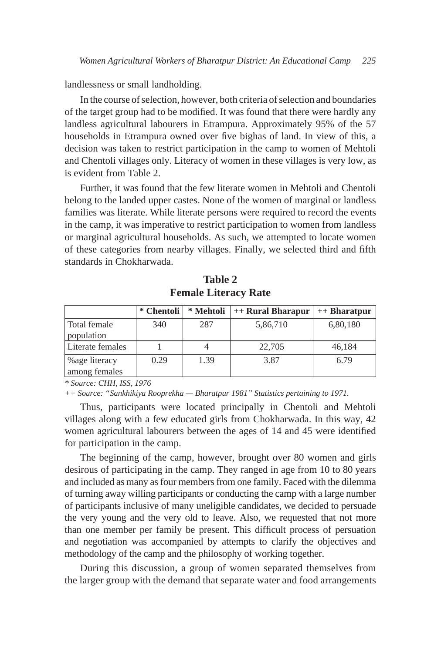landlessness or small landholding.

In the course of selection, however, both criteria of selection and boundaries of the target group had to be modified. It was found that there were hardly any landless agricultural labourers in Etrampura. Approximately 95% of the 57 households in Etrampura owned over five bighas of land. In view of this, a decision was taken to restrict participation in the camp to women of Mehtoli and Chentoli villages only. Literacy of women in these villages is very low, as is evident from Table 2.

Further, it was found that the few literate women in Mehtoli and Chentoli belong to the landed upper castes. None of the women of marginal or landless families was literate. While literate persons were required to record the events in the camp, it was imperative to restrict participation to women from landless or marginal agricultural households. As such, we attempted to locate women of these categories from nearby villages. Finally, we selected third and fifth standards in Chokharwada.

|                                 | * Chentoli | * Mehtoli | ++ Rural Bharapur | $++ Bharatpur$ |
|---------------------------------|------------|-----------|-------------------|----------------|
| Total female<br>population      | 340        | 287       | 5,86,710          | 6,80,180       |
| Literate females                |            |           | 22,705            | 46,184         |
| % age literacy<br>among females | 0.29       | 1.39      | 3.87              | 6.79           |

**Table 2 Female Literacy Rate**

*\* Source: CHH, ISS, 1976*

*++ Source: "Sankhikiya Rooprekha — Bharatpur 1981" Statistics pertaining to 1971.*

Thus, participants were located principally in Chentoli and Mehtoli villages along with a few educated girls from Chokharwada. In this way, 42 women agricultural labourers between the ages of 14 and 45 were identified for participation in the camp.

The beginning of the camp, however, brought over 80 women and girls desirous of participating in the camp. They ranged in age from 10 to 80 years and included as many as four members from one family. Faced with the dilemma of turning away willing participants or conducting the camp with a large number of participants inclusive of many uneligible candidates, we decided to persuade the very young and the very old to leave. Also, we requested that not more than one member per family be present. This difficult process of persuation and negotiation was accompanied by attempts to clarify the objectives and methodology of the camp and the philosophy of working together.

During this discussion, a group of women separated themselves from the larger group with the demand that separate water and food arrangements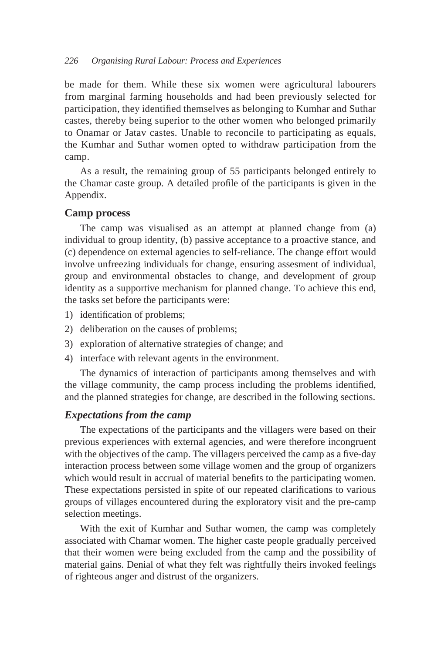be made for them. While these six women were agricultural labourers from marginal farming households and had been previously selected for participation, they identified themselves as belonging to Kumhar and Suthar castes, thereby being superior to the other women who belonged primarily to Onamar or Jatav castes. Unable to reconcile to participating as equals, the Kumhar and Suthar women opted to withdraw participation from the camp.

As a result, the remaining group of 55 participants belonged entirely to the Chamar caste group. A detailed profile of the participants is given in the Appendix.

### **Camp process**

The camp was visualised as an attempt at planned change from (a) individual to group identity, (b) passive acceptance to a proactive stance, and (c) dependence on external agencies to self-reliance. The change effort would involve unfreezing individuals for change, ensuring assesment of individual, group and environmental obstacles to change, and development of group identity as a supportive mechanism for planned change. To achieve this end, the tasks set before the participants were:

- 1) identification of problems;
- 2) deliberation on the causes of problems;
- 3) exploration of alternative strategies of change; and
- 4) interface with relevant agents in the environment.

The dynamics of interaction of participants among themselves and with the village community, the camp process including the problems identified, and the planned strategies for change, are described in the following sections.

### *Expectations from the camp*

The expectations of the participants and the villagers were based on their previous experiences with external agencies, and were therefore incongruent with the objectives of the camp. The villagers perceived the camp as a five-day interaction process between some village women and the group of organizers which would result in accrual of material benefits to the participating women. These expectations persisted in spite of our repeated clarifications to various groups of villages encountered during the exploratory visit and the pre-camp selection meetings.

With the exit of Kumhar and Suthar women, the camp was completely associated with Chamar women. The higher caste people gradually perceived that their women were being excluded from the camp and the possibility of material gains. Denial of what they felt was rightfully theirs invoked feelings of righteous anger and distrust of the organizers.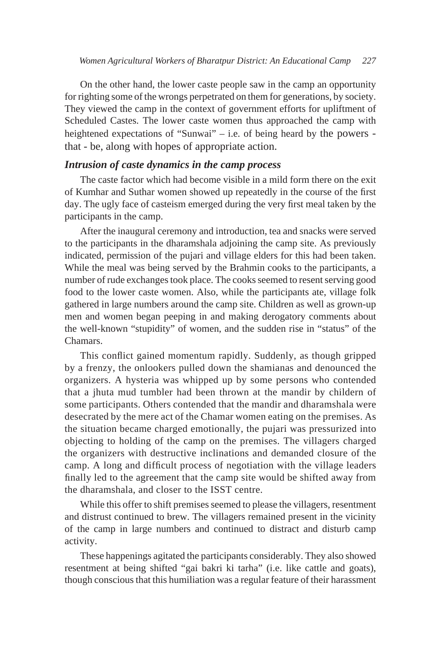On the other hand, the lower caste people saw in the camp an opportunity for righting some of the wrongs perpetrated on them for generations, by society. They viewed the camp in the context of government efforts for upliftment of Scheduled Castes. The lower caste women thus approached the camp with heightened expectations of "Sunwai" – i.e. of being heard by the powers that - be, along with hopes of appropriate action.

# *Intrusion of caste dynamics in the camp process*

The caste factor which had become visible in a mild form there on the exit of Kumhar and Suthar women showed up repeatedly in the course of the first day. The ugly face of casteism emerged during the very first meal taken by the participants in the camp.

After the inaugural ceremony and introduction, tea and snacks were served to the participants in the dharamshala adjoining the camp site. As previously indicated, permission of the pujari and village elders for this had been taken. While the meal was being served by the Brahmin cooks to the participants, a number of rude exchanges took place. The cooks seemed to resent serving good food to the lower caste women. Also, while the participants ate, village folk gathered in large numbers around the camp site. Children as well as grown-up men and women began peeping in and making derogatory comments about the well-known "stupidity" of women, and the sudden rise in "status" of the Chamars.

This conflict gained momentum rapidly. Suddenly, as though gripped by a frenzy, the onlookers pulled down the shamianas and denounced the organizers. A hysteria was whipped up by some persons who contended that a jhuta mud tumbler had been thrown at the mandir by childern of some participants. Others contended that the mandir and dharamshala were desecrated by the mere act of the Chamar women eating on the premises. As the situation became charged emotionally, the pujari was pressurized into objecting to holding of the camp on the premises. The villagers charged the organizers with destructive inclinations and demanded closure of the camp. A long and difficult process of negotiation with the village leaders finally led to the agreement that the camp site would be shifted away from the dharamshala, and closer to the ISST centre.

While this offer to shift premises seemed to please the villagers, resentment and distrust continued to brew. The villagers remained present in the vicinity of the camp in large numbers and continued to distract and disturb camp activity.

These happenings agitated the participants considerably. They also showed resentment at being shifted "gai bakri ki tarha" (i.e. like cattle and goats), though conscious that this humiliation was a regular feature of their harassment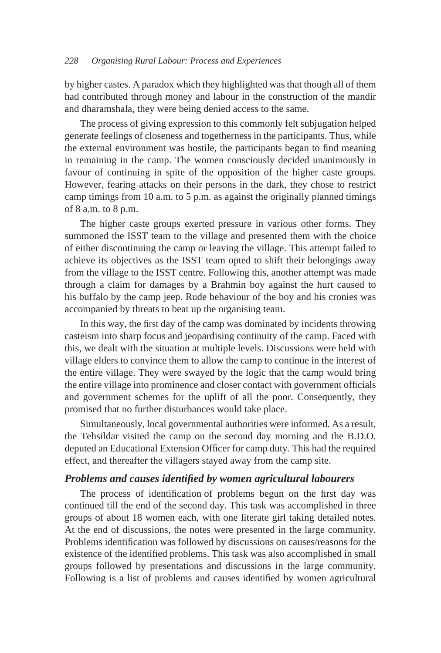by higher castes. A paradox which they highlighted was that though all of them had contributed through money and labour in the construction of the mandir and dharamshala, they were being denied access to the same.

The process of giving expression to this commonly felt subjugation helped generate feelings of closeness and togetherness in the participants. Thus, while the external environment was hostile, the participants began to find meaning in remaining in the camp. The women consciously decided unanimously in favour of continuing in spite of the opposition of the higher caste groups. However, fearing attacks on their persons in the dark, they chose to restrict camp timings from 10 a.m. to 5 p.m. as against the originally planned timings of 8 a.m. to 8 p.m.

The higher caste groups exerted pressure in various other forms. They summoned the ISST team to the village and presented them with the choice of either discontinuing the camp or leaving the village. This attempt failed to achieve its objectives as the ISST team opted to shift their belongings away from the village to the ISST centre. Following this, another attempt was made through a claim for damages by a Brahmin boy against the hurt caused to his buffalo by the camp jeep. Rude behaviour of the boy and his cronies was accompanied by threats to beat up the organising team.

In this way, the first day of the camp was dominated by incidents throwing casteism into sharp focus and jeopardising continuity of the camp. Faced with this, we dealt with the situation at multiple levels. Discussions were held with village elders to convince them to allow the camp to continue in the interest of the entire village. They were swayed by the logic that the camp would bring the entire village into prominence and closer contact with government officials and government schemes for the uplift of all the poor. Consequently, they promised that no further disturbances would take place.

Simultaneously, local governmental authorities were informed. As a result, the Tehsildar visited the camp on the second day morning and the B.D.O. deputed an Educational Extension Officer for camp duty. This had the required effect, and thereafter the villagers stayed away from the camp site.

#### *Problems and causes identified by women agricultural labourers*

The process of identification of problems begun on the first day was continued till the end of the second day. This task was accomplished in three groups of about 18 women each, with one literate girl taking detailed notes. At the end of discussions, the notes were presented in the large community. Problems identification was followed by discussions on causes/reasons for the existence of the identified problems. This task was also accomplished in small groups followed by presentations and discussions in the large community. Following is a list of problems and causes identified by women agricultural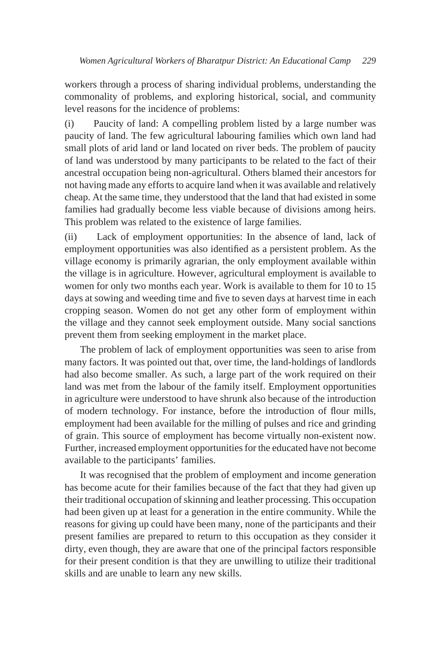workers through a process of sharing individual problems, understanding the commonality of problems, and exploring historical, social, and community level reasons for the incidence of problems:

(i) Paucity of land: A compelling problem listed by a large number was paucity of land. The few agricultural labouring families which own land had small plots of arid land or land located on river beds. The problem of paucity of land was understood by many participants to be related to the fact of their ancestral occupation being non-agricultural. Others blamed their ancestors for not having made any efforts to acquire land when it was available and relatively cheap. At the same time, they understood that the land that had existed in some families had gradually become less viable because of divisions among heirs. This problem was related to the existence of large families.

(ii) Lack of employment opportunities: In the absence of land, lack of employment opportunities was also identified as a persistent problem. As the village economy is primarily agrarian, the only employment available within the village is in agriculture. However, agricultural employment is available to women for only two months each year. Work is available to them for 10 to 15 days at sowing and weeding time and five to seven days at harvest time in each cropping season. Women do not get any other form of employment within the village and they cannot seek employment outside. Many social sanctions prevent them from seeking employment in the market place.

The problem of lack of employment opportunities was seen to arise from many factors. It was pointed out that, over time, the land-holdings of landlords had also become smaller. As such, a large part of the work required on their land was met from the labour of the family itself. Employment opportunities in agriculture were understood to have shrunk also because of the introduction of modern technology. For instance, before the introduction of flour mills, employment had been available for the milling of pulses and rice and grinding of grain. This source of employment has become virtually non-existent now. Further, increased employment opportunities for the educated have not become available to the participants' families.

It was recognised that the problem of employment and income generation has become acute for their families because of the fact that they had given up their traditional occupation of skinning and leather processing. This occupation had been given up at least for a generation in the entire community. While the reasons for giving up could have been many, none of the participants and their present families are prepared to return to this occupation as they consider it dirty, even though, they are aware that one of the principal factors responsible for their present condition is that they are unwilling to utilize their traditional skills and are unable to learn any new skills.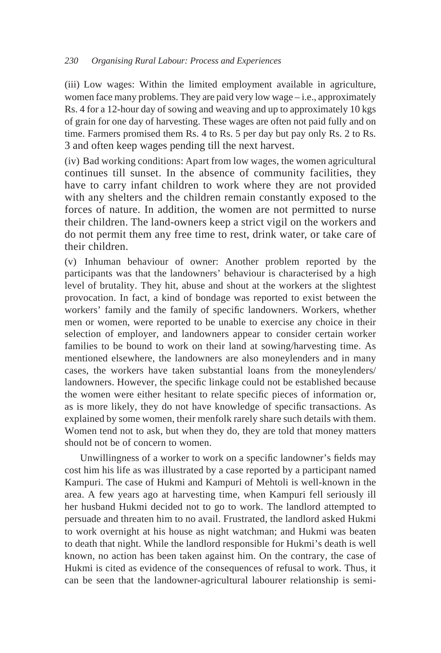(iii) Low wages: Within the limited employment available in agriculture, women face many problems. They are paid very low wage – i.e., approximately Rs. 4 for a 12-hour day of sowing and weaving and up to approximately 10 kgs of grain for one day of harvesting. These wages are often not paid fully and on time. Farmers promised them Rs. 4 to Rs. 5 per day but pay only Rs. 2 to Rs. 3 and often keep wages pending till the next harvest.

(iv) Bad working conditions: Apart from low wages, the women agricultural continues till sunset. In the absence of community facilities, they have to carry infant children to work where they are not provided with any shelters and the children remain constantly exposed to the forces of nature. In addition, the women are not permitted to nurse their children. The land-owners keep a strict vigil on the workers and do not permit them any free time to rest, drink water, or take care of their children.

(v) Inhuman behaviour of owner: Another problem reported by the participants was that the landowners' behaviour is characterised by a high level of brutality. They hit, abuse and shout at the workers at the slightest provocation. In fact, a kind of bondage was reported to exist between the workers' family and the family of specific landowners. Workers, whether men or women, were reported to be unable to exercise any choice in their selection of employer, and landowners appear to consider certain worker families to be bound to work on their land at sowing/harvesting time. As mentioned elsewhere, the landowners are also moneylenders and in many cases, the workers have taken substantial loans from the moneylenders/ landowners. However, the specific linkage could not be established because the women were either hesitant to relate specific pieces of information or, as is more likely, they do not have knowledge of specific transactions. As explained by some women, their menfolk rarely share such details with them. Women tend not to ask, but when they do, they are told that money matters should not be of concern to women.

Unwillingness of a worker to work on a specific landowner's fields may cost him his life as was illustrated by a case reported by a participant named Kampuri. The case of Hukmi and Kampuri of Mehtoli is well-known in the area. A few years ago at harvesting time, when Kampuri fell seriously ill her husband Hukmi decided not to go to work. The landlord attempted to persuade and threaten him to no avail. Frustrated, the landlord asked Hukmi to work overnight at his house as night watchman; and Hukmi was beaten to death that night. While the landlord responsible for Hukmi's death is well known, no action has been taken against him. On the contrary, the case of Hukmi is cited as evidence of the consequences of refusal to work. Thus, it can be seen that the landowner-agricultural labourer relationship is semi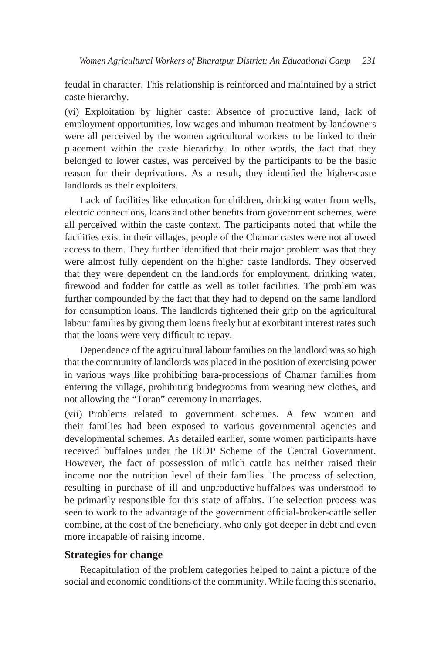feudal in character. This relationship is reinforced and maintained by a strict caste hierarchy.

(vi) Exploitation by higher caste: Absence of productive land, lack of employment opportunities, low wages and inhuman treatment by landowners were all perceived by the women agricultural workers to be linked to their placement within the caste hierarichy. In other words, the fact that they belonged to lower castes, was perceived by the participants to be the basic reason for their deprivations. As a result, they identified the higher-caste landlords as their exploiters.

Lack of facilities like education for children, drinking water from wells, electric connections, loans and other benefits from government schemes, were all perceived within the caste context. The participants noted that while the facilities exist in their villages, people of the Chamar castes were not allowed access to them. They further identified that their major problem was that they were almost fully dependent on the higher caste landlords. They observed that they were dependent on the landlords for employment, drinking water, firewood and fodder for cattle as well as toilet facilities. The problem was further compounded by the fact that they had to depend on the same landlord for consumption loans. The landlords tightened their grip on the agricultural labour families by giving them loans freely but at exorbitant interest rates such that the loans were very difficult to repay.

Dependence of the agricultural labour families on the landlord was so high that the community of landlords was placed in the position of exercising power in various ways like prohibiting bara-processions of Chamar families from entering the village, prohibiting bridegrooms from wearing new clothes, and not allowing the "Toran" ceremony in marriages.

(vii) Problems related to government schemes. A few women and their families had been exposed to various governmental agencies and developmental schemes. As detailed earlier, some women participants have received buffaloes under the IRDP Scheme of the Central Government. However, the fact of possession of milch cattle has neither raised their income nor the nutrition level of their families. The process of selection, resulting in purchase of ill and unproductive buffaloes was understood to be primarily responsible for this state of affairs. The selection process was seen to work to the advantage of the government official-broker-cattle seller combine, at the cost of the beneficiary, who only got deeper in debt and even more incapable of raising income.

# **Strategies for change**

Recapitulation of the problem categories helped to paint a picture of the social and economic conditions of the community. While facing this scenario,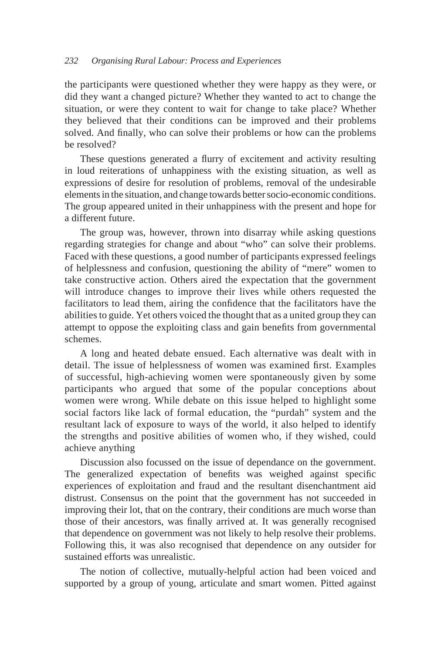the participants were questioned whether they were happy as they were, or did they want a changed picture? Whether they wanted to act to change the situation, or were they content to wait for change to take place? Whether they believed that their conditions can be improved and their problems solved. And finally, who can solve their problems or how can the problems be resolved?

These questions generated a flurry of excitement and activity resulting in loud reiterations of unhappiness with the existing situation, as well as expressions of desire for resolution of problems, removal of the undesirable elements in the situation, and change towards better socio-economic conditions. The group appeared united in their unhappiness with the present and hope for a different future.

The group was, however, thrown into disarray while asking questions regarding strategies for change and about "who" can solve their problems. Faced with these questions, a good number of participants expressed feelings of helplessness and confusion, questioning the ability of "mere" women to take constructive action. Others aired the expectation that the government will introduce changes to improve their lives while others requested the facilitators to lead them, airing the confidence that the facilitators have the abilities to guide. Yet others voiced the thought that as a united group they can attempt to oppose the exploiting class and gain benefits from governmental schemes.

A long and heated debate ensued. Each alternative was dealt with in detail. The issue of helplessness of women was examined first. Examples of successful, high-achieving women were spontaneously given by some participants who argued that some of the popular conceptions about women were wrong. While debate on this issue helped to highlight some social factors like lack of formal education, the "purdah" system and the resultant lack of exposure to ways of the world, it also helped to identify the strengths and positive abilities of women who, if they wished, could achieve anything

Discussion also focussed on the issue of dependance on the government. The generalized expectation of benefits was weighed against specific experiences of exploitation and fraud and the resultant disenchantment aid distrust. Consensus on the point that the government has not succeeded in improving their lot, that on the contrary, their conditions are much worse than those of their ancestors, was finally arrived at. It was generally recognised that dependence on government was not likely to help resolve their problems. Following this, it was also recognised that dependence on any outsider for sustained efforts was unrealistic.

The notion of collective, mutually-helpful action had been voiced and supported by a group of young, articulate and smart women. Pitted against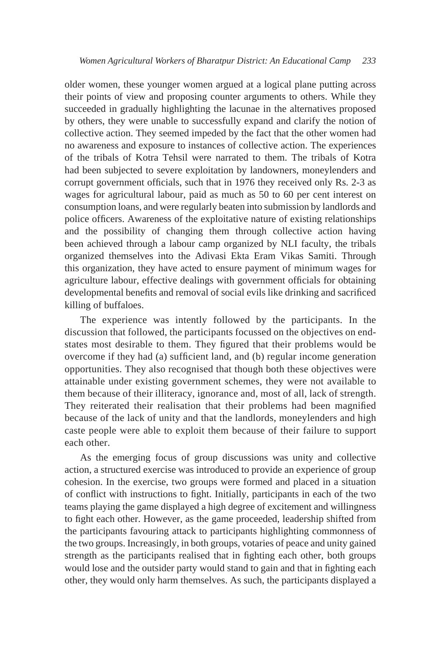older women, these younger women argued at a logical plane putting across their points of view and proposing counter arguments to others. While they succeeded in gradually highlighting the lacunae in the alternatives proposed by others, they were unable to successfully expand and clarify the notion of collective action. They seemed impeded by the fact that the other women had no awareness and exposure to instances of collective action. The experiences of the tribals of Kotra Tehsil were narrated to them. The tribals of Kotra had been subjected to severe exploitation by landowners, moneylenders and corrupt government officials, such that in 1976 they received only Rs. 2-3 as wages for agricultural labour, paid as much as 50 to 60 per cent interest on consumption loans, and were regularly beaten into submission by landlords and police officers. Awareness of the exploitative nature of existing relationships and the possibility of changing them through collective action having been achieved through a labour camp organized by NLI faculty, the tribals organized themselves into the Adivasi Ekta Eram Vikas Samiti. Through this organization, they have acted to ensure payment of minimum wages for agriculture labour, effective dealings with government officials for obtaining developmental benefits and removal of social evils like drinking and sacrificed killing of buffaloes.

The experience was intently followed by the participants. In the discussion that followed, the participants focussed on the objectives on endstates most desirable to them. They figured that their problems would be overcome if they had (a) sufficient land, and (b) regular income generation opportunities. They also recognised that though both these objectives were attainable under existing government schemes, they were not available to them because of their illiteracy, ignorance and, most of all, lack of strength. They reiterated their realisation that their problems had been magnified because of the lack of unity and that the landlords, moneylenders and high caste people were able to exploit them because of their failure to support each other.

As the emerging focus of group discussions was unity and collective action, a structured exercise was introduced to provide an experience of group cohesion. In the exercise, two groups were formed and placed in a situation of conflict with instructions to fight. Initially, participants in each of the two teams playing the game displayed a high degree of excitement and willingness to fight each other. However, as the game proceeded, leadership shifted from the participants favouring attack to participants highlighting commonness of the two groups. Increasingly, in both groups, votaries of peace and unity gained strength as the participants realised that in fighting each other, both groups would lose and the outsider party would stand to gain and that in fighting each other, they would only harm themselves. As such, the participants displayed a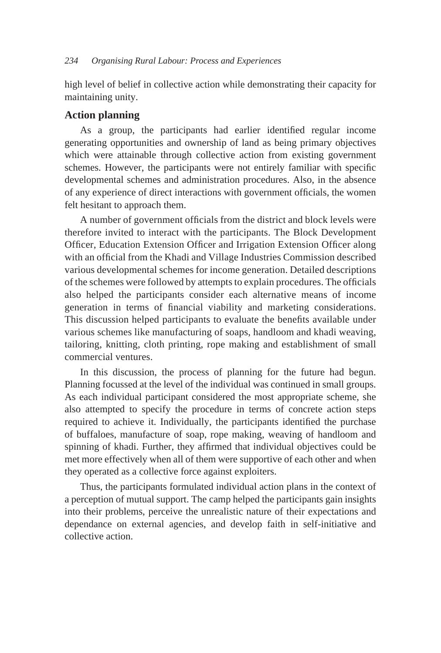high level of belief in collective action while demonstrating their capacity for maintaining unity.

# **Action planning**

As a group, the participants had earlier identified regular income generating opportunities and ownership of land as being primary objectives which were attainable through collective action from existing government schemes. However, the participants were not entirely familiar with specific developmental schemes and administration procedures. Also, in the absence of any experience of direct interactions with government officials, the women felt hesitant to approach them.

A number of government officials from the district and block levels were therefore invited to interact with the participants. The Block Development Officer, Education Extension Officer and Irrigation Extension Officer along with an official from the Khadi and Village Industries Commission described various developmental schemes for income generation. Detailed descriptions of the schemes were followed by attempts to explain procedures. The officials also helped the participants consider each alternative means of income generation in terms of financial viability and marketing considerations. This discussion helped participants to evaluate the benefits available under various schemes like manufacturing of soaps, handloom and khadi weaving, tailoring, knitting, cloth printing, rope making and establishment of small commercial ventures.

In this discussion, the process of planning for the future had begun. Planning focussed at the level of the individual was continued in small groups. As each individual participant considered the most appropriate scheme, she also attempted to specify the procedure in terms of concrete action steps required to achieve it. Individually, the participants identified the purchase of buffaloes, manufacture of soap, rope making, weaving of handloom and spinning of khadi. Further, they affirmed that individual objectives could be met more effectively when all of them were supportive of each other and when they operated as a collective force against exploiters.

Thus, the participants formulated individual action plans in the context of a perception of mutual support. The camp helped the participants gain insights into their problems, perceive the unrealistic nature of their expectations and dependance on external agencies, and develop faith in self-initiative and collective action.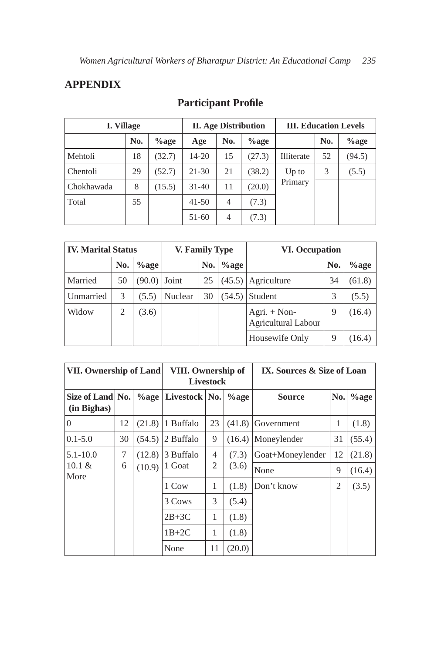# **APPENDIX**

| I. Village |     |          | <b>II.</b> Age Distribution |                |          | <b>III. Education Levels</b> |     |          |
|------------|-----|----------|-----------------------------|----------------|----------|------------------------------|-----|----------|
|            | No. | $\%$ age | Age                         | No.            | $\%$ age |                              | No. | $\%$ age |
| Mehtoli    | 18  | (32.7)   | 14-20                       | 15             | (27.3)   | Illiterate                   | 52  | (94.5)   |
| Chentoli   | 29  | (52.7)   | 21-30                       | 21             | (38.2)   | $Up$ to                      | 3   | (5.5)    |
| Chokhawada | 8   | (15.5)   | $31 - 40$                   | 11             | (20.0)   | Primary                      |     |          |
| Total      | 55  |          | $41 - 50$                   | $\overline{4}$ | (7.3)    |                              |     |          |
|            |     |          | 51-60                       | 4              | (7.3)    |                              |     |          |

# **Participant Profile**

| <b>IV. Marital Status</b> |     | V. Family Type |         |     | <b>VI. Occupation</b> |                                              |     |          |
|---------------------------|-----|----------------|---------|-----|-----------------------|----------------------------------------------|-----|----------|
|                           | No. | $\%$ age       |         | No. | $\%$ age              |                                              | No. | $\%$ age |
| Married                   | 50  | (90.0)         | Joint   | 25  |                       | $(45.5)$ Agriculture                         | 34  | (61.8)   |
| Unmarried                 | 3   | (5.5)          | Nuclear | 30  | (54.5)                | Student                                      | 3   | (5.5)    |
| Widow                     | 2   | (3.6)          |         |     |                       | Agri. $+$ Non-<br><b>Agricultural Labour</b> | 9   | (16.4)   |
|                           |     |                |         |     |                       | Housewife Only                               | 9   | (16.4)   |

| <b>VII. Ownership of Land</b>   |    |          | VIII. Ownership of | <b>Livestock</b> |         | IX. Sources & Size of Loan |                |          |
|---------------------------------|----|----------|--------------------|------------------|---------|----------------------------|----------------|----------|
| Size of Land No.<br>(in Bighas) |    | $\%$ age | Livestock   No.    |                  | $%$ age | <b>Source</b>              | No.            | $\%$ age |
| $\theta$                        | 12 | (21.8)   | 1 Buffalo          | 23               | (41.8)  | Government                 | 1              | (1.8)    |
| $0.1 - 5.0$                     | 30 | (54.5)   | 2 Buffalo          | 9                | (16.4)  | Moneylender                | 31             | (55.4)   |
| $5.1 - 10.0$                    | 7  | (12.8)   | 3 Buffalo          | 4                | (7.3)   | Goat+Moneylender           | 12             | (21.8)   |
| $10.1 \&$<br>More               | 6  | (10.9)   | 1 Goat             | 2                | (3.6)   | None                       | 9              | (16.4)   |
|                                 |    |          | 1 Cow              | 1                | (1.8)   | Don't know                 | $\overline{2}$ | (3.5)    |
|                                 |    |          | 3 Cows             | 3                | (5.4)   |                            |                |          |
|                                 |    |          | $2B+3C$            | 1                | (1.8)   |                            |                |          |
|                                 |    |          | $1B+2C$            | 1                | (1.8)   |                            |                |          |
|                                 |    |          | None               | 11               | (20.0)  |                            |                |          |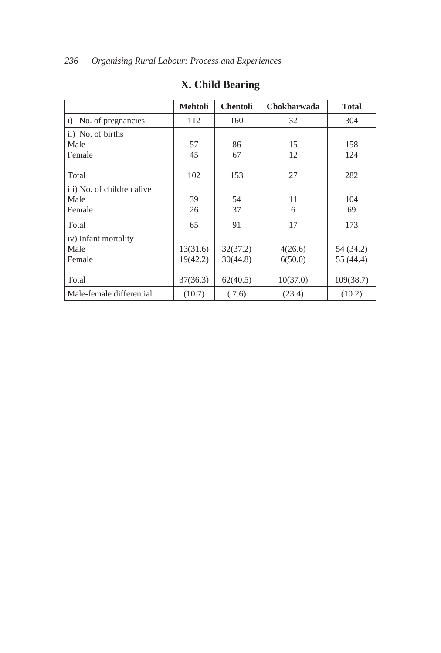|                            | <b>Mehtoli</b> | <b>Chentoli</b> | Chokharwada | <b>Total</b> |
|----------------------------|----------------|-----------------|-------------|--------------|
| No. of pregnancies<br>i)   | 112            | 160             | 32          | 304          |
| ii) No. of births          |                |                 |             |              |
| Male                       | 57             | 86              | 15          | 158          |
| Female                     | 45             | 67              | 12          | 124          |
| Total                      | 102            | 153             | 27          | 282          |
| iii) No. of children alive |                |                 |             |              |
| Male                       | 39             | 54              | 11          | 104          |
| Female                     | 26             | 37              | 6           | 69           |
| Total                      | 65             | 91              | 17          | 173          |
| iv) Infant mortality       |                |                 |             |              |
| Male                       | 13(31.6)       | 32(37.2)        | 4(26.6)     | 54 (34.2)    |
| Female                     | 19(42.2)       | 30(44.8)        | 6(50.0)     | 55 (44.4)    |
| Total                      | 37(36.3)       | 62(40.5)        | 10(37.0)    | 109(38.7)    |
| Male-female differential   | (10.7)         | (7.6)           | (23.4)      | (102)        |

# **X. Child Bearing**